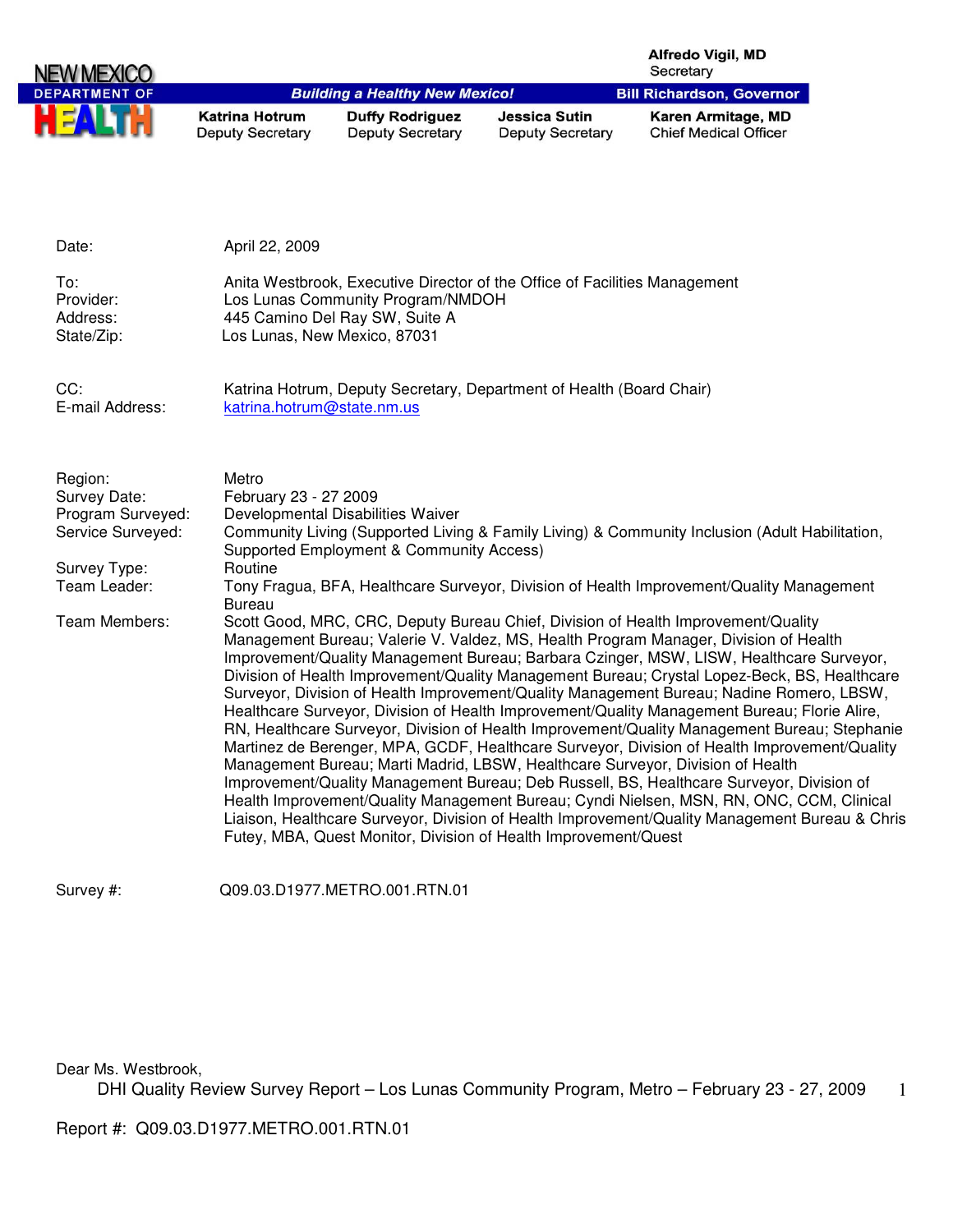|                                                                                                                    |                                                            |                                                                                                     |                                                                            | Alfredo Vigil, MD<br>Secretary                                                                                                                                                                                                                                                                                                                                                                                                                                                                                                                                                                                                                                                                                                                                                                                                                                                                                                                                                                                                                                                                                                                                                                                                                                                                                                             |
|--------------------------------------------------------------------------------------------------------------------|------------------------------------------------------------|-----------------------------------------------------------------------------------------------------|----------------------------------------------------------------------------|--------------------------------------------------------------------------------------------------------------------------------------------------------------------------------------------------------------------------------------------------------------------------------------------------------------------------------------------------------------------------------------------------------------------------------------------------------------------------------------------------------------------------------------------------------------------------------------------------------------------------------------------------------------------------------------------------------------------------------------------------------------------------------------------------------------------------------------------------------------------------------------------------------------------------------------------------------------------------------------------------------------------------------------------------------------------------------------------------------------------------------------------------------------------------------------------------------------------------------------------------------------------------------------------------------------------------------------------|
| <b>DEPARTMENT OF</b>                                                                                               |                                                            | <b>Building a Healthy New Mexico!</b>                                                               |                                                                            | <b>Bill Richardson, Governor</b>                                                                                                                                                                                                                                                                                                                                                                                                                                                                                                                                                                                                                                                                                                                                                                                                                                                                                                                                                                                                                                                                                                                                                                                                                                                                                                           |
|                                                                                                                    | <b>Katrina Hotrum</b><br><b>Deputy Secretary</b>           | <b>Duffy Rodriguez</b><br><b>Deputy Secretary</b>                                                   | <b>Jessica Sutin</b><br><b>Deputy Secretary</b>                            | Karen Armitage, MD<br><b>Chief Medical Officer</b>                                                                                                                                                                                                                                                                                                                                                                                                                                                                                                                                                                                                                                                                                                                                                                                                                                                                                                                                                                                                                                                                                                                                                                                                                                                                                         |
| Date:                                                                                                              | April 22, 2009                                             |                                                                                                     |                                                                            |                                                                                                                                                                                                                                                                                                                                                                                                                                                                                                                                                                                                                                                                                                                                                                                                                                                                                                                                                                                                                                                                                                                                                                                                                                                                                                                                            |
| To:<br>Provider:<br>Address:<br>State/Zip:                                                                         |                                                            | Los Lunas Community Program/NMDOH<br>445 Camino Del Ray SW, Suite A<br>Los Lunas, New Mexico, 87031 | Anita Westbrook, Executive Director of the Office of Facilities Management |                                                                                                                                                                                                                                                                                                                                                                                                                                                                                                                                                                                                                                                                                                                                                                                                                                                                                                                                                                                                                                                                                                                                                                                                                                                                                                                                            |
| CC:<br>E-mail Address:                                                                                             | katrina.hotrum@state.nm.us                                 |                                                                                                     | Katrina Hotrum, Deputy Secretary, Department of Health (Board Chair)       |                                                                                                                                                                                                                                                                                                                                                                                                                                                                                                                                                                                                                                                                                                                                                                                                                                                                                                                                                                                                                                                                                                                                                                                                                                                                                                                                            |
| Region:<br>Survey Date:<br>Program Surveyed:<br>Service Surveyed:<br>Survey Type:<br>Team Leader:<br>Team Members: | Metro<br>February 23 - 27 2009<br>Routine<br><b>Bureau</b> | Developmental Disabilities Waiver<br>Supported Employment & Community Access)                       |                                                                            | Community Living (Supported Living & Family Living) & Community Inclusion (Adult Habilitation,<br>Tony Fragua, BFA, Healthcare Surveyor, Division of Health Improvement/Quality Management<br>Scott Good, MRC, CRC, Deputy Bureau Chief, Division of Health Improvement/Quality<br>Management Bureau; Valerie V. Valdez, MS, Health Program Manager, Division of Health<br>Improvement/Quality Management Bureau; Barbara Czinger, MSW, LISW, Healthcare Surveyor,<br>Division of Health Improvement/Quality Management Bureau; Crystal Lopez-Beck, BS, Healthcare<br>Surveyor, Division of Health Improvement/Quality Management Bureau; Nadine Romero, LBSW,<br>Healthcare Surveyor, Division of Health Improvement/Quality Management Bureau; Florie Alire,<br>RN, Healthcare Surveyor, Division of Health Improvement/Quality Management Bureau; Stephanie<br>Martinez de Berenger, MPA, GCDF, Healthcare Surveyor, Division of Health Improvement/Quality<br>Management Bureau; Marti Madrid, LBSW, Healthcare Surveyor, Division of Health<br>Improvement/Quality Management Bureau; Deb Russell, BS, Healthcare Surveyor, Division of<br>Health Improvement/Quality Management Bureau; Cyndi Nielsen, MSN, RN, ONC, CCM, Clinical<br>Liaison, Healthcare Surveyor, Division of Health Improvement/Quality Management Bureau & Chris |

Survey #: Q09.03.D1977.METRO.001.RTN.01

Dear Ms. Westbrook,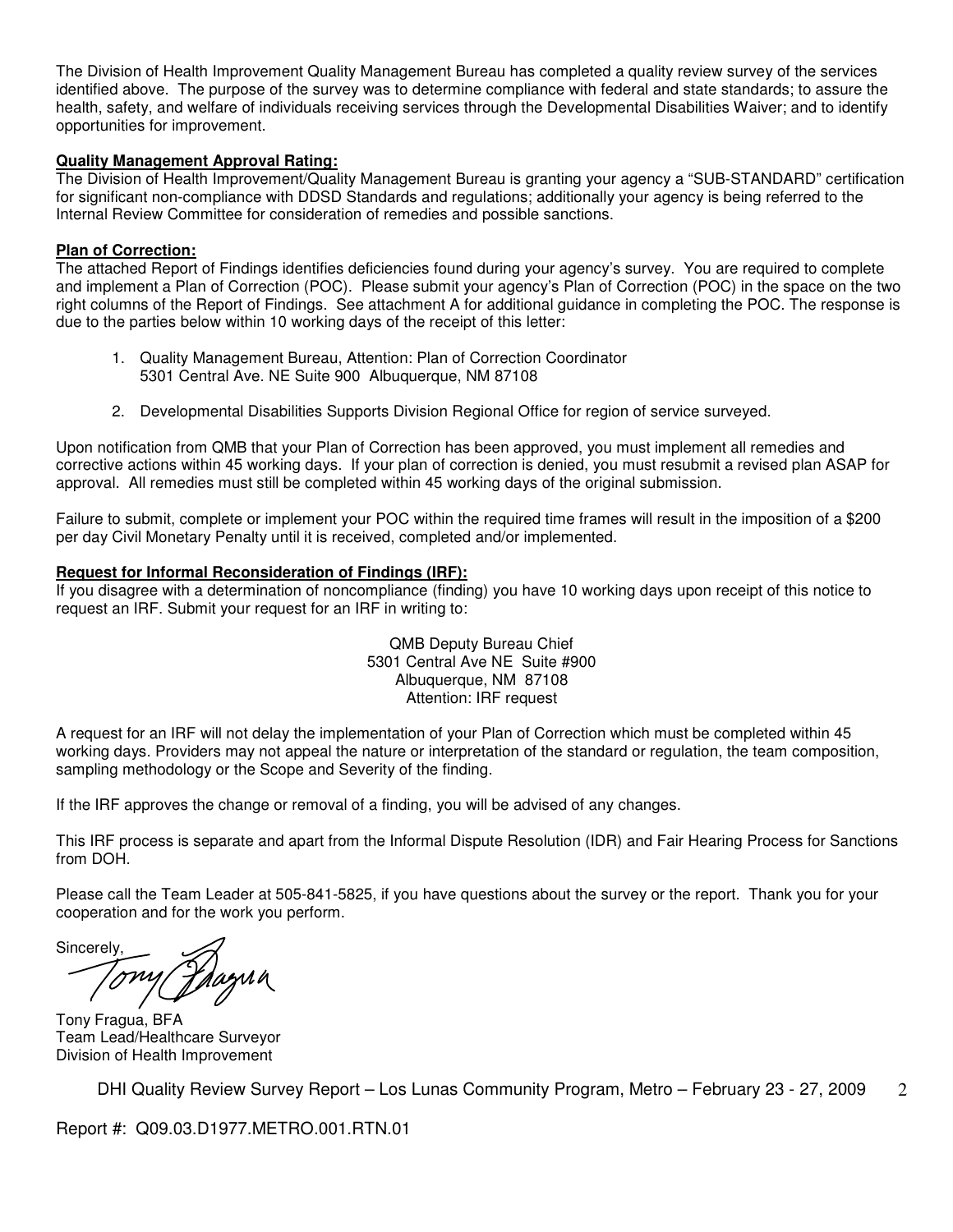The Division of Health Improvement Quality Management Bureau has completed a quality review survey of the services identified above. The purpose of the survey was to determine compliance with federal and state standards; to assure the health, safety, and welfare of individuals receiving services through the Developmental Disabilities Waiver; and to identify opportunities for improvement.

#### **Quality Management Approval Rating:**

The Division of Health Improvement/Quality Management Bureau is granting your agency a "SUB-STANDARD" certification for significant non-compliance with DDSD Standards and regulations; additionally your agency is being referred to the Internal Review Committee for consideration of remedies and possible sanctions.

#### **Plan of Correction:**

The attached Report of Findings identifies deficiencies found during your agency's survey. You are required to complete and implement a Plan of Correction (POC). Please submit your agency's Plan of Correction (POC) in the space on the two right columns of the Report of Findings. See attachment A for additional guidance in completing the POC. The response is due to the parties below within 10 working days of the receipt of this letter:

- 1. Quality Management Bureau, Attention: Plan of Correction Coordinator 5301 Central Ave. NE Suite 900 Albuquerque, NM 87108
- 2. Developmental Disabilities Supports Division Regional Office for region of service surveyed.

Upon notification from QMB that your Plan of Correction has been approved, you must implement all remedies and corrective actions within 45 working days. If your plan of correction is denied, you must resubmit a revised plan ASAP for approval. All remedies must still be completed within 45 working days of the original submission.

Failure to submit, complete or implement your POC within the required time frames will result in the imposition of a \$200 per day Civil Monetary Penalty until it is received, completed and/or implemented.

#### **Request for Informal Reconsideration of Findings (IRF):**

If you disagree with a determination of noncompliance (finding) you have 10 working days upon receipt of this notice to request an IRF. Submit your request for an IRF in writing to:

> QMB Deputy Bureau Chief 5301 Central Ave NE Suite #900 Albuquerque, NM 87108 Attention: IRF request

A request for an IRF will not delay the implementation of your Plan of Correction which must be completed within 45 working days. Providers may not appeal the nature or interpretation of the standard or regulation, the team composition, sampling methodology or the Scope and Severity of the finding.

If the IRF approves the change or removal of a finding, you will be advised of any changes.

This IRF process is separate and apart from the Informal Dispute Resolution (IDR) and Fair Hearing Process for Sanctions from DOH.

Please call the Team Leader at 505-841-5825, if you have questions about the survey or the report. Thank you for your cooperation and for the work you perform.

**Sincerely** Tony

Tony Fragua, BFA Team Lead/Healthcare Surveyor Division of Health Improvement

DHI Quality Review Survey Report – Los Lunas Community Program, Metro – February 23 - 27, 2009  $\mathcal{D}_{\mathcal{L}}$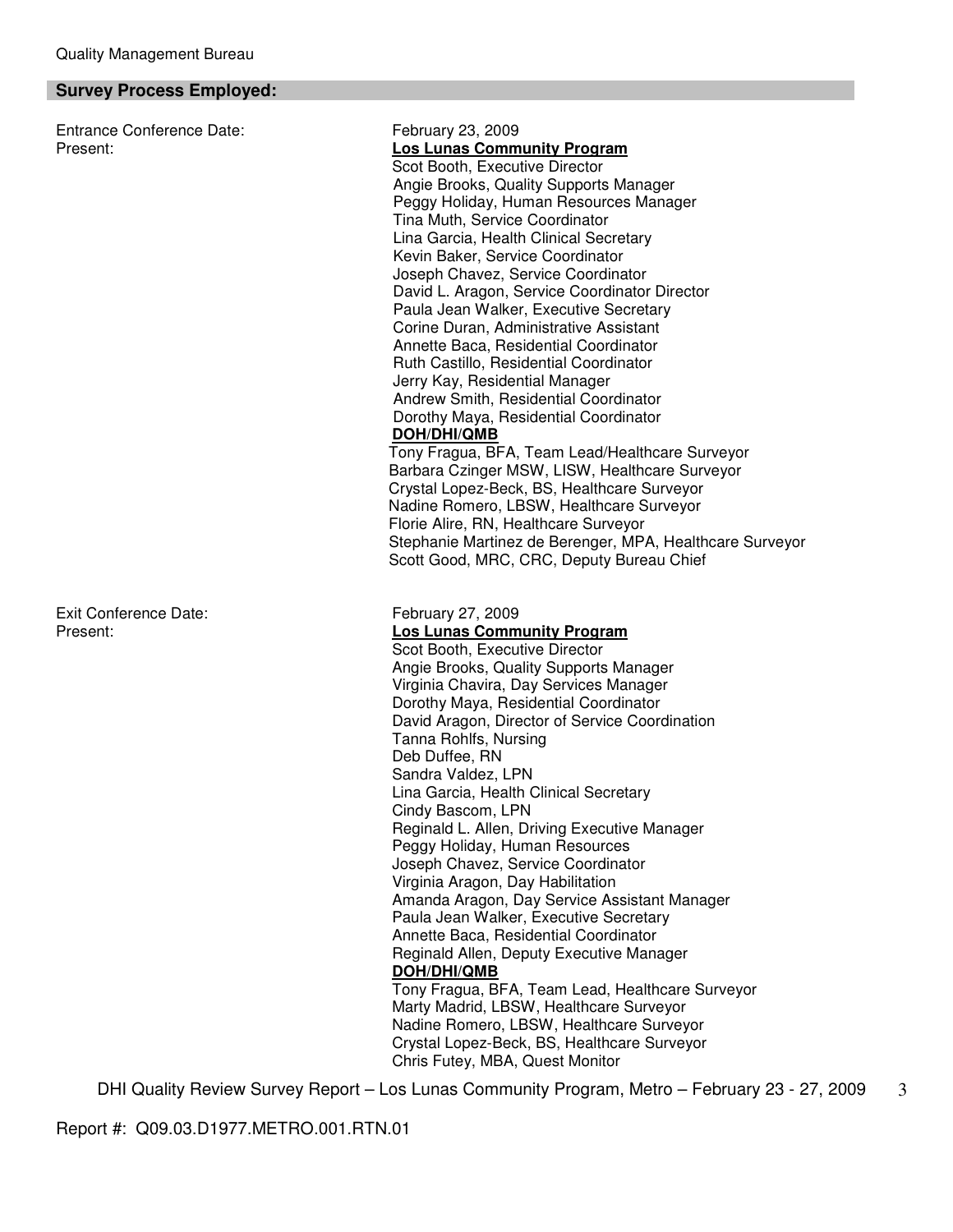#### **Survey Process Employed:**

Entrance Conference Date: February 23, 2009

Exit Conference Date: February 27, 2009

Present: **Los Lunas Community Program** Scot Booth, Executive Director Angie Brooks, Quality Supports Manager Peggy Holiday, Human Resources Manager Tina Muth, Service Coordinator Lina Garcia, Health Clinical Secretary Kevin Baker, Service Coordinator Joseph Chavez, Service Coordinator David L. Aragon, Service Coordinator Director Paula Jean Walker, Executive Secretary Corine Duran, Administrative Assistant Annette Baca, Residential Coordinator Ruth Castillo, Residential Coordinator Jerry Kay, Residential Manager Andrew Smith, Residential Coordinator Dorothy Maya, Residential Coordinator **DOH/DHI/QMB** Tony Fragua, BFA, Team Lead/Healthcare Surveyor Barbara Czinger MSW, LISW, Healthcare Surveyor Crystal Lopez-Beck, BS, Healthcare Surveyor Nadine Romero, LBSW, Healthcare Surveyor Florie Alire, RN, Healthcare Surveyor Stephanie Martinez de Berenger, MPA, Healthcare Surveyor Scott Good, MRC, CRC, Deputy Bureau Chief Present: **Los Lunas Community Program** Scot Booth, Executive Director Angie Brooks, Quality Supports Manager Virginia Chavira, Day Services Manager Dorothy Maya, Residential Coordinator David Aragon, Director of Service Coordination Tanna Rohlfs, Nursing Deb Duffee, RN Sandra Valdez, LPN Lina Garcia, Health Clinical Secretary Cindy Bascom, LPN Reginald L. Allen, Driving Executive Manager Peggy Holiday, Human Resources Joseph Chavez, Service Coordinator Virginia Aragon, Day Habilitation Amanda Aragon, Day Service Assistant Manager Paula Jean Walker, Executive Secretary Annette Baca, Residential Coordinator Reginald Allen, Deputy Executive Manager **DOH/DHI/QMB**

Tony Fragua, BFA, Team Lead, Healthcare Surveyor Marty Madrid, LBSW, Healthcare Surveyor Nadine Romero, LBSW, Healthcare Surveyor Crystal Lopez-Beck, BS, Healthcare Surveyor Chris Futey, MBA, Quest Monitor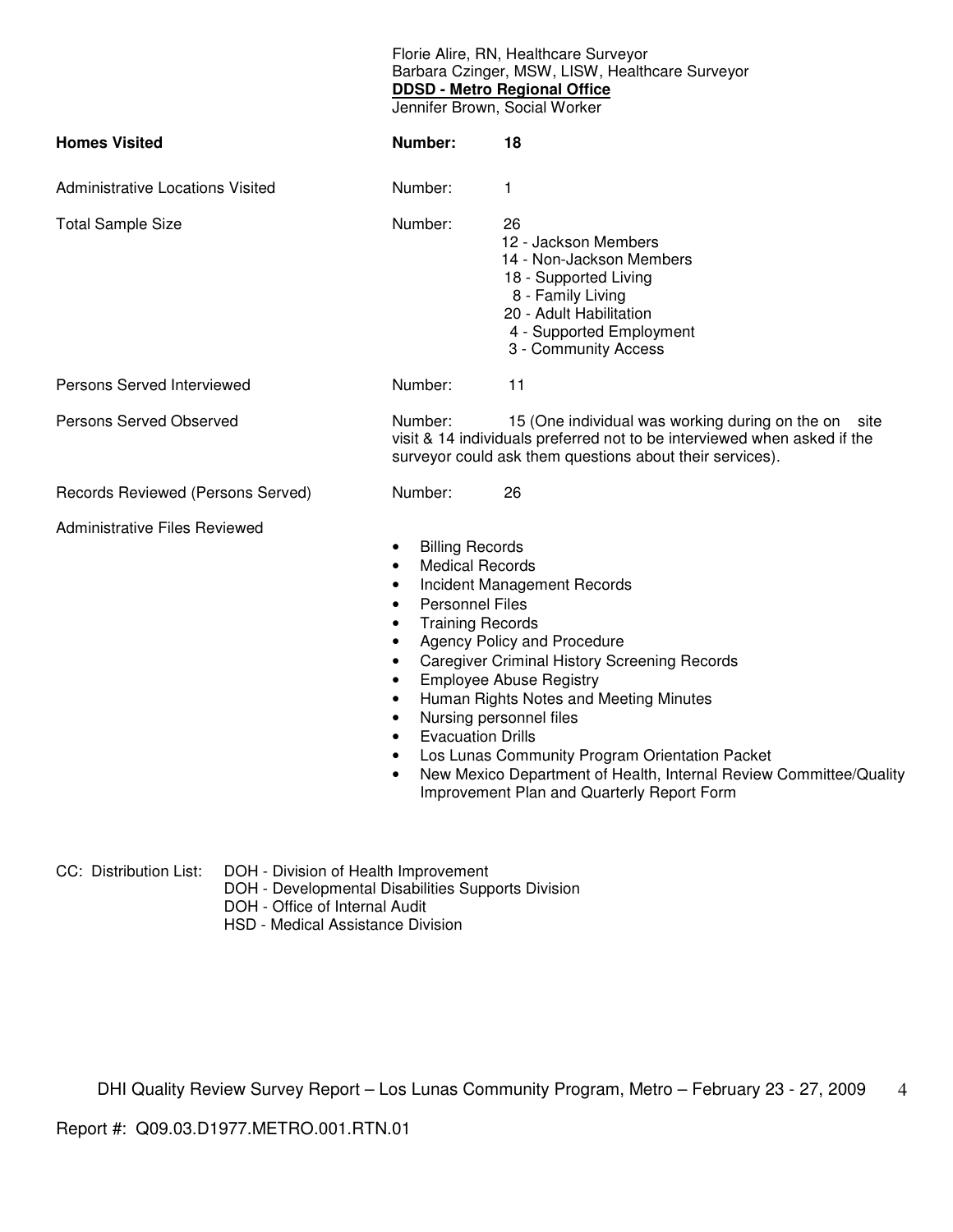Florie Alire, RN, Healthcare Surveyor Barbara Czinger, MSW, LISW, Healthcare Surveyor **DDSD - Metro Regional Office**

Jennifer Brown, Social Worker

| <b>Homes Visited</b>                 | Number:                                                                                                                                                                                                                                                                  | 18                                                                                                                                                                                                                                                                                                                                                                                             |
|--------------------------------------|--------------------------------------------------------------------------------------------------------------------------------------------------------------------------------------------------------------------------------------------------------------------------|------------------------------------------------------------------------------------------------------------------------------------------------------------------------------------------------------------------------------------------------------------------------------------------------------------------------------------------------------------------------------------------------|
| Administrative Locations Visited     | Number:                                                                                                                                                                                                                                                                  | $\mathbf 1$                                                                                                                                                                                                                                                                                                                                                                                    |
| <b>Total Sample Size</b>             | Number:                                                                                                                                                                                                                                                                  | 26<br>12 - Jackson Members<br>14 - Non-Jackson Members<br>18 - Supported Living<br>8 - Family Living<br>20 - Adult Habilitation<br>4 - Supported Employment<br>3 - Community Access                                                                                                                                                                                                            |
| Persons Served Interviewed           | Number:                                                                                                                                                                                                                                                                  | 11                                                                                                                                                                                                                                                                                                                                                                                             |
| <b>Persons Served Observed</b>       | Number:                                                                                                                                                                                                                                                                  | 15 (One individual was working during on the on<br>site<br>visit & 14 individuals preferred not to be interviewed when asked if the<br>surveyor could ask them questions about their services).                                                                                                                                                                                                |
| Records Reviewed (Persons Served)    | Number:                                                                                                                                                                                                                                                                  | 26                                                                                                                                                                                                                                                                                                                                                                                             |
| <b>Administrative Files Reviewed</b> | <b>Billing Records</b><br>$\bullet$<br><b>Medical Records</b><br>$\bullet$<br>٠<br><b>Personnel Files</b><br>$\bullet$<br><b>Training Records</b><br>$\bullet$<br>$\bullet$<br>$\bullet$<br>$\bullet$<br>$\bullet$<br>$\bullet$<br><b>Evacuation Drills</b><br>$\bullet$ | Incident Management Records<br>Agency Policy and Procedure<br><b>Caregiver Criminal History Screening Records</b><br><b>Employee Abuse Registry</b><br>Human Rights Notes and Meeting Minutes<br>Nursing personnel files<br>Los Lunas Community Program Orientation Packet<br>New Mexico Department of Health, Internal Review Committee/Quality<br>Improvement Plan and Quarterly Report Form |

CC: Distribution List: DOH - Division of Health Improvement

- DOH Developmental Disabilities Supports Division
- DOH Office of Internal Audit
- HSD Medical Assistance Division

DHI Quality Review Survey Report – Los Lunas Community Program, Metro – February 23 - 27, 2009 4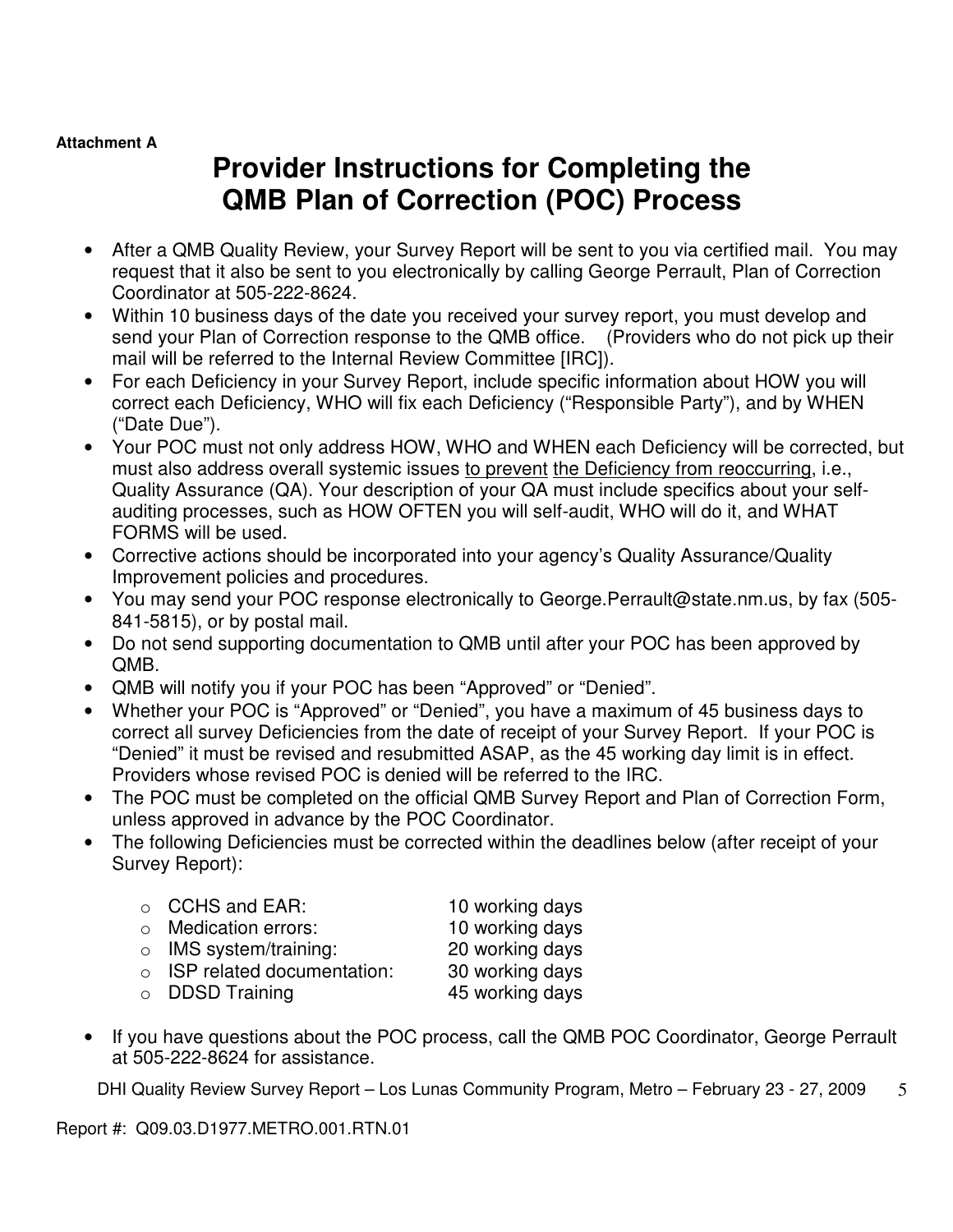#### **Attachment A**

# **Provider Instructions for Completing the QMB Plan of Correction (POC) Process**

- After a QMB Quality Review, your Survey Report will be sent to you via certified mail. You may request that it also be sent to you electronically by calling George Perrault, Plan of Correction Coordinator at 505-222-8624.
- Within 10 business days of the date you received your survey report, you must develop and send your Plan of Correction response to the QMB office. (Providers who do not pick up their mail will be referred to the Internal Review Committee [IRC]).
- For each Deficiency in your Survey Report, include specific information about HOW you will correct each Deficiency, WHO will fix each Deficiency ("Responsible Party"), and by WHEN ("Date Due").
- Your POC must not only address HOW, WHO and WHEN each Deficiency will be corrected, but must also address overall systemic issues to prevent the Deficiency from reoccurring, i.e., Quality Assurance (QA). Your description of your QA must include specifics about your selfauditing processes, such as HOW OFTEN you will self-audit, WHO will do it, and WHAT FORMS will be used.
- Corrective actions should be incorporated into your agency's Quality Assurance/Quality Improvement policies and procedures.
- You may send your POC response electronically to George.Perrault@state.nm.us, by fax (505- 841-5815), or by postal mail.
- Do not send supporting documentation to QMB until after your POC has been approved by QMB.
- QMB will notify you if your POC has been "Approved" or "Denied".
- Whether your POC is "Approved" or "Denied", you have a maximum of 45 business days to correct all survey Deficiencies from the date of receipt of your Survey Report. If your POC is "Denied" it must be revised and resubmitted ASAP, as the 45 working day limit is in effect. Providers whose revised POC is denied will be referred to the IRC.
- The POC must be completed on the official QMB Survey Report and Plan of Correction Form, unless approved in advance by the POC Coordinator.
- The following Deficiencies must be corrected within the deadlines below (after receipt of your Survey Report):

|        | $\circ$ CCHS and EAR:        | 10 working days |
|--------|------------------------------|-----------------|
|        | o Medication errors:         | 10 working days |
|        | $\circ$ IMS system/training: | 20 working days |
| $\cap$ | ISP related documentation:   | 30 working days |
|        |                              |                 |

o DDSD Training 45 working days

• If you have questions about the POC process, call the QMB POC Coordinator, George Perrault at 505-222-8624 for assistance.

DHI Quality Review Survey Report – Los Lunas Community Program, Metro – February 23 - 27, 2009 5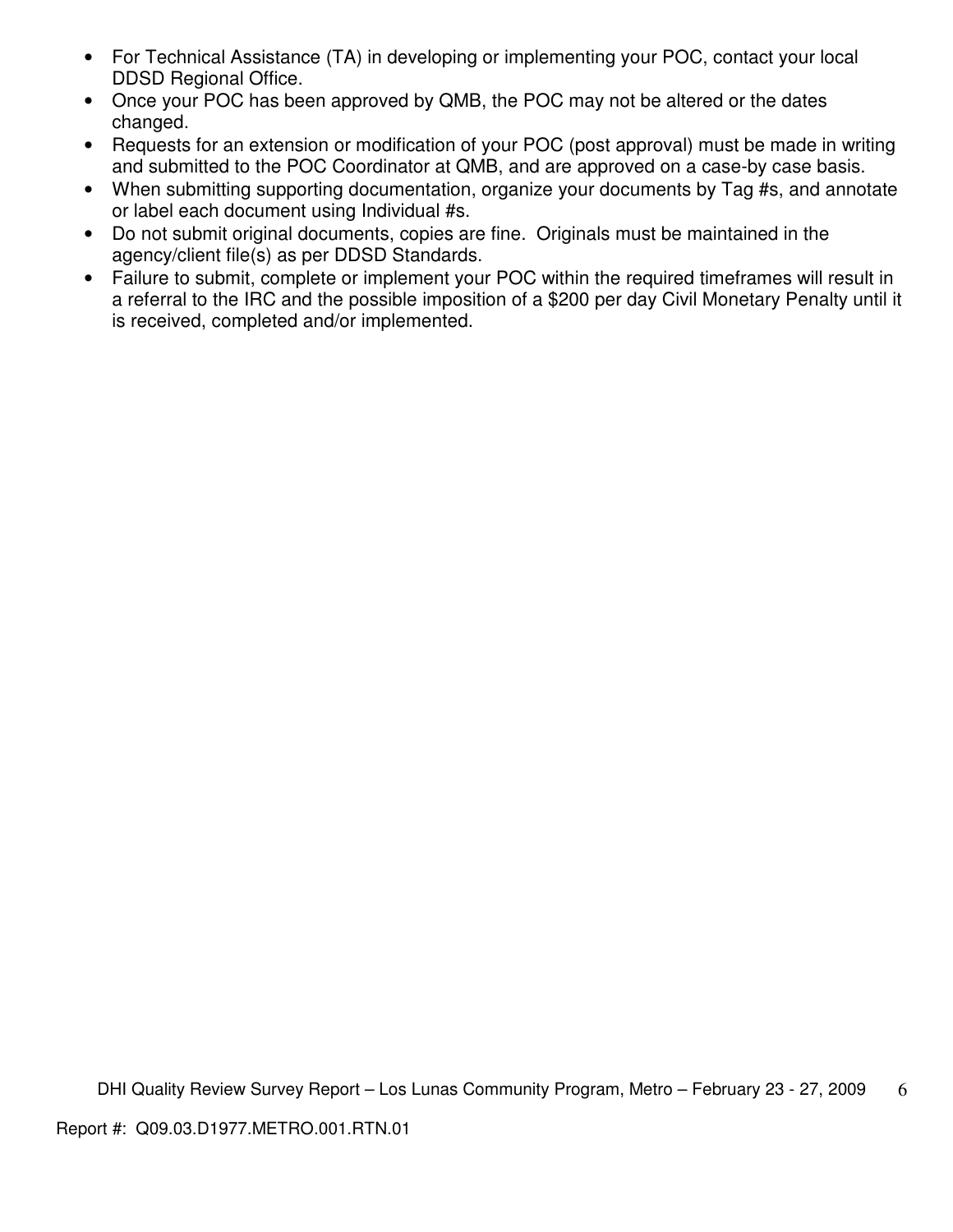- For Technical Assistance (TA) in developing or implementing your POC, contact your local DDSD Regional Office.
- Once your POC has been approved by QMB, the POC may not be altered or the dates changed.
- Requests for an extension or modification of your POC (post approval) must be made in writing and submitted to the POC Coordinator at QMB, and are approved on a case-by case basis.
- When submitting supporting documentation, organize your documents by Tag #s, and annotate or label each document using Individual #s.
- Do not submit original documents, copies are fine. Originals must be maintained in the agency/client file(s) as per DDSD Standards.
- Failure to submit, complete or implement your POC within the required timeframes will result in a referral to the IRC and the possible imposition of a \$200 per day Civil Monetary Penalty until it is received, completed and/or implemented.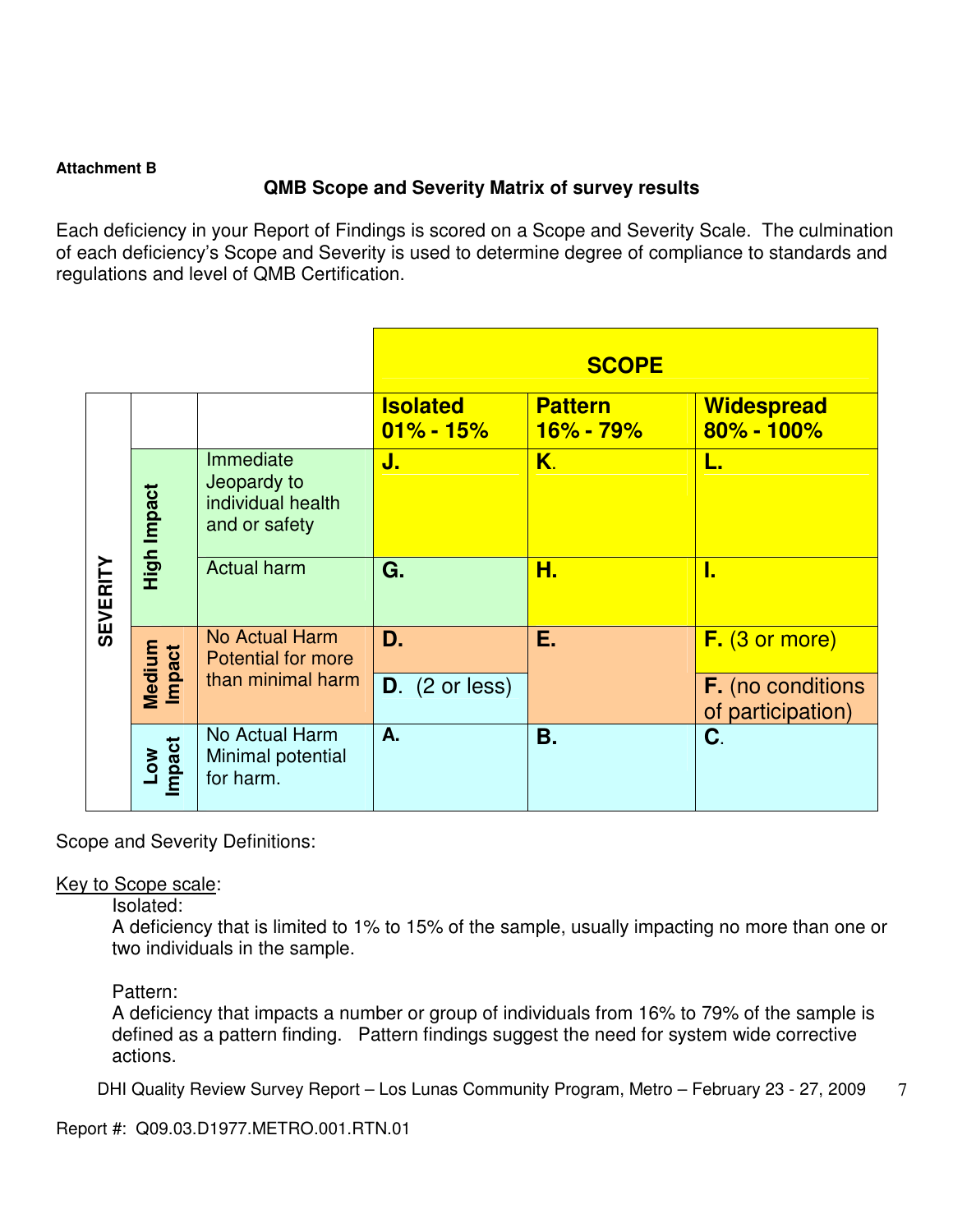#### **Attachment B**

## **QMB Scope and Severity Matrix of survey results**

Each deficiency in your Report of Findings is scored on a Scope and Severity Scale. The culmination of each deficiency's Scope and Severity is used to determine degree of compliance to standards and regulations and level of QMB Certification.

|                 |                      |                                                                |                                  | <b>SCOPE</b>                    |                                               |
|-----------------|----------------------|----------------------------------------------------------------|----------------------------------|---------------------------------|-----------------------------------------------|
|                 |                      |                                                                | <b>Isolated</b><br>$01\% - 15\%$ | <b>Pattern</b><br>$16\% - 79\%$ | <b>Widespread</b><br>$80\% - 100\%$           |
|                 | High Impact          | Immediate<br>Jeopardy to<br>individual health<br>and or safety | J.                               | K.                              | L.                                            |
| <b>SEVERITY</b> |                      | <b>Actual harm</b>                                             | G.                               | Н.                              | I.                                            |
|                 |                      | No Actual Harm<br><b>Potential for more</b>                    | D.                               | Е.                              | $F.$ (3 or more)                              |
|                 | Medium<br>Impact     | than minimal harm                                              | $D.$ (2 or less)                 |                                 | <b>F.</b> (no conditions<br>of participation) |
|                 | Impact<br><b>NOT</b> | No Actual Harm<br>Minimal potential<br>for harm.               | A.                               | <b>B.</b>                       | C.                                            |

Scope and Severity Definitions:

#### Key to Scope scale:

Isolated:

A deficiency that is limited to 1% to 15% of the sample, usually impacting no more than one or two individuals in the sample.

Pattern:

A deficiency that impacts a number or group of individuals from 16% to 79% of the sample is defined as a pattern finding. Pattern findings suggest the need for system wide corrective actions.

DHI Quality Review Survey Report – Los Lunas Community Program, Metro – February 23 - 27, 2009 7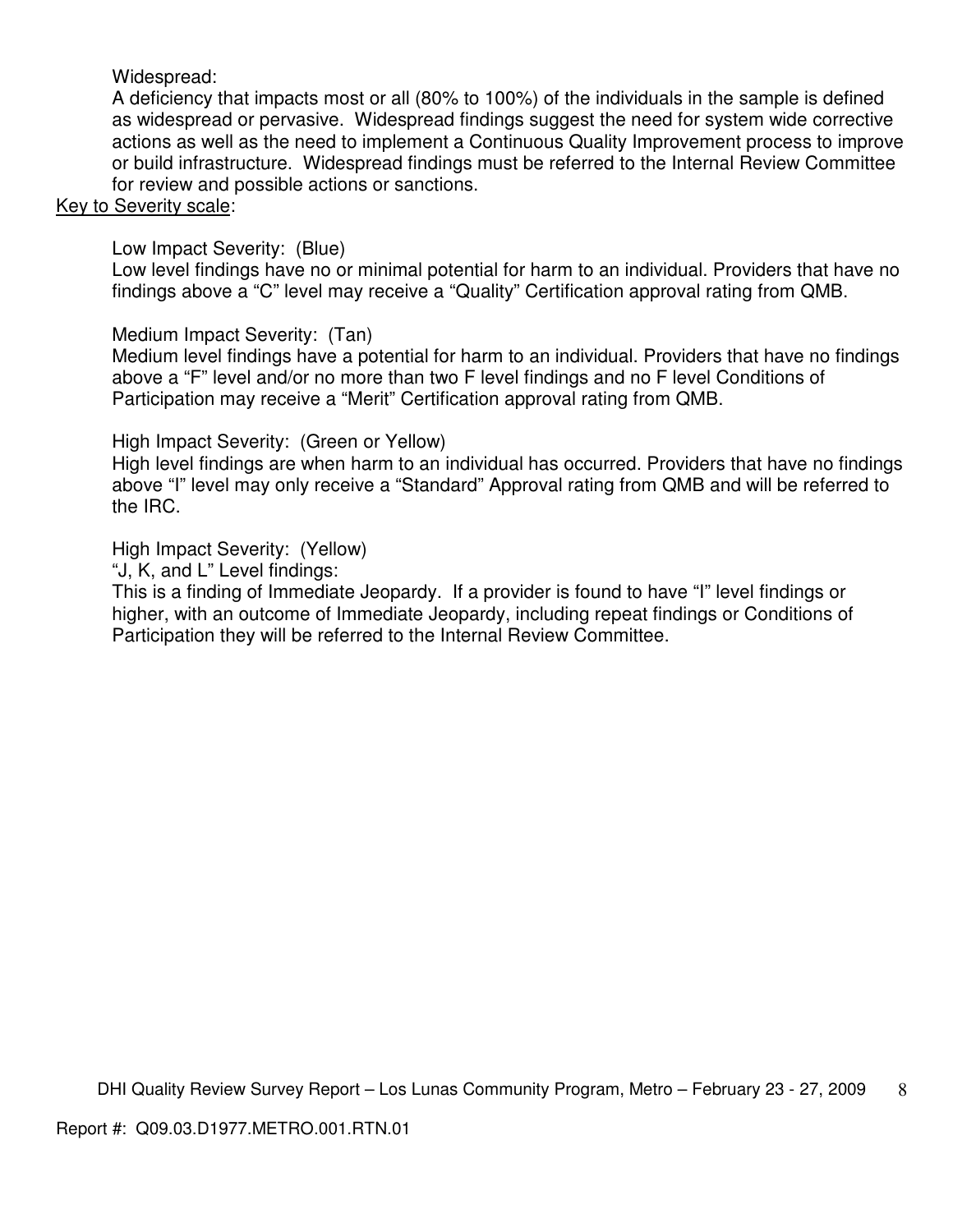## Widespread:

A deficiency that impacts most or all (80% to 100%) of the individuals in the sample is defined as widespread or pervasive. Widespread findings suggest the need for system wide corrective actions as well as the need to implement a Continuous Quality Improvement process to improve or build infrastructure. Widespread findings must be referred to the Internal Review Committee for review and possible actions or sanctions.

### Key to Severity scale:

Low Impact Severity: (Blue)

Low level findings have no or minimal potential for harm to an individual. Providers that have no findings above a "C" level may receive a "Quality" Certification approval rating from QMB.

## Medium Impact Severity: (Tan)

Medium level findings have a potential for harm to an individual. Providers that have no findings above a "F" level and/or no more than two F level findings and no F level Conditions of Participation may receive a "Merit" Certification approval rating from QMB.

### High Impact Severity: (Green or Yellow)

High level findings are when harm to an individual has occurred. Providers that have no findings above "I" level may only receive a "Standard" Approval rating from QMB and will be referred to the IRC.

### High Impact Severity: (Yellow)

"J, K, and L" Level findings:

This is a finding of Immediate Jeopardy. If a provider is found to have "I" level findings or higher, with an outcome of Immediate Jeopardy, including repeat findings or Conditions of Participation they will be referred to the Internal Review Committee.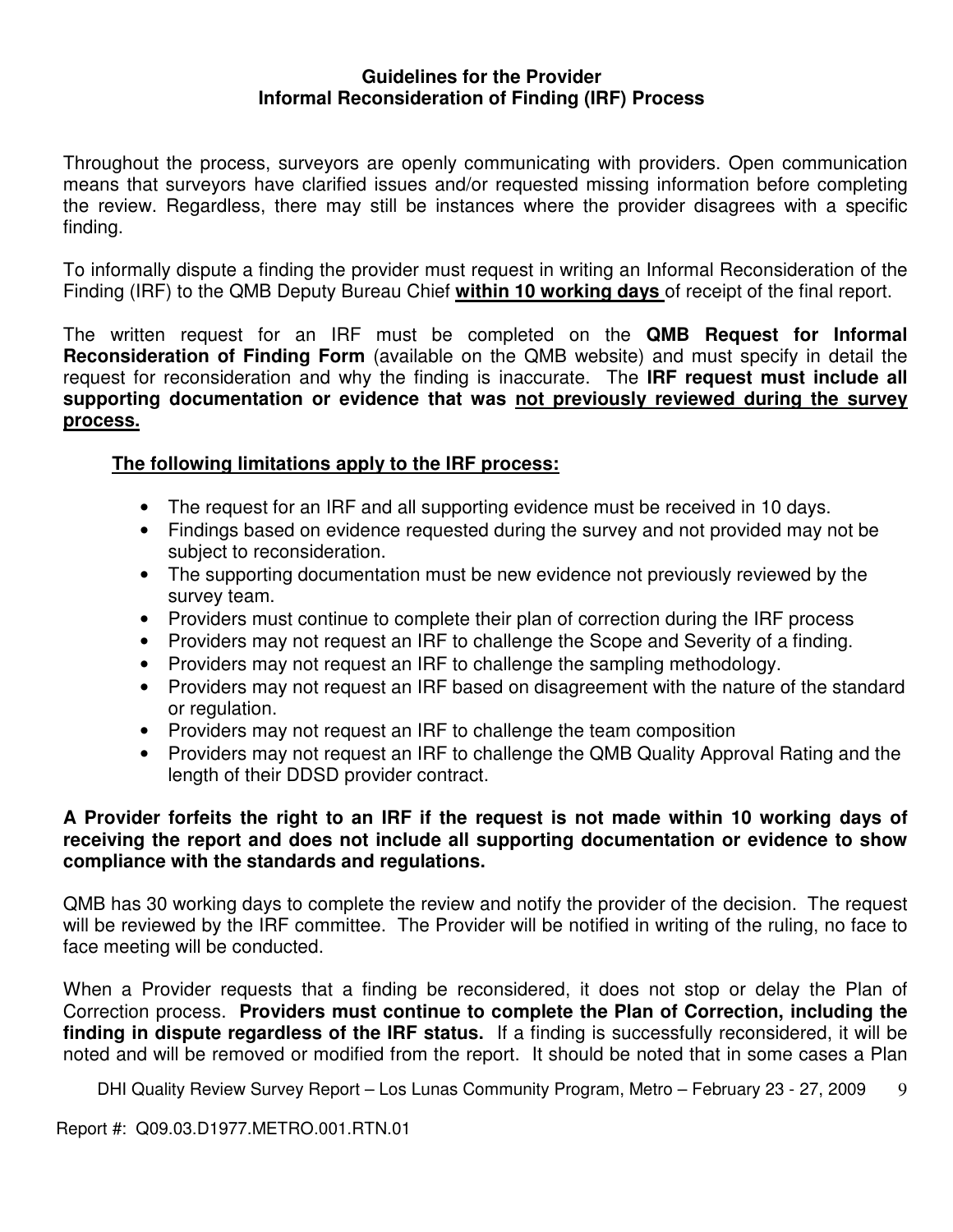#### **Guidelines for the Provider Informal Reconsideration of Finding (IRF) Process**

Throughout the process, surveyors are openly communicating with providers. Open communication means that surveyors have clarified issues and/or requested missing information before completing the review. Regardless, there may still be instances where the provider disagrees with a specific finding.

To informally dispute a finding the provider must request in writing an Informal Reconsideration of the Finding (IRF) to the QMB Deputy Bureau Chief **within 10 working days** of receipt of the final report.

The written request for an IRF must be completed on the **QMB Request for Informal Reconsideration of Finding Form** (available on the QMB website) and must specify in detail the request for reconsideration and why the finding is inaccurate. The **IRF request must include all supporting documentation or evidence that was not previously reviewed during the survey process.** 

## **The following limitations apply to the IRF process:**

- The request for an IRF and all supporting evidence must be received in 10 days.
- Findings based on evidence requested during the survey and not provided may not be subject to reconsideration.
- The supporting documentation must be new evidence not previously reviewed by the survey team.
- Providers must continue to complete their plan of correction during the IRF process
- Providers may not request an IRF to challenge the Scope and Severity of a finding.
- Providers may not request an IRF to challenge the sampling methodology.
- Providers may not request an IRF based on disagreement with the nature of the standard or regulation.
- Providers may not request an IRF to challenge the team composition
- Providers may not request an IRF to challenge the QMB Quality Approval Rating and the length of their DDSD provider contract.

### **A Provider forfeits the right to an IRF if the request is not made within 10 working days of receiving the report and does not include all supporting documentation or evidence to show compliance with the standards and regulations.**

QMB has 30 working days to complete the review and notify the provider of the decision. The request will be reviewed by the IRF committee. The Provider will be notified in writing of the ruling, no face to face meeting will be conducted.

When a Provider requests that a finding be reconsidered, it does not stop or delay the Plan of Correction process. **Providers must continue to complete the Plan of Correction, including the finding in dispute regardless of the IRF status.** If a finding is successfully reconsidered, it will be noted and will be removed or modified from the report. It should be noted that in some cases a Plan

DHI Quality Review Survey Report – Los Lunas Community Program, Metro – February 23 - 27, 2009 9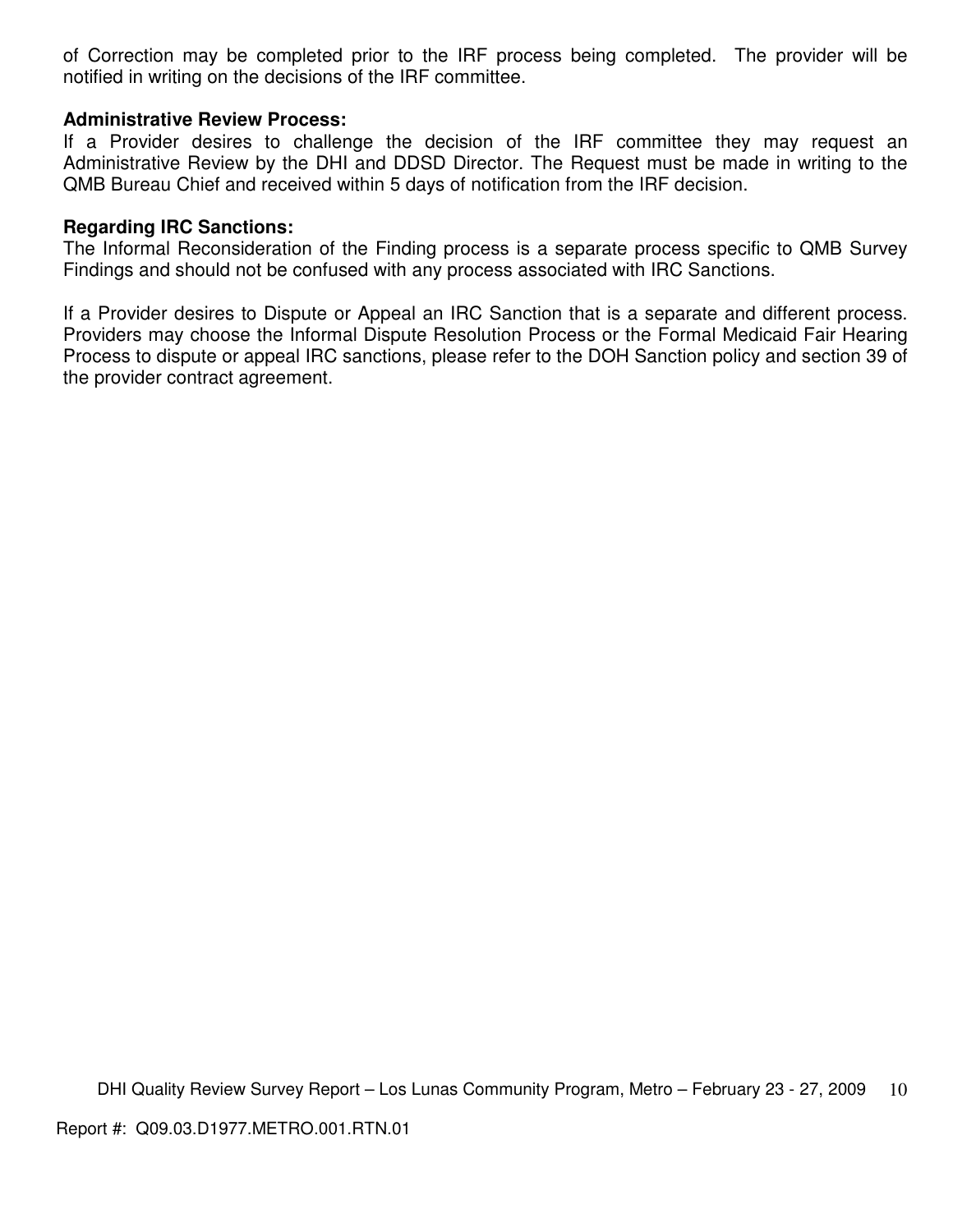of Correction may be completed prior to the IRF process being completed. The provider will be notified in writing on the decisions of the IRF committee.

#### **Administrative Review Process:**

If a Provider desires to challenge the decision of the IRF committee they may request an Administrative Review by the DHI and DDSD Director. The Request must be made in writing to the QMB Bureau Chief and received within 5 days of notification from the IRF decision.

#### **Regarding IRC Sanctions:**

The Informal Reconsideration of the Finding process is a separate process specific to QMB Survey Findings and should not be confused with any process associated with IRC Sanctions.

If a Provider desires to Dispute or Appeal an IRC Sanction that is a separate and different process. Providers may choose the Informal Dispute Resolution Process or the Formal Medicaid Fair Hearing Process to dispute or appeal IRC sanctions, please refer to the DOH Sanction policy and section 39 of the provider contract agreement.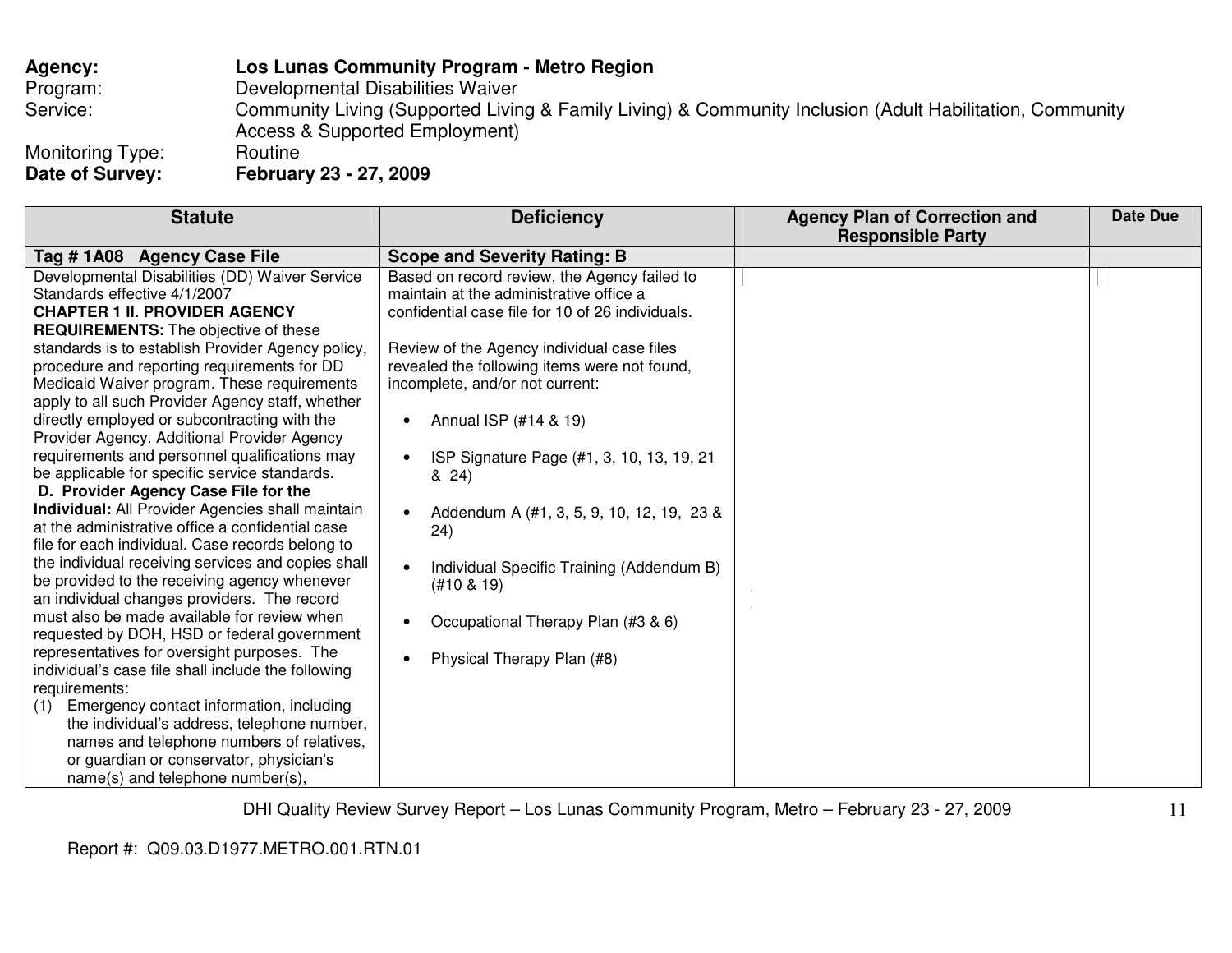## **Agency: Los Lunas Community Program - Metro Region** Program: Developmental Disabilities Waiver Service: Community Living (Supported Living & Family Living) & Community Inclusion (Adult Habilitation, Community Access & Supported Employment) Monitoring Type: Routine **Date of Survey: February 23 - 27, 2009**

Review of the Agency individual case files revealed the following items were not found,

• ISP Signature Page (#1, 3, 10, 13, 19, 21

• Addendum A (#1, 3, 5, 9, 10, 12, 19, 23 &

• Individual Specific Training (Addendum B)

• Occupational Therapy Plan (#3 & 6)

• Physical Therapy Plan (#8)

incomplete, and/or not current:

• Annual ISP  $(\#14 \& 19)$ 

& 24)

24)

(#10 & 19)

 **Agency Plan of Correction and Responsible Party** 

**Statute Deficiency** Tag # 1A08 Agency Case File Scope and Severity Rating: B Based on record review, the Agency failed to Developmental Disabilities (DD) Waiver Service Standards effective 4/1/2007 **CHAPTER 1 II. PROVIDER AGENCY** maintain at the administrative office a confidential case file for 10 of 26 individuals.

 **REQUIREMENTS:** The objective of these standards is to establish Provider Agency policy, procedure and reporting requirements for DD Medicaid Waiver program. These requirements apply to all such Provider Agency staff, whether directly employed or subcontracting with the Provider Agency. Additional Provider Agency requirements and personnel qualifications may be applicable for specific service standards.

**D. Provider Agency Case File for the Individual:** All Provider Agencies shall maintain at the administrative office a confidential case file for each individual. Case records belong to the individual receiving services and copies shall be provided to the receiving agency whenever an individual changes providers. The record must also be made available for review when requested by DOH, HSD or federal government representatives for oversight purposes. The individual's case file shall include the following requirements:

 (1) Emergency contact information, including the individual's address, telephone number, names and telephone numbers of relatives, or guardian or conservator, physician's name(s) and telephone number(s),

DHI Quality Review Survey Report – Los Lunas Community Program, Metro – February 23 - 27, 2009

Report #: Q09.03.D1977.METRO.001.RTN.01

11

**Date Due**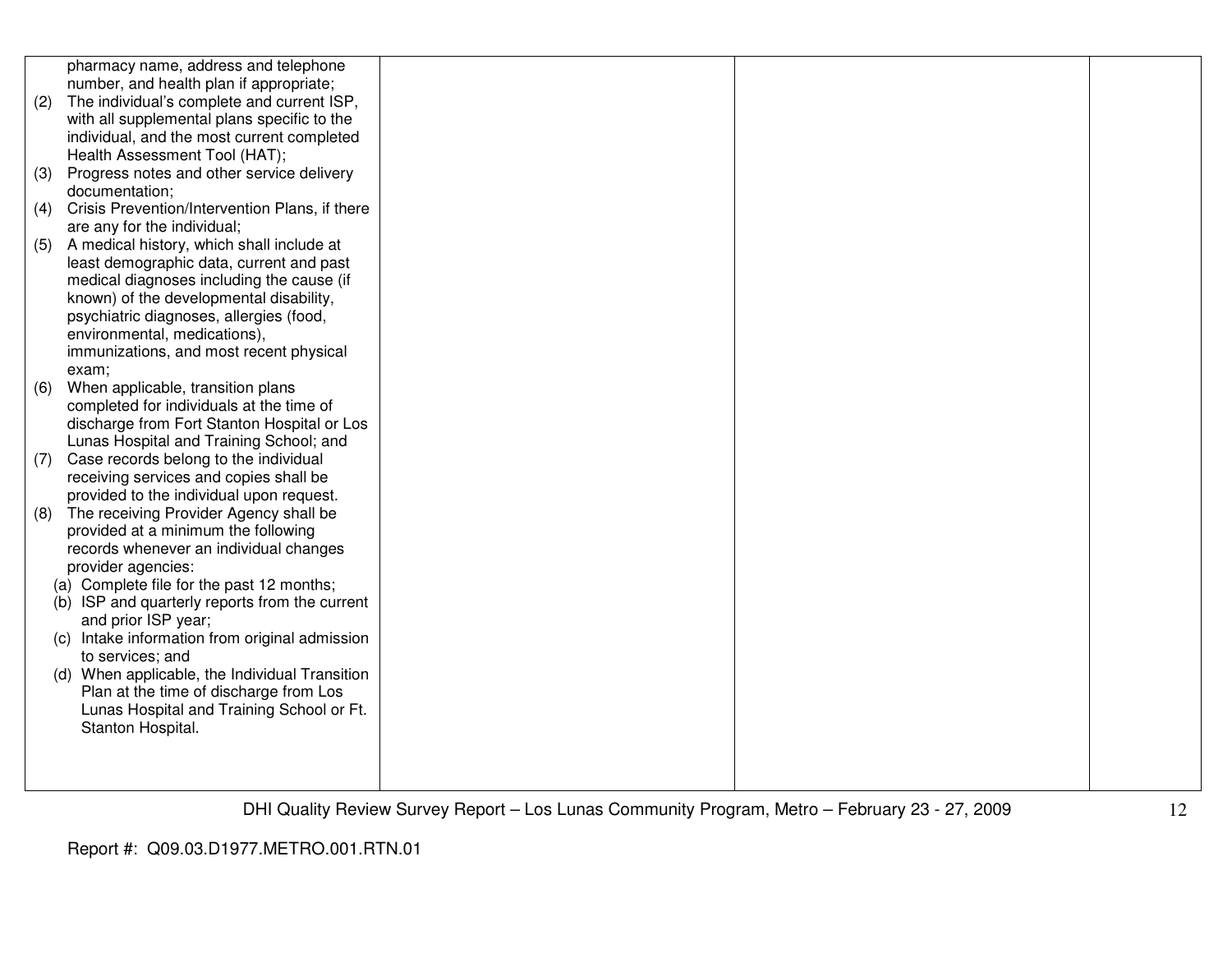|     | pharmacy name, address and telephone              |  |  |
|-----|---------------------------------------------------|--|--|
|     | number, and health plan if appropriate;           |  |  |
| (2) | The individual's complete and current ISP,        |  |  |
|     | with all supplemental plans specific to the       |  |  |
|     | individual, and the most current completed        |  |  |
|     | Health Assessment Tool (HAT);                     |  |  |
| (3) | Progress notes and other service delivery         |  |  |
|     | documentation;                                    |  |  |
| (4) | Crisis Prevention/Intervention Plans, if there    |  |  |
|     | are any for the individual;                       |  |  |
| (5) | A medical history, which shall include at         |  |  |
|     | least demographic data, current and past          |  |  |
|     | medical diagnoses including the cause (if         |  |  |
|     | known) of the developmental disability,           |  |  |
|     | psychiatric diagnoses, allergies (food,           |  |  |
|     | environmental, medications),                      |  |  |
|     | immunizations, and most recent physical           |  |  |
|     | exam;                                             |  |  |
| (6) | When applicable, transition plans                 |  |  |
|     | completed for individuals at the time of          |  |  |
|     | discharge from Fort Stanton Hospital or Los       |  |  |
|     | Lunas Hospital and Training School; and           |  |  |
| (7) | Case records belong to the individual             |  |  |
|     | receiving services and copies shall be            |  |  |
|     | provided to the individual upon request.          |  |  |
| (8) | The receiving Provider Agency shall be            |  |  |
|     | provided at a minimum the following               |  |  |
|     | records whenever an individual changes            |  |  |
|     | provider agencies:                                |  |  |
|     | (a) Complete file for the past 12 months;         |  |  |
|     | (b) ISP and quarterly reports from the current    |  |  |
|     | and prior ISP year;                               |  |  |
|     | Intake information from original admission<br>(C) |  |  |
|     | to services; and                                  |  |  |
|     | When applicable, the Individual Transition<br>(d) |  |  |
|     | Plan at the time of discharge from Los            |  |  |
|     | Lunas Hospital and Training School or Ft.         |  |  |
|     | Stanton Hospital.                                 |  |  |
|     |                                                   |  |  |
|     |                                                   |  |  |
|     |                                                   |  |  |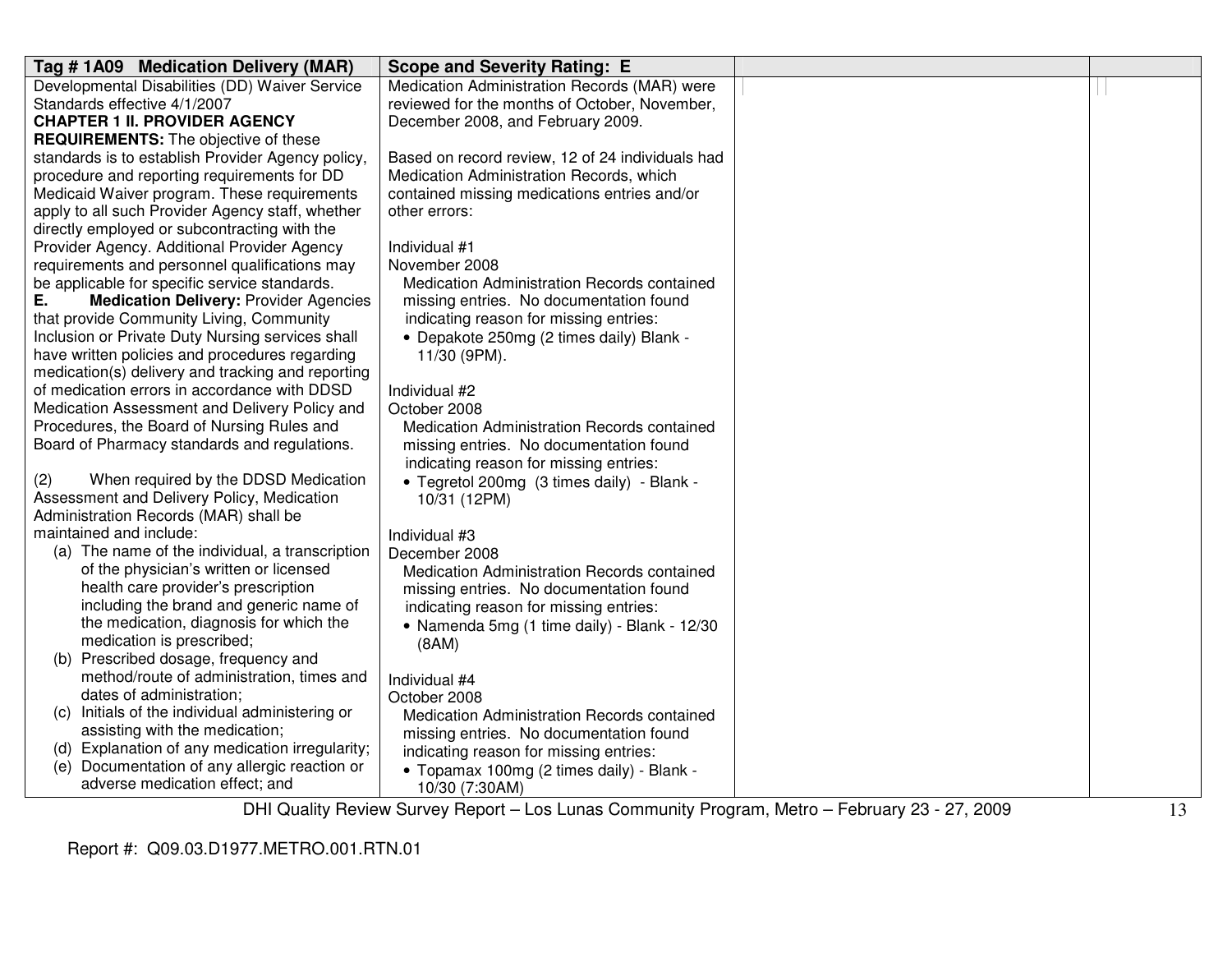| Tag #1A09 Medication Delivery (MAR)                                                | <b>Scope and Severity Rating: E</b>              |  |
|------------------------------------------------------------------------------------|--------------------------------------------------|--|
| Developmental Disabilities (DD) Waiver Service                                     | Medication Administration Records (MAR) were     |  |
| Standards effective 4/1/2007                                                       | reviewed for the months of October, November,    |  |
| <b>CHAPTER 1 II. PROVIDER AGENCY</b>                                               | December 2008, and February 2009.                |  |
| <b>REQUIREMENTS:</b> The objective of these                                        |                                                  |  |
| standards is to establish Provider Agency policy,                                  | Based on record review, 12 of 24 individuals had |  |
| procedure and reporting requirements for DD                                        | Medication Administration Records, which         |  |
| Medicaid Waiver program. These requirements                                        | contained missing medications entries and/or     |  |
| apply to all such Provider Agency staff, whether                                   | other errors:                                    |  |
| directly employed or subcontracting with the                                       |                                                  |  |
| Provider Agency. Additional Provider Agency                                        | Individual #1                                    |  |
| requirements and personnel qualifications may                                      | November 2008                                    |  |
| be applicable for specific service standards.                                      | Medication Administration Records contained      |  |
| Е.<br><b>Medication Delivery: Provider Agencies</b>                                | missing entries. No documentation found          |  |
| that provide Community Living, Community                                           | indicating reason for missing entries:           |  |
| Inclusion or Private Duty Nursing services shall                                   | • Depakote 250mg (2 times daily) Blank -         |  |
| have written policies and procedures regarding                                     | 11/30 (9PM).                                     |  |
| medication(s) delivery and tracking and reporting                                  |                                                  |  |
| of medication errors in accordance with DDSD                                       | Individual #2                                    |  |
| Medication Assessment and Delivery Policy and                                      | October 2008                                     |  |
| Procedures, the Board of Nursing Rules and                                         | Medication Administration Records contained      |  |
| Board of Pharmacy standards and regulations.                                       | missing entries. No documentation found          |  |
|                                                                                    | indicating reason for missing entries:           |  |
| When required by the DDSD Medication<br>(2)                                        | • Tegretol 200mg (3 times daily) - Blank -       |  |
| Assessment and Delivery Policy, Medication                                         | 10/31 (12PM)                                     |  |
| Administration Records (MAR) shall be                                              |                                                  |  |
| maintained and include:                                                            | Individual #3                                    |  |
| (a) The name of the individual, a transcription                                    | December 2008                                    |  |
| of the physician's written or licensed                                             | Medication Administration Records contained      |  |
| health care provider's prescription                                                | missing entries. No documentation found          |  |
| including the brand and generic name of<br>the medication, diagnosis for which the | indicating reason for missing entries:           |  |
| medication is prescribed;                                                          | • Namenda 5mg (1 time daily) - Blank - 12/30     |  |
| (b) Prescribed dosage, frequency and                                               | (BAM)                                            |  |
| method/route of administration, times and                                          |                                                  |  |
| dates of administration;                                                           | Individual #4                                    |  |
| (c) Initials of the individual administering or                                    | October 2008                                     |  |
| assisting with the medication;                                                     | Medication Administration Records contained      |  |
| (d) Explanation of any medication irregularity;                                    | missing entries. No documentation found          |  |
| (e) Documentation of any allergic reaction or                                      | indicating reason for missing entries:           |  |
| adverse medication effect; and                                                     | • Topamax 100mg (2 times daily) - Blank -        |  |
|                                                                                    | 10/30 (7:30AM)<br>$\overline{\phantom{0}}$       |  |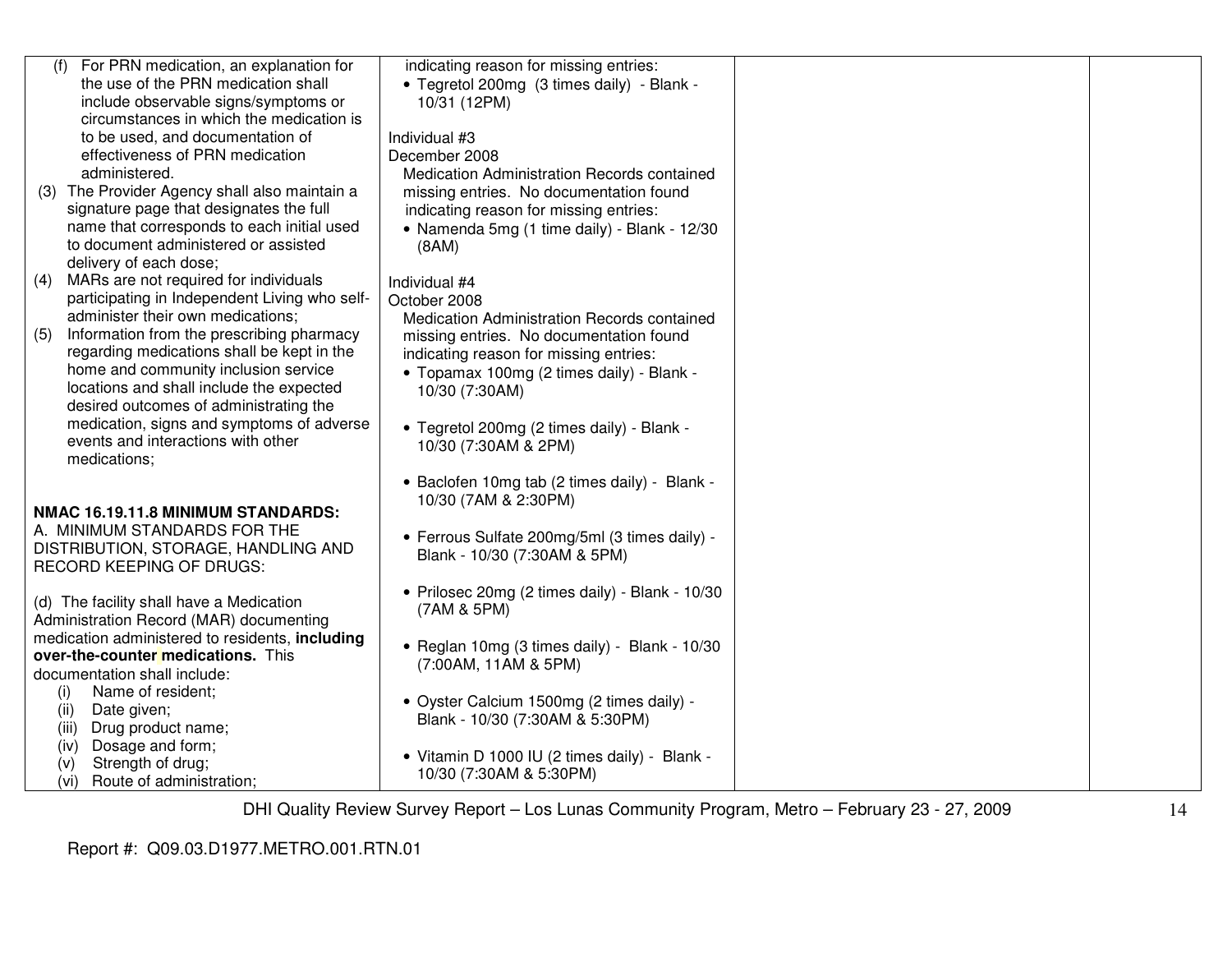| (f) For PRN medication, an explanation for<br>indicating reason for missing entries:<br>the use of the PRN medication shall<br>• Tegretol 200mg (3 times daily) - Blank -<br>include observable signs/symptoms or<br>10/31 (12PM)<br>circumstances in which the medication is<br>to be used, and documentation of<br>Individual #3<br>effectiveness of PRN medication<br>December 2008<br>administered.<br>Medication Administration Records contained<br>(3) The Provider Agency shall also maintain a<br>missing entries. No documentation found<br>signature page that designates the full<br>indicating reason for missing entries:<br>name that corresponds to each initial used<br>• Namenda 5mg (1 time daily) - Blank - 12/30<br>to document administered or assisted<br>(BAM)<br>delivery of each dose;<br>MARs are not required for individuals<br>(4)<br>Individual #4<br>participating in Independent Living who self-<br>October 2008<br>administer their own medications;<br>Medication Administration Records contained<br>Information from the prescribing pharmacy<br>(5)<br>missing entries. No documentation found<br>regarding medications shall be kept in the<br>indicating reason for missing entries:<br>home and community inclusion service<br>• Topamax 100mg (2 times daily) - Blank -<br>locations and shall include the expected<br>10/30 (7:30AM)<br>desired outcomes of administrating the<br>medication, signs and symptoms of adverse<br>• Tegretol 200mg (2 times daily) - Blank -<br>events and interactions with other<br>10/30 (7:30AM & 2PM)<br>medications;<br>• Baclofen 10mg tab (2 times daily) - Blank -<br>10/30 (7AM & 2:30PM)<br>NMAC 16.19.11.8 MINIMUM STANDARDS:<br>A. MINIMUM STANDARDS FOR THE<br>• Ferrous Sulfate 200mg/5ml (3 times daily) -<br>DISTRIBUTION, STORAGE, HANDLING AND<br>Blank - 10/30 (7:30AM & 5PM)<br><b>RECORD KEEPING OF DRUGS:</b><br>• Prilosec 20mg (2 times daily) - Blank - 10/30<br>(d) The facility shall have a Medication<br>(7AM & 5PM)<br>Administration Record (MAR) documenting<br>medication administered to residents, including<br>• Reglan 10mg (3 times daily) - Blank - 10/30<br>over-the-counter medications. This<br>(7:00AM, 11AM & 5PM)<br>documentation shall include:<br>Name of resident;<br>(i)<br>· Oyster Calcium 1500mg (2 times daily) -<br>Date given;<br>(ii)<br>Blank - 10/30 (7:30AM & 5:30PM)<br>(iii)<br>Drug product name;<br>Dosage and form;<br>(iv)<br>• Vitamin D 1000 IU (2 times daily) - Blank -<br>Strength of drug;<br>(v)<br>10/30 (7:30AM & 5:30PM)<br>Route of administration;<br>(vi) |  |  |
|--------------------------------------------------------------------------------------------------------------------------------------------------------------------------------------------------------------------------------------------------------------------------------------------------------------------------------------------------------------------------------------------------------------------------------------------------------------------------------------------------------------------------------------------------------------------------------------------------------------------------------------------------------------------------------------------------------------------------------------------------------------------------------------------------------------------------------------------------------------------------------------------------------------------------------------------------------------------------------------------------------------------------------------------------------------------------------------------------------------------------------------------------------------------------------------------------------------------------------------------------------------------------------------------------------------------------------------------------------------------------------------------------------------------------------------------------------------------------------------------------------------------------------------------------------------------------------------------------------------------------------------------------------------------------------------------------------------------------------------------------------------------------------------------------------------------------------------------------------------------------------------------------------------------------------------------------------------------------------------------------------------------------------------------------------------------------------------------------------------------------------------------------------------------------------------------------------------------------------------------------------------------------------------------------------------------------------------------------------------------------------------------------------------------------------------------------------------------------------------------------------------------------------------------------------------------------------------------------------------------|--|--|
|                                                                                                                                                                                                                                                                                                                                                                                                                                                                                                                                                                                                                                                                                                                                                                                                                                                                                                                                                                                                                                                                                                                                                                                                                                                                                                                                                                                                                                                                                                                                                                                                                                                                                                                                                                                                                                                                                                                                                                                                                                                                                                                                                                                                                                                                                                                                                                                                                                                                                                                                                                                                                    |  |  |
|                                                                                                                                                                                                                                                                                                                                                                                                                                                                                                                                                                                                                                                                                                                                                                                                                                                                                                                                                                                                                                                                                                                                                                                                                                                                                                                                                                                                                                                                                                                                                                                                                                                                                                                                                                                                                                                                                                                                                                                                                                                                                                                                                                                                                                                                                                                                                                                                                                                                                                                                                                                                                    |  |  |
|                                                                                                                                                                                                                                                                                                                                                                                                                                                                                                                                                                                                                                                                                                                                                                                                                                                                                                                                                                                                                                                                                                                                                                                                                                                                                                                                                                                                                                                                                                                                                                                                                                                                                                                                                                                                                                                                                                                                                                                                                                                                                                                                                                                                                                                                                                                                                                                                                                                                                                                                                                                                                    |  |  |
|                                                                                                                                                                                                                                                                                                                                                                                                                                                                                                                                                                                                                                                                                                                                                                                                                                                                                                                                                                                                                                                                                                                                                                                                                                                                                                                                                                                                                                                                                                                                                                                                                                                                                                                                                                                                                                                                                                                                                                                                                                                                                                                                                                                                                                                                                                                                                                                                                                                                                                                                                                                                                    |  |  |
|                                                                                                                                                                                                                                                                                                                                                                                                                                                                                                                                                                                                                                                                                                                                                                                                                                                                                                                                                                                                                                                                                                                                                                                                                                                                                                                                                                                                                                                                                                                                                                                                                                                                                                                                                                                                                                                                                                                                                                                                                                                                                                                                                                                                                                                                                                                                                                                                                                                                                                                                                                                                                    |  |  |
|                                                                                                                                                                                                                                                                                                                                                                                                                                                                                                                                                                                                                                                                                                                                                                                                                                                                                                                                                                                                                                                                                                                                                                                                                                                                                                                                                                                                                                                                                                                                                                                                                                                                                                                                                                                                                                                                                                                                                                                                                                                                                                                                                                                                                                                                                                                                                                                                                                                                                                                                                                                                                    |  |  |
|                                                                                                                                                                                                                                                                                                                                                                                                                                                                                                                                                                                                                                                                                                                                                                                                                                                                                                                                                                                                                                                                                                                                                                                                                                                                                                                                                                                                                                                                                                                                                                                                                                                                                                                                                                                                                                                                                                                                                                                                                                                                                                                                                                                                                                                                                                                                                                                                                                                                                                                                                                                                                    |  |  |
|                                                                                                                                                                                                                                                                                                                                                                                                                                                                                                                                                                                                                                                                                                                                                                                                                                                                                                                                                                                                                                                                                                                                                                                                                                                                                                                                                                                                                                                                                                                                                                                                                                                                                                                                                                                                                                                                                                                                                                                                                                                                                                                                                                                                                                                                                                                                                                                                                                                                                                                                                                                                                    |  |  |
|                                                                                                                                                                                                                                                                                                                                                                                                                                                                                                                                                                                                                                                                                                                                                                                                                                                                                                                                                                                                                                                                                                                                                                                                                                                                                                                                                                                                                                                                                                                                                                                                                                                                                                                                                                                                                                                                                                                                                                                                                                                                                                                                                                                                                                                                                                                                                                                                                                                                                                                                                                                                                    |  |  |
|                                                                                                                                                                                                                                                                                                                                                                                                                                                                                                                                                                                                                                                                                                                                                                                                                                                                                                                                                                                                                                                                                                                                                                                                                                                                                                                                                                                                                                                                                                                                                                                                                                                                                                                                                                                                                                                                                                                                                                                                                                                                                                                                                                                                                                                                                                                                                                                                                                                                                                                                                                                                                    |  |  |
|                                                                                                                                                                                                                                                                                                                                                                                                                                                                                                                                                                                                                                                                                                                                                                                                                                                                                                                                                                                                                                                                                                                                                                                                                                                                                                                                                                                                                                                                                                                                                                                                                                                                                                                                                                                                                                                                                                                                                                                                                                                                                                                                                                                                                                                                                                                                                                                                                                                                                                                                                                                                                    |  |  |
|                                                                                                                                                                                                                                                                                                                                                                                                                                                                                                                                                                                                                                                                                                                                                                                                                                                                                                                                                                                                                                                                                                                                                                                                                                                                                                                                                                                                                                                                                                                                                                                                                                                                                                                                                                                                                                                                                                                                                                                                                                                                                                                                                                                                                                                                                                                                                                                                                                                                                                                                                                                                                    |  |  |
|                                                                                                                                                                                                                                                                                                                                                                                                                                                                                                                                                                                                                                                                                                                                                                                                                                                                                                                                                                                                                                                                                                                                                                                                                                                                                                                                                                                                                                                                                                                                                                                                                                                                                                                                                                                                                                                                                                                                                                                                                                                                                                                                                                                                                                                                                                                                                                                                                                                                                                                                                                                                                    |  |  |
|                                                                                                                                                                                                                                                                                                                                                                                                                                                                                                                                                                                                                                                                                                                                                                                                                                                                                                                                                                                                                                                                                                                                                                                                                                                                                                                                                                                                                                                                                                                                                                                                                                                                                                                                                                                                                                                                                                                                                                                                                                                                                                                                                                                                                                                                                                                                                                                                                                                                                                                                                                                                                    |  |  |
|                                                                                                                                                                                                                                                                                                                                                                                                                                                                                                                                                                                                                                                                                                                                                                                                                                                                                                                                                                                                                                                                                                                                                                                                                                                                                                                                                                                                                                                                                                                                                                                                                                                                                                                                                                                                                                                                                                                                                                                                                                                                                                                                                                                                                                                                                                                                                                                                                                                                                                                                                                                                                    |  |  |
|                                                                                                                                                                                                                                                                                                                                                                                                                                                                                                                                                                                                                                                                                                                                                                                                                                                                                                                                                                                                                                                                                                                                                                                                                                                                                                                                                                                                                                                                                                                                                                                                                                                                                                                                                                                                                                                                                                                                                                                                                                                                                                                                                                                                                                                                                                                                                                                                                                                                                                                                                                                                                    |  |  |
|                                                                                                                                                                                                                                                                                                                                                                                                                                                                                                                                                                                                                                                                                                                                                                                                                                                                                                                                                                                                                                                                                                                                                                                                                                                                                                                                                                                                                                                                                                                                                                                                                                                                                                                                                                                                                                                                                                                                                                                                                                                                                                                                                                                                                                                                                                                                                                                                                                                                                                                                                                                                                    |  |  |
|                                                                                                                                                                                                                                                                                                                                                                                                                                                                                                                                                                                                                                                                                                                                                                                                                                                                                                                                                                                                                                                                                                                                                                                                                                                                                                                                                                                                                                                                                                                                                                                                                                                                                                                                                                                                                                                                                                                                                                                                                                                                                                                                                                                                                                                                                                                                                                                                                                                                                                                                                                                                                    |  |  |
|                                                                                                                                                                                                                                                                                                                                                                                                                                                                                                                                                                                                                                                                                                                                                                                                                                                                                                                                                                                                                                                                                                                                                                                                                                                                                                                                                                                                                                                                                                                                                                                                                                                                                                                                                                                                                                                                                                                                                                                                                                                                                                                                                                                                                                                                                                                                                                                                                                                                                                                                                                                                                    |  |  |
|                                                                                                                                                                                                                                                                                                                                                                                                                                                                                                                                                                                                                                                                                                                                                                                                                                                                                                                                                                                                                                                                                                                                                                                                                                                                                                                                                                                                                                                                                                                                                                                                                                                                                                                                                                                                                                                                                                                                                                                                                                                                                                                                                                                                                                                                                                                                                                                                                                                                                                                                                                                                                    |  |  |
|                                                                                                                                                                                                                                                                                                                                                                                                                                                                                                                                                                                                                                                                                                                                                                                                                                                                                                                                                                                                                                                                                                                                                                                                                                                                                                                                                                                                                                                                                                                                                                                                                                                                                                                                                                                                                                                                                                                                                                                                                                                                                                                                                                                                                                                                                                                                                                                                                                                                                                                                                                                                                    |  |  |
|                                                                                                                                                                                                                                                                                                                                                                                                                                                                                                                                                                                                                                                                                                                                                                                                                                                                                                                                                                                                                                                                                                                                                                                                                                                                                                                                                                                                                                                                                                                                                                                                                                                                                                                                                                                                                                                                                                                                                                                                                                                                                                                                                                                                                                                                                                                                                                                                                                                                                                                                                                                                                    |  |  |
|                                                                                                                                                                                                                                                                                                                                                                                                                                                                                                                                                                                                                                                                                                                                                                                                                                                                                                                                                                                                                                                                                                                                                                                                                                                                                                                                                                                                                                                                                                                                                                                                                                                                                                                                                                                                                                                                                                                                                                                                                                                                                                                                                                                                                                                                                                                                                                                                                                                                                                                                                                                                                    |  |  |
|                                                                                                                                                                                                                                                                                                                                                                                                                                                                                                                                                                                                                                                                                                                                                                                                                                                                                                                                                                                                                                                                                                                                                                                                                                                                                                                                                                                                                                                                                                                                                                                                                                                                                                                                                                                                                                                                                                                                                                                                                                                                                                                                                                                                                                                                                                                                                                                                                                                                                                                                                                                                                    |  |  |
|                                                                                                                                                                                                                                                                                                                                                                                                                                                                                                                                                                                                                                                                                                                                                                                                                                                                                                                                                                                                                                                                                                                                                                                                                                                                                                                                                                                                                                                                                                                                                                                                                                                                                                                                                                                                                                                                                                                                                                                                                                                                                                                                                                                                                                                                                                                                                                                                                                                                                                                                                                                                                    |  |  |
|                                                                                                                                                                                                                                                                                                                                                                                                                                                                                                                                                                                                                                                                                                                                                                                                                                                                                                                                                                                                                                                                                                                                                                                                                                                                                                                                                                                                                                                                                                                                                                                                                                                                                                                                                                                                                                                                                                                                                                                                                                                                                                                                                                                                                                                                                                                                                                                                                                                                                                                                                                                                                    |  |  |
|                                                                                                                                                                                                                                                                                                                                                                                                                                                                                                                                                                                                                                                                                                                                                                                                                                                                                                                                                                                                                                                                                                                                                                                                                                                                                                                                                                                                                                                                                                                                                                                                                                                                                                                                                                                                                                                                                                                                                                                                                                                                                                                                                                                                                                                                                                                                                                                                                                                                                                                                                                                                                    |  |  |
|                                                                                                                                                                                                                                                                                                                                                                                                                                                                                                                                                                                                                                                                                                                                                                                                                                                                                                                                                                                                                                                                                                                                                                                                                                                                                                                                                                                                                                                                                                                                                                                                                                                                                                                                                                                                                                                                                                                                                                                                                                                                                                                                                                                                                                                                                                                                                                                                                                                                                                                                                                                                                    |  |  |
|                                                                                                                                                                                                                                                                                                                                                                                                                                                                                                                                                                                                                                                                                                                                                                                                                                                                                                                                                                                                                                                                                                                                                                                                                                                                                                                                                                                                                                                                                                                                                                                                                                                                                                                                                                                                                                                                                                                                                                                                                                                                                                                                                                                                                                                                                                                                                                                                                                                                                                                                                                                                                    |  |  |
|                                                                                                                                                                                                                                                                                                                                                                                                                                                                                                                                                                                                                                                                                                                                                                                                                                                                                                                                                                                                                                                                                                                                                                                                                                                                                                                                                                                                                                                                                                                                                                                                                                                                                                                                                                                                                                                                                                                                                                                                                                                                                                                                                                                                                                                                                                                                                                                                                                                                                                                                                                                                                    |  |  |
|                                                                                                                                                                                                                                                                                                                                                                                                                                                                                                                                                                                                                                                                                                                                                                                                                                                                                                                                                                                                                                                                                                                                                                                                                                                                                                                                                                                                                                                                                                                                                                                                                                                                                                                                                                                                                                                                                                                                                                                                                                                                                                                                                                                                                                                                                                                                                                                                                                                                                                                                                                                                                    |  |  |
|                                                                                                                                                                                                                                                                                                                                                                                                                                                                                                                                                                                                                                                                                                                                                                                                                                                                                                                                                                                                                                                                                                                                                                                                                                                                                                                                                                                                                                                                                                                                                                                                                                                                                                                                                                                                                                                                                                                                                                                                                                                                                                                                                                                                                                                                                                                                                                                                                                                                                                                                                                                                                    |  |  |
|                                                                                                                                                                                                                                                                                                                                                                                                                                                                                                                                                                                                                                                                                                                                                                                                                                                                                                                                                                                                                                                                                                                                                                                                                                                                                                                                                                                                                                                                                                                                                                                                                                                                                                                                                                                                                                                                                                                                                                                                                                                                                                                                                                                                                                                                                                                                                                                                                                                                                                                                                                                                                    |  |  |
|                                                                                                                                                                                                                                                                                                                                                                                                                                                                                                                                                                                                                                                                                                                                                                                                                                                                                                                                                                                                                                                                                                                                                                                                                                                                                                                                                                                                                                                                                                                                                                                                                                                                                                                                                                                                                                                                                                                                                                                                                                                                                                                                                                                                                                                                                                                                                                                                                                                                                                                                                                                                                    |  |  |
|                                                                                                                                                                                                                                                                                                                                                                                                                                                                                                                                                                                                                                                                                                                                                                                                                                                                                                                                                                                                                                                                                                                                                                                                                                                                                                                                                                                                                                                                                                                                                                                                                                                                                                                                                                                                                                                                                                                                                                                                                                                                                                                                                                                                                                                                                                                                                                                                                                                                                                                                                                                                                    |  |  |
|                                                                                                                                                                                                                                                                                                                                                                                                                                                                                                                                                                                                                                                                                                                                                                                                                                                                                                                                                                                                                                                                                                                                                                                                                                                                                                                                                                                                                                                                                                                                                                                                                                                                                                                                                                                                                                                                                                                                                                                                                                                                                                                                                                                                                                                                                                                                                                                                                                                                                                                                                                                                                    |  |  |
|                                                                                                                                                                                                                                                                                                                                                                                                                                                                                                                                                                                                                                                                                                                                                                                                                                                                                                                                                                                                                                                                                                                                                                                                                                                                                                                                                                                                                                                                                                                                                                                                                                                                                                                                                                                                                                                                                                                                                                                                                                                                                                                                                                                                                                                                                                                                                                                                                                                                                                                                                                                                                    |  |  |
|                                                                                                                                                                                                                                                                                                                                                                                                                                                                                                                                                                                                                                                                                                                                                                                                                                                                                                                                                                                                                                                                                                                                                                                                                                                                                                                                                                                                                                                                                                                                                                                                                                                                                                                                                                                                                                                                                                                                                                                                                                                                                                                                                                                                                                                                                                                                                                                                                                                                                                                                                                                                                    |  |  |
|                                                                                                                                                                                                                                                                                                                                                                                                                                                                                                                                                                                                                                                                                                                                                                                                                                                                                                                                                                                                                                                                                                                                                                                                                                                                                                                                                                                                                                                                                                                                                                                                                                                                                                                                                                                                                                                                                                                                                                                                                                                                                                                                                                                                                                                                                                                                                                                                                                                                                                                                                                                                                    |  |  |
|                                                                                                                                                                                                                                                                                                                                                                                                                                                                                                                                                                                                                                                                                                                                                                                                                                                                                                                                                                                                                                                                                                                                                                                                                                                                                                                                                                                                                                                                                                                                                                                                                                                                                                                                                                                                                                                                                                                                                                                                                                                                                                                                                                                                                                                                                                                                                                                                                                                                                                                                                                                                                    |  |  |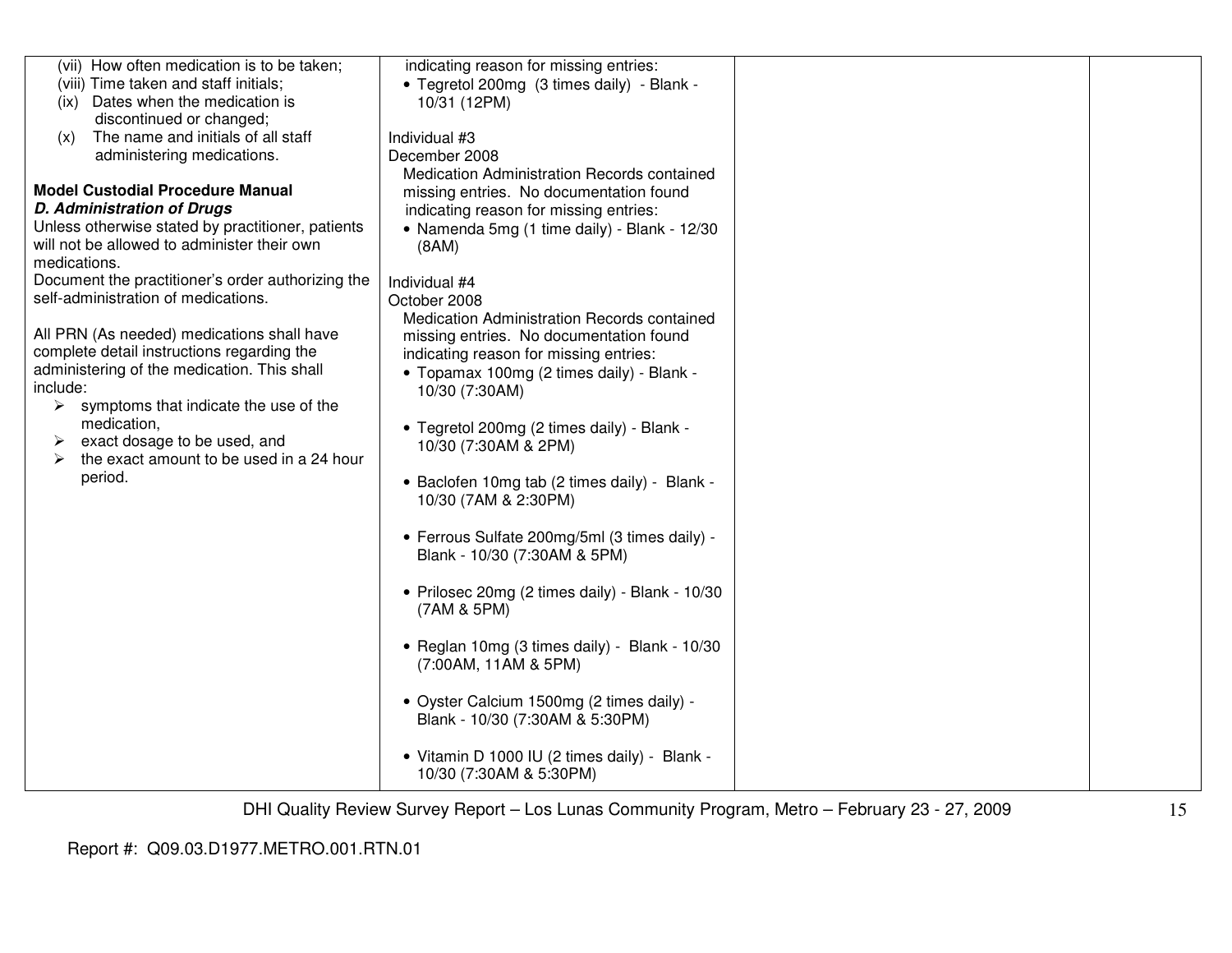| (vii) How often medication is to be taken;<br>(viii) Time taken and staff initials;                                                                                                                                                                                                                                                                                          | indicating reason for missing entries:<br>• Tegretol 200mg (3 times daily) - Blank -                                                                                                                                                                                                                                                                                                                                                            |  |
|------------------------------------------------------------------------------------------------------------------------------------------------------------------------------------------------------------------------------------------------------------------------------------------------------------------------------------------------------------------------------|-------------------------------------------------------------------------------------------------------------------------------------------------------------------------------------------------------------------------------------------------------------------------------------------------------------------------------------------------------------------------------------------------------------------------------------------------|--|
| Dates when the medication is<br>(ix)                                                                                                                                                                                                                                                                                                                                         | 10/31 (12PM)                                                                                                                                                                                                                                                                                                                                                                                                                                    |  |
| discontinued or changed;                                                                                                                                                                                                                                                                                                                                                     |                                                                                                                                                                                                                                                                                                                                                                                                                                                 |  |
| The name and initials of all staff<br>(x)                                                                                                                                                                                                                                                                                                                                    | Individual #3                                                                                                                                                                                                                                                                                                                                                                                                                                   |  |
| administering medications.                                                                                                                                                                                                                                                                                                                                                   | December 2008                                                                                                                                                                                                                                                                                                                                                                                                                                   |  |
| <b>Model Custodial Procedure Manual</b><br><b>D. Administration of Drugs</b><br>Unless otherwise stated by practitioner, patients<br>will not be allowed to administer their own                                                                                                                                                                                             | Medication Administration Records contained<br>missing entries. No documentation found<br>indicating reason for missing entries:<br>• Namenda 5mg (1 time daily) - Blank - 12/30<br>(8AM)                                                                                                                                                                                                                                                       |  |
| medications.<br>Document the practitioner's order authorizing the                                                                                                                                                                                                                                                                                                            |                                                                                                                                                                                                                                                                                                                                                                                                                                                 |  |
|                                                                                                                                                                                                                                                                                                                                                                              | Individual #4                                                                                                                                                                                                                                                                                                                                                                                                                                   |  |
| self-administration of medications.<br>All PRN (As needed) medications shall have<br>complete detail instructions regarding the<br>administering of the medication. This shall<br>include:<br>$\blacktriangleright$<br>symptoms that indicate the use of the<br>medication,<br>exact dosage to be used, and<br>➤<br>the exact amount to be used in a 24 hour<br>➤<br>period. | October 2008<br>Medication Administration Records contained<br>missing entries. No documentation found<br>indicating reason for missing entries:<br>• Topamax 100mg (2 times daily) - Blank -<br>10/30 (7:30AM)<br>• Tegretol 200mg (2 times daily) - Blank -<br>10/30 (7:30AM & 2PM)<br>• Baclofen 10mg tab (2 times daily) - Blank -<br>10/30 (7AM & 2:30PM)<br>• Ferrous Sulfate 200mg/5ml (3 times daily) -<br>Blank - 10/30 (7:30AM & 5PM) |  |
|                                                                                                                                                                                                                                                                                                                                                                              | • Prilosec 20mg (2 times daily) - Blank - 10/30<br>(7AM & 5PM)                                                                                                                                                                                                                                                                                                                                                                                  |  |
|                                                                                                                                                                                                                                                                                                                                                                              | • Reglan 10mg (3 times daily) - Blank - 10/30<br>(7:00 AM, 11 AM & 5 PM)                                                                                                                                                                                                                                                                                                                                                                        |  |
|                                                                                                                                                                                                                                                                                                                                                                              | · Oyster Calcium 1500mg (2 times daily) -<br>Blank - 10/30 (7:30AM & 5:30PM)                                                                                                                                                                                                                                                                                                                                                                    |  |
|                                                                                                                                                                                                                                                                                                                                                                              | • Vitamin D 1000 IU (2 times daily) - Blank -<br>10/30 (7:30AM & 5:30PM)                                                                                                                                                                                                                                                                                                                                                                        |  |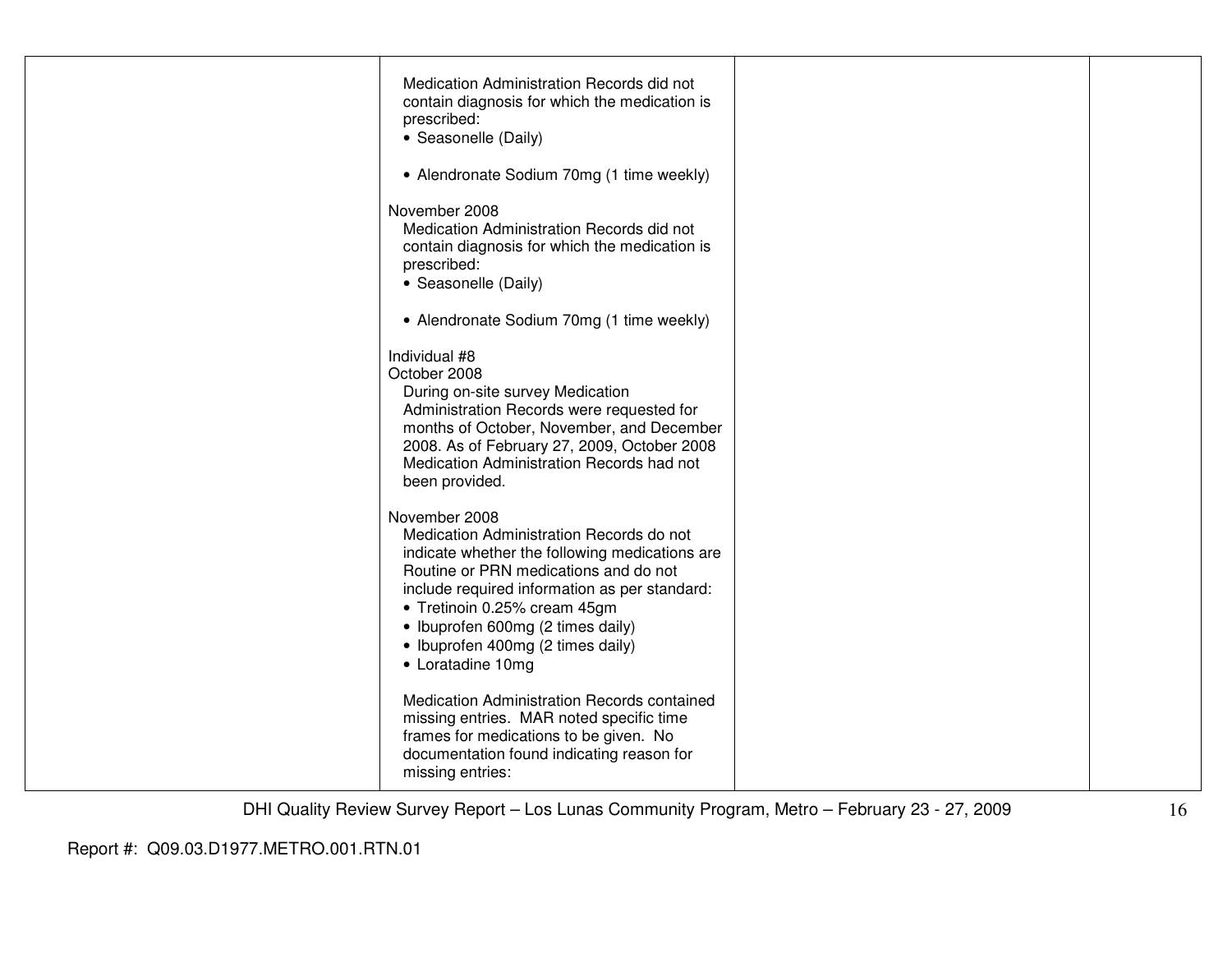| Medication Administration Records did not<br>contain diagnosis for which the medication is<br>prescribed:<br>• Seasonelle (Daily)                                                                                                                                                                                                    |  |
|--------------------------------------------------------------------------------------------------------------------------------------------------------------------------------------------------------------------------------------------------------------------------------------------------------------------------------------|--|
| • Alendronate Sodium 70mg (1 time weekly)                                                                                                                                                                                                                                                                                            |  |
| November 2008<br>Medication Administration Records did not<br>contain diagnosis for which the medication is<br>prescribed:<br>• Seasonelle (Daily)                                                                                                                                                                                   |  |
| • Alendronate Sodium 70mg (1 time weekly)                                                                                                                                                                                                                                                                                            |  |
| Individual #8<br>October 2008<br>During on-site survey Medication<br>Administration Records were requested for<br>months of October, November, and December<br>2008. As of February 27, 2009, October 2008<br>Medication Administration Records had not<br>been provided.                                                            |  |
| November 2008<br>Medication Administration Records do not<br>indicate whether the following medications are<br>Routine or PRN medications and do not<br>include required information as per standard:<br>• Tretinoin 0.25% cream 45gm<br>• Ibuprofen 600mg (2 times daily)<br>• Ibuprofen 400mg (2 times daily)<br>• Loratadine 10mg |  |
| Medication Administration Records contained<br>missing entries. MAR noted specific time<br>frames for medications to be given. No<br>documentation found indicating reason for<br>missing entries:                                                                                                                                   |  |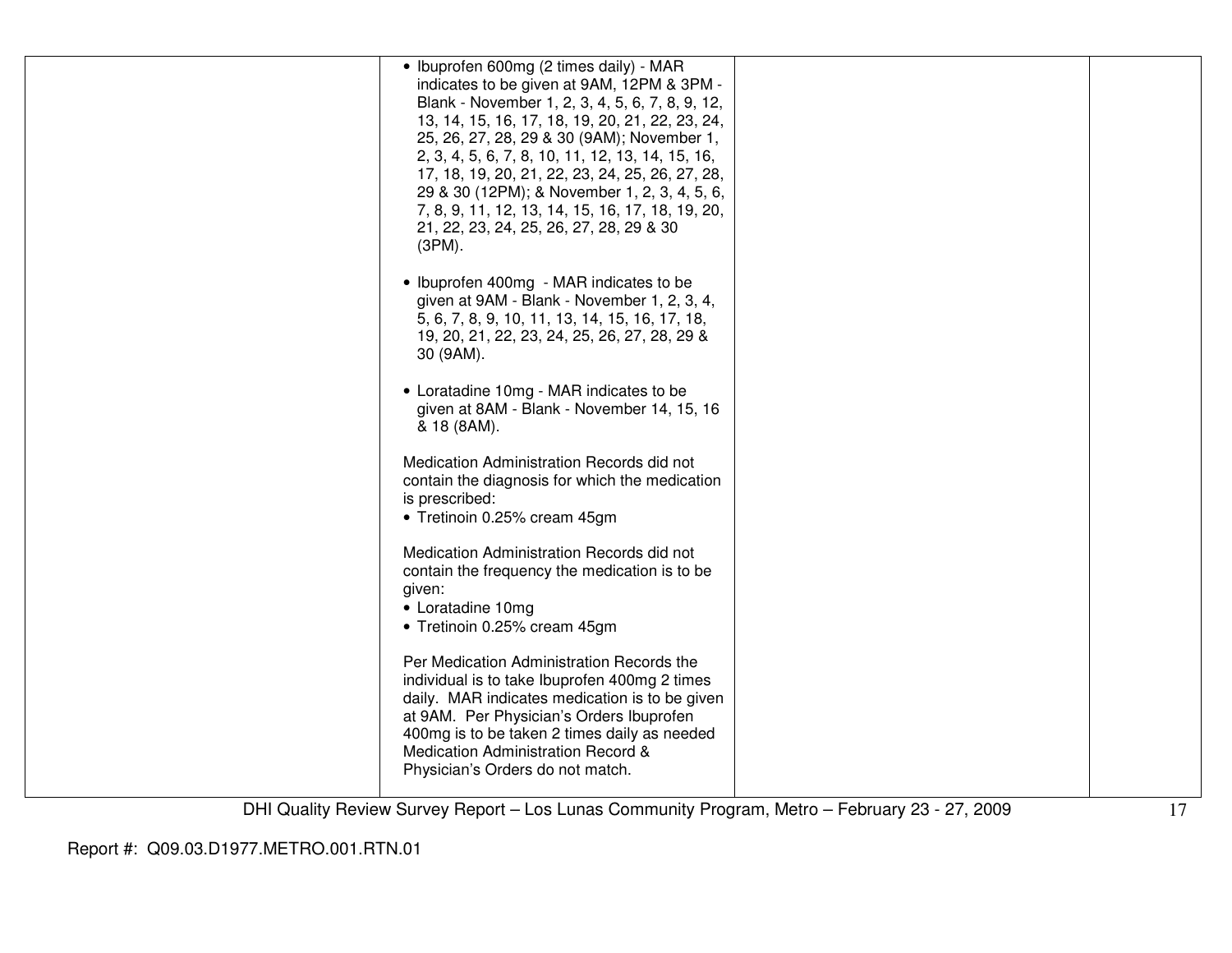| • Ibuprofen 600mg (2 times daily) - MAR<br>indicates to be given at 9AM, 12PM & 3PM -<br>Blank - November 1, 2, 3, 4, 5, 6, 7, 8, 9, 12,<br>13, 14, 15, 16, 17, 18, 19, 20, 21, 22, 23, 24,<br>25, 26, 27, 28, 29 & 30 (9AM); November 1,<br>2, 3, 4, 5, 6, 7, 8, 10, 11, 12, 13, 14, 15, 16,                      |  |
|--------------------------------------------------------------------------------------------------------------------------------------------------------------------------------------------------------------------------------------------------------------------------------------------------------------------|--|
| 17, 18, 19, 20, 21, 22, 23, 24, 25, 26, 27, 28,<br>29 & 30 (12PM); & November 1, 2, 3, 4, 5, 6,<br>7, 8, 9, 11, 12, 13, 14, 15, 16, 17, 18, 19, 20,<br>21, 22, 23, 24, 25, 26, 27, 28, 29 & 30<br>$(3PM)$ .                                                                                                        |  |
| • Ibuprofen 400mg - MAR indicates to be<br>given at 9AM - Blank - November 1, 2, 3, 4,<br>5, 6, 7, 8, 9, 10, 11, 13, 14, 15, 16, 17, 18,<br>19, 20, 21, 22, 23, 24, 25, 26, 27, 28, 29 &<br>30 (9AM).                                                                                                              |  |
| • Loratadine 10mg - MAR indicates to be<br>given at 8AM - Blank - November 14, 15, 16<br>& 18 (8AM).                                                                                                                                                                                                               |  |
| Medication Administration Records did not<br>contain the diagnosis for which the medication<br>is prescribed:<br>• Tretinoin 0.25% cream 45gm                                                                                                                                                                      |  |
| Medication Administration Records did not<br>contain the frequency the medication is to be<br>given:<br>• Loratadine 10mg<br>• Tretinoin 0.25% cream 45gm                                                                                                                                                          |  |
| Per Medication Administration Records the<br>individual is to take Ibuprofen 400mg 2 times<br>daily. MAR indicates medication is to be given<br>at 9AM. Per Physician's Orders Ibuprofen<br>400mg is to be taken 2 times daily as needed<br>Medication Administration Record &<br>Physician's Orders do not match. |  |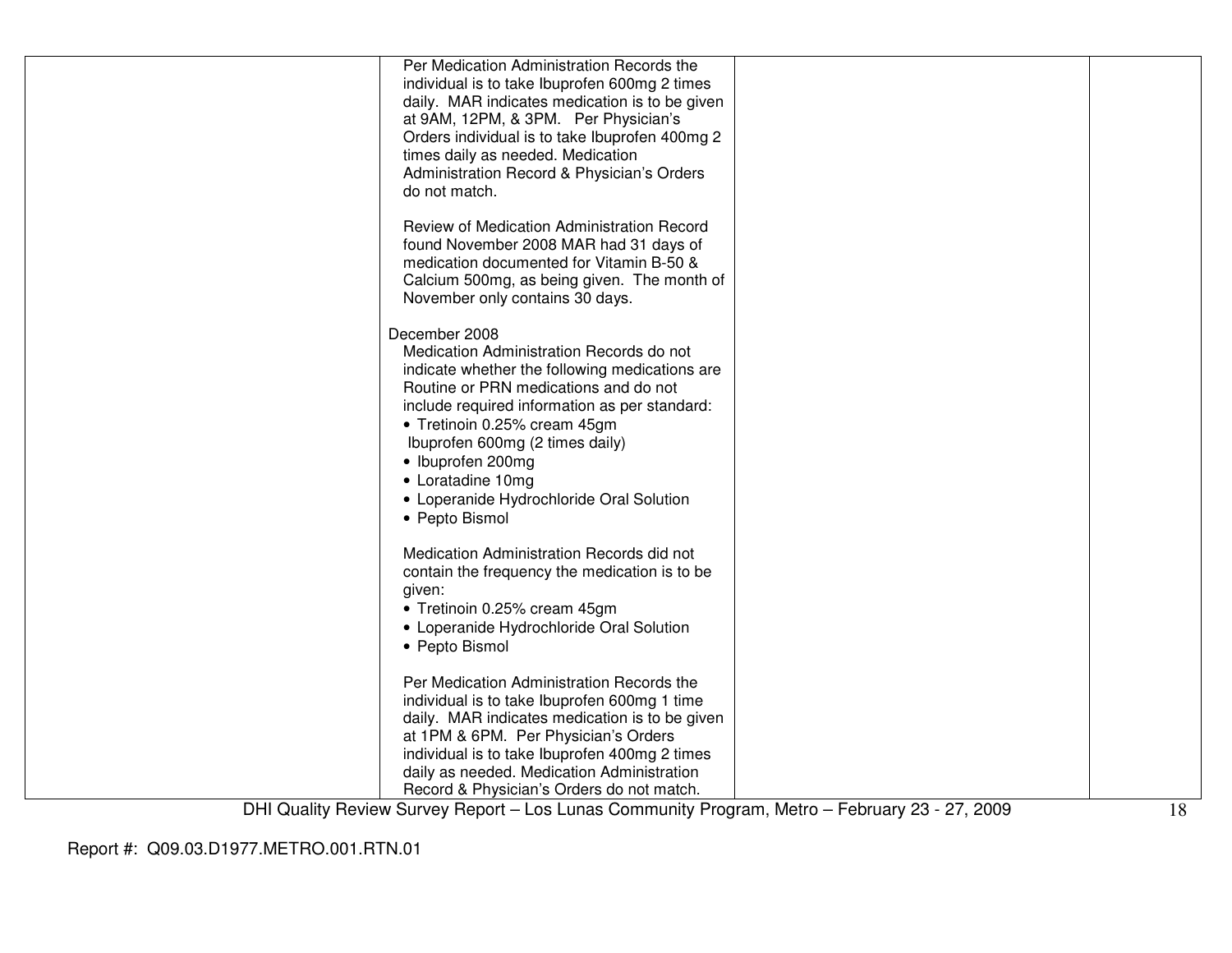| Per Medication Administration Records the                                |  |
|--------------------------------------------------------------------------|--|
| individual is to take Ibuprofen 600mg 2 times                            |  |
| daily. MAR indicates medication is to be given                           |  |
| at 9AM, 12PM, & 3PM. Per Physician's                                     |  |
| Orders individual is to take Ibuprofen 400mg 2                           |  |
| times daily as needed. Medication                                        |  |
| Administration Record & Physician's Orders                               |  |
| do not match.                                                            |  |
|                                                                          |  |
| Review of Medication Administration Record                               |  |
| found November 2008 MAR had 31 days of                                   |  |
| medication documented for Vitamin B-50 &                                 |  |
| Calcium 500mg, as being given. The month of                              |  |
| November only contains 30 days.                                          |  |
| December 2008                                                            |  |
| Medication Administration Records do not                                 |  |
| indicate whether the following medications are                           |  |
| Routine or PRN medications and do not                                    |  |
| include required information as per standard:                            |  |
| • Tretinoin 0.25% cream 45gm                                             |  |
| Ibuprofen 600mg (2 times daily)                                          |  |
| • Ibuprofen 200mg                                                        |  |
|                                                                          |  |
| • Loratadine 10mg                                                        |  |
| • Loperanide Hydrochloride Oral Solution                                 |  |
| • Pepto Bismol                                                           |  |
| Medication Administration Records did not                                |  |
| contain the frequency the medication is to be                            |  |
| given:                                                                   |  |
|                                                                          |  |
| • Tretinoin 0.25% cream 45gm<br>• Loperanide Hydrochloride Oral Solution |  |
|                                                                          |  |
| • Pepto Bismol                                                           |  |
| Per Medication Administration Records the                                |  |
| individual is to take Ibuprofen 600mg 1 time                             |  |
| daily. MAR indicates medication is to be given                           |  |
| at 1PM & 6PM. Per Physician's Orders                                     |  |
| individual is to take Ibuprofen 400mg 2 times                            |  |
| daily as needed. Medication Administration                               |  |
| Record & Physician's Orders do not match.                                |  |
|                                                                          |  |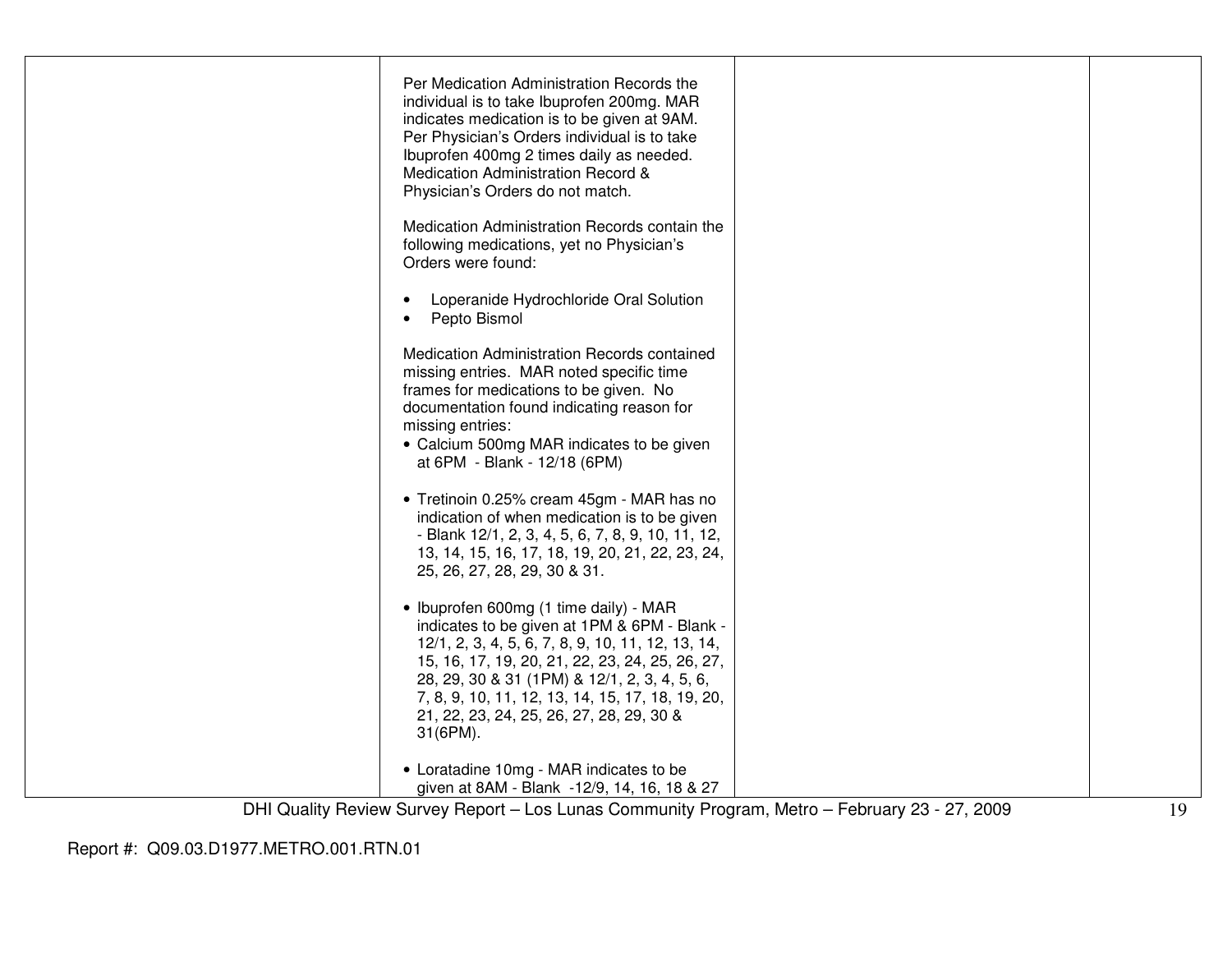| Per Medication Administration Records the<br>individual is to take Ibuprofen 200mg. MAR<br>indicates medication is to be given at 9AM.<br>Per Physician's Orders individual is to take<br>Ibuprofen 400mg 2 times daily as needed.<br>Medication Administration Record &<br>Physician's Orders do not match.                                                  |  |
|---------------------------------------------------------------------------------------------------------------------------------------------------------------------------------------------------------------------------------------------------------------------------------------------------------------------------------------------------------------|--|
| Medication Administration Records contain the<br>following medications, yet no Physician's<br>Orders were found:                                                                                                                                                                                                                                              |  |
| Loperanide Hydrochloride Oral Solution<br>$\bullet$<br>Pepto Bismol<br>$\bullet$                                                                                                                                                                                                                                                                              |  |
| Medication Administration Records contained<br>missing entries. MAR noted specific time<br>frames for medications to be given. No<br>documentation found indicating reason for<br>missing entries:<br>• Calcium 500mg MAR indicates to be given<br>at 6PM - Blank - 12/18 (6PM)                                                                               |  |
| • Tretinoin 0.25% cream 45gm - MAR has no<br>indication of when medication is to be given<br>- Blank 12/1, 2, 3, 4, 5, 6, 7, 8, 9, 10, 11, 12,<br>13, 14, 15, 16, 17, 18, 19, 20, 21, 22, 23, 24,<br>25, 26, 27, 28, 29, 30 & 31.                                                                                                                             |  |
| • Ibuprofen 600mg (1 time daily) - MAR<br>indicates to be given at 1PM & 6PM - Blank -<br>12/1, 2, 3, 4, 5, 6, 7, 8, 9, 10, 11, 12, 13, 14,<br>15, 16, 17, 19, 20, 21, 22, 23, 24, 25, 26, 27,<br>28, 29, 30 & 31 (1PM) & 12/1, 2, 3, 4, 5, 6,<br>7, 8, 9, 10, 11, 12, 13, 14, 15, 17, 18, 19, 20,<br>21, 22, 23, 24, 25, 26, 27, 28, 29, 30 &<br>$31(6PM)$ . |  |
| • Loratadine 10mg - MAR indicates to be<br>given at 8AM - Blank -12/9, 14, 16, 18 & 27                                                                                                                                                                                                                                                                        |  |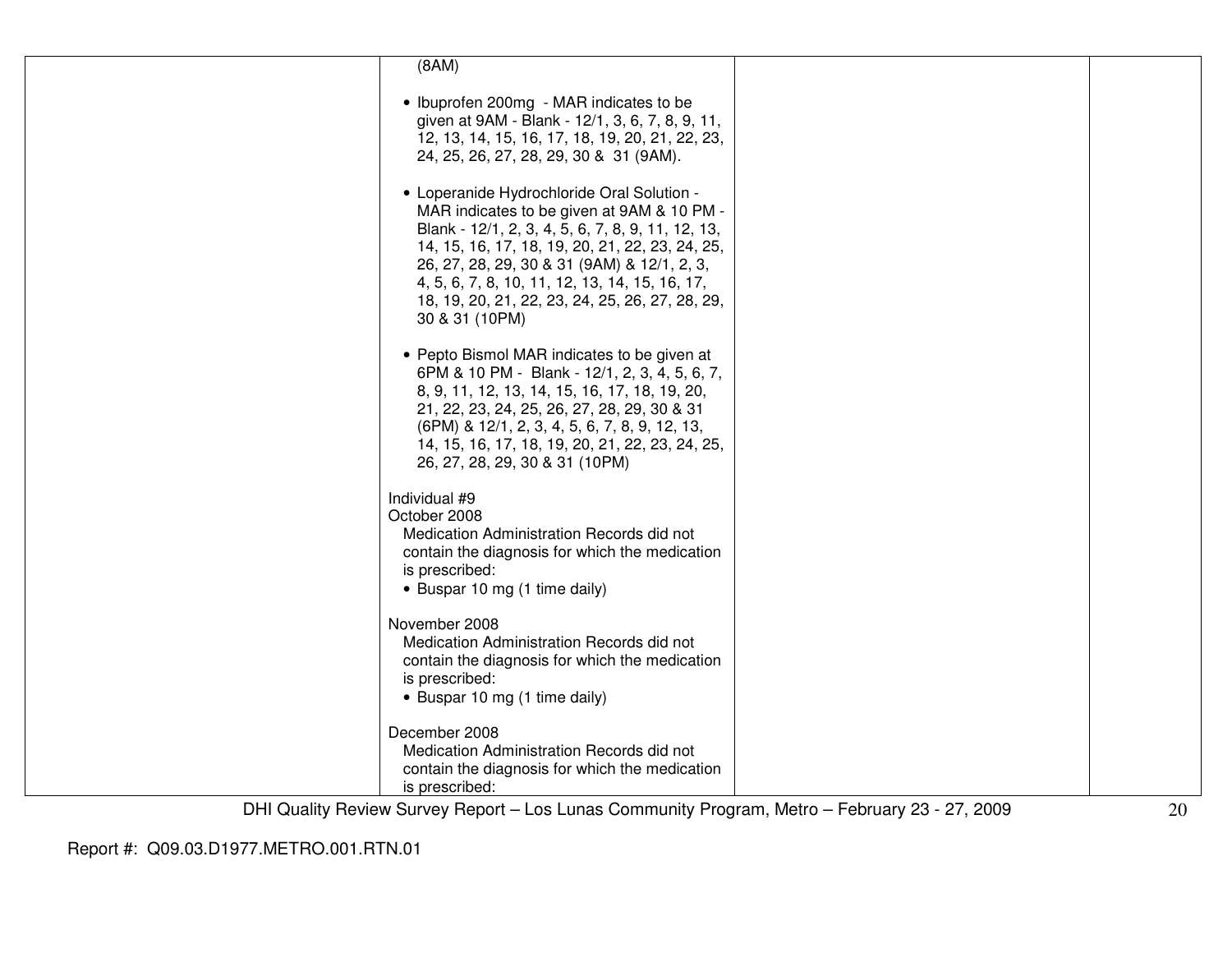| (8AM)                                                                                                                                                                                                                                                                                                                                                                  |  |
|------------------------------------------------------------------------------------------------------------------------------------------------------------------------------------------------------------------------------------------------------------------------------------------------------------------------------------------------------------------------|--|
| • Ibuprofen 200mg - MAR indicates to be<br>given at 9AM - Blank - 12/1, 3, 6, 7, 8, 9, 11,<br>12, 13, 14, 15, 16, 17, 18, 19, 20, 21, 22, 23,<br>24, 25, 26, 27, 28, 29, 30 & 31 (9AM).                                                                                                                                                                                |  |
| • Loperanide Hydrochloride Oral Solution -<br>MAR indicates to be given at 9AM & 10 PM -<br>Blank - 12/1, 2, 3, 4, 5, 6, 7, 8, 9, 11, 12, 13,<br>14, 15, 16, 17, 18, 19, 20, 21, 22, 23, 24, 25,<br>26, 27, 28, 29, 30 & 31 (9AM) & 12/1, 2, 3,<br>4, 5, 6, 7, 8, 10, 11, 12, 13, 14, 15, 16, 17,<br>18, 19, 20, 21, 22, 23, 24, 25, 26, 27, 28, 29,<br>30 & 31 (10PM) |  |
| • Pepto Bismol MAR indicates to be given at<br>6PM & 10 PM - Blank - 12/1, 2, 3, 4, 5, 6, 7,<br>8, 9, 11, 12, 13, 14, 15, 16, 17, 18, 19, 20,<br>21, 22, 23, 24, 25, 26, 27, 28, 29, 30 & 31<br>(6PM) & 12/1, 2, 3, 4, 5, 6, 7, 8, 9, 12, 13,<br>14, 15, 16, 17, 18, 19, 20, 21, 22, 23, 24, 25,<br>26, 27, 28, 29, 30 & 31 (10PM)                                     |  |
| Individual #9<br>October 2008<br>Medication Administration Records did not<br>contain the diagnosis for which the medication<br>is prescribed:<br>• Buspar 10 mg (1 time daily)                                                                                                                                                                                        |  |
| November 2008<br>Medication Administration Records did not<br>contain the diagnosis for which the medication<br>is prescribed:<br>• Buspar 10 mg (1 time daily)                                                                                                                                                                                                        |  |
| December 2008<br>Medication Administration Records did not<br>contain the diagnosis for which the medication<br>is prescribed:                                                                                                                                                                                                                                         |  |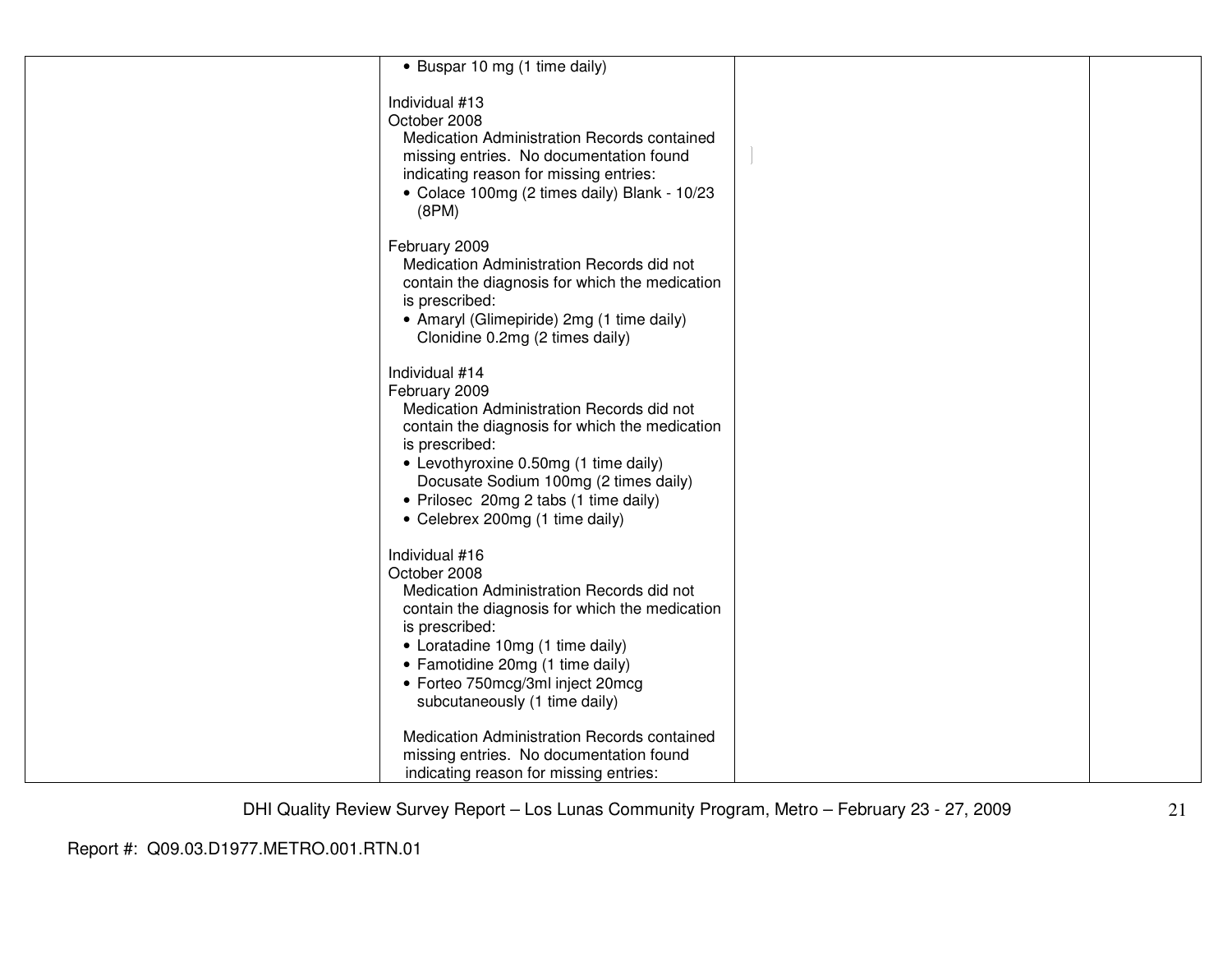| • Buspar 10 mg (1 time daily)                                                                                                                                                                                                                                                                                  |  |
|----------------------------------------------------------------------------------------------------------------------------------------------------------------------------------------------------------------------------------------------------------------------------------------------------------------|--|
| Individual #13<br>October 2008<br>Medication Administration Records contained<br>missing entries. No documentation found<br>indicating reason for missing entries:<br>• Colace 100mg (2 times daily) Blank - 10/23<br>(8PM)                                                                                    |  |
| February 2009<br>Medication Administration Records did not<br>contain the diagnosis for which the medication<br>is prescribed:<br>• Amaryl (Glimepiride) 2mg (1 time daily)<br>Clonidine 0.2mg (2 times daily)                                                                                                 |  |
| Individual #14<br>February 2009<br>Medication Administration Records did not<br>contain the diagnosis for which the medication<br>is prescribed:<br>• Levothyroxine 0.50mg (1 time daily)<br>Docusate Sodium 100mg (2 times daily)<br>• Prilosec 20mg 2 tabs (1 time daily)<br>• Celebrex 200mg (1 time daily) |  |
| Individual #16<br>October 2008<br>Medication Administration Records did not<br>contain the diagnosis for which the medication<br>is prescribed:<br>• Loratadine 10mg (1 time daily)<br>• Famotidine 20mg (1 time daily)<br>• Forteo 750mcg/3ml inject 20mcg<br>subcutaneously (1 time daily)                   |  |
| Medication Administration Records contained<br>missing entries. No documentation found<br>indicating reason for missing entries:                                                                                                                                                                               |  |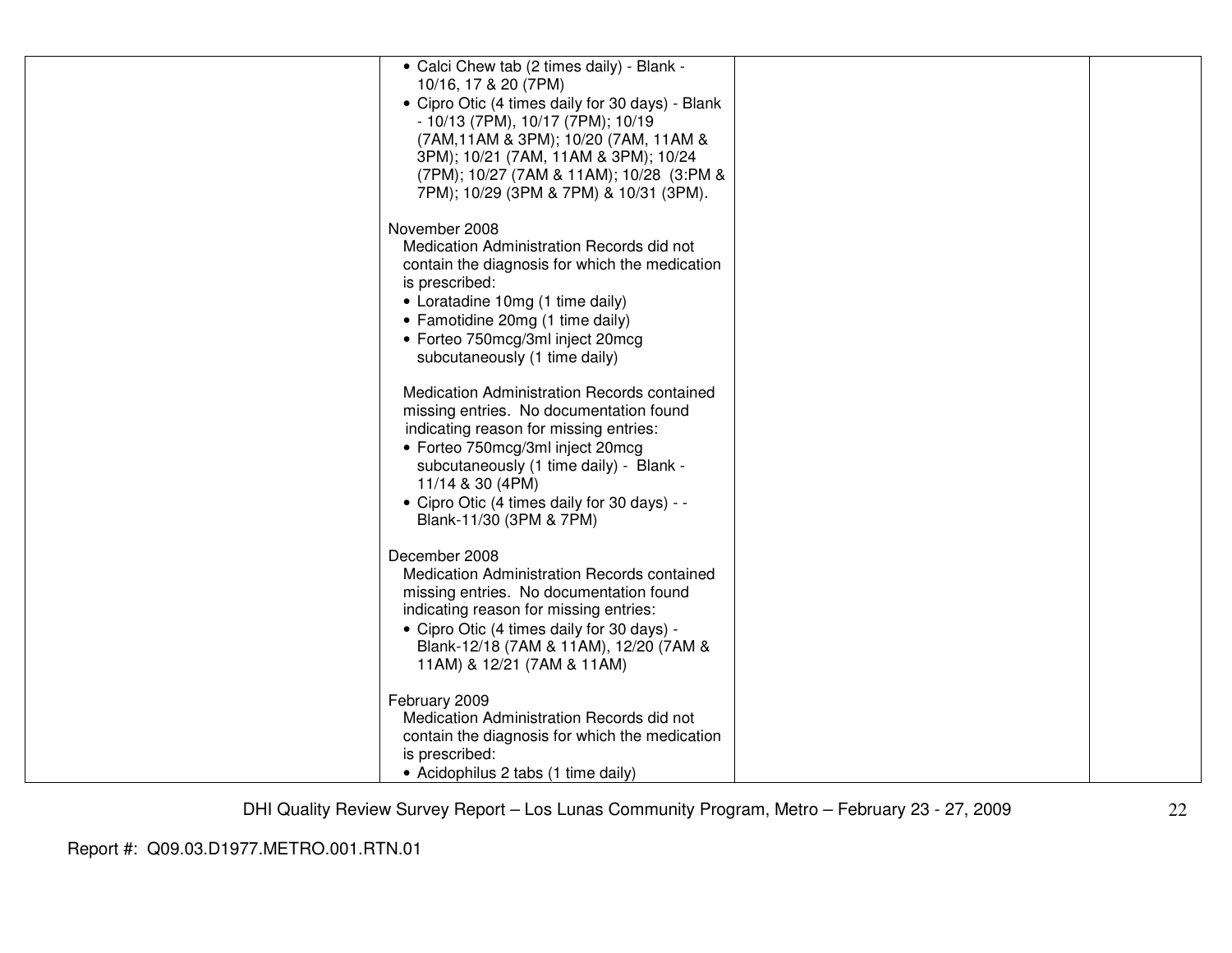| • Calci Chew tab (2 times daily) - Blank -<br>10/16, 17 & 20 (7PM)                          |  |
|---------------------------------------------------------------------------------------------|--|
| • Cipro Otic (4 times daily for 30 days) - Blank                                            |  |
| - 10/13 (7PM), 10/17 (7PM); 10/19<br>(7AM, 11AM & 3PM); 10/20 (7AM, 11AM &                  |  |
| 3PM); 10/21 (7AM, 11AM & 3PM); 10/24                                                        |  |
| (7PM); 10/27 (7AM & 11AM); 10/28 (3:PM &                                                    |  |
| 7PM); 10/29 (3PM & 7PM) & 10/31 (3PM).                                                      |  |
| November 2008                                                                               |  |
| Medication Administration Records did not                                                   |  |
| contain the diagnosis for which the medication<br>is prescribed:                            |  |
| • Loratadine 10mg (1 time daily)                                                            |  |
| • Famotidine 20mg (1 time daily)                                                            |  |
| • Forteo 750mcg/3ml inject 20mcg                                                            |  |
| subcutaneously (1 time daily)                                                               |  |
| Medication Administration Records contained                                                 |  |
| missing entries. No documentation found<br>indicating reason for missing entries:           |  |
| • Forteo 750mcg/3ml inject 20mcg                                                            |  |
| subcutaneously (1 time daily) - Blank -                                                     |  |
| 11/14 & 30 (4PM)                                                                            |  |
| • Cipro Otic (4 times daily for 30 days) - -<br>Blank-11/30 (3PM & 7PM)                     |  |
|                                                                                             |  |
| December 2008                                                                               |  |
| Medication Administration Records contained<br>missing entries. No documentation found      |  |
| indicating reason for missing entries:                                                      |  |
| • Cipro Otic (4 times daily for 30 days) -                                                  |  |
| Blank-12/18 (7AM & 11AM), 12/20 (7AM &<br>11AM) & 12/21 (7AM & 11AM)                        |  |
|                                                                                             |  |
| February 2009                                                                               |  |
| Medication Administration Records did not<br>contain the diagnosis for which the medication |  |
| is prescribed:                                                                              |  |
| • Acidophilus 2 tabs (1 time daily)                                                         |  |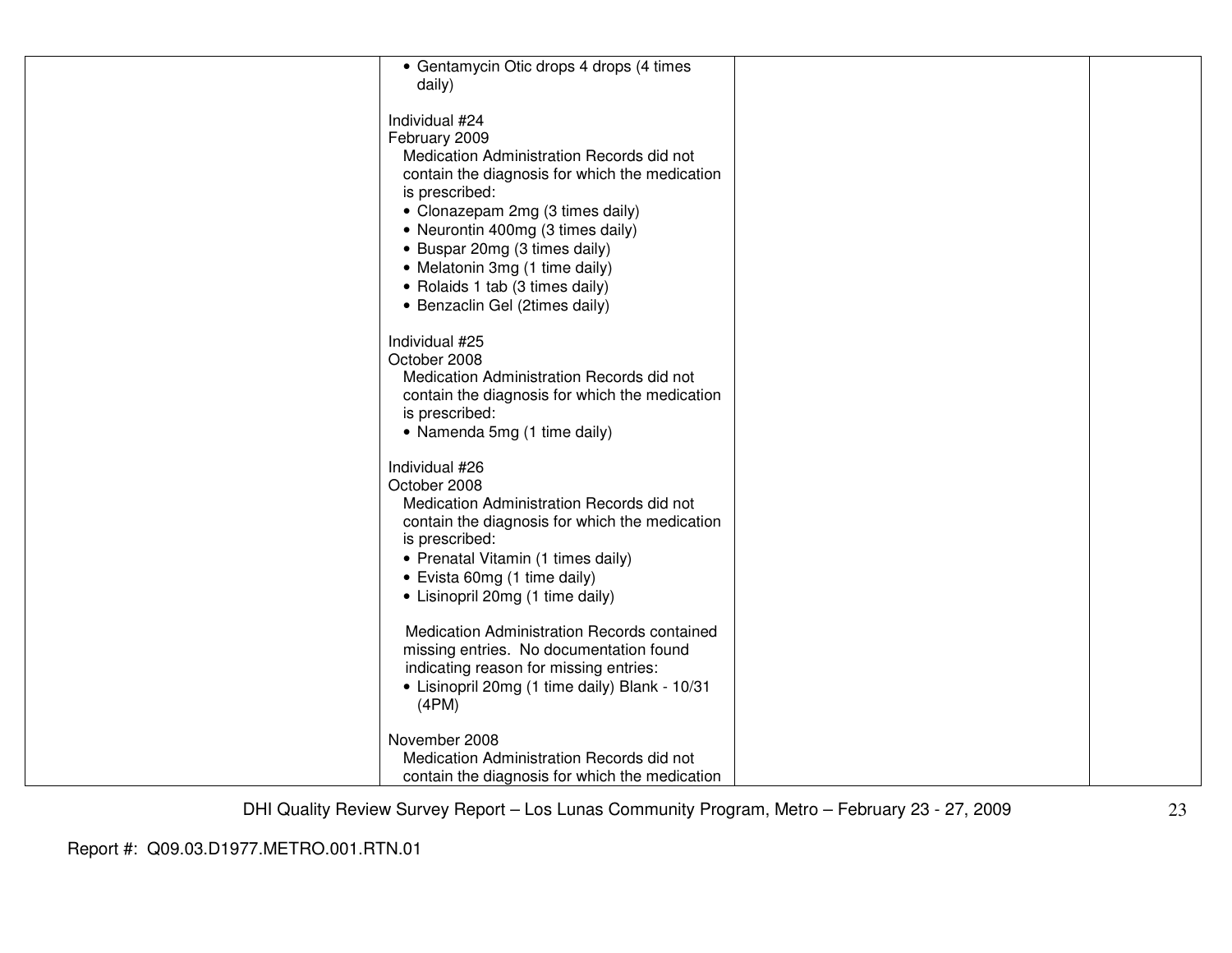| • Gentamycin Otic drops 4 drops (4 times<br>daily)                                                                                                                                                                                                                                                                                                                |  |
|-------------------------------------------------------------------------------------------------------------------------------------------------------------------------------------------------------------------------------------------------------------------------------------------------------------------------------------------------------------------|--|
| Individual #24<br>February 2009<br>Medication Administration Records did not<br>contain the diagnosis for which the medication<br>is prescribed:<br>• Clonazepam 2mg (3 times daily)<br>• Neurontin 400mg (3 times daily)<br>• Buspar 20mg (3 times daily)<br>• Melatonin 3mg (1 time daily)<br>• Rolaids 1 tab (3 times daily)<br>• Benzaclin Gel (2times daily) |  |
| Individual #25<br>October 2008<br>Medication Administration Records did not<br>contain the diagnosis for which the medication<br>is prescribed:<br>• Namenda 5mg (1 time daily)                                                                                                                                                                                   |  |
| Individual #26<br>October 2008<br>Medication Administration Records did not<br>contain the diagnosis for which the medication<br>is prescribed:<br>• Prenatal Vitamin (1 times daily)<br>• Evista 60mg (1 time daily)<br>• Lisinopril 20mg (1 time daily)                                                                                                         |  |
| Medication Administration Records contained<br>missing entries. No documentation found<br>indicating reason for missing entries:<br>• Lisinopril 20mg (1 time daily) Blank - 10/31<br>(4PM)                                                                                                                                                                       |  |
| November 2008<br>Medication Administration Records did not<br>contain the diagnosis for which the medication                                                                                                                                                                                                                                                      |  |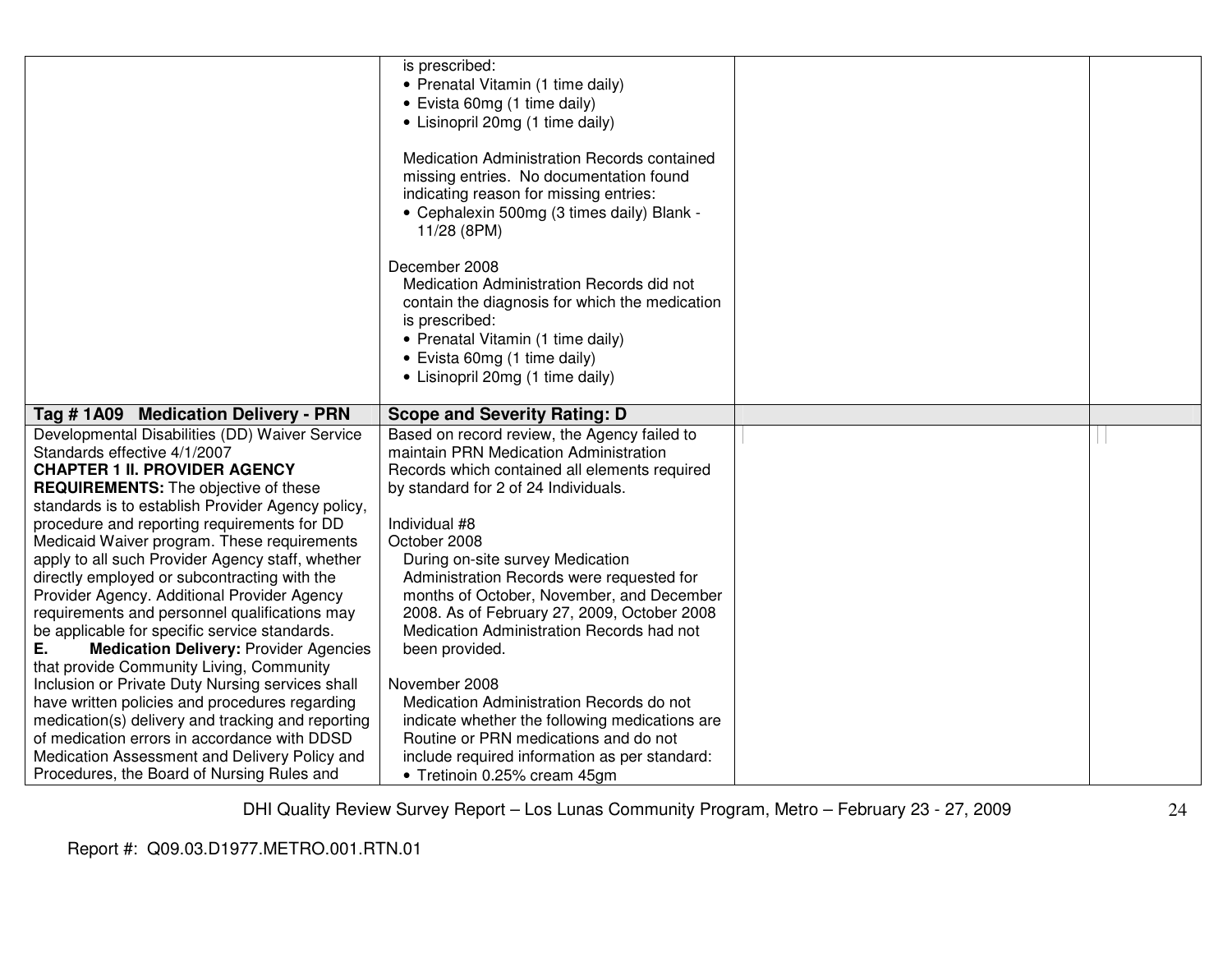|                                                                                                                                                                                                                            | is prescribed:<br>• Prenatal Vitamin (1 time daily)<br>• Evista 60mg (1 time daily)<br>• Lisinopril 20mg (1 time daily)<br>Medication Administration Records contained<br>missing entries. No documentation found<br>indicating reason for missing entries:<br>• Cephalexin 500mg (3 times daily) Blank -<br>11/28 (8PM) |  |
|----------------------------------------------------------------------------------------------------------------------------------------------------------------------------------------------------------------------------|--------------------------------------------------------------------------------------------------------------------------------------------------------------------------------------------------------------------------------------------------------------------------------------------------------------------------|--|
|                                                                                                                                                                                                                            | December 2008<br>Medication Administration Records did not<br>contain the diagnosis for which the medication<br>is prescribed:<br>• Prenatal Vitamin (1 time daily)<br>• Evista 60mg (1 time daily)<br>• Lisinopril 20mg (1 time daily)                                                                                  |  |
| Tag # 1A09 Medication Delivery - PRN                                                                                                                                                                                       | <b>Scope and Severity Rating: D</b>                                                                                                                                                                                                                                                                                      |  |
| Developmental Disabilities (DD) Waiver Service<br>Standards effective 4/1/2007<br><b>CHAPTER 1 II. PROVIDER AGENCY</b><br><b>REQUIREMENTS:</b> The objective of these<br>standards is to establish Provider Agency policy, | Based on record review, the Agency failed to<br>maintain PRN Medication Administration<br>Records which contained all elements required<br>by standard for 2 of 24 Individuals.                                                                                                                                          |  |
| procedure and reporting requirements for DD<br>Medicaid Waiver program. These requirements<br>apply to all such Provider Agency staff, whether                                                                             | Individual #8<br>October 2008<br>During on-site survey Medication                                                                                                                                                                                                                                                        |  |
| directly employed or subcontracting with the<br>Provider Agency. Additional Provider Agency<br>requirements and personnel qualifications may<br>be applicable for specific service standards.                              | Administration Records were requested for<br>months of October, November, and December<br>2008. As of February 27, 2009, October 2008<br>Medication Administration Records had not                                                                                                                                       |  |
| Е.<br><b>Medication Delivery: Provider Agencies</b><br>that provide Community Living, Community<br>Inclusion or Private Duty Nursing services shall                                                                        | been provided.<br>November 2008                                                                                                                                                                                                                                                                                          |  |
| have written policies and procedures regarding<br>medication(s) delivery and tracking and reporting                                                                                                                        | Medication Administration Records do not<br>indicate whether the following medications are                                                                                                                                                                                                                               |  |
| of medication errors in accordance with DDSD                                                                                                                                                                               | Routine or PRN medications and do not                                                                                                                                                                                                                                                                                    |  |
| Medication Assessment and Delivery Policy and<br>Procedures, the Board of Nursing Rules and                                                                                                                                | include required information as per standard:<br>• Tretinoin 0.25% cream 45gm                                                                                                                                                                                                                                            |  |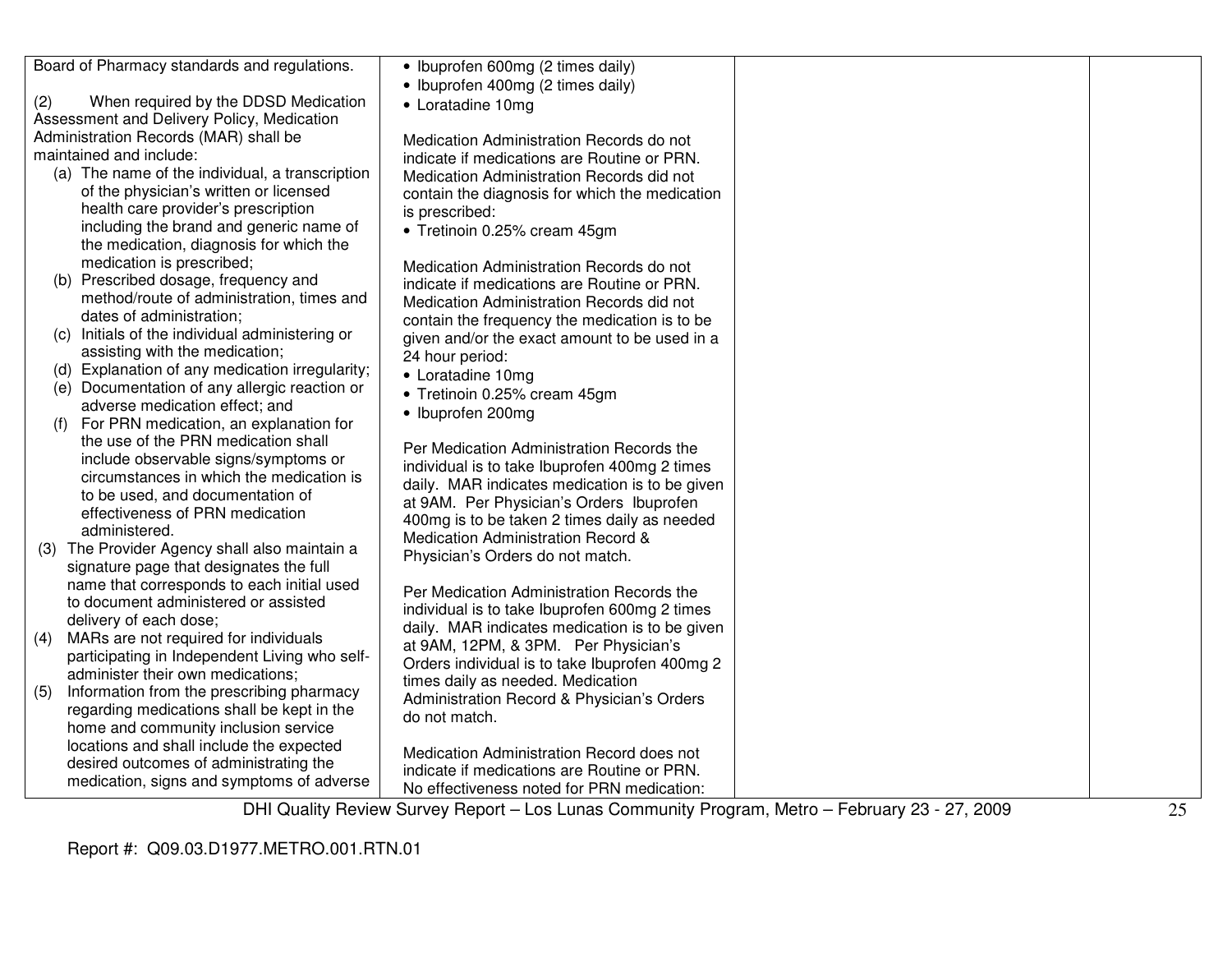|     | Board of Pharmacy standards and regulations.                                       | • Ibuprofen 600mg (2 times daily)                                                              |    |
|-----|------------------------------------------------------------------------------------|------------------------------------------------------------------------------------------------|----|
|     |                                                                                    | • Ibuprofen 400mg (2 times daily)                                                              |    |
| (2) | When required by the DDSD Medication                                               | • Loratadine 10mg                                                                              |    |
|     | Assessment and Delivery Policy, Medication                                         |                                                                                                |    |
|     | Administration Records (MAR) shall be                                              | Medication Administration Records do not                                                       |    |
|     | maintained and include:                                                            | indicate if medications are Routine or PRN.                                                    |    |
|     | (a) The name of the individual, a transcription                                    | Medication Administration Records did not                                                      |    |
|     | of the physician's written or licensed                                             | contain the diagnosis for which the medication                                                 |    |
|     | health care provider's prescription                                                | is prescribed:                                                                                 |    |
|     | including the brand and generic name of                                            | • Tretinoin 0.25% cream 45gm                                                                   |    |
|     | the medication, diagnosis for which the                                            |                                                                                                |    |
|     | medication is prescribed;                                                          | Medication Administration Records do not                                                       |    |
|     | (b) Prescribed dosage, frequency and                                               | indicate if medications are Routine or PRN.                                                    |    |
|     | method/route of administration, times and                                          | Medication Administration Records did not                                                      |    |
|     | dates of administration;                                                           | contain the frequency the medication is to be                                                  |    |
|     | (c) Initials of the individual administering or                                    | given and/or the exact amount to be used in a                                                  |    |
|     | assisting with the medication;                                                     | 24 hour period:                                                                                |    |
|     | (d) Explanation of any medication irregularity;                                    | • Loratadine 10mg                                                                              |    |
|     | (e) Documentation of any allergic reaction or                                      | • Tretinoin 0.25% cream 45gm                                                                   |    |
|     | adverse medication effect; and                                                     | • Ibuprofen 200mg                                                                              |    |
| (f) | For PRN medication, an explanation for                                             |                                                                                                |    |
|     | the use of the PRN medication shall                                                | Per Medication Administration Records the                                                      |    |
|     | include observable signs/symptoms or                                               | individual is to take Ibuprofen 400mg 2 times                                                  |    |
|     | circumstances in which the medication is                                           | daily. MAR indicates medication is to be given                                                 |    |
|     | to be used, and documentation of                                                   | at 9AM. Per Physician's Orders Ibuprofen                                                       |    |
|     | effectiveness of PRN medication                                                    | 400mg is to be taken 2 times daily as needed                                                   |    |
|     | administered.                                                                      | Medication Administration Record &                                                             |    |
|     | (3) The Provider Agency shall also maintain a                                      | Physician's Orders do not match.                                                               |    |
|     | signature page that designates the full                                            |                                                                                                |    |
|     | name that corresponds to each initial used                                         | Per Medication Administration Records the                                                      |    |
|     | to document administered or assisted                                               | individual is to take Ibuprofen 600mg 2 times                                                  |    |
|     | delivery of each dose;                                                             | daily. MAR indicates medication is to be given                                                 |    |
| (4) | MARs are not required for individuals                                              | at 9AM, 12PM, & 3PM. Per Physician's                                                           |    |
|     | participating in Independent Living who self-<br>administer their own medications; | Orders individual is to take Ibuprofen 400mg 2                                                 |    |
| (5) | Information from the prescribing pharmacy                                          | times daily as needed. Medication                                                              |    |
|     | regarding medications shall be kept in the                                         | Administration Record & Physician's Orders                                                     |    |
|     | home and community inclusion service                                               | do not match.                                                                                  |    |
|     | locations and shall include the expected                                           |                                                                                                |    |
|     | desired outcomes of administrating the                                             | Medication Administration Record does not                                                      |    |
|     | medication, signs and symptoms of adverse                                          | indicate if medications are Routine or PRN.                                                    |    |
|     |                                                                                    | No effectiveness noted for PRN medication:                                                     |    |
|     |                                                                                    | DHI Quality Review Survey Report - Los Lunas Community Program, Metro - February 23 - 27, 2009 | 25 |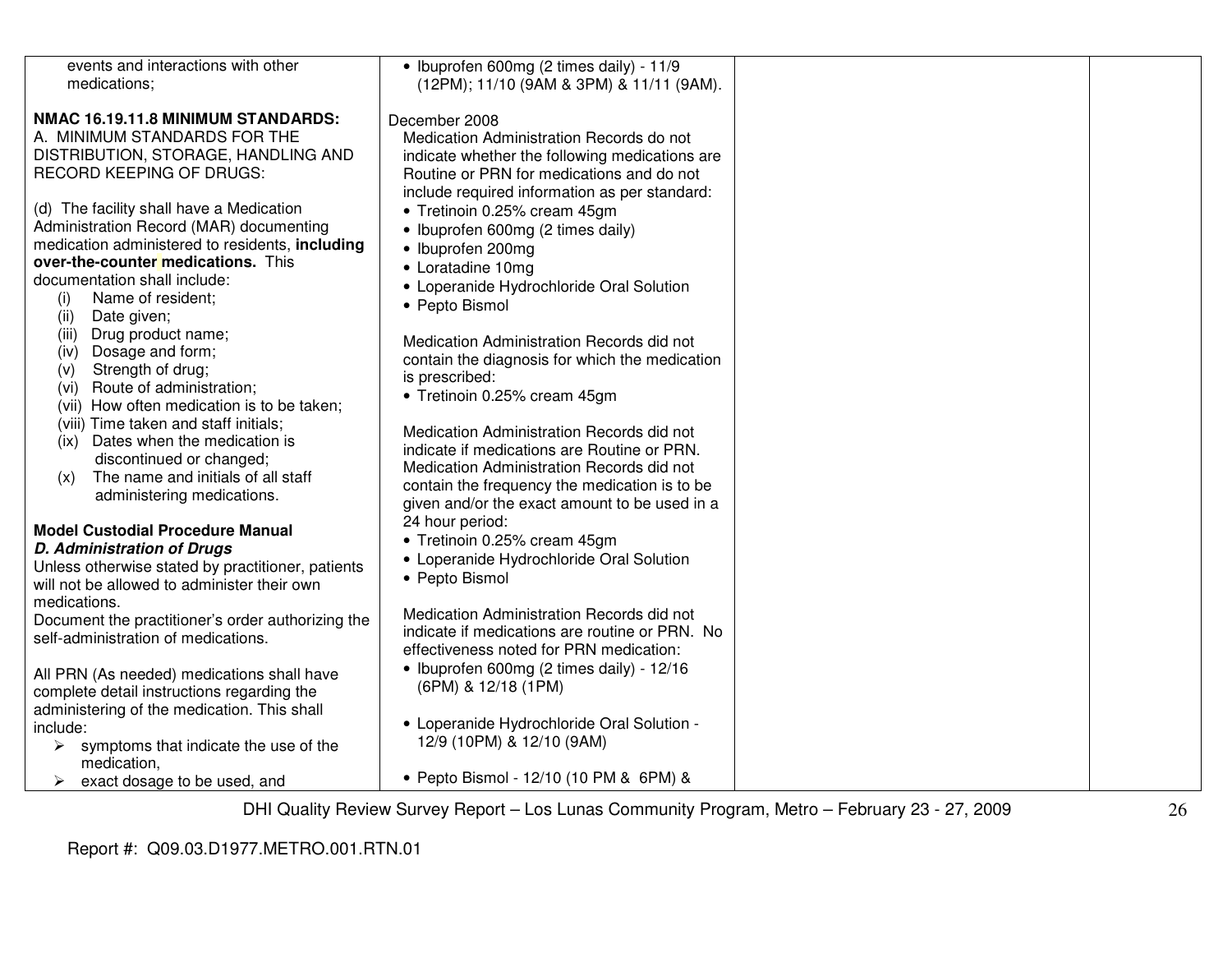| events and interactions with other                     | • Ibuprofen 600mg (2 times daily) - 11/9       |  |
|--------------------------------------------------------|------------------------------------------------|--|
| medications;                                           | (12PM); 11/10 (9AM & 3PM) & 11/11 (9AM).       |  |
|                                                        |                                                |  |
|                                                        |                                                |  |
| NMAC 16.19.11.8 MINIMUM STANDARDS:                     | December 2008                                  |  |
| A. MINIMUM STANDARDS FOR THE                           | Medication Administration Records do not       |  |
| DISTRIBUTION, STORAGE, HANDLING AND                    | indicate whether the following medications are |  |
| <b>RECORD KEEPING OF DRUGS:</b>                        |                                                |  |
|                                                        | Routine or PRN for medications and do not      |  |
|                                                        | include required information as per standard:  |  |
| (d) The facility shall have a Medication               | • Tretinoin 0.25% cream 45gm                   |  |
| Administration Record (MAR) documenting                | • Ibuprofen 600mg (2 times daily)              |  |
| medication administered to residents, including        |                                                |  |
|                                                        | • Ibuprofen 200mg                              |  |
| over-the-counter medications. This                     | • Loratadine 10mg                              |  |
| documentation shall include:                           | • Loperanide Hydrochloride Oral Solution       |  |
| Name of resident;<br>(i)                               |                                                |  |
| (ii)<br>Date given;                                    | • Pepto Bismol                                 |  |
|                                                        |                                                |  |
| Drug product name;<br>(iii)                            | Medication Administration Records did not      |  |
| Dosage and form;<br>(iv)                               | contain the diagnosis for which the medication |  |
| Strength of drug;<br>(v)                               | is prescribed:                                 |  |
| (vi) Route of administration;                          |                                                |  |
| (vii) How often medication is to be taken;             | • Tretinoin 0.25% cream 45gm                   |  |
| (viii) Time taken and staff initials;                  |                                                |  |
|                                                        | Medication Administration Records did not      |  |
| Dates when the medication is<br>(ix)                   | indicate if medications are Routine or PRN.    |  |
| discontinued or changed;                               | Medication Administration Records did not      |  |
| The name and initials of all staff<br>(x)              |                                                |  |
| administering medications.                             | contain the frequency the medication is to be  |  |
|                                                        | given and/or the exact amount to be used in a  |  |
|                                                        | 24 hour period:                                |  |
| <b>Model Custodial Procedure Manual</b>                | • Tretinoin 0.25% cream 45gm                   |  |
| <b>D. Administration of Drugs</b>                      |                                                |  |
| Unless otherwise stated by practitioner, patients      | • Loperanide Hydrochloride Oral Solution       |  |
| will not be allowed to administer their own            | • Pepto Bismol                                 |  |
| medications.                                           |                                                |  |
|                                                        | Medication Administration Records did not      |  |
| Document the practitioner's order authorizing the      | indicate if medications are routine or PRN. No |  |
| self-administration of medications.                    |                                                |  |
|                                                        | effectiveness noted for PRN medication:        |  |
| All PRN (As needed) medications shall have             | · Ibuprofen 600mg (2 times daily) - 12/16      |  |
| complete detail instructions regarding the             | (6PM) & 12/18 (1PM)                            |  |
|                                                        |                                                |  |
| administering of the medication. This shall            |                                                |  |
| include:                                               | • Loperanide Hydrochloride Oral Solution -     |  |
| $\triangleright$ symptoms that indicate the use of the | 12/9 (10PM) & 12/10 (9AM)                      |  |
| medication,                                            |                                                |  |
| exact dosage to be used, and<br>≻                      | • Pepto Bismol - 12/10 (10 PM & 6PM) &         |  |
|                                                        |                                                |  |
|                                                        |                                                |  |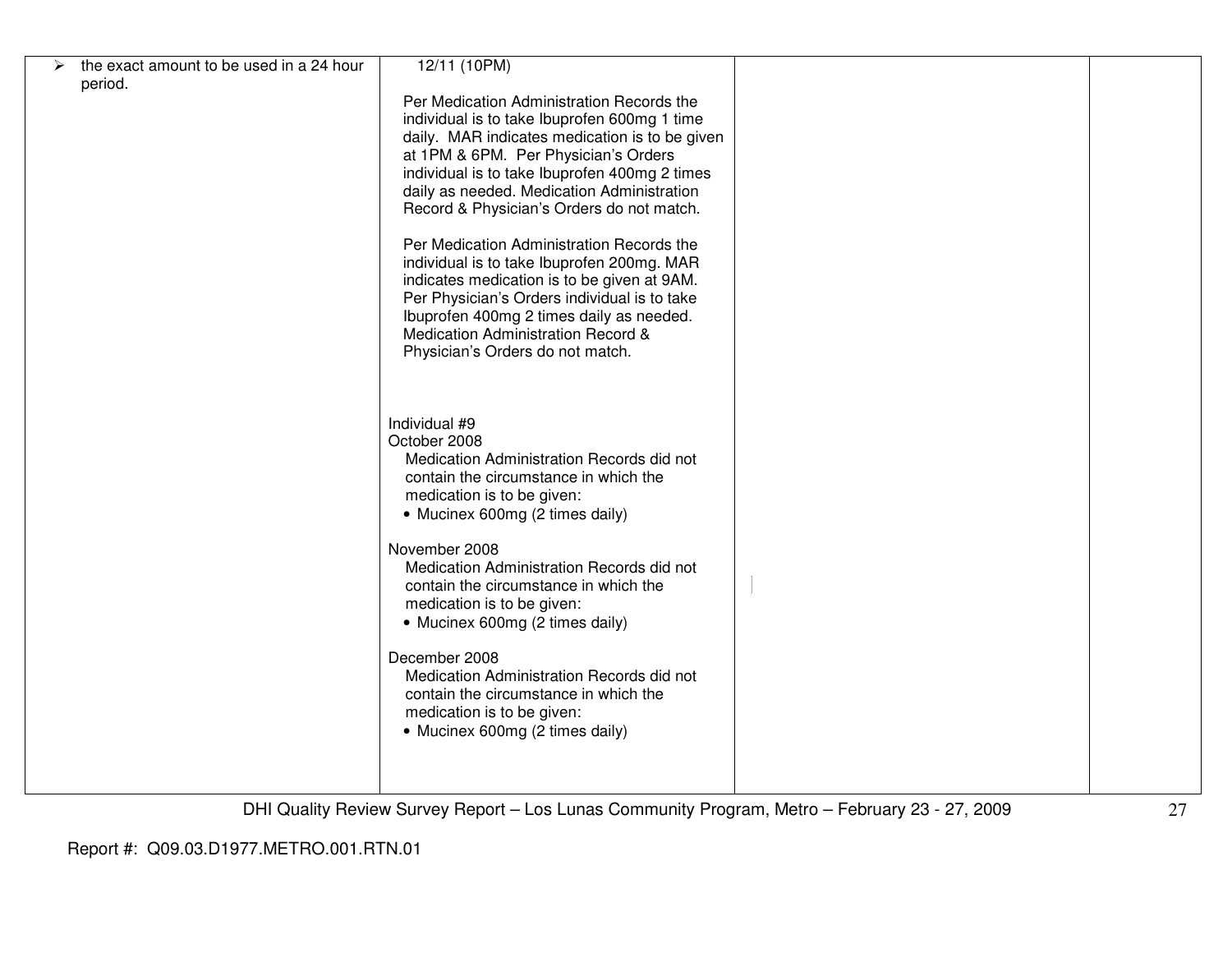| the exact amount to be used in a 24 hour | 12/11 (10PM)                                   |  |
|------------------------------------------|------------------------------------------------|--|
| period.                                  |                                                |  |
|                                          | Per Medication Administration Records the      |  |
|                                          |                                                |  |
|                                          | individual is to take Ibuprofen 600mg 1 time   |  |
|                                          | daily. MAR indicates medication is to be given |  |
|                                          | at 1PM & 6PM. Per Physician's Orders           |  |
|                                          |                                                |  |
|                                          | individual is to take Ibuprofen 400mg 2 times  |  |
|                                          | daily as needed. Medication Administration     |  |
|                                          | Record & Physician's Orders do not match.      |  |
|                                          |                                                |  |
|                                          |                                                |  |
|                                          | Per Medication Administration Records the      |  |
|                                          | individual is to take Ibuprofen 200mg. MAR     |  |
|                                          | indicates medication is to be given at 9AM.    |  |
|                                          |                                                |  |
|                                          | Per Physician's Orders individual is to take   |  |
|                                          | Ibuprofen 400mg 2 times daily as needed.       |  |
|                                          | Medication Administration Record &             |  |
|                                          |                                                |  |
|                                          | Physician's Orders do not match.               |  |
|                                          |                                                |  |
|                                          |                                                |  |
|                                          |                                                |  |
|                                          | Individual #9                                  |  |
|                                          |                                                |  |
|                                          | October 2008                                   |  |
|                                          | Medication Administration Records did not      |  |
|                                          | contain the circumstance in which the          |  |
|                                          | medication is to be given:                     |  |
|                                          |                                                |  |
|                                          | • Mucinex 600mg (2 times daily)                |  |
|                                          |                                                |  |
|                                          | November 2008                                  |  |
|                                          | Medication Administration Records did not      |  |
|                                          |                                                |  |
|                                          | contain the circumstance in which the          |  |
|                                          | medication is to be given:                     |  |
|                                          | • Mucinex 600mg (2 times daily)                |  |
|                                          |                                                |  |
|                                          |                                                |  |
|                                          | December 2008                                  |  |
|                                          | Medication Administration Records did not      |  |
|                                          | contain the circumstance in which the          |  |
|                                          |                                                |  |
|                                          | medication is to be given:                     |  |
|                                          | • Mucinex 600mg (2 times daily)                |  |
|                                          |                                                |  |
|                                          |                                                |  |
|                                          |                                                |  |
|                                          |                                                |  |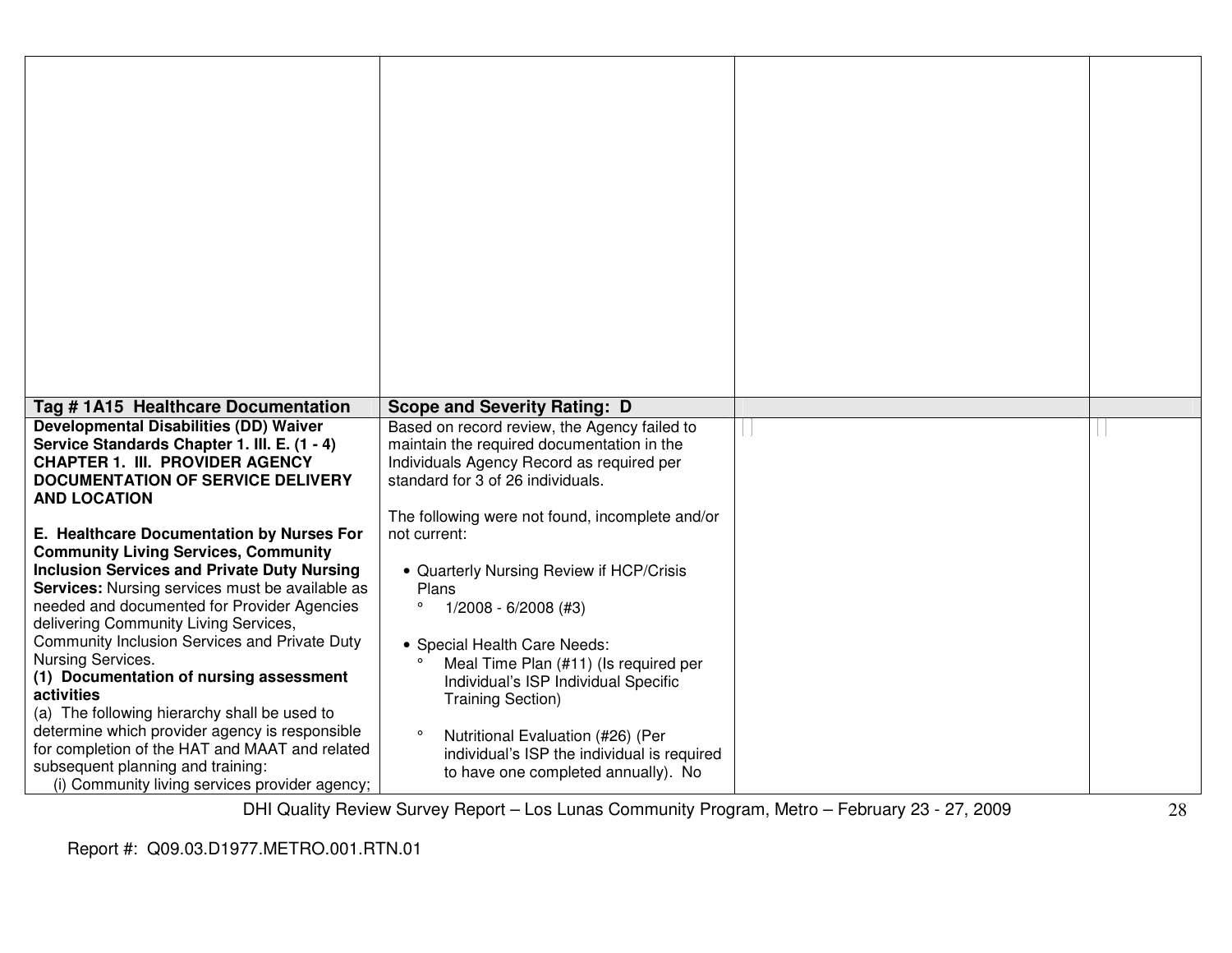| Tag #1A15 Healthcare Documentation                                                                                                                                                                                                                                                                                                                                                                                                                                                                                                                                                                                                                                         | <b>Scope and Severity Rating: D</b>                                                                                                                                                                                                                                                                                                                                            |  |
|----------------------------------------------------------------------------------------------------------------------------------------------------------------------------------------------------------------------------------------------------------------------------------------------------------------------------------------------------------------------------------------------------------------------------------------------------------------------------------------------------------------------------------------------------------------------------------------------------------------------------------------------------------------------------|--------------------------------------------------------------------------------------------------------------------------------------------------------------------------------------------------------------------------------------------------------------------------------------------------------------------------------------------------------------------------------|--|
| <b>Developmental Disabilities (DD) Waiver</b><br>Service Standards Chapter 1. III. E. (1 - 4)<br><b>CHAPTER 1. III. PROVIDER AGENCY</b><br><b>DOCUMENTATION OF SERVICE DELIVERY</b><br><b>AND LOCATION</b>                                                                                                                                                                                                                                                                                                                                                                                                                                                                 | Based on record review, the Agency failed to<br>maintain the required documentation in the<br>Individuals Agency Record as required per<br>standard for 3 of 26 individuals.<br>The following were not found, incomplete and/or                                                                                                                                                |  |
| E. Healthcare Documentation by Nurses For<br><b>Community Living Services, Community</b><br><b>Inclusion Services and Private Duty Nursing</b><br><b>Services:</b> Nursing services must be available as<br>needed and documented for Provider Agencies<br>delivering Community Living Services,<br>Community Inclusion Services and Private Duty<br>Nursing Services.<br>(1) Documentation of nursing assessment<br>activities<br>(a) The following hierarchy shall be used to<br>determine which provider agency is responsible<br>for completion of the HAT and MAAT and related<br>subsequent planning and training:<br>(i) Community living services provider agency; | not current:<br>• Quarterly Nursing Review if HCP/Crisis<br>Plans<br>$\circ$<br>$1/2008 - 6/2008$ (#3)<br>• Special Health Care Needs:<br>Meal Time Plan (#11) (Is required per<br>Individual's ISP Individual Specific<br><b>Training Section)</b><br>Nutritional Evaluation (#26) (Per<br>individual's ISP the individual is required<br>to have one completed annually). No |  |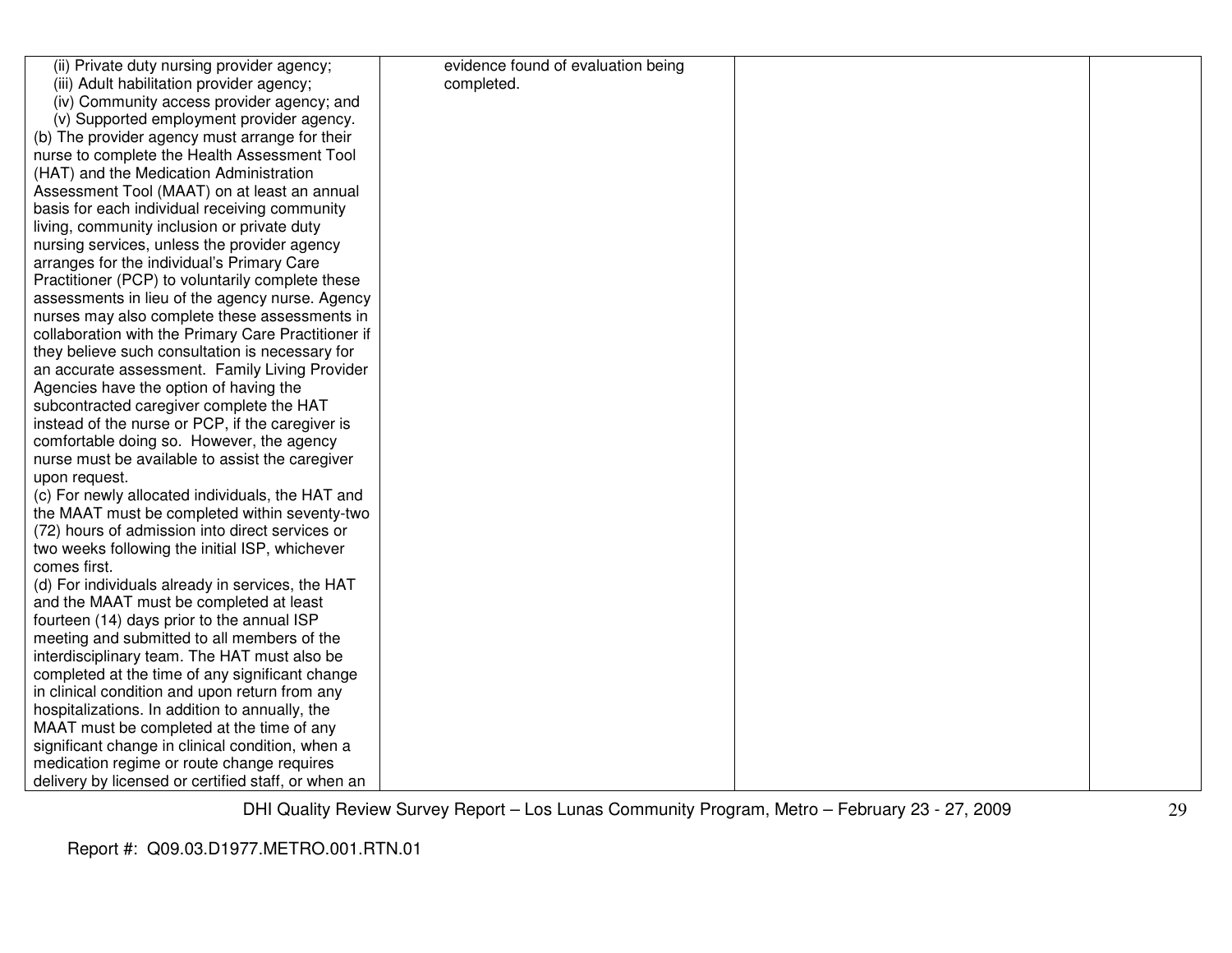| (ii) Private duty nursing provider agency;          | evidence found of evaluation being |  |
|-----------------------------------------------------|------------------------------------|--|
| (iii) Adult habilitation provider agency;           | completed.                         |  |
| (iv) Community access provider agency; and          |                                    |  |
| (v) Supported employment provider agency.           |                                    |  |
| (b) The provider agency must arrange for their      |                                    |  |
| nurse to complete the Health Assessment Tool        |                                    |  |
| (HAT) and the Medication Administration             |                                    |  |
| Assessment Tool (MAAT) on at least an annual        |                                    |  |
| basis for each individual receiving community       |                                    |  |
| living, community inclusion or private duty         |                                    |  |
| nursing services, unless the provider agency        |                                    |  |
| arranges for the individual's Primary Care          |                                    |  |
| Practitioner (PCP) to voluntarily complete these    |                                    |  |
| assessments in lieu of the agency nurse. Agency     |                                    |  |
| nurses may also complete these assessments in       |                                    |  |
| collaboration with the Primary Care Practitioner if |                                    |  |
| they believe such consultation is necessary for     |                                    |  |
| an accurate assessment. Family Living Provider      |                                    |  |
| Agencies have the option of having the              |                                    |  |
| subcontracted caregiver complete the HAT            |                                    |  |
| instead of the nurse or PCP, if the caregiver is    |                                    |  |
| comfortable doing so. However, the agency           |                                    |  |
| nurse must be available to assist the caregiver     |                                    |  |
| upon request.                                       |                                    |  |
| (c) For newly allocated individuals, the HAT and    |                                    |  |
| the MAAT must be completed within seventy-two       |                                    |  |
| (72) hours of admission into direct services or     |                                    |  |
| two weeks following the initial ISP, whichever      |                                    |  |
| comes first.                                        |                                    |  |
| (d) For individuals already in services, the HAT    |                                    |  |
| and the MAAT must be completed at least             |                                    |  |
| fourteen (14) days prior to the annual ISP          |                                    |  |
| meeting and submitted to all members of the         |                                    |  |
| interdisciplinary team. The HAT must also be        |                                    |  |
| completed at the time of any significant change     |                                    |  |
| in clinical condition and upon return from any      |                                    |  |
| hospitalizations. In addition to annually, the      |                                    |  |
| MAAT must be completed at the time of any           |                                    |  |
| significant change in clinical condition, when a    |                                    |  |
| medication regime or route change requires          |                                    |  |
| delivery by licensed or certified staff, or when an |                                    |  |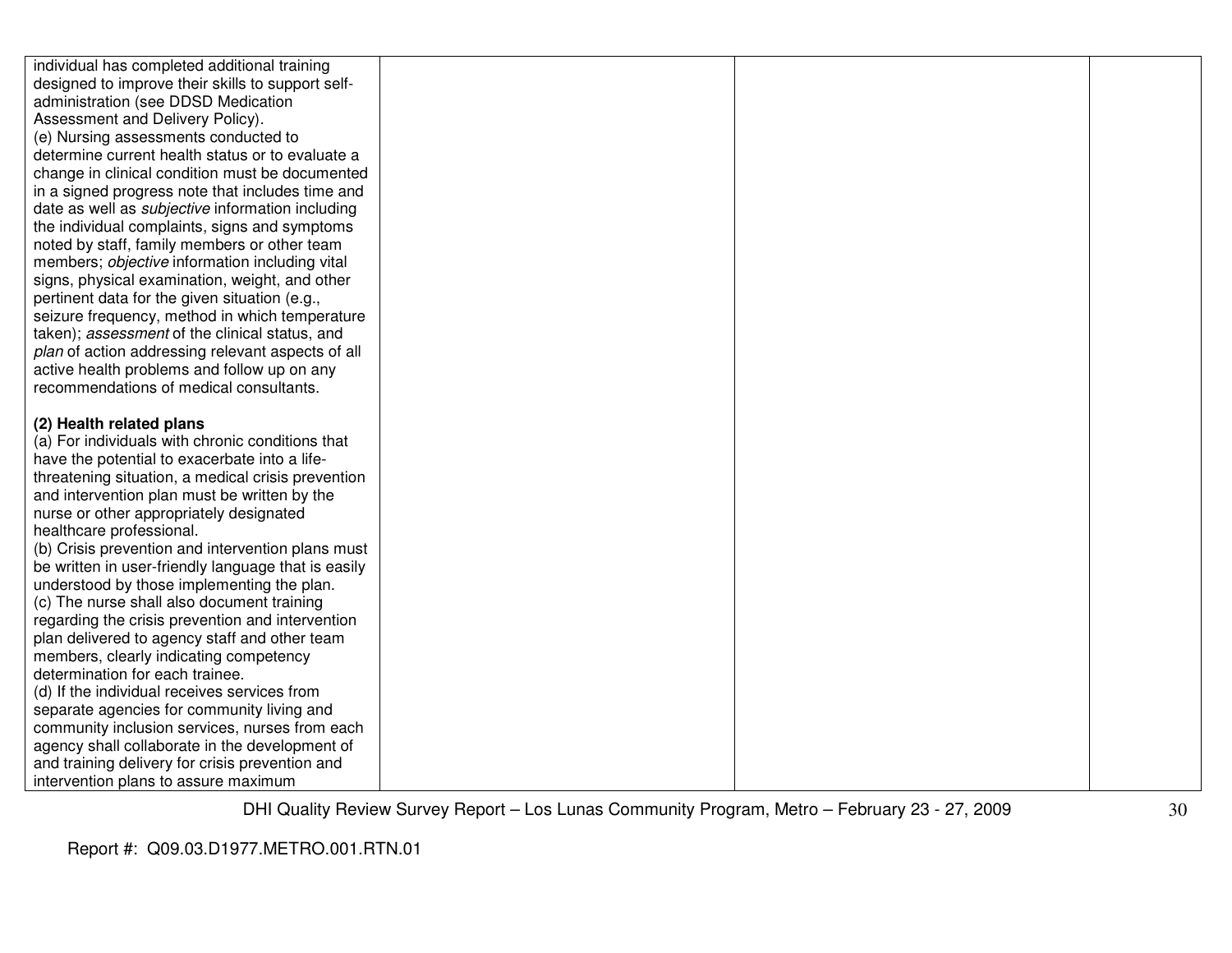| individual has completed additional training                                 |  |  |
|------------------------------------------------------------------------------|--|--|
| designed to improve their skills to support self-                            |  |  |
| administration (see DDSD Medication                                          |  |  |
| Assessment and Delivery Policy).                                             |  |  |
| (e) Nursing assessments conducted to                                         |  |  |
| determine current health status or to evaluate a                             |  |  |
| change in clinical condition must be documented                              |  |  |
| in a signed progress note that includes time and                             |  |  |
| date as well as <i>subjective</i> information including                      |  |  |
| the individual complaints, signs and symptoms                                |  |  |
| noted by staff, family members or other team                                 |  |  |
| members; objective information including vital                               |  |  |
| signs, physical examination, weight, and other                               |  |  |
| pertinent data for the given situation (e.g.,                                |  |  |
| seizure frequency, method in which temperature                               |  |  |
| taken); assessment of the clinical status, and                               |  |  |
| plan of action addressing relevant aspects of all                            |  |  |
| active health problems and follow up on any                                  |  |  |
| recommendations of medical consultants.                                      |  |  |
|                                                                              |  |  |
| (2) Health related plans<br>(a) For individuals with chronic conditions that |  |  |
| have the potential to exacerbate into a life-                                |  |  |
| threatening situation, a medical crisis prevention                           |  |  |
| and intervention plan must be written by the                                 |  |  |
| nurse or other appropriately designated                                      |  |  |
| healthcare professional.                                                     |  |  |
| (b) Crisis prevention and intervention plans must                            |  |  |
| be written in user-friendly language that is easily                          |  |  |
| understood by those implementing the plan.                                   |  |  |
| (c) The nurse shall also document training                                   |  |  |
| regarding the crisis prevention and intervention                             |  |  |
| plan delivered to agency staff and other team                                |  |  |
| members, clearly indicating competency                                       |  |  |
| determination for each trainee.                                              |  |  |
| (d) If the individual receives services from                                 |  |  |
| separate agencies for community living and                                   |  |  |
| community inclusion services, nurses from each                               |  |  |
| agency shall collaborate in the development of                               |  |  |
| and training delivery for crisis prevention and                              |  |  |
| intervention plans to assure maximum                                         |  |  |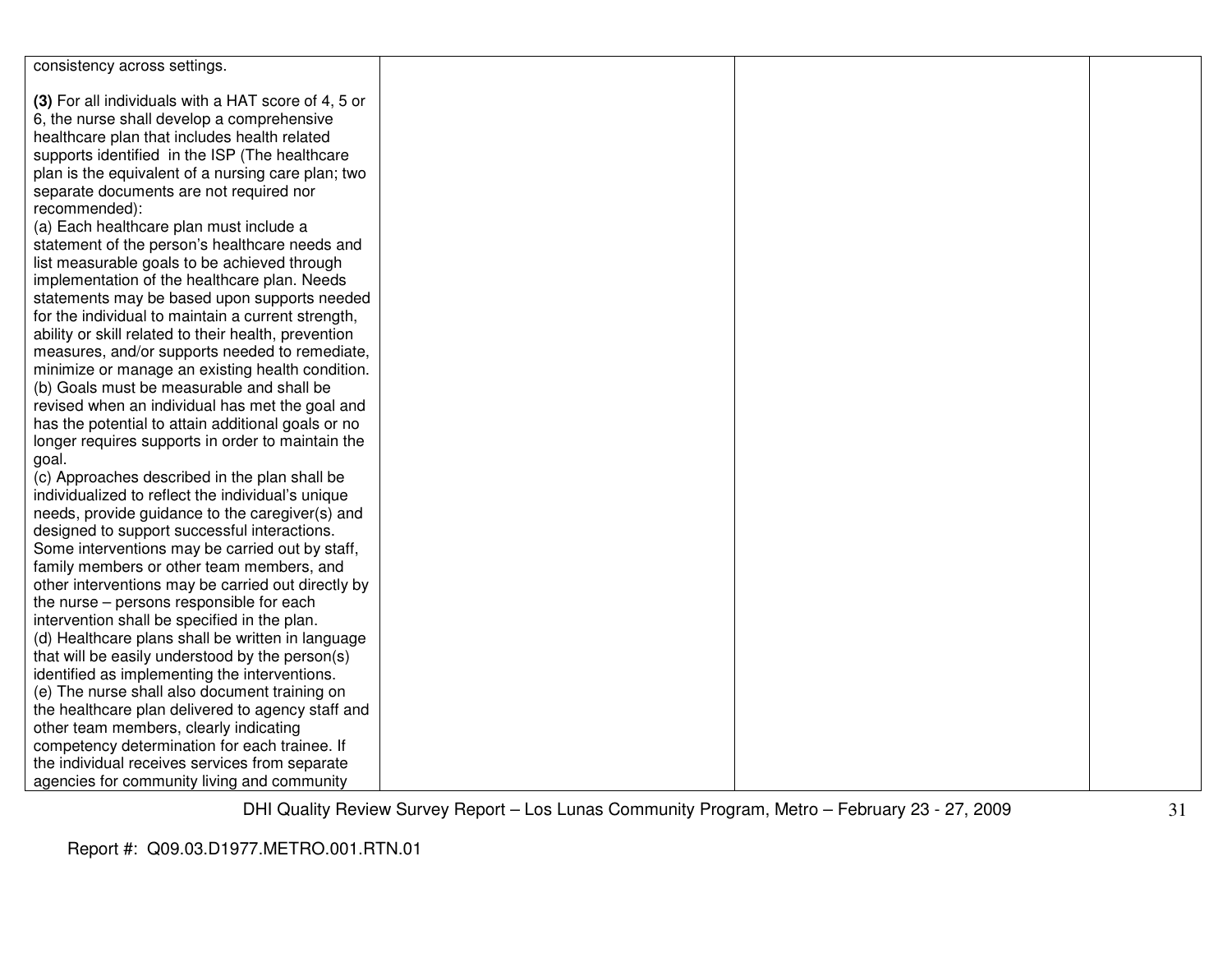| consistency across settings.                                                                      |  |  |
|---------------------------------------------------------------------------------------------------|--|--|
| (3) For all individuals with a HAT score of 4, 5 or                                               |  |  |
| 6, the nurse shall develop a comprehensive                                                        |  |  |
| healthcare plan that includes health related                                                      |  |  |
| supports identified in the ISP (The healthcare                                                    |  |  |
| plan is the equivalent of a nursing care plan; two                                                |  |  |
| separate documents are not required nor                                                           |  |  |
| recommended):                                                                                     |  |  |
| (a) Each healthcare plan must include a                                                           |  |  |
| statement of the person's healthcare needs and                                                    |  |  |
| list measurable goals to be achieved through                                                      |  |  |
| implementation of the healthcare plan. Needs                                                      |  |  |
| statements may be based upon supports needed                                                      |  |  |
| for the individual to maintain a current strength,                                                |  |  |
| ability or skill related to their health, prevention                                              |  |  |
| measures, and/or supports needed to remediate,                                                    |  |  |
| minimize or manage an existing health condition.                                                  |  |  |
| (b) Goals must be measurable and shall be                                                         |  |  |
| revised when an individual has met the goal and                                                   |  |  |
| has the potential to attain additional goals or no                                                |  |  |
| longer requires supports in order to maintain the                                                 |  |  |
| goal.                                                                                             |  |  |
| (c) Approaches described in the plan shall be                                                     |  |  |
| individualized to reflect the individual's unique                                                 |  |  |
| needs, provide guidance to the caregiver(s) and                                                   |  |  |
| designed to support successful interactions.                                                      |  |  |
| Some interventions may be carried out by staff,                                                   |  |  |
| family members or other team members, and                                                         |  |  |
| other interventions may be carried out directly by                                                |  |  |
| the nurse - persons responsible for each                                                          |  |  |
| intervention shall be specified in the plan.<br>(d) Healthcare plans shall be written in language |  |  |
| that will be easily understood by the person(s)                                                   |  |  |
| identified as implementing the interventions.                                                     |  |  |
| (e) The nurse shall also document training on                                                     |  |  |
| the healthcare plan delivered to agency staff and                                                 |  |  |
| other team members, clearly indicating                                                            |  |  |
| competency determination for each trainee. If                                                     |  |  |
| the individual receives services from separate                                                    |  |  |
| agencies for community living and community                                                       |  |  |
|                                                                                                   |  |  |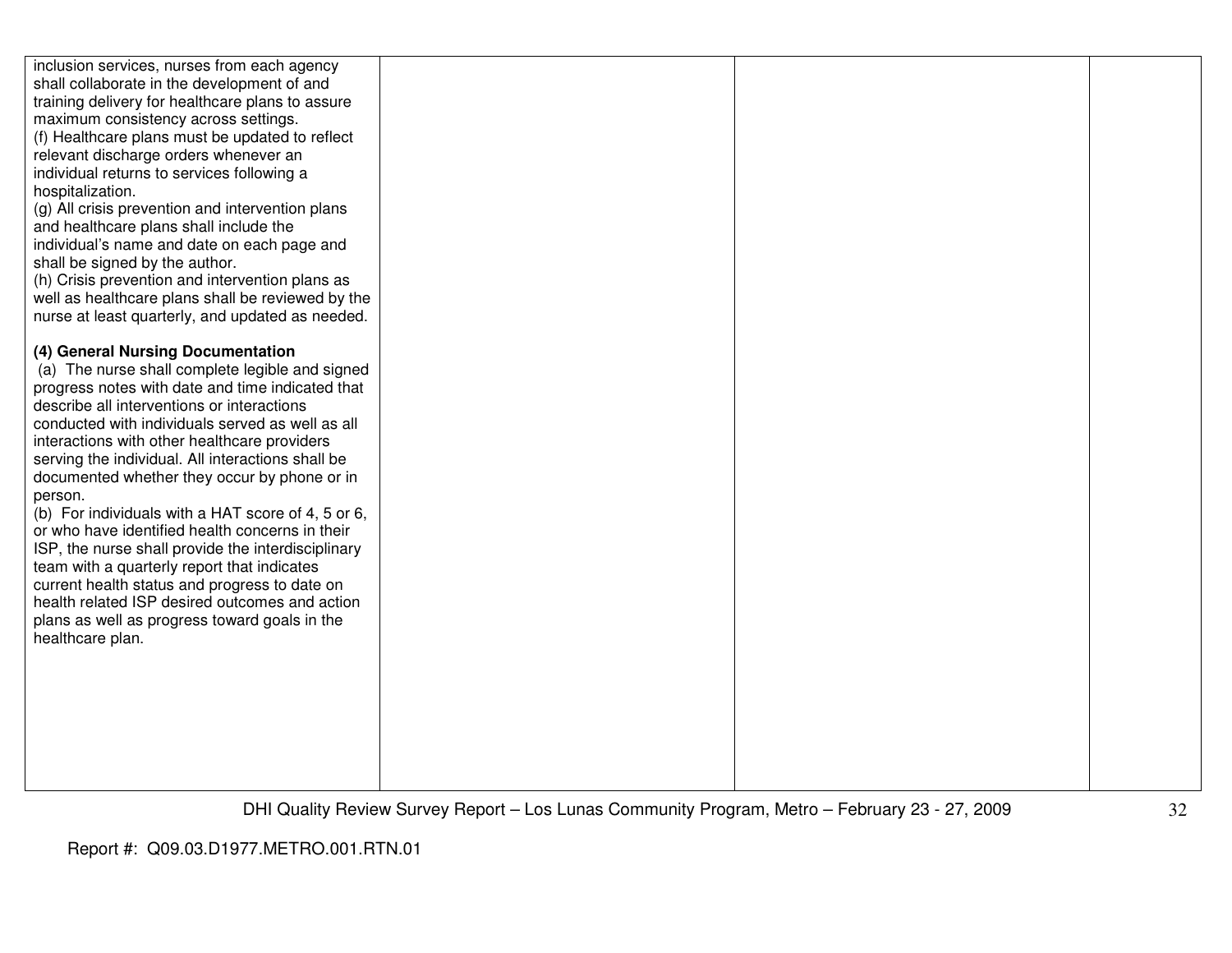| inclusion services, nurses from each agency<br>shall collaborate in the development of and<br>training delivery for healthcare plans to assure<br>maximum consistency across settings.<br>(f) Healthcare plans must be updated to reflect<br>relevant discharge orders whenever an<br>individual returns to services following a<br>hospitalization.<br>(g) All crisis prevention and intervention plans<br>and healthcare plans shall include the<br>individual's name and date on each page and<br>shall be signed by the author.<br>(h) Crisis prevention and intervention plans as<br>well as healthcare plans shall be reviewed by the<br>nurse at least quarterly, and updated as needed.<br>(4) General Nursing Documentation<br>(a) The nurse shall complete legible and signed |  |  |
|-----------------------------------------------------------------------------------------------------------------------------------------------------------------------------------------------------------------------------------------------------------------------------------------------------------------------------------------------------------------------------------------------------------------------------------------------------------------------------------------------------------------------------------------------------------------------------------------------------------------------------------------------------------------------------------------------------------------------------------------------------------------------------------------|--|--|
| progress notes with date and time indicated that                                                                                                                                                                                                                                                                                                                                                                                                                                                                                                                                                                                                                                                                                                                                        |  |  |
| describe all interventions or interactions                                                                                                                                                                                                                                                                                                                                                                                                                                                                                                                                                                                                                                                                                                                                              |  |  |
| conducted with individuals served as well as all                                                                                                                                                                                                                                                                                                                                                                                                                                                                                                                                                                                                                                                                                                                                        |  |  |
| interactions with other healthcare providers<br>serving the individual. All interactions shall be                                                                                                                                                                                                                                                                                                                                                                                                                                                                                                                                                                                                                                                                                       |  |  |
| documented whether they occur by phone or in                                                                                                                                                                                                                                                                                                                                                                                                                                                                                                                                                                                                                                                                                                                                            |  |  |
| person.                                                                                                                                                                                                                                                                                                                                                                                                                                                                                                                                                                                                                                                                                                                                                                                 |  |  |
| (b) For individuals with a HAT score of 4, 5 or 6,<br>or who have identified health concerns in their                                                                                                                                                                                                                                                                                                                                                                                                                                                                                                                                                                                                                                                                                   |  |  |
| ISP, the nurse shall provide the interdisciplinary                                                                                                                                                                                                                                                                                                                                                                                                                                                                                                                                                                                                                                                                                                                                      |  |  |
| team with a quarterly report that indicates                                                                                                                                                                                                                                                                                                                                                                                                                                                                                                                                                                                                                                                                                                                                             |  |  |
| current health status and progress to date on                                                                                                                                                                                                                                                                                                                                                                                                                                                                                                                                                                                                                                                                                                                                           |  |  |
| health related ISP desired outcomes and action<br>plans as well as progress toward goals in the                                                                                                                                                                                                                                                                                                                                                                                                                                                                                                                                                                                                                                                                                         |  |  |
| healthcare plan.                                                                                                                                                                                                                                                                                                                                                                                                                                                                                                                                                                                                                                                                                                                                                                        |  |  |
|                                                                                                                                                                                                                                                                                                                                                                                                                                                                                                                                                                                                                                                                                                                                                                                         |  |  |
|                                                                                                                                                                                                                                                                                                                                                                                                                                                                                                                                                                                                                                                                                                                                                                                         |  |  |
|                                                                                                                                                                                                                                                                                                                                                                                                                                                                                                                                                                                                                                                                                                                                                                                         |  |  |
|                                                                                                                                                                                                                                                                                                                                                                                                                                                                                                                                                                                                                                                                                                                                                                                         |  |  |
|                                                                                                                                                                                                                                                                                                                                                                                                                                                                                                                                                                                                                                                                                                                                                                                         |  |  |
|                                                                                                                                                                                                                                                                                                                                                                                                                                                                                                                                                                                                                                                                                                                                                                                         |  |  |
|                                                                                                                                                                                                                                                                                                                                                                                                                                                                                                                                                                                                                                                                                                                                                                                         |  |  |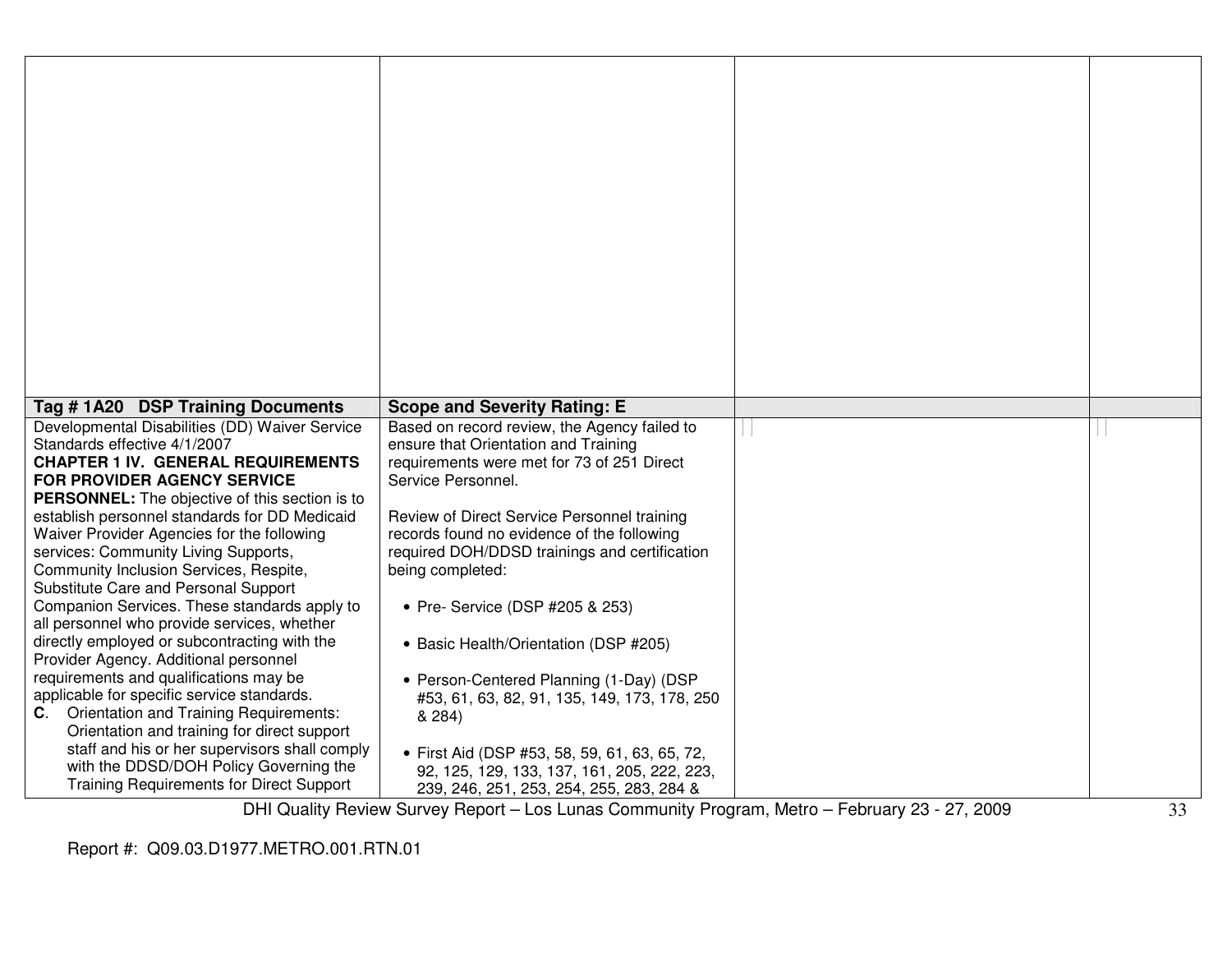| Tag #1A20 DSP Training Documents                                                                                                                                                                                                                                                                                                                                                                                                                                                                                                                                                                                                                                                                                                                                                                                                                                                                                                                                       | <b>Scope and Severity Rating: E</b>                                                                                                                                                                                                                                                                                                                                                                                                                                                                                                                                                                                                                     |  |
|------------------------------------------------------------------------------------------------------------------------------------------------------------------------------------------------------------------------------------------------------------------------------------------------------------------------------------------------------------------------------------------------------------------------------------------------------------------------------------------------------------------------------------------------------------------------------------------------------------------------------------------------------------------------------------------------------------------------------------------------------------------------------------------------------------------------------------------------------------------------------------------------------------------------------------------------------------------------|---------------------------------------------------------------------------------------------------------------------------------------------------------------------------------------------------------------------------------------------------------------------------------------------------------------------------------------------------------------------------------------------------------------------------------------------------------------------------------------------------------------------------------------------------------------------------------------------------------------------------------------------------------|--|
| Developmental Disabilities (DD) Waiver Service<br>Standards effective 4/1/2007<br><b>CHAPTER 1 IV. GENERAL REQUIREMENTS</b><br>FOR PROVIDER AGENCY SERVICE<br>PERSONNEL: The objective of this section is to<br>establish personnel standards for DD Medicaid<br>Waiver Provider Agencies for the following<br>services: Community Living Supports,<br>Community Inclusion Services, Respite,<br>Substitute Care and Personal Support<br>Companion Services. These standards apply to<br>all personnel who provide services, whether<br>directly employed or subcontracting with the<br>Provider Agency. Additional personnel<br>requirements and qualifications may be<br>applicable for specific service standards.<br><b>C.</b> Orientation and Training Requirements:<br>Orientation and training for direct support<br>staff and his or her supervisors shall comply<br>with the DDSD/DOH Policy Governing the<br><b>Training Requirements for Direct Support</b> | Based on record review, the Agency failed to<br>ensure that Orientation and Training<br>requirements were met for 73 of 251 Direct<br>Service Personnel.<br>Review of Direct Service Personnel training<br>records found no evidence of the following<br>required DOH/DDSD trainings and certification<br>being completed:<br>• Pre- Service (DSP #205 & 253)<br>• Basic Health/Orientation (DSP #205)<br>• Person-Centered Planning (1-Day) (DSP<br>#53, 61, 63, 82, 91, 135, 149, 173, 178, 250<br>& 284)<br>• First Aid (DSP #53, 58, 59, 61, 63, 65, 72,<br>92, 125, 129, 133, 137, 161, 205, 222, 223,<br>239, 246, 251, 253, 254, 255, 283, 284 & |  |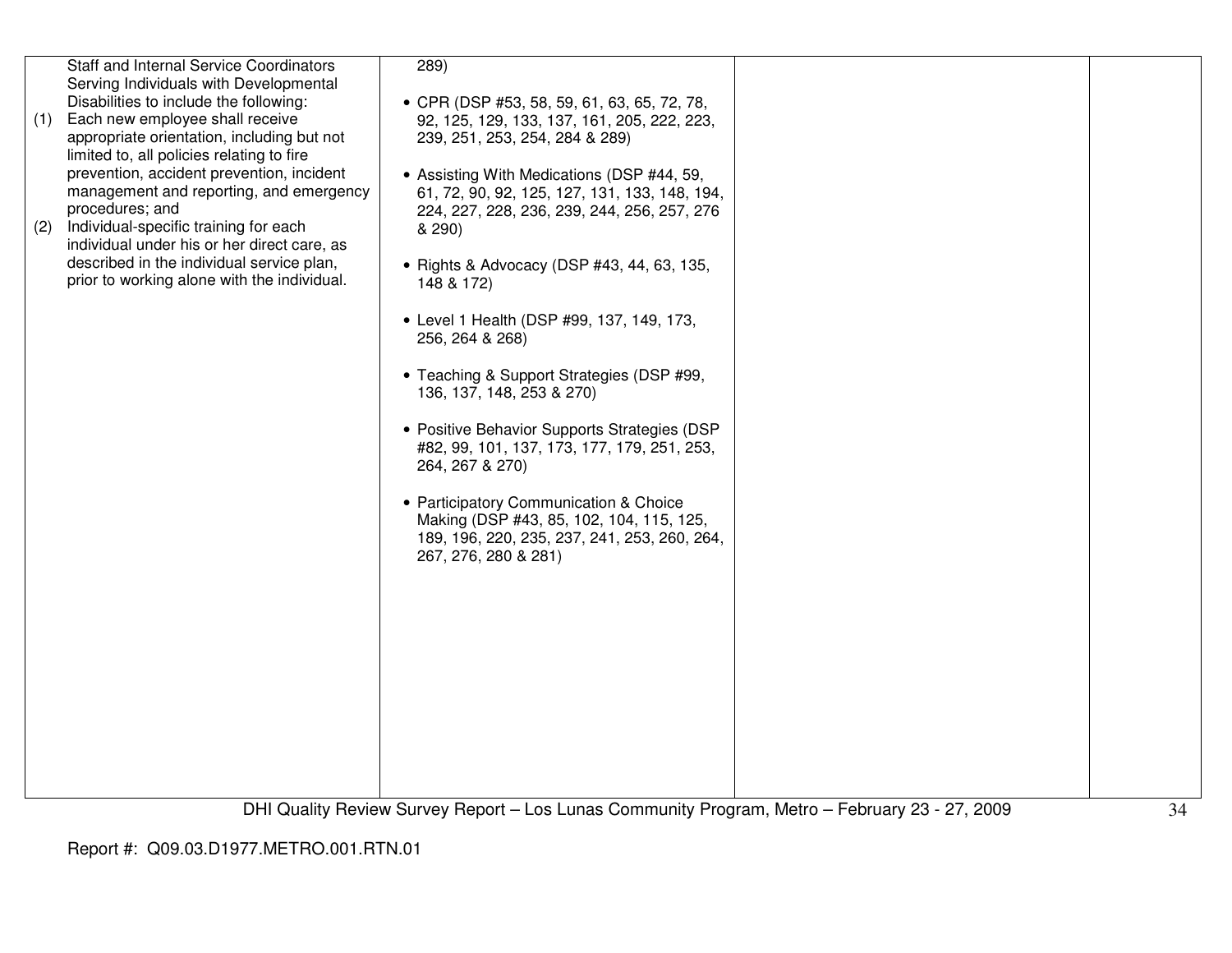| (1) | <b>Staff and Internal Service Coordinators</b><br>Serving Individuals with Developmental<br>Disabilities to include the following:<br>Each new employee shall receive<br>appropriate orientation, including but not<br>limited to, all policies relating to fire<br>prevention, accident prevention, incident | 289)<br>• CPR (DSP #53, 58, 59, 61, 63, 65, 72, 78,<br>92, 125, 129, 133, 137, 161, 205, 222, 223,<br>239, 251, 253, 254, 284 & 289)<br>• Assisting With Medications (DSP #44, 59, |  |
|-----|---------------------------------------------------------------------------------------------------------------------------------------------------------------------------------------------------------------------------------------------------------------------------------------------------------------|------------------------------------------------------------------------------------------------------------------------------------------------------------------------------------|--|
| (2) | management and reporting, and emergency<br>procedures; and<br>Individual-specific training for each<br>individual under his or her direct care, as                                                                                                                                                            | 61, 72, 90, 92, 125, 127, 131, 133, 148, 194,<br>224, 227, 228, 236, 239, 244, 256, 257, 276<br>& 290)                                                                             |  |
|     | described in the individual service plan,<br>prior to working alone with the individual.                                                                                                                                                                                                                      | • Rights & Advocacy (DSP #43, 44, 63, 135,<br>148 & 172)                                                                                                                           |  |
|     |                                                                                                                                                                                                                                                                                                               | • Level 1 Health (DSP #99, 137, 149, 173,<br>256, 264 & 268)                                                                                                                       |  |
|     |                                                                                                                                                                                                                                                                                                               | • Teaching & Support Strategies (DSP #99,<br>136, 137, 148, 253 & 270)                                                                                                             |  |
|     |                                                                                                                                                                                                                                                                                                               | • Positive Behavior Supports Strategies (DSP<br>#82, 99, 101, 137, 173, 177, 179, 251, 253,<br>264, 267 & 270)                                                                     |  |
|     |                                                                                                                                                                                                                                                                                                               | • Participatory Communication & Choice<br>Making (DSP #43, 85, 102, 104, 115, 125,<br>189, 196, 220, 235, 237, 241, 253, 260, 264,<br>267, 276, 280 & 281)                         |  |
|     |                                                                                                                                                                                                                                                                                                               |                                                                                                                                                                                    |  |
|     |                                                                                                                                                                                                                                                                                                               |                                                                                                                                                                                    |  |
|     |                                                                                                                                                                                                                                                                                                               |                                                                                                                                                                                    |  |
|     |                                                                                                                                                                                                                                                                                                               |                                                                                                                                                                                    |  |
|     |                                                                                                                                                                                                                                                                                                               |                                                                                                                                                                                    |  |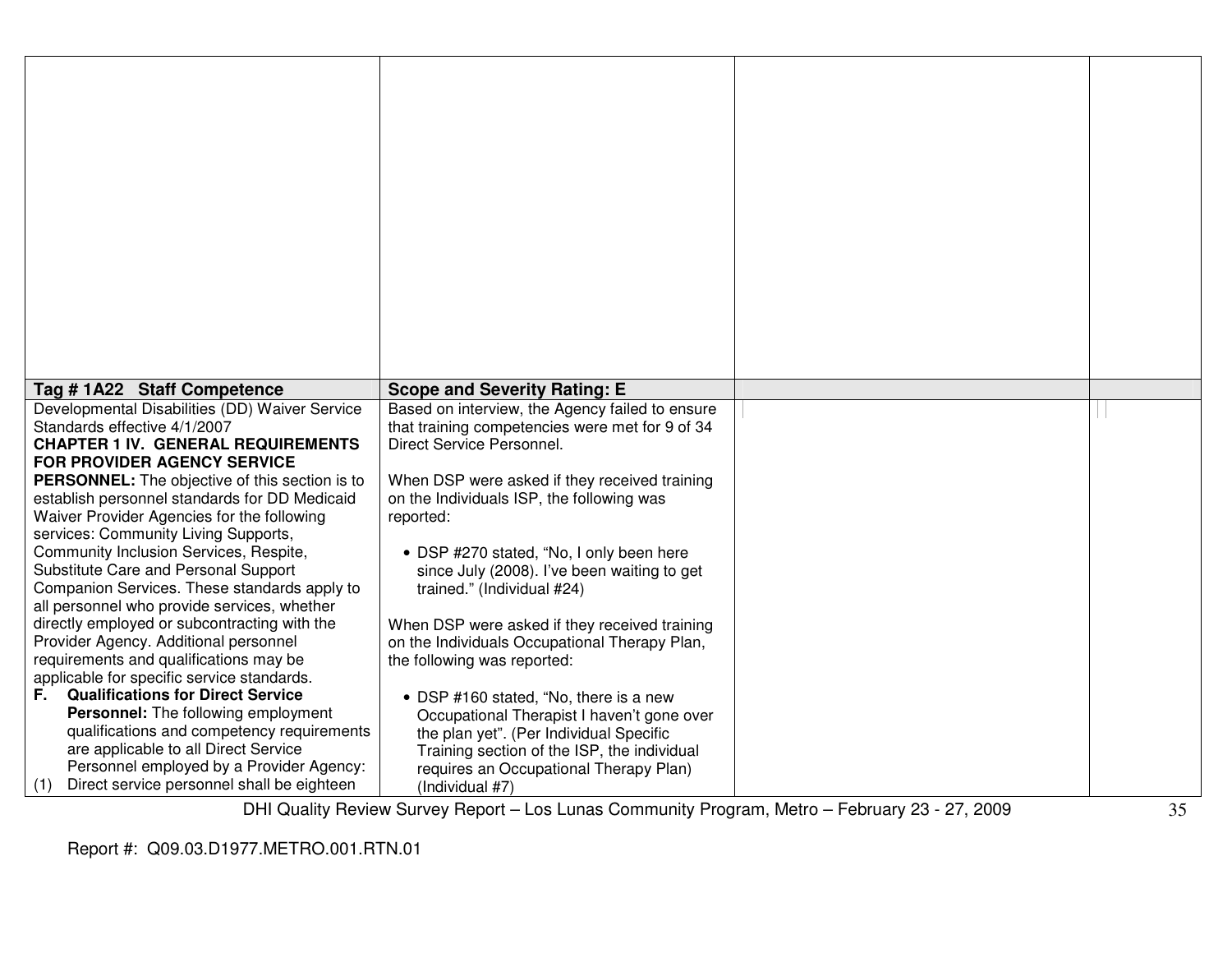| Tag #1A22 Staff Competence                                                                  | <b>Scope and Severity Rating: E</b>                                          |  |
|---------------------------------------------------------------------------------------------|------------------------------------------------------------------------------|--|
| Developmental Disabilities (DD) Waiver Service                                              | Based on interview, the Agency failed to ensure                              |  |
| Standards effective 4/1/2007                                                                | that training competencies were met for 9 of 34                              |  |
| <b>CHAPTER 1 IV. GENERAL REQUIREMENTS</b>                                                   | Direct Service Personnel.                                                    |  |
| <b>FOR PROVIDER AGENCY SERVICE</b><br><b>PERSONNEL:</b> The objective of this section is to | When DSP were asked if they received training                                |  |
| establish personnel standards for DD Medicaid                                               | on the Individuals ISP, the following was                                    |  |
| Waiver Provider Agencies for the following                                                  | reported:                                                                    |  |
| services: Community Living Supports,                                                        |                                                                              |  |
| Community Inclusion Services, Respite,                                                      | • DSP #270 stated, "No, I only been here                                     |  |
| Substitute Care and Personal Support                                                        | since July (2008). I've been waiting to get                                  |  |
| Companion Services. These standards apply to                                                | trained." (Individual #24)                                                   |  |
| all personnel who provide services, whether                                                 |                                                                              |  |
| directly employed or subcontracting with the<br>Provider Agency. Additional personnel       | When DSP were asked if they received training                                |  |
| requirements and qualifications may be                                                      | on the Individuals Occupational Therapy Plan,<br>the following was reported: |  |
| applicable for specific service standards.                                                  |                                                                              |  |
| <b>Qualifications for Direct Service</b><br>F.                                              | • DSP #160 stated, "No, there is a new                                       |  |
| <b>Personnel:</b> The following employment                                                  | Occupational Therapist I haven't gone over                                   |  |
| qualifications and competency requirements                                                  | the plan yet". (Per Individual Specific                                      |  |
| are applicable to all Direct Service                                                        | Training section of the ISP, the individual                                  |  |
| Personnel employed by a Provider Agency:                                                    | requires an Occupational Therapy Plan)                                       |  |
| Direct service personnel shall be eighteen<br>(1)                                           | (Individual #7)                                                              |  |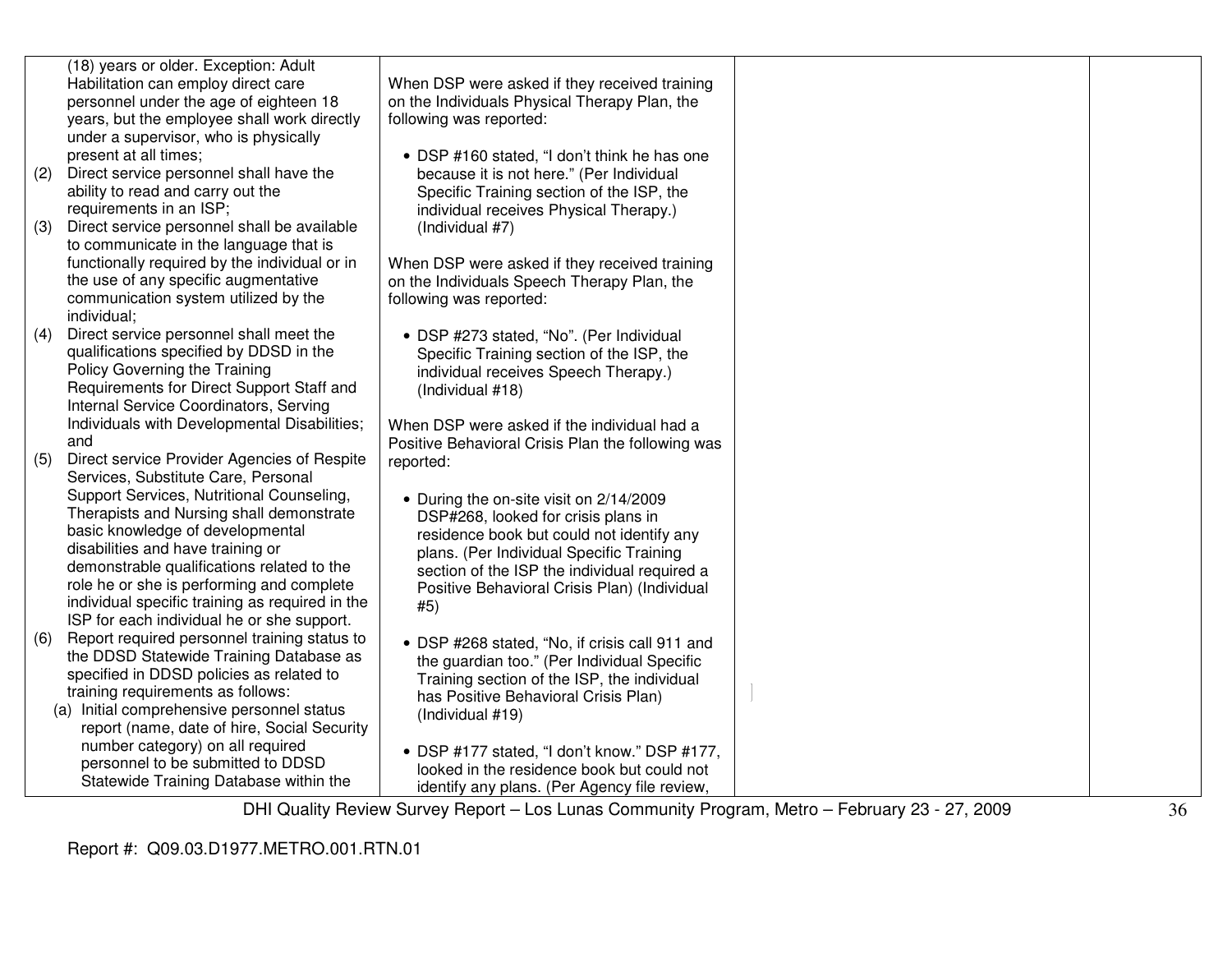|     | (18) years or older. Exception: Adult                                 |                                                   |                                   |  |
|-----|-----------------------------------------------------------------------|---------------------------------------------------|-----------------------------------|--|
|     | Habilitation can employ direct care                                   | When DSP were asked if they received training     |                                   |  |
|     | personnel under the age of eighteen 18                                | on the Individuals Physical Therapy Plan, the     |                                   |  |
|     | years, but the employee shall work directly                           | following was reported:                           |                                   |  |
|     | under a supervisor, who is physically                                 |                                                   |                                   |  |
|     | present at all times;                                                 | • DSP #160 stated, "I don't think he has one      |                                   |  |
| (2) | Direct service personnel shall have the                               | because it is not here." (Per Individual          |                                   |  |
|     | ability to read and carry out the                                     | Specific Training section of the ISP, the         |                                   |  |
|     | requirements in an ISP;                                               | individual receives Physical Therapy.)            |                                   |  |
| (3) | Direct service personnel shall be available                           | (Individual #7)                                   |                                   |  |
|     | to communicate in the language that is                                |                                                   |                                   |  |
|     | functionally required by the individual or in                         | When DSP were asked if they received training     |                                   |  |
|     | the use of any specific augmentative                                  | on the Individuals Speech Therapy Plan, the       |                                   |  |
|     | communication system utilized by the                                  | following was reported:                           |                                   |  |
|     | individual;                                                           |                                                   |                                   |  |
| (4) | Direct service personnel shall meet the                               | • DSP #273 stated, "No". (Per Individual          |                                   |  |
|     | qualifications specified by DDSD in the                               | Specific Training section of the ISP, the         |                                   |  |
|     | Policy Governing the Training                                         | individual receives Speech Therapy.)              |                                   |  |
|     | Requirements for Direct Support Staff and                             | (Individual #18)                                  |                                   |  |
|     | Internal Service Coordinators, Serving                                |                                                   |                                   |  |
|     | Individuals with Developmental Disabilities;                          | When DSP were asked if the individual had a       |                                   |  |
|     | and                                                                   | Positive Behavioral Crisis Plan the following was |                                   |  |
| (5) | Direct service Provider Agencies of Respite                           | reported:                                         |                                   |  |
|     | Services, Substitute Care, Personal                                   |                                                   |                                   |  |
|     | Support Services, Nutritional Counseling,                             | • During the on-site visit on 2/14/2009           |                                   |  |
|     | Therapists and Nursing shall demonstrate                              | DSP#268, looked for crisis plans in               |                                   |  |
|     | basic knowledge of developmental                                      | residence book but could not identify any         |                                   |  |
|     | disabilities and have training or                                     | plans. (Per Individual Specific Training          |                                   |  |
|     | demonstrable qualifications related to the                            | section of the ISP the individual required a      |                                   |  |
|     | role he or she is performing and complete                             | Positive Behavioral Crisis Plan) (Individual      |                                   |  |
|     | individual specific training as required in the                       | #5)                                               |                                   |  |
|     | ISP for each individual he or she support.                            |                                                   |                                   |  |
| (6) | Report required personnel training status to                          | • DSP #268 stated, "No, if crisis call 911 and    |                                   |  |
|     | the DDSD Statewide Training Database as                               | the guardian too." (Per Individual Specific       |                                   |  |
|     | specified in DDSD policies as related to                              | Training section of the ISP, the individual       |                                   |  |
|     | training requirements as follows:                                     | has Positive Behavioral Crisis Plan)              |                                   |  |
|     | (a) Initial comprehensive personnel status                            | (Individual #19)                                  |                                   |  |
|     | report (name, date of hire, Social Security                           |                                                   |                                   |  |
|     | number category) on all required<br>personnel to be submitted to DDSD | • DSP #177 stated, "I don't know." DSP #177,      |                                   |  |
|     | Statewide Training Database within the                                | looked in the residence book but could not        |                                   |  |
|     |                                                                       | identify any plans. (Per Agency file review,      |                                   |  |
|     |                                                                       |                                                   | $-1$<br>$\cdots$<br>$- - - - - -$ |  |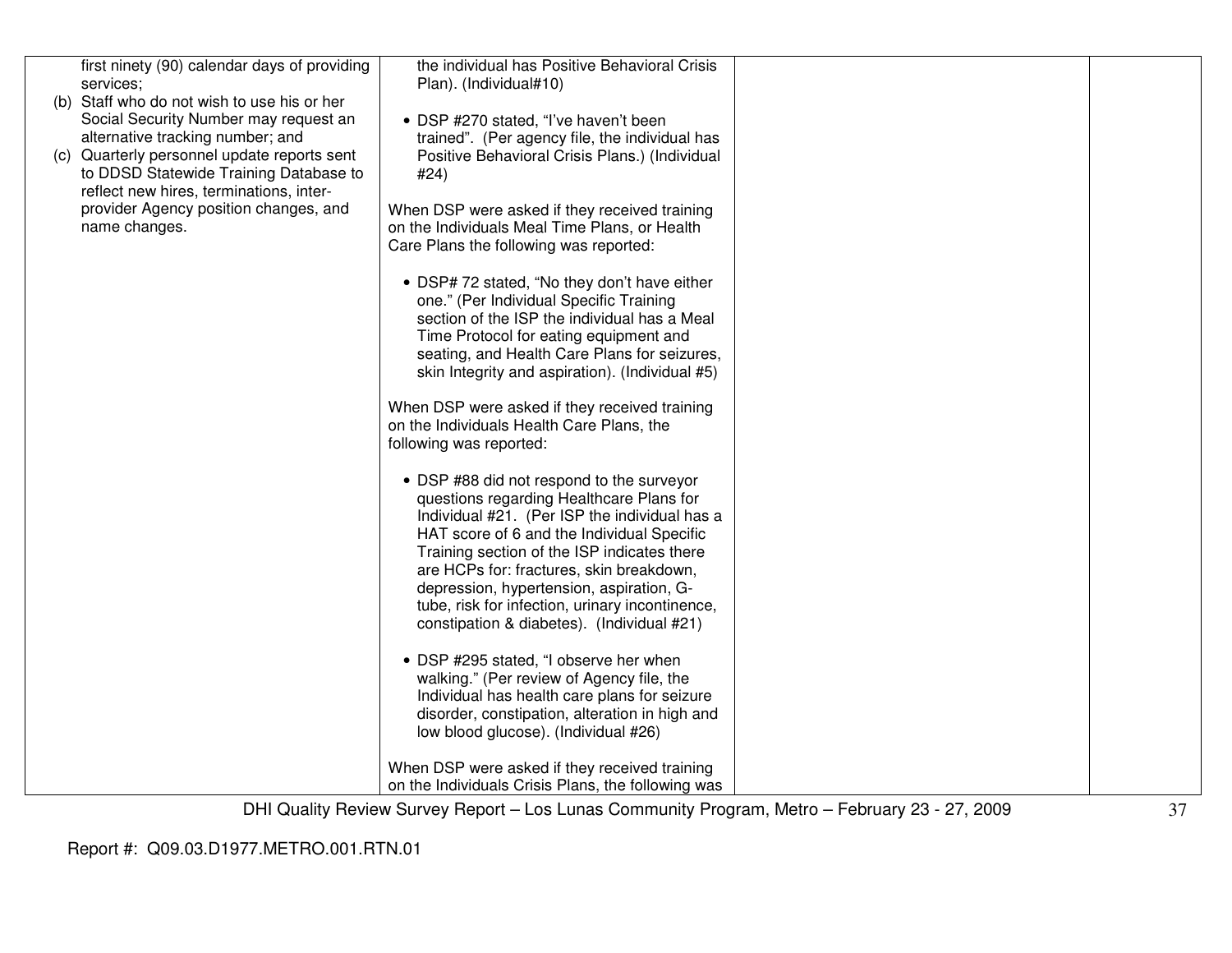| first ninety (90) calendar days of providing<br>services;<br>(b) Staff who do not wish to use his or her<br>Social Security Number may request an<br>alternative tracking number; and      | the individual has Positive Behavioral Crisis<br>Plan). (Individual#10)<br>• DSP #270 stated, "I've haven't been<br>trained". (Per agency file, the individual has<br>Positive Behavioral Crisis Plans.) (Individual<br>#24)                                                                                                                                                                                                                                                                                                                                                                                                                                                                                                                                                                                                                                                                                                                                                                                                                                                                                                                                                                                               |  |
|--------------------------------------------------------------------------------------------------------------------------------------------------------------------------------------------|----------------------------------------------------------------------------------------------------------------------------------------------------------------------------------------------------------------------------------------------------------------------------------------------------------------------------------------------------------------------------------------------------------------------------------------------------------------------------------------------------------------------------------------------------------------------------------------------------------------------------------------------------------------------------------------------------------------------------------------------------------------------------------------------------------------------------------------------------------------------------------------------------------------------------------------------------------------------------------------------------------------------------------------------------------------------------------------------------------------------------------------------------------------------------------------------------------------------------|--|
| (c) Quarterly personnel update reports sent<br>to DDSD Statewide Training Database to<br>reflect new hires, terminations, inter-<br>provider Agency position changes, and<br>name changes. | When DSP were asked if they received training<br>on the Individuals Meal Time Plans, or Health<br>Care Plans the following was reported:<br>• DSP# 72 stated, "No they don't have either<br>one." (Per Individual Specific Training<br>section of the ISP the individual has a Meal<br>Time Protocol for eating equipment and<br>seating, and Health Care Plans for seizures,<br>skin Integrity and aspiration). (Individual #5)<br>When DSP were asked if they received training<br>on the Individuals Health Care Plans, the<br>following was reported:<br>• DSP #88 did not respond to the surveyor<br>questions regarding Healthcare Plans for<br>Individual #21. (Per ISP the individual has a<br>HAT score of 6 and the Individual Specific<br>Training section of the ISP indicates there<br>are HCPs for: fractures, skin breakdown,<br>depression, hypertension, aspiration, G-<br>tube, risk for infection, urinary incontinence,<br>constipation & diabetes). (Individual #21)<br>• DSP #295 stated, "I observe her when<br>walking." (Per review of Agency file, the<br>Individual has health care plans for seizure<br>disorder, constipation, alteration in high and<br>low blood glucose). (Individual #26) |  |
|                                                                                                                                                                                            | When DSP were asked if they received training<br>on the Individuals Crisis Plans, the following was                                                                                                                                                                                                                                                                                                                                                                                                                                                                                                                                                                                                                                                                                                                                                                                                                                                                                                                                                                                                                                                                                                                        |  |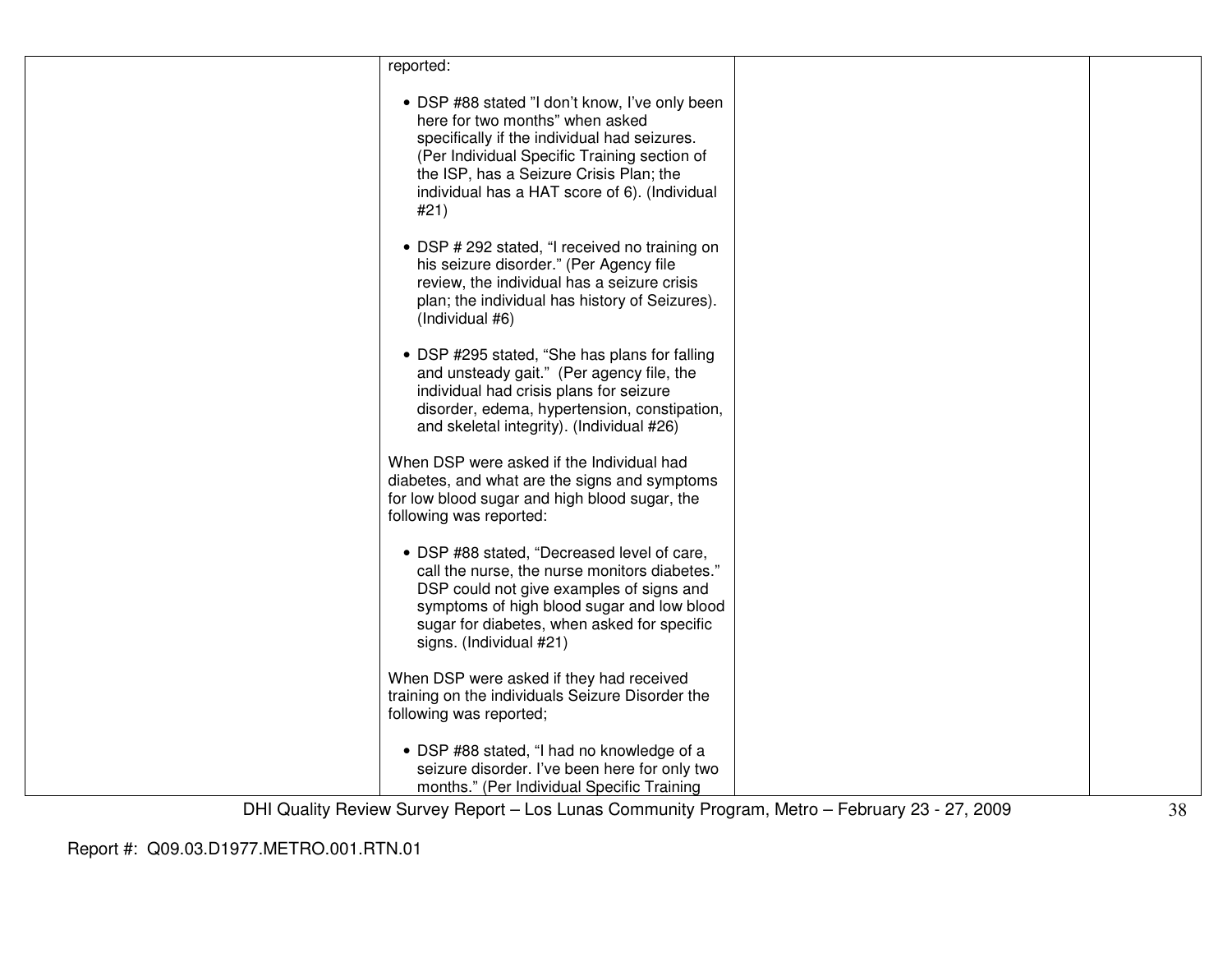| reported:                                                                                                                                                                                                                                                                             |  |
|---------------------------------------------------------------------------------------------------------------------------------------------------------------------------------------------------------------------------------------------------------------------------------------|--|
| • DSP #88 stated "I don't know, I've only been<br>here for two months" when asked<br>specifically if the individual had seizures.<br>(Per Individual Specific Training section of<br>the ISP, has a Seizure Crisis Plan; the<br>individual has a HAT score of 6). (Individual<br>#21) |  |
| • DSP # 292 stated, "I received no training on<br>his seizure disorder." (Per Agency file<br>review, the individual has a seizure crisis<br>plan; the individual has history of Seizures).<br>(Individual #6)                                                                         |  |
| • DSP #295 stated, "She has plans for falling<br>and unsteady gait." (Per agency file, the<br>individual had crisis plans for seizure<br>disorder, edema, hypertension, constipation,<br>and skeletal integrity). (Individual #26)                                                    |  |
| When DSP were asked if the Individual had<br>diabetes, and what are the signs and symptoms<br>for low blood sugar and high blood sugar, the<br>following was reported:                                                                                                                |  |
| • DSP #88 stated, "Decreased level of care,<br>call the nurse, the nurse monitors diabetes."<br>DSP could not give examples of signs and<br>symptoms of high blood sugar and low blood<br>sugar for diabetes, when asked for specific<br>signs. (Individual #21)                      |  |
| When DSP were asked if they had received<br>training on the individuals Seizure Disorder the<br>following was reported;                                                                                                                                                               |  |
| • DSP #88 stated, "I had no knowledge of a<br>seizure disorder. I've been here for only two<br>months." (Per Individual Specific Training                                                                                                                                             |  |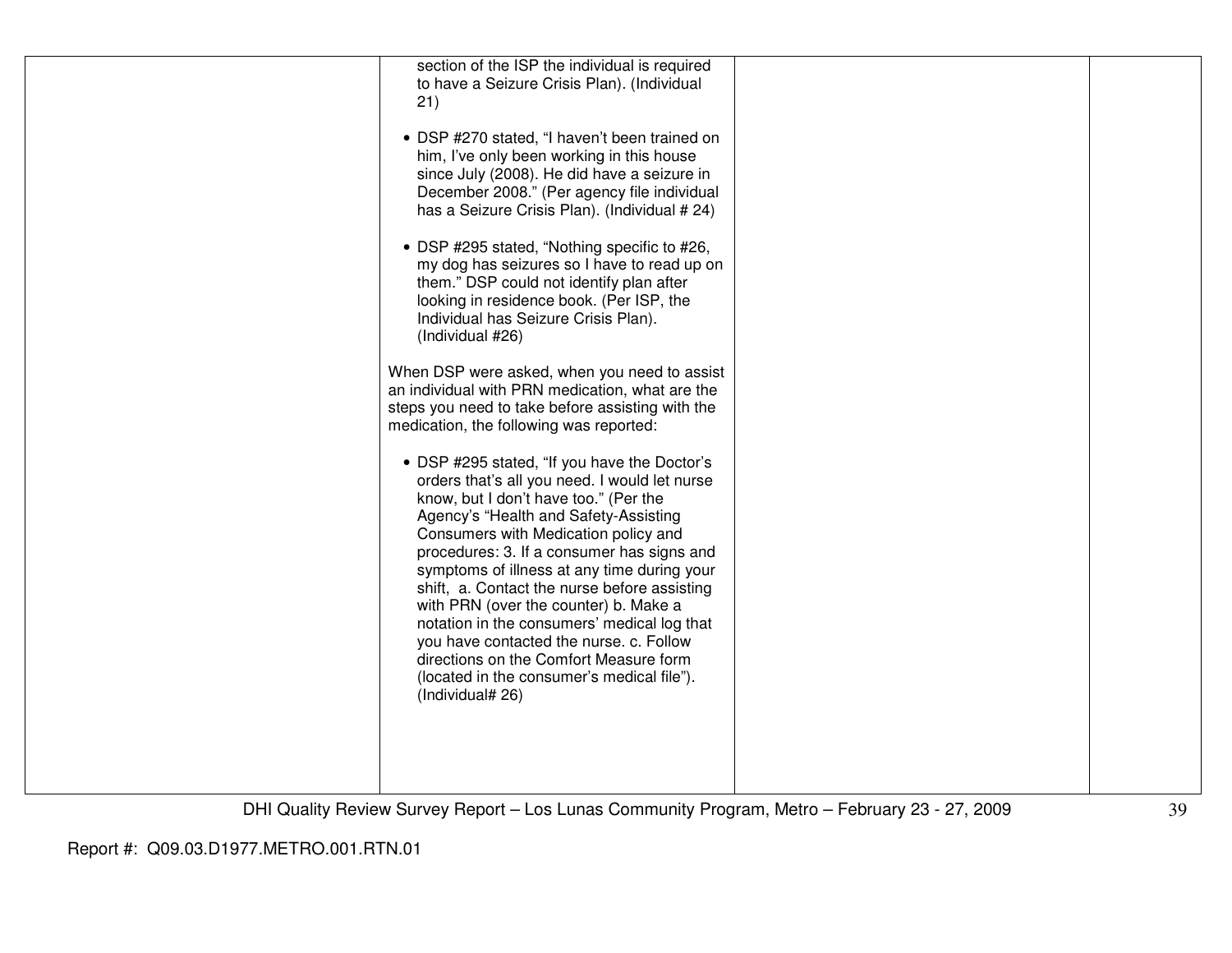| section of the ISP the individual is required<br>to have a Seizure Crisis Plan). (Individual<br>21)                                                                                                                                                                                                                                                                                                                                                                                                                                                                                                                 |  |
|---------------------------------------------------------------------------------------------------------------------------------------------------------------------------------------------------------------------------------------------------------------------------------------------------------------------------------------------------------------------------------------------------------------------------------------------------------------------------------------------------------------------------------------------------------------------------------------------------------------------|--|
| • DSP #270 stated, "I haven't been trained on<br>him, I've only been working in this house<br>since July (2008). He did have a seizure in<br>December 2008." (Per agency file individual<br>has a Seizure Crisis Plan). (Individual # 24)                                                                                                                                                                                                                                                                                                                                                                           |  |
| • DSP #295 stated, "Nothing specific to #26,<br>my dog has seizures so I have to read up on<br>them." DSP could not identify plan after<br>looking in residence book. (Per ISP, the<br>Individual has Seizure Crisis Plan).<br>(Individual #26)                                                                                                                                                                                                                                                                                                                                                                     |  |
| When DSP were asked, when you need to assist<br>an individual with PRN medication, what are the<br>steps you need to take before assisting with the<br>medication, the following was reported:                                                                                                                                                                                                                                                                                                                                                                                                                      |  |
| • DSP #295 stated, "If you have the Doctor's<br>orders that's all you need. I would let nurse<br>know, but I don't have too." (Per the<br>Agency's "Health and Safety-Assisting<br>Consumers with Medication policy and<br>procedures: 3. If a consumer has signs and<br>symptoms of illness at any time during your<br>shift, a. Contact the nurse before assisting<br>with PRN (over the counter) b. Make a<br>notation in the consumers' medical log that<br>you have contacted the nurse. c. Follow<br>directions on the Comfort Measure form<br>(located in the consumer's medical file").<br>(Individual# 26) |  |
|                                                                                                                                                                                                                                                                                                                                                                                                                                                                                                                                                                                                                     |  |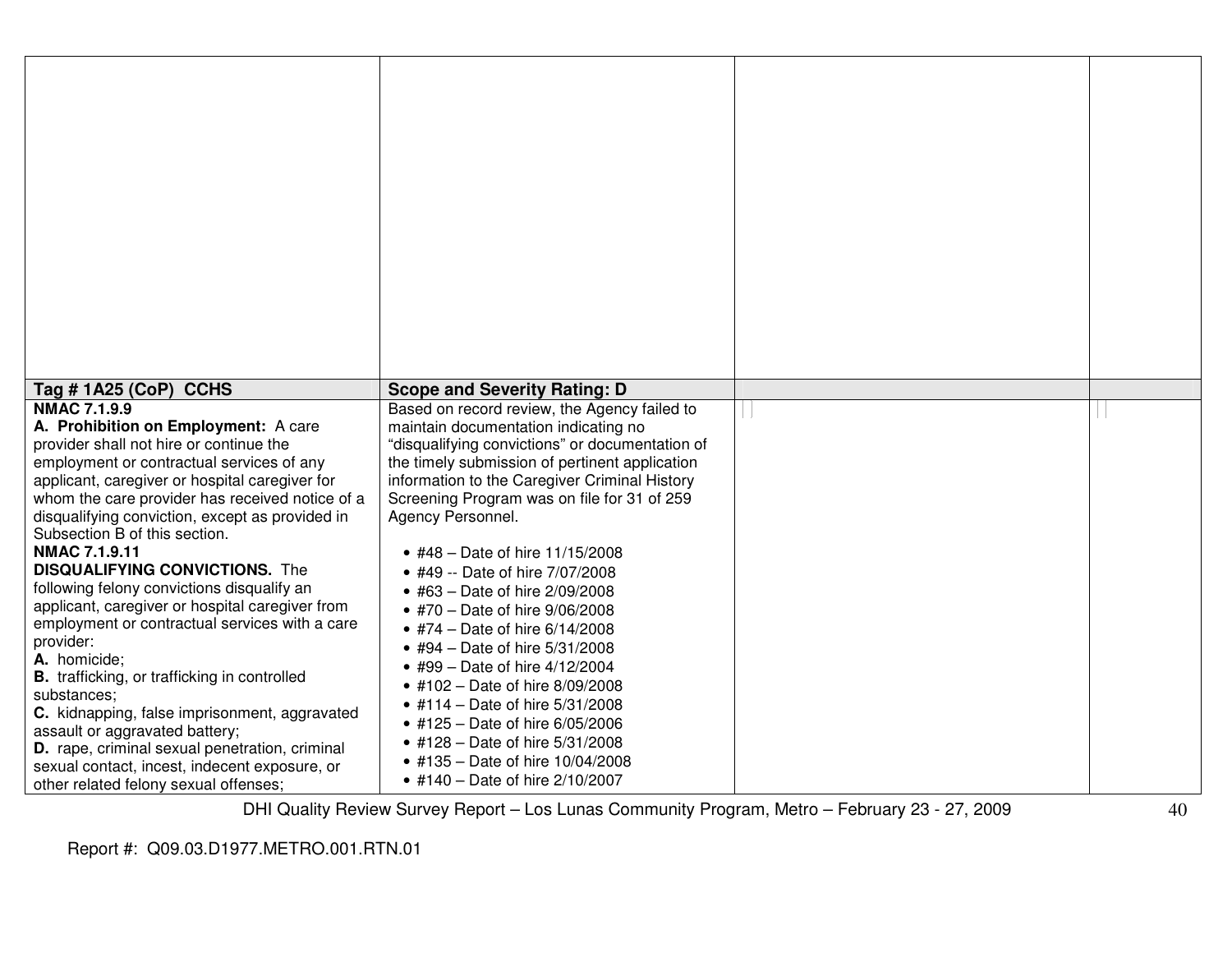| Tag #1A25 (CoP) CCHS                                                                                                                            | <b>Scope and Severity Rating: D</b>                                                                                                                |  |
|-------------------------------------------------------------------------------------------------------------------------------------------------|----------------------------------------------------------------------------------------------------------------------------------------------------|--|
| <b>NMAC 7.1.9.9</b><br>A. Prohibition on Employment: A care                                                                                     | Based on record review, the Agency failed to<br>maintain documentation indicating no                                                               |  |
| provider shall not hire or continue the<br>employment or contractual services of any<br>applicant, caregiver or hospital caregiver for          | "disqualifying convictions" or documentation of<br>the timely submission of pertinent application<br>information to the Caregiver Criminal History |  |
| whom the care provider has received notice of a<br>disqualifying conviction, except as provided in                                              | Screening Program was on file for 31 of 259<br>Agency Personnel.                                                                                   |  |
| Subsection B of this section.<br><b>NMAC 7.1.9.11</b><br><b>DISQUALIFYING CONVICTIONS.</b> The                                                  | • #48 - Date of hire 11/15/2008<br>• #49 -- Date of hire 7/07/2008                                                                                 |  |
| following felony convictions disqualify an<br>applicant, caregiver or hospital caregiver from<br>employment or contractual services with a care | • #63 - Date of hire 2/09/2008<br>• #70 - Date of hire 9/06/2008                                                                                   |  |
| provider:<br>A. homicide;                                                                                                                       | • #74 – Date of hire $6/14/2008$<br>• #94 - Date of hire 5/31/2008<br>• #99 - Date of hire $4/12/2004$                                             |  |
| <b>B.</b> trafficking, or trafficking in controlled<br>substances;<br>C. kidnapping, false imprisonment, aggravated                             | • #102 - Date of hire 8/09/2008<br>• #114 - Date of hire 5/31/2008                                                                                 |  |
| assault or aggravated battery;<br>D. rape, criminal sexual penetration, criminal                                                                | • #125 - Date of hire 6/05/2006<br>• #128 - Date of hire 5/31/2008<br>• #135 - Date of hire 10/04/2008                                             |  |
| sexual contact, incest, indecent exposure, or<br>other related felony sexual offenses;                                                          | • #140 – Date of hire $2/10/2007$                                                                                                                  |  |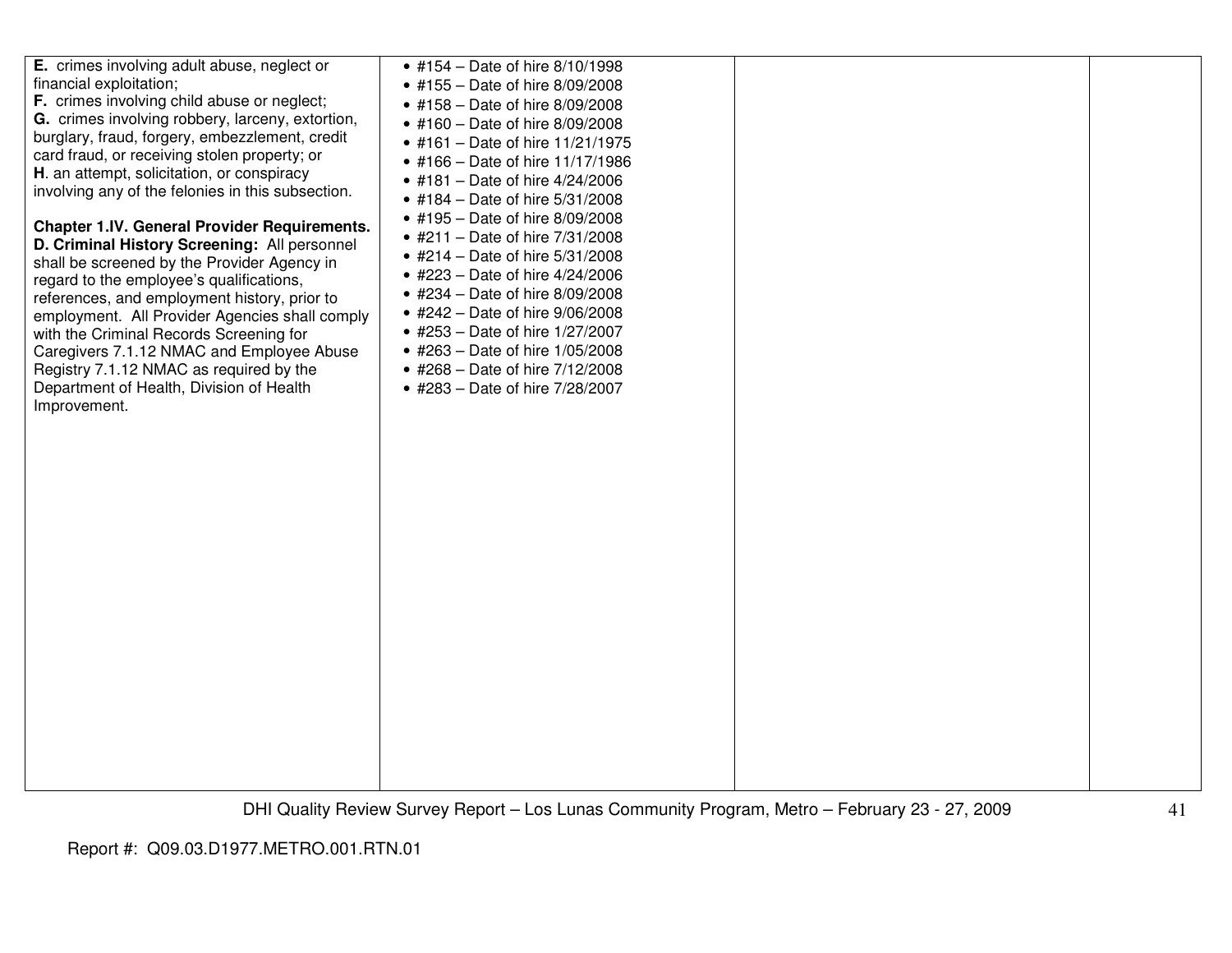| E. crimes involving adult abuse, neglect or<br>financial exploitation;<br><b>F.</b> crimes involving child abuse or neglect;<br>G. crimes involving robbery, larceny, extortion,<br>burglary, fraud, forgery, embezzlement, credit<br>card fraud, or receiving stolen property; or<br>H. an attempt, solicitation, or conspiracy<br>involving any of the felonies in this subsection.<br><b>Chapter 1.IV. General Provider Requirements.</b><br>D. Criminal History Screening: All personnel<br>shall be screened by the Provider Agency in<br>regard to the employee's qualifications,<br>references, and employment history, prior to<br>employment. All Provider Agencies shall comply<br>with the Criminal Records Screening for<br>Caregivers 7.1.12 NMAC and Employee Abuse<br>Registry 7.1.12 NMAC as required by the<br>Department of Health, Division of Health<br>Improvement. | • #154 - Date of hire 8/10/1998<br>• #155 - Date of hire 8/09/2008<br>• #158 - Date of hire 8/09/2008<br>• #160 - Date of hire 8/09/2008<br>• #161 - Date of hire 11/21/1975<br>• #166 - Date of hire 11/17/1986<br>• #181 - Date of hire 4/24/2006<br>• #184 – Date of hire $5/31/2008$<br>• #195 – Date of hire $8/09/2008$<br>• #211 – Date of hire $7/31/2008$<br>• #214 – Date of hire $5/31/2008$<br>• #223 – Date of hire $4/24/2006$<br>• #234 - Date of hire 8/09/2008<br>• #242 - Date of hire 9/06/2008<br>• #253 – Date of hire 1/27/2007<br>• #263 - Date of hire 1/05/2008<br>• #268 - Date of hire 7/12/2008<br>• #283 - Date of hire 7/28/2007 |  |  |
|------------------------------------------------------------------------------------------------------------------------------------------------------------------------------------------------------------------------------------------------------------------------------------------------------------------------------------------------------------------------------------------------------------------------------------------------------------------------------------------------------------------------------------------------------------------------------------------------------------------------------------------------------------------------------------------------------------------------------------------------------------------------------------------------------------------------------------------------------------------------------------------|----------------------------------------------------------------------------------------------------------------------------------------------------------------------------------------------------------------------------------------------------------------------------------------------------------------------------------------------------------------------------------------------------------------------------------------------------------------------------------------------------------------------------------------------------------------------------------------------------------------------------------------------------------------|--|--|
|------------------------------------------------------------------------------------------------------------------------------------------------------------------------------------------------------------------------------------------------------------------------------------------------------------------------------------------------------------------------------------------------------------------------------------------------------------------------------------------------------------------------------------------------------------------------------------------------------------------------------------------------------------------------------------------------------------------------------------------------------------------------------------------------------------------------------------------------------------------------------------------|----------------------------------------------------------------------------------------------------------------------------------------------------------------------------------------------------------------------------------------------------------------------------------------------------------------------------------------------------------------------------------------------------------------------------------------------------------------------------------------------------------------------------------------------------------------------------------------------------------------------------------------------------------------|--|--|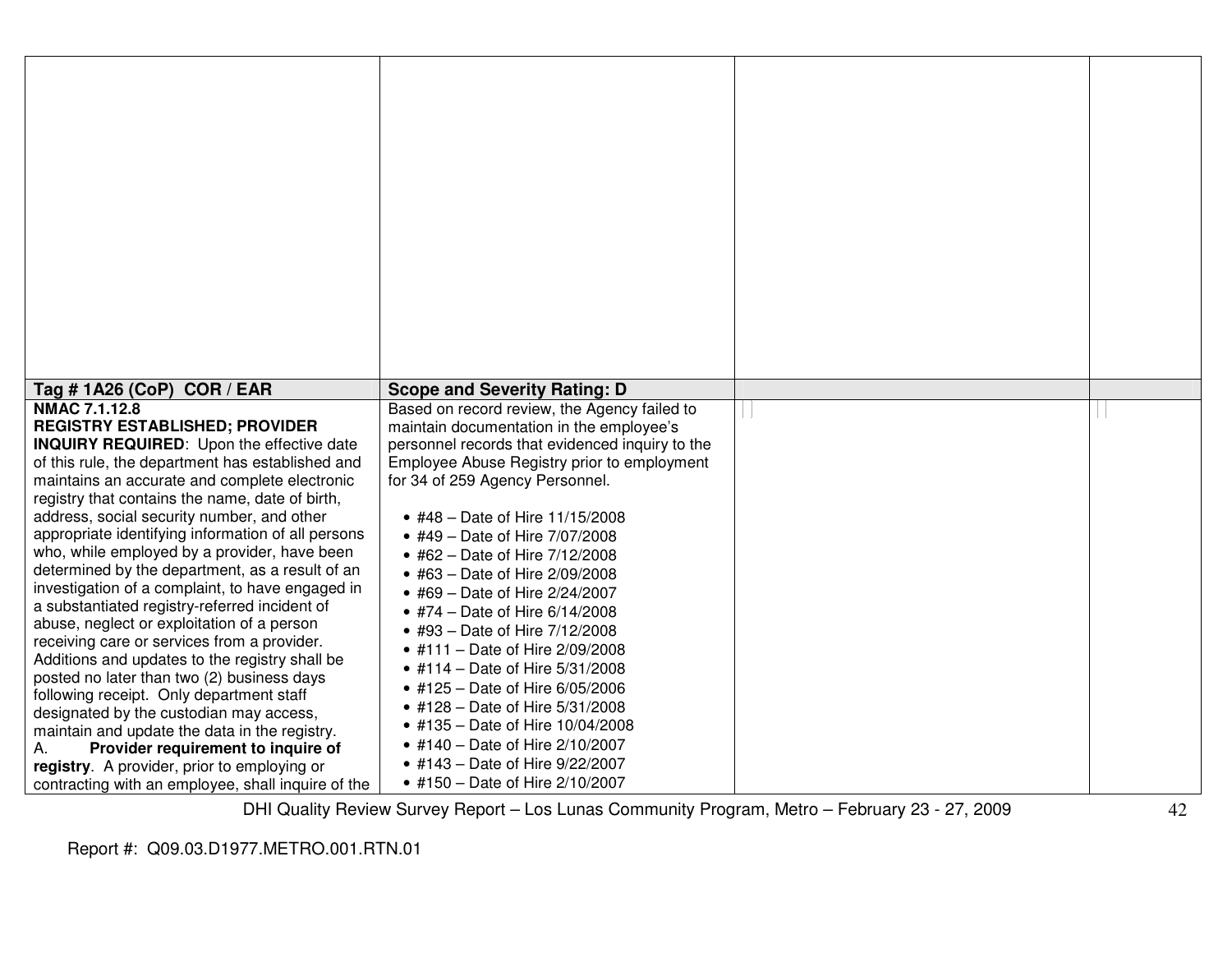| Tag # 1A26 (CoP) COR / EAR                                                                                                                                                                                                                                                                                                                                                                                                                                                                                                                                                                                                                                                                                                                                                                                                                                                                                                                                                                                                                                                  | <b>Scope and Severity Rating: D</b>                                                                                                                                                                                                                                                                                                                                                                                                                                                                                                                                                                                                                                                                                                                                     |  |
|-----------------------------------------------------------------------------------------------------------------------------------------------------------------------------------------------------------------------------------------------------------------------------------------------------------------------------------------------------------------------------------------------------------------------------------------------------------------------------------------------------------------------------------------------------------------------------------------------------------------------------------------------------------------------------------------------------------------------------------------------------------------------------------------------------------------------------------------------------------------------------------------------------------------------------------------------------------------------------------------------------------------------------------------------------------------------------|-------------------------------------------------------------------------------------------------------------------------------------------------------------------------------------------------------------------------------------------------------------------------------------------------------------------------------------------------------------------------------------------------------------------------------------------------------------------------------------------------------------------------------------------------------------------------------------------------------------------------------------------------------------------------------------------------------------------------------------------------------------------------|--|
| <b>NMAC 7.1.12.8</b><br><b>REGISTRY ESTABLISHED; PROVIDER</b><br><b>INQUIRY REQUIRED:</b> Upon the effective date<br>of this rule, the department has established and<br>maintains an accurate and complete electronic<br>registry that contains the name, date of birth,<br>address, social security number, and other<br>appropriate identifying information of all persons<br>who, while employed by a provider, have been<br>determined by the department, as a result of an<br>investigation of a complaint, to have engaged in<br>a substantiated registry-referred incident of<br>abuse, neglect or exploitation of a person<br>receiving care or services from a provider.<br>Additions and updates to the registry shall be<br>posted no later than two (2) business days<br>following receipt. Only department staff<br>designated by the custodian may access,<br>maintain and update the data in the registry.<br>Provider requirement to inquire of<br>А.<br>registry. A provider, prior to employing or<br>contracting with an employee, shall inquire of the | Based on record review, the Agency failed to<br>maintain documentation in the employee's<br>personnel records that evidenced inquiry to the<br>Employee Abuse Registry prior to employment<br>for 34 of 259 Agency Personnel.<br>• #48 - Date of Hire 11/15/2008<br>• #49 - Date of Hire 7/07/2008<br>• #62 - Date of Hire 7/12/2008<br>• #63 - Date of Hire 2/09/2008<br>• #69 - Date of Hire 2/24/2007<br>• #74 - Date of Hire 6/14/2008<br>• #93 - Date of Hire 7/12/2008<br>• #111 - Date of Hire 2/09/2008<br>• #114 - Date of Hire 5/31/2008<br>• #125 - Date of Hire 6/05/2006<br>• #128 - Date of Hire 5/31/2008<br>• #135 - Date of Hire 10/04/2008<br>• #140 - Date of Hire 2/10/2007<br>• #143 – Date of Hire $9/22/2007$<br>• #150 - Date of Hire 2/10/2007 |  |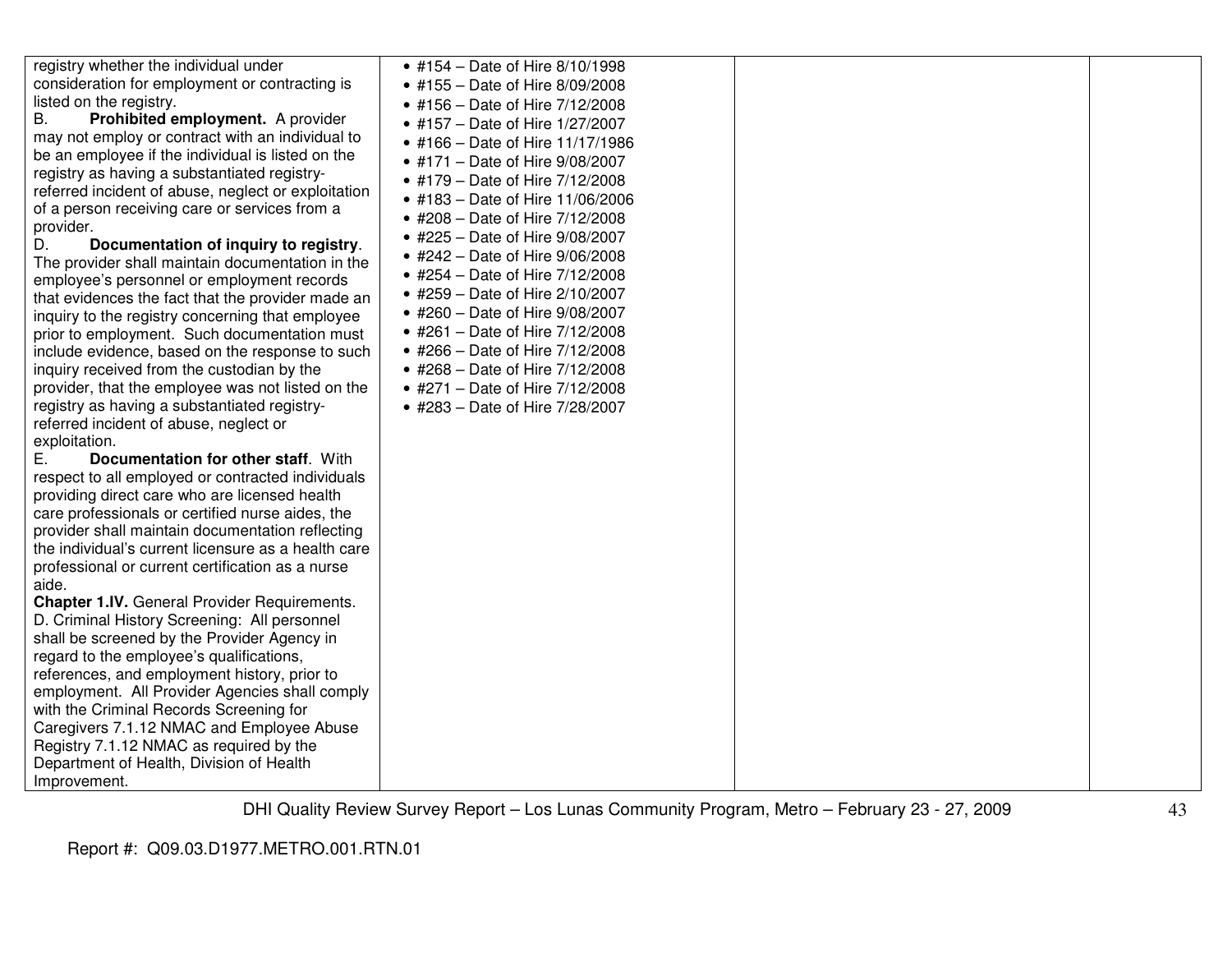| consideration for employment or contracting is<br>listed on the registry.<br>В.<br>Prohibited employment. A provider<br>may not employ or contract with an individual to<br>be an employee if the individual is listed on the<br>registry as having a substantiated registry-<br>referred incident of abuse, neglect or exploitation<br>of a person receiving care or services from a<br>provider.<br>D.<br>Documentation of inquiry to registry.<br>The provider shall maintain documentation in the<br>employee's personnel or employment records<br>that evidences the fact that the provider made an<br>inquiry to the registry concerning that employee<br>prior to employment. Such documentation must<br>include evidence, based on the response to such<br>inquiry received from the custodian by the<br>provider, that the employee was not listed on the<br>registry as having a substantiated registry-<br>referred incident of abuse, neglect or<br>exploitation.<br>Е.<br>Documentation for other staff. With<br>respect to all employed or contracted individuals<br>providing direct care who are licensed health<br>care professionals or certified nurse aides, the<br>provider shall maintain documentation reflecting<br>the individual's current licensure as a health care<br>professional or current certification as a nurse<br>aide.<br><b>Chapter 1.IV.</b> General Provider Requirements.<br>D. Criminal History Screening: All personnel<br>shall be screened by the Provider Agency in<br>regard to the employee's qualifications,<br>references, and employment history, prior to<br>employment. All Provider Agencies shall comply<br>with the Criminal Records Screening for<br>Caregivers 7.1.12 NMAC and Employee Abuse<br>Registry 7.1.12 NMAC as required by the<br>Department of Health, Division of Health<br>Improvement. | • #155 – Date of Hire $8/09/2008$<br>• #156 – Date of Hire $7/12/2008$<br>• #157 - Date of Hire 1/27/2007<br>• #166 - Date of Hire 11/17/1986<br>• #171 - Date of Hire 9/08/2007<br>• #179 – Date of Hire $7/12/2008$<br>• #183 – Date of Hire 11/06/2006<br>• #208 - Date of Hire 7/12/2008<br>• #225 - Date of Hire 9/08/2007<br>• #242 - Date of Hire 9/06/2008<br>• #254 – Date of Hire $7/12/2008$<br>• #259 - Date of Hire 2/10/2007<br>• #260 - Date of Hire 9/08/2007<br>• #261 – Date of Hire $7/12/2008$<br>• #266 – Date of Hire $7/12/2008$<br>• #268 – Date of Hire $7/12/2008$<br>• #271 - Date of Hire 7/12/2008<br>• #283 - Date of Hire 7/28/2007 |  |  |
|-----------------------------------------------------------------------------------------------------------------------------------------------------------------------------------------------------------------------------------------------------------------------------------------------------------------------------------------------------------------------------------------------------------------------------------------------------------------------------------------------------------------------------------------------------------------------------------------------------------------------------------------------------------------------------------------------------------------------------------------------------------------------------------------------------------------------------------------------------------------------------------------------------------------------------------------------------------------------------------------------------------------------------------------------------------------------------------------------------------------------------------------------------------------------------------------------------------------------------------------------------------------------------------------------------------------------------------------------------------------------------------------------------------------------------------------------------------------------------------------------------------------------------------------------------------------------------------------------------------------------------------------------------------------------------------------------------------------------------------------------------------------------------------------------------------------------------------------------------------------|--------------------------------------------------------------------------------------------------------------------------------------------------------------------------------------------------------------------------------------------------------------------------------------------------------------------------------------------------------------------------------------------------------------------------------------------------------------------------------------------------------------------------------------------------------------------------------------------------------------------------------------------------------------------|--|--|
|-----------------------------------------------------------------------------------------------------------------------------------------------------------------------------------------------------------------------------------------------------------------------------------------------------------------------------------------------------------------------------------------------------------------------------------------------------------------------------------------------------------------------------------------------------------------------------------------------------------------------------------------------------------------------------------------------------------------------------------------------------------------------------------------------------------------------------------------------------------------------------------------------------------------------------------------------------------------------------------------------------------------------------------------------------------------------------------------------------------------------------------------------------------------------------------------------------------------------------------------------------------------------------------------------------------------------------------------------------------------------------------------------------------------------------------------------------------------------------------------------------------------------------------------------------------------------------------------------------------------------------------------------------------------------------------------------------------------------------------------------------------------------------------------------------------------------------------------------------------------|--------------------------------------------------------------------------------------------------------------------------------------------------------------------------------------------------------------------------------------------------------------------------------------------------------------------------------------------------------------------------------------------------------------------------------------------------------------------------------------------------------------------------------------------------------------------------------------------------------------------------------------------------------------------|--|--|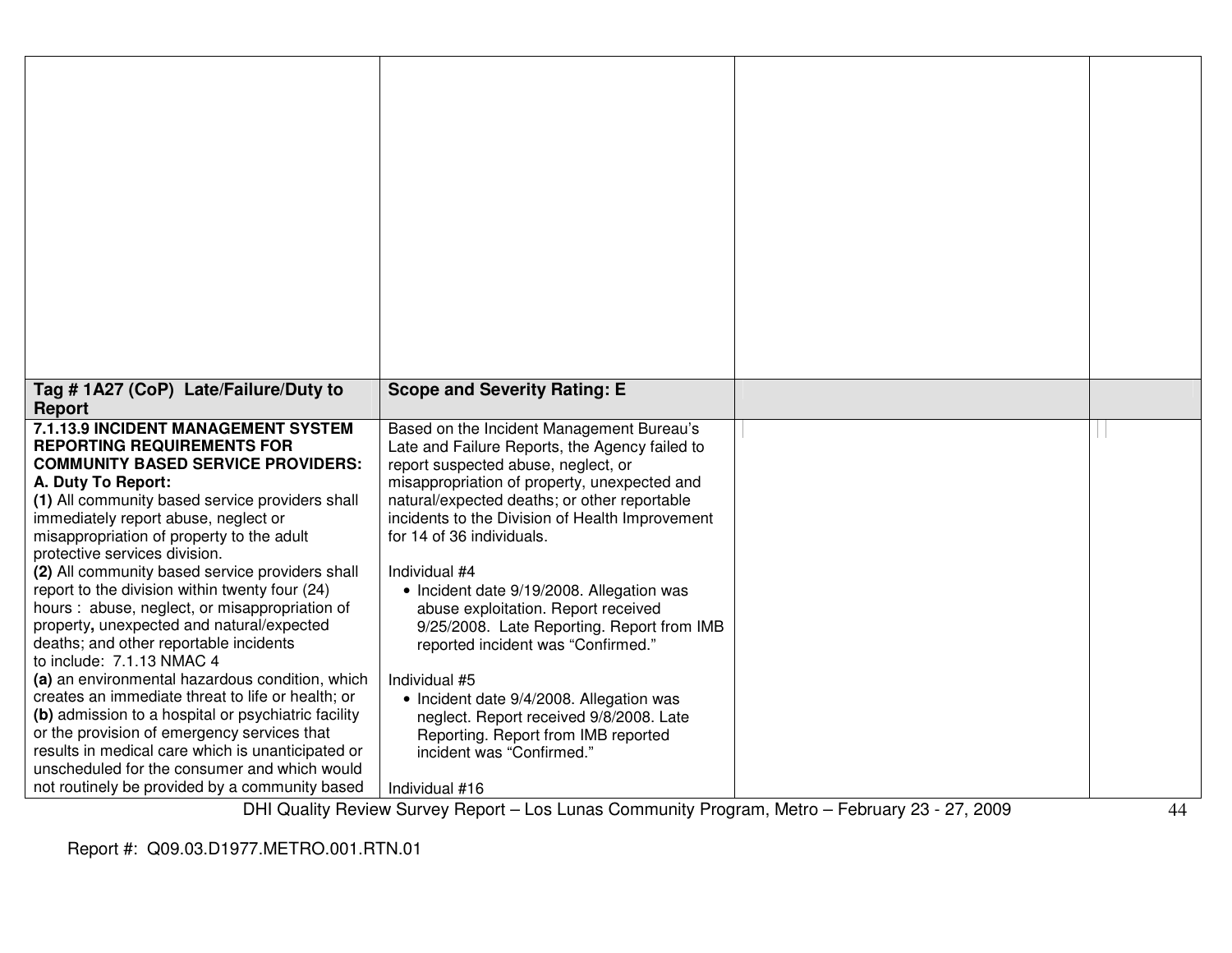| Tag # 1A27 (CoP) Late/Failure/Duty to                                               | <b>Scope and Severity Rating: E</b>                                                         |                                                                               |                |
|-------------------------------------------------------------------------------------|---------------------------------------------------------------------------------------------|-------------------------------------------------------------------------------|----------------|
| <b>Report</b><br>7.1.13.9 INCIDENT MANAGEMENT SYSTEM                                |                                                                                             |                                                                               |                |
| <b>REPORTING REQUIREMENTS FOR</b>                                                   | Based on the Incident Management Bureau's<br>Late and Failure Reports, the Agency failed to |                                                                               |                |
| <b>COMMUNITY BASED SERVICE PROVIDERS:</b>                                           | report suspected abuse, neglect, or                                                         |                                                                               |                |
| A. Duty To Report:                                                                  | misappropriation of property, unexpected and                                                |                                                                               |                |
| (1) All community based service providers shall                                     | natural/expected deaths; or other reportable                                                |                                                                               |                |
| immediately report abuse, neglect or                                                | incidents to the Division of Health Improvement                                             |                                                                               |                |
| misappropriation of property to the adult                                           | for 14 of 36 individuals.                                                                   |                                                                               |                |
| protective services division.                                                       |                                                                                             |                                                                               |                |
| (2) All community based service providers shall                                     | Individual #4                                                                               |                                                                               |                |
| report to the division within twenty four (24)                                      | • Incident date 9/19/2008. Allegation was                                                   |                                                                               |                |
| hours: abuse, neglect, or misappropriation of                                       | abuse exploitation. Report received                                                         |                                                                               |                |
| property, unexpected and natural/expected<br>deaths; and other reportable incidents | 9/25/2008. Late Reporting. Report from IMB                                                  |                                                                               |                |
| to include: 7.1.13 NMAC 4                                                           | reported incident was "Confirmed."                                                          |                                                                               |                |
| (a) an environmental hazardous condition, which                                     | Individual #5                                                                               |                                                                               |                |
| creates an immediate threat to life or health; or                                   | • Incident date 9/4/2008. Allegation was                                                    |                                                                               |                |
| (b) admission to a hospital or psychiatric facility                                 | neglect. Report received 9/8/2008. Late                                                     |                                                                               |                |
| or the provision of emergency services that                                         | Reporting. Report from IMB reported                                                         |                                                                               |                |
| results in medical care which is unanticipated or                                   | incident was "Confirmed."                                                                   |                                                                               |                |
| unscheduled for the consumer and which would                                        |                                                                                             |                                                                               |                |
| not routinely be provided by a community based<br>$D \cup D$                        | Individual #16<br>and the company                                                           | $A + 1$<br>$\blacksquare$ . In the set of $\blacksquare$<br>$\sim$ 00 07 0000 | $\overline{A}$ |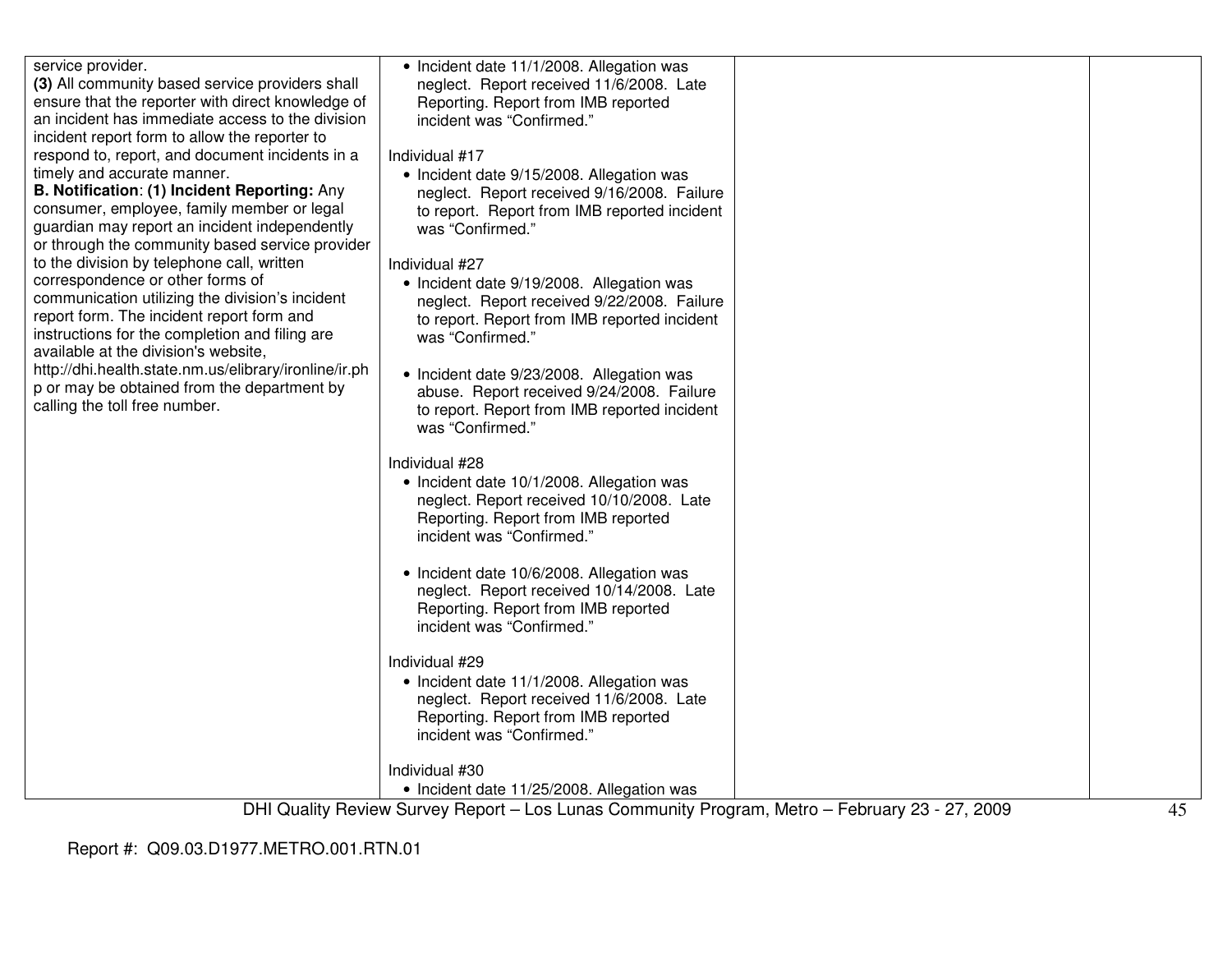| service provider.                                                                                | • Incident date 11/1/2008. Allegation was                                                      |    |
|--------------------------------------------------------------------------------------------------|------------------------------------------------------------------------------------------------|----|
| (3) All community based service providers shall                                                  | neglect. Report received 11/6/2008. Late                                                       |    |
| ensure that the reporter with direct knowledge of                                                | Reporting. Report from IMB reported                                                            |    |
| an incident has immediate access to the division                                                 | incident was "Confirmed."                                                                      |    |
| incident report form to allow the reporter to                                                    |                                                                                                |    |
| respond to, report, and document incidents in a                                                  | Individual #17                                                                                 |    |
| timely and accurate manner.                                                                      | • Incident date 9/15/2008. Allegation was                                                      |    |
| B. Notification: (1) Incident Reporting: Any                                                     | neglect. Report received 9/16/2008. Failure                                                    |    |
| consumer, employee, family member or legal                                                       | to report. Report from IMB reported incident                                                   |    |
| guardian may report an incident independently<br>or through the community based service provider | was "Confirmed."                                                                               |    |
| to the division by telephone call, written                                                       |                                                                                                |    |
| correspondence or other forms of                                                                 | Individual #27                                                                                 |    |
| communication utilizing the division's incident                                                  | • Incident date 9/19/2008. Allegation was                                                      |    |
| report form. The incident report form and                                                        | neglect. Report received 9/22/2008. Failure                                                    |    |
| instructions for the completion and filing are                                                   | to report. Report from IMB reported incident<br>was "Confirmed."                               |    |
| available at the division's website,                                                             |                                                                                                |    |
| http://dhi.health.state.nm.us/elibrary/ironline/ir.ph                                            | • Incident date 9/23/2008. Allegation was                                                      |    |
| p or may be obtained from the department by                                                      | abuse. Report received 9/24/2008. Failure                                                      |    |
| calling the toll free number.                                                                    | to report. Report from IMB reported incident                                                   |    |
|                                                                                                  | was "Confirmed."                                                                               |    |
|                                                                                                  |                                                                                                |    |
|                                                                                                  | Individual #28                                                                                 |    |
|                                                                                                  | • Incident date 10/1/2008. Allegation was                                                      |    |
|                                                                                                  | neglect. Report received 10/10/2008. Late                                                      |    |
|                                                                                                  | Reporting. Report from IMB reported                                                            |    |
|                                                                                                  | incident was "Confirmed."                                                                      |    |
|                                                                                                  |                                                                                                |    |
|                                                                                                  | • Incident date 10/6/2008. Allegation was                                                      |    |
|                                                                                                  | neglect. Report received 10/14/2008. Late                                                      |    |
|                                                                                                  | Reporting. Report from IMB reported                                                            |    |
|                                                                                                  | incident was "Confirmed."                                                                      |    |
|                                                                                                  |                                                                                                |    |
|                                                                                                  | Individual #29                                                                                 |    |
|                                                                                                  | • Incident date 11/1/2008. Allegation was                                                      |    |
|                                                                                                  | neglect. Report received 11/6/2008. Late                                                       |    |
|                                                                                                  | Reporting. Report from IMB reported                                                            |    |
|                                                                                                  | incident was "Confirmed."                                                                      |    |
|                                                                                                  | Individual #30                                                                                 |    |
|                                                                                                  | • Incident date 11/25/2008. Allegation was                                                     |    |
|                                                                                                  | DHI Quality Review Survey Report - Los Lunas Community Program, Metro - February 23 - 27, 2009 | 45 |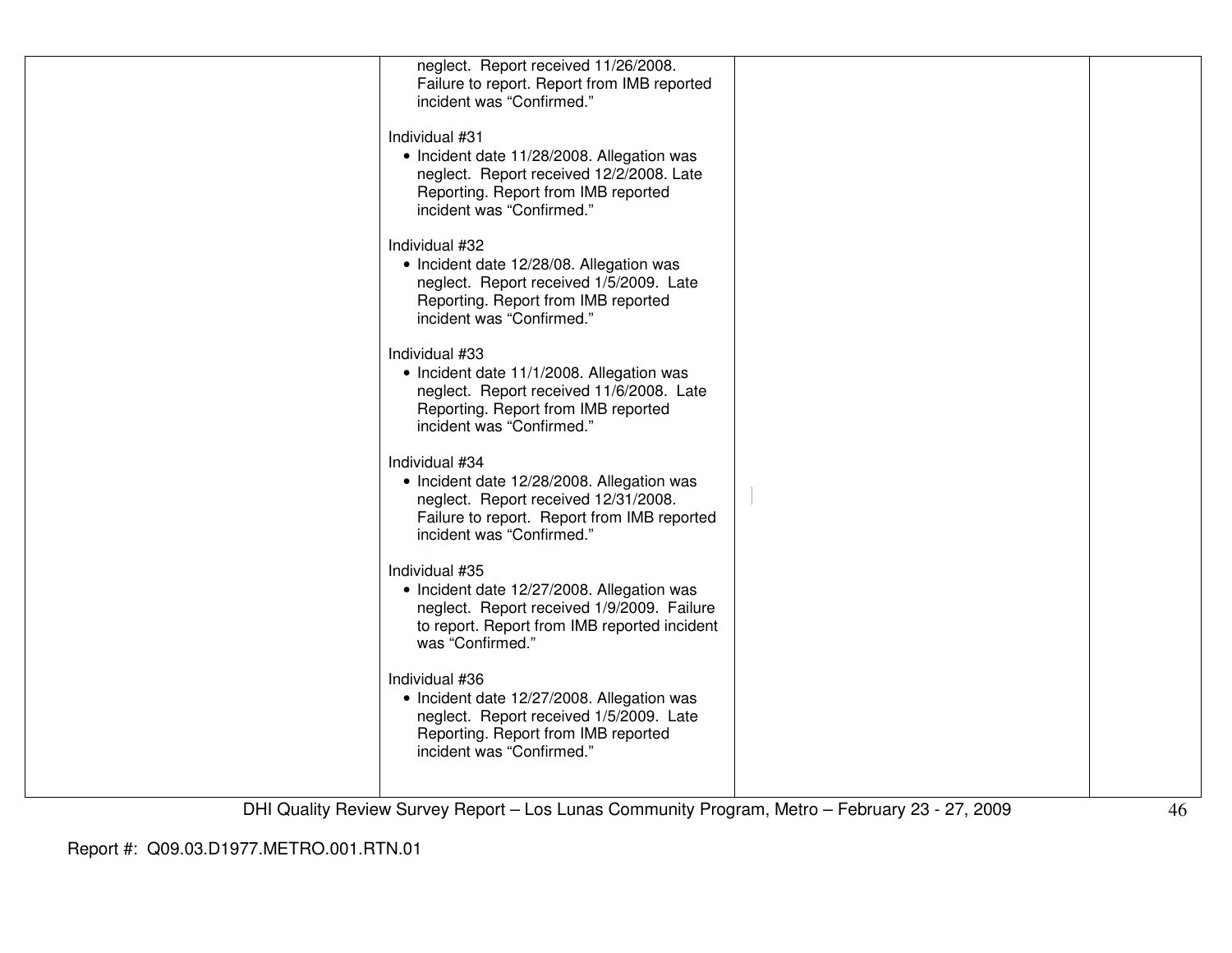| neglect. Report received 11/26/2008.         |  |
|----------------------------------------------|--|
| Failure to report. Report from IMB reported  |  |
| incident was "Confirmed."                    |  |
|                                              |  |
| Individual #31                               |  |
| • Incident date 11/28/2008. Allegation was   |  |
| neglect. Report received 12/2/2008. Late     |  |
| Reporting. Report from IMB reported          |  |
| incident was "Confirmed."                    |  |
|                                              |  |
| Individual #32                               |  |
| • Incident date 12/28/08. Allegation was     |  |
| neglect. Report received 1/5/2009. Late      |  |
| Reporting. Report from IMB reported          |  |
| incident was "Confirmed."                    |  |
|                                              |  |
| Individual #33                               |  |
| • Incident date 11/1/2008. Allegation was    |  |
| neglect. Report received 11/6/2008. Late     |  |
| Reporting. Report from IMB reported          |  |
| incident was "Confirmed."                    |  |
| Individual #34                               |  |
| • Incident date 12/28/2008. Allegation was   |  |
| neglect. Report received 12/31/2008.         |  |
| Failure to report. Report from IMB reported  |  |
| incident was "Confirmed."                    |  |
|                                              |  |
| Individual #35                               |  |
| • Incident date 12/27/2008. Allegation was   |  |
| neglect. Report received 1/9/2009. Failure   |  |
| to report. Report from IMB reported incident |  |
| was "Confirmed."                             |  |
|                                              |  |
| Individual #36                               |  |
| • Incident date 12/27/2008. Allegation was   |  |
| neglect. Report received 1/5/2009. Late      |  |
| Reporting. Report from IMB reported          |  |
| incident was "Confirmed."                    |  |
|                                              |  |
|                                              |  |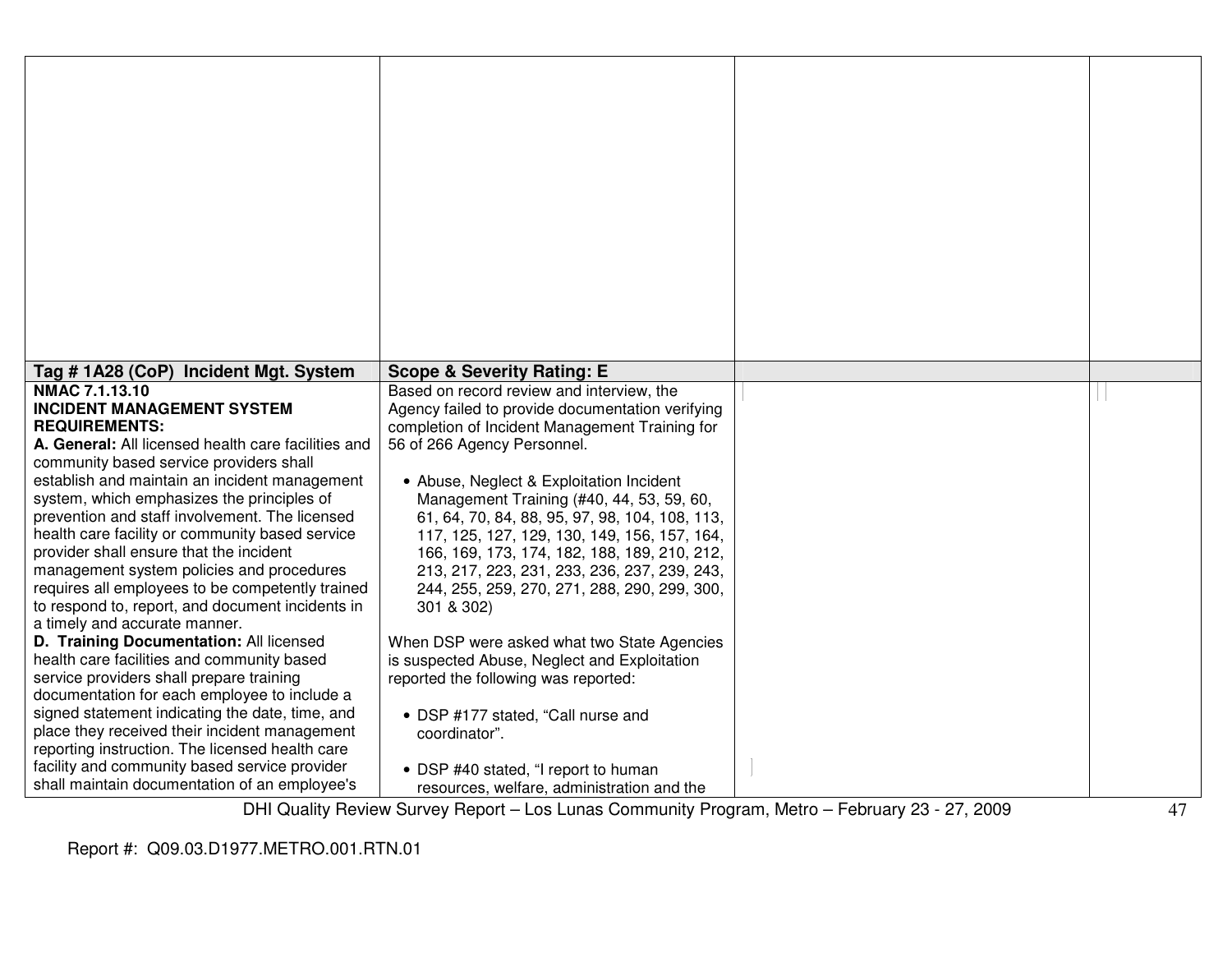| Tag # 1A28 (CoP) Incident Mgt. System                                                                                                                                                                                                                                                                                                                                                                                                                                                                                                                                                                                                                         | <b>Scope &amp; Severity Rating: E</b>                                                                                                                                                                                                                                                                                                                                                                                                                                                                                                                                                  |                          |            |
|---------------------------------------------------------------------------------------------------------------------------------------------------------------------------------------------------------------------------------------------------------------------------------------------------------------------------------------------------------------------------------------------------------------------------------------------------------------------------------------------------------------------------------------------------------------------------------------------------------------------------------------------------------------|----------------------------------------------------------------------------------------------------------------------------------------------------------------------------------------------------------------------------------------------------------------------------------------------------------------------------------------------------------------------------------------------------------------------------------------------------------------------------------------------------------------------------------------------------------------------------------------|--------------------------|------------|
| NMAC 7.1.13.10<br><b>INCIDENT MANAGEMENT SYSTEM</b><br><b>REQUIREMENTS:</b><br>A. General: All licensed health care facilities and<br>community based service providers shall<br>establish and maintain an incident management<br>system, which emphasizes the principles of<br>prevention and staff involvement. The licensed<br>health care facility or community based service<br>provider shall ensure that the incident<br>management system policies and procedures<br>requires all employees to be competently trained<br>to respond to, report, and document incidents in<br>a timely and accurate manner.<br>D. Training Documentation: All licensed | Based on record review and interview, the<br>Agency failed to provide documentation verifying<br>completion of Incident Management Training for<br>56 of 266 Agency Personnel.<br>• Abuse, Neglect & Exploitation Incident<br>Management Training (#40, 44, 53, 59, 60,<br>61, 64, 70, 84, 88, 95, 97, 98, 104, 108, 113,<br>117, 125, 127, 129, 130, 149, 156, 157, 164,<br>166, 169, 173, 174, 182, 188, 189, 210, 212,<br>213, 217, 223, 231, 233, 236, 237, 239, 243,<br>244, 255, 259, 270, 271, 288, 290, 299, 300,<br>301 & 302)<br>When DSP were asked what two State Agencies |                          |            |
| health care facilities and community based<br>service providers shall prepare training<br>documentation for each employee to include a<br>signed statement indicating the date, time, and<br>place they received their incident management<br>reporting instruction. The licensed health care<br>facility and community based service provider<br>shall maintain documentation of an employee's                                                                                                                                                                                                                                                               | is suspected Abuse, Neglect and Exploitation<br>reported the following was reported:<br>• DSP #177 stated, "Call nurse and<br>coordinator".<br>• DSP #40 stated, "I report to human<br>resources, welfare, administration and the<br>DULOuglity Deview Current Depart Lee Lunge Community Dreamen. Metro                                                                                                                                                                                                                                                                               | $F_{abm1a}$ , 00 07 0000 | $\sqrt{2}$ |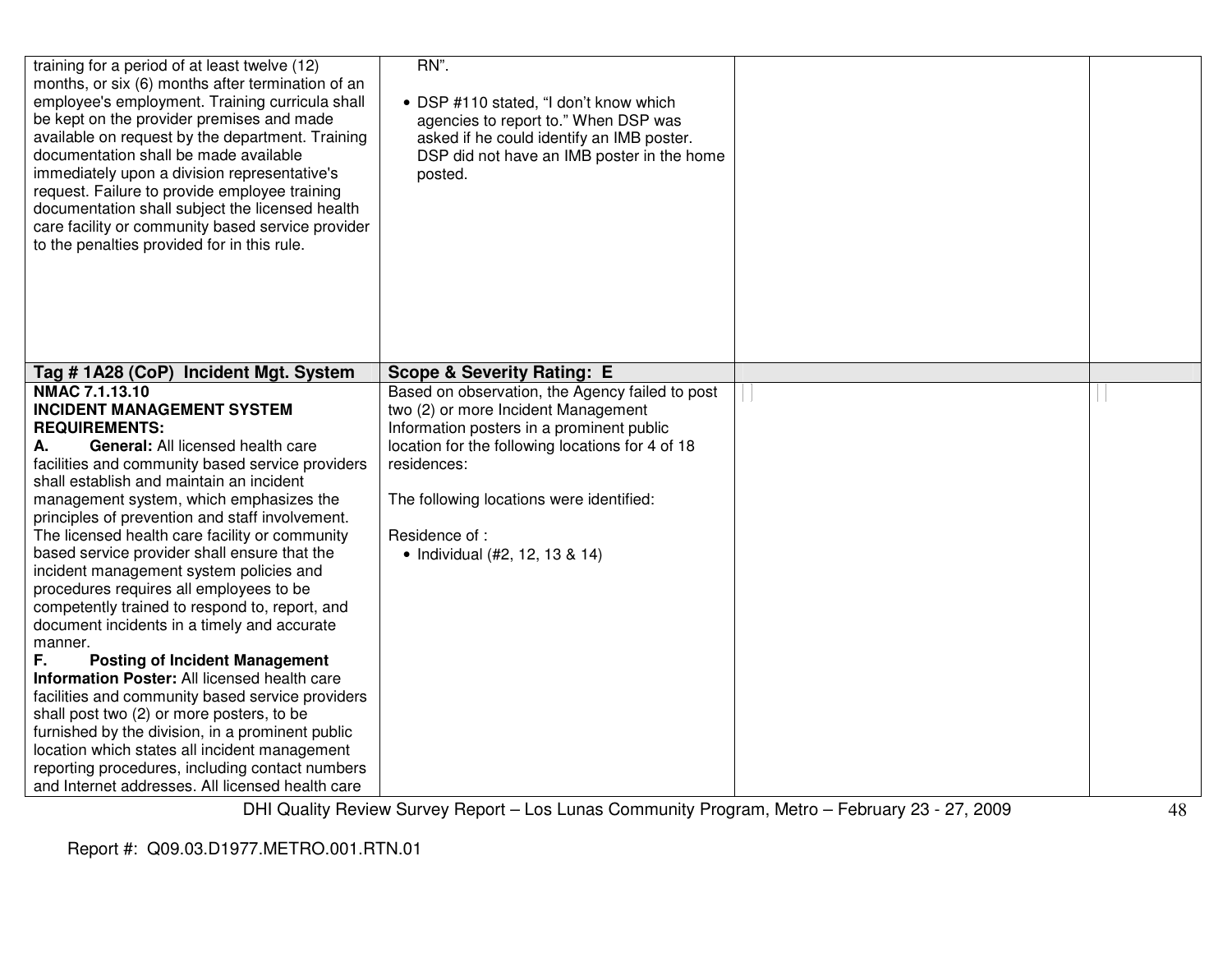| training for a period of at least twelve (12)<br>months, or six (6) months after termination of an<br>employee's employment. Training curricula shall<br>be kept on the provider premises and made<br>available on request by the department. Training<br>documentation shall be made available<br>immediately upon a division representative's<br>request. Failure to provide employee training<br>documentation shall subject the licensed health<br>care facility or community based service provider<br>to the penalties provided for in this rule.                                                                                                                                                                                                                                                                                                                                                                                                                                                                              | RN".<br>• DSP #110 stated, "I don't know which<br>agencies to report to." When DSP was<br>asked if he could identify an IMB poster.<br>DSP did not have an IMB poster in the home<br>posted.                                                                                                          |  |
|--------------------------------------------------------------------------------------------------------------------------------------------------------------------------------------------------------------------------------------------------------------------------------------------------------------------------------------------------------------------------------------------------------------------------------------------------------------------------------------------------------------------------------------------------------------------------------------------------------------------------------------------------------------------------------------------------------------------------------------------------------------------------------------------------------------------------------------------------------------------------------------------------------------------------------------------------------------------------------------------------------------------------------------|-------------------------------------------------------------------------------------------------------------------------------------------------------------------------------------------------------------------------------------------------------------------------------------------------------|--|
| Tag #1A28 (CoP) Incident Mgt. System                                                                                                                                                                                                                                                                                                                                                                                                                                                                                                                                                                                                                                                                                                                                                                                                                                                                                                                                                                                                 | <b>Scope &amp; Severity Rating: E</b>                                                                                                                                                                                                                                                                 |  |
| NMAC 7.1.13.10<br><b>INCIDENT MANAGEMENT SYSTEM</b><br><b>REQUIREMENTS:</b><br>General: All licensed health care<br>А.<br>facilities and community based service providers<br>shall establish and maintain an incident<br>management system, which emphasizes the<br>principles of prevention and staff involvement.<br>The licensed health care facility or community<br>based service provider shall ensure that the<br>incident management system policies and<br>procedures requires all employees to be<br>competently trained to respond to, report, and<br>document incidents in a timely and accurate<br>manner.<br>F.<br><b>Posting of Incident Management</b><br>Information Poster: All licensed health care<br>facilities and community based service providers<br>shall post two (2) or more posters, to be<br>furnished by the division, in a prominent public<br>location which states all incident management<br>reporting procedures, including contact numbers<br>and Internet addresses. All licensed health care | Based on observation, the Agency failed to post<br>two (2) or more Incident Management<br>Information posters in a prominent public<br>location for the following locations for 4 of 18<br>residences:<br>The following locations were identified:<br>Residence of:<br>• Individual (#2, 12, 13 & 14) |  |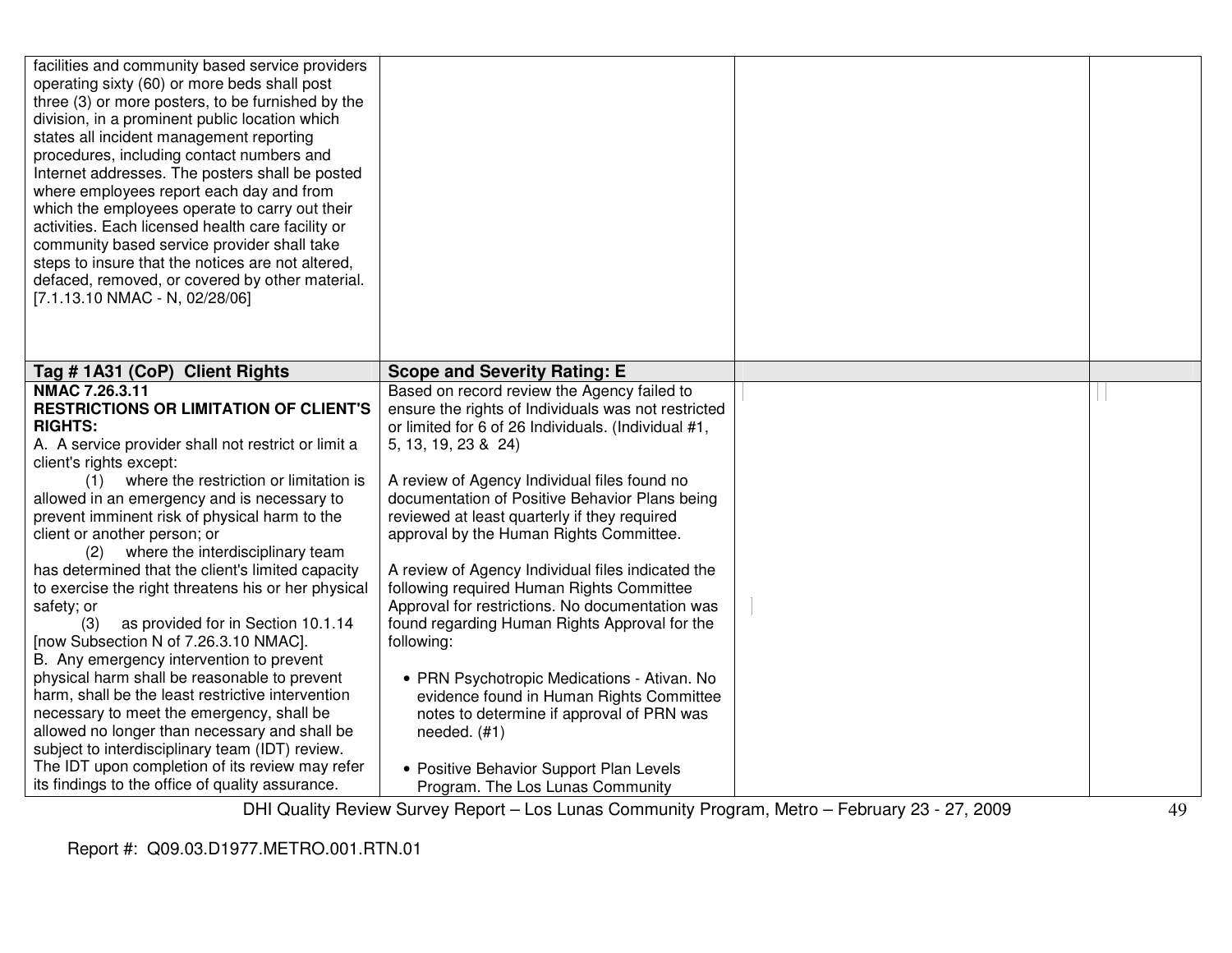| facilities and community based service providers<br>operating sixty (60) or more beds shall post<br>three (3) or more posters, to be furnished by the<br>division, in a prominent public location which<br>states all incident management reporting<br>procedures, including contact numbers and<br>Internet addresses. The posters shall be posted<br>where employees report each day and from<br>which the employees operate to carry out their<br>activities. Each licensed health care facility or<br>community based service provider shall take<br>steps to insure that the notices are not altered,<br>defaced, removed, or covered by other material.<br>[7.1.13.10 NMAC - N, 02/28/06]                                                                                                                                                                                                                                                                      |                                                                                                                                                                                                                                                                                                                                                                                                                                                                                                                                                                                                                                                                                                                                                                                                        |  |
|----------------------------------------------------------------------------------------------------------------------------------------------------------------------------------------------------------------------------------------------------------------------------------------------------------------------------------------------------------------------------------------------------------------------------------------------------------------------------------------------------------------------------------------------------------------------------------------------------------------------------------------------------------------------------------------------------------------------------------------------------------------------------------------------------------------------------------------------------------------------------------------------------------------------------------------------------------------------|--------------------------------------------------------------------------------------------------------------------------------------------------------------------------------------------------------------------------------------------------------------------------------------------------------------------------------------------------------------------------------------------------------------------------------------------------------------------------------------------------------------------------------------------------------------------------------------------------------------------------------------------------------------------------------------------------------------------------------------------------------------------------------------------------------|--|
| Tag # 1A31 (CoP) Client Rights                                                                                                                                                                                                                                                                                                                                                                                                                                                                                                                                                                                                                                                                                                                                                                                                                                                                                                                                       | <b>Scope and Severity Rating: E</b>                                                                                                                                                                                                                                                                                                                                                                                                                                                                                                                                                                                                                                                                                                                                                                    |  |
| NMAC 7.26.3.11<br><b>RESTRICTIONS OR LIMITATION OF CLIENT'S</b><br><b>RIGHTS:</b><br>A. A service provider shall not restrict or limit a<br>client's rights except:<br>where the restriction or limitation is<br>(1)<br>allowed in an emergency and is necessary to<br>prevent imminent risk of physical harm to the<br>client or another person; or<br>where the interdisciplinary team<br>(2)<br>has determined that the client's limited capacity<br>to exercise the right threatens his or her physical<br>safety; or<br>as provided for in Section 10.1.14<br>(3)<br>[now Subsection N of 7.26.3.10 NMAC].<br>B. Any emergency intervention to prevent<br>physical harm shall be reasonable to prevent<br>harm, shall be the least restrictive intervention<br>necessary to meet the emergency, shall be<br>allowed no longer than necessary and shall be<br>subject to interdisciplinary team (IDT) review.<br>The IDT upon completion of its review may refer | Based on record review the Agency failed to<br>ensure the rights of Individuals was not restricted<br>or limited for 6 of 26 Individuals. (Individual #1,<br>5, 13, 19, 23 & 24)<br>A review of Agency Individual files found no<br>documentation of Positive Behavior Plans being<br>reviewed at least quarterly if they required<br>approval by the Human Rights Committee.<br>A review of Agency Individual files indicated the<br>following required Human Rights Committee<br>Approval for restrictions. No documentation was<br>found regarding Human Rights Approval for the<br>following:<br>• PRN Psychotropic Medications - Ativan. No<br>evidence found in Human Rights Committee<br>notes to determine if approval of PRN was<br>needed. $(H1)$<br>• Positive Behavior Support Plan Levels |  |
| its findings to the office of quality assurance.                                                                                                                                                                                                                                                                                                                                                                                                                                                                                                                                                                                                                                                                                                                                                                                                                                                                                                                     | Program. The Los Lunas Community                                                                                                                                                                                                                                                                                                                                                                                                                                                                                                                                                                                                                                                                                                                                                                       |  |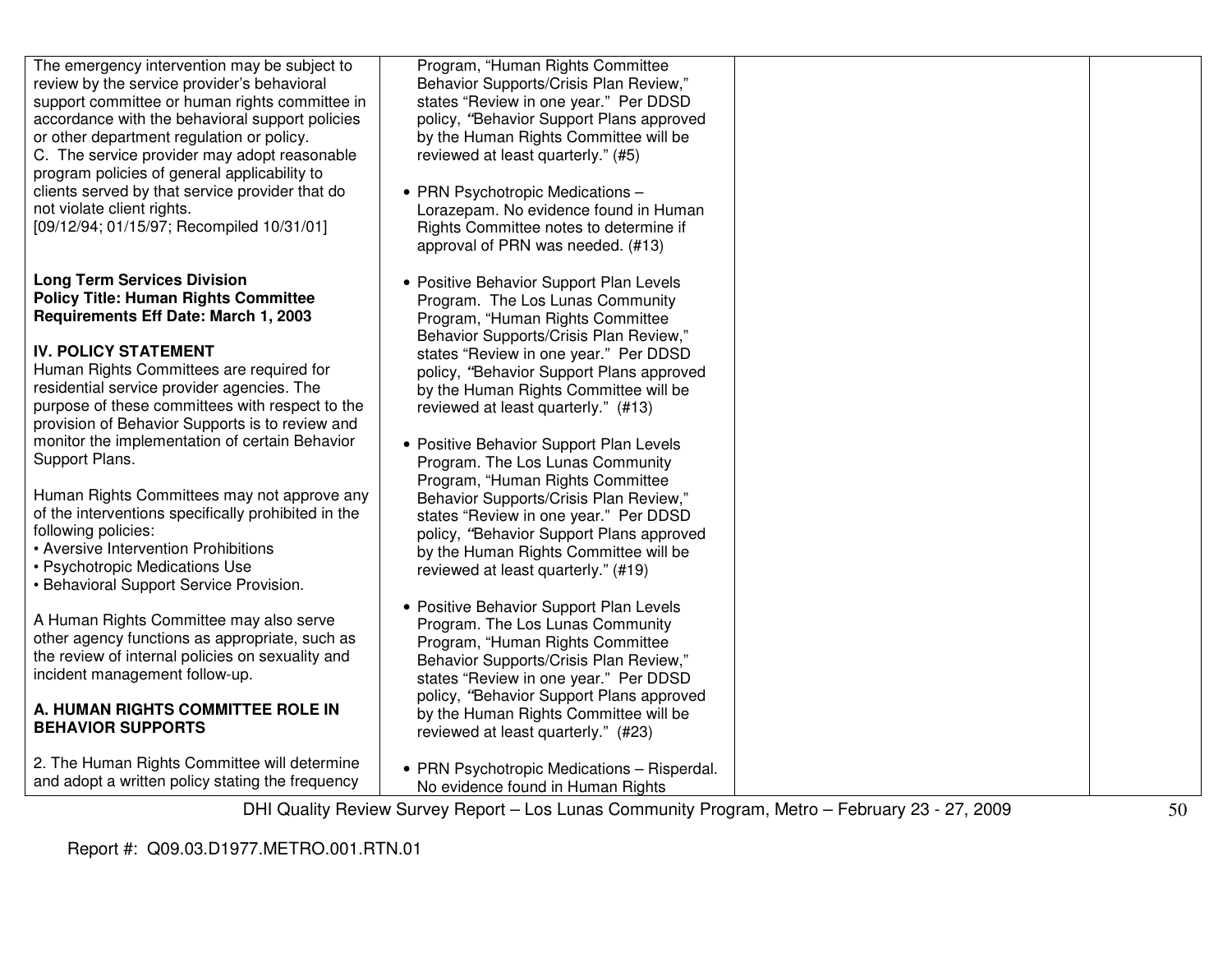| The emergency intervention may be subject to<br>review by the service provider's behavioral<br>support committee or human rights committee in<br>accordance with the behavioral support policies<br>or other department regulation or policy.<br>C. The service provider may adopt reasonable<br>program policies of general applicability to<br>clients served by that service provider that do<br>not violate client rights.<br>[09/12/94; 01/15/97; Recompiled 10/31/01] | Program, "Human Rights Committee<br>Behavior Supports/Crisis Plan Review,"<br>states "Review in one year." Per DDSD<br>policy, "Behavior Support Plans approved<br>by the Human Rights Committee will be<br>reviewed at least quarterly." (#5)<br>• PRN Psychotropic Medications -<br>Lorazepam. No evidence found in Human<br>Rights Committee notes to determine if<br>approval of PRN was needed. (#13) |         |  |
|-----------------------------------------------------------------------------------------------------------------------------------------------------------------------------------------------------------------------------------------------------------------------------------------------------------------------------------------------------------------------------------------------------------------------------------------------------------------------------|------------------------------------------------------------------------------------------------------------------------------------------------------------------------------------------------------------------------------------------------------------------------------------------------------------------------------------------------------------------------------------------------------------|---------|--|
| <b>Long Term Services Division</b><br><b>Policy Title: Human Rights Committee</b><br>Requirements Eff Date: March 1, 2003                                                                                                                                                                                                                                                                                                                                                   | • Positive Behavior Support Plan Levels<br>Program. The Los Lunas Community<br>Program, "Human Rights Committee                                                                                                                                                                                                                                                                                            |         |  |
| <b>IV. POLICY STATEMENT</b>                                                                                                                                                                                                                                                                                                                                                                                                                                                 | Behavior Supports/Crisis Plan Review,"<br>states "Review in one year." Per DDSD                                                                                                                                                                                                                                                                                                                            |         |  |
| Human Rights Committees are required for                                                                                                                                                                                                                                                                                                                                                                                                                                    | policy, "Behavior Support Plans approved                                                                                                                                                                                                                                                                                                                                                                   |         |  |
| residential service provider agencies. The<br>purpose of these committees with respect to the                                                                                                                                                                                                                                                                                                                                                                               | by the Human Rights Committee will be<br>reviewed at least quarterly." (#13)                                                                                                                                                                                                                                                                                                                               |         |  |
| provision of Behavior Supports is to review and                                                                                                                                                                                                                                                                                                                                                                                                                             |                                                                                                                                                                                                                                                                                                                                                                                                            |         |  |
| monitor the implementation of certain Behavior                                                                                                                                                                                                                                                                                                                                                                                                                              | • Positive Behavior Support Plan Levels                                                                                                                                                                                                                                                                                                                                                                    |         |  |
| Support Plans.                                                                                                                                                                                                                                                                                                                                                                                                                                                              | Program. The Los Lunas Community<br>Program, "Human Rights Committee                                                                                                                                                                                                                                                                                                                                       |         |  |
| Human Rights Committees may not approve any                                                                                                                                                                                                                                                                                                                                                                                                                                 | Behavior Supports/Crisis Plan Review,"                                                                                                                                                                                                                                                                                                                                                                     |         |  |
| of the interventions specifically prohibited in the<br>following policies:                                                                                                                                                                                                                                                                                                                                                                                                  | states "Review in one year." Per DDSD                                                                                                                                                                                                                                                                                                                                                                      |         |  |
| • Aversive Intervention Prohibitions                                                                                                                                                                                                                                                                                                                                                                                                                                        | policy, "Behavior Support Plans approved<br>by the Human Rights Committee will be                                                                                                                                                                                                                                                                                                                          |         |  |
| • Psychotropic Medications Use                                                                                                                                                                                                                                                                                                                                                                                                                                              | reviewed at least quarterly." (#19)                                                                                                                                                                                                                                                                                                                                                                        |         |  |
| • Behavioral Support Service Provision.                                                                                                                                                                                                                                                                                                                                                                                                                                     | • Positive Behavior Support Plan Levels                                                                                                                                                                                                                                                                                                                                                                    |         |  |
| A Human Rights Committee may also serve                                                                                                                                                                                                                                                                                                                                                                                                                                     | Program. The Los Lunas Community                                                                                                                                                                                                                                                                                                                                                                           |         |  |
| other agency functions as appropriate, such as<br>the review of internal policies on sexuality and                                                                                                                                                                                                                                                                                                                                                                          | Program, "Human Rights Committee                                                                                                                                                                                                                                                                                                                                                                           |         |  |
| incident management follow-up.                                                                                                                                                                                                                                                                                                                                                                                                                                              | Behavior Supports/Crisis Plan Review,"<br>states "Review in one year." Per DDSD                                                                                                                                                                                                                                                                                                                            |         |  |
|                                                                                                                                                                                                                                                                                                                                                                                                                                                                             | policy, "Behavior Support Plans approved                                                                                                                                                                                                                                                                                                                                                                   |         |  |
| A. HUMAN RIGHTS COMMITTEE ROLE IN<br><b>BEHAVIOR SUPPORTS</b>                                                                                                                                                                                                                                                                                                                                                                                                               | by the Human Rights Committee will be<br>reviewed at least quarterly." (#23)                                                                                                                                                                                                                                                                                                                               |         |  |
| 2. The Human Rights Committee will determine<br>and adopt a written policy stating the frequency                                                                                                                                                                                                                                                                                                                                                                            | • PRN Psychotropic Medications - Risperdal.<br>No evidence found in Human Rights                                                                                                                                                                                                                                                                                                                           |         |  |
| $\mathsf{D}$ ULA $\mathsf{D}$ . UL. $\mathsf{D}$ . UL. $\mathsf{D}$ . UL. $\mathsf{D}$                                                                                                                                                                                                                                                                                                                                                                                      | Depart Leading an Oran                                                                                                                                                                                                                                                                                                                                                                                     | $A + L$ |  |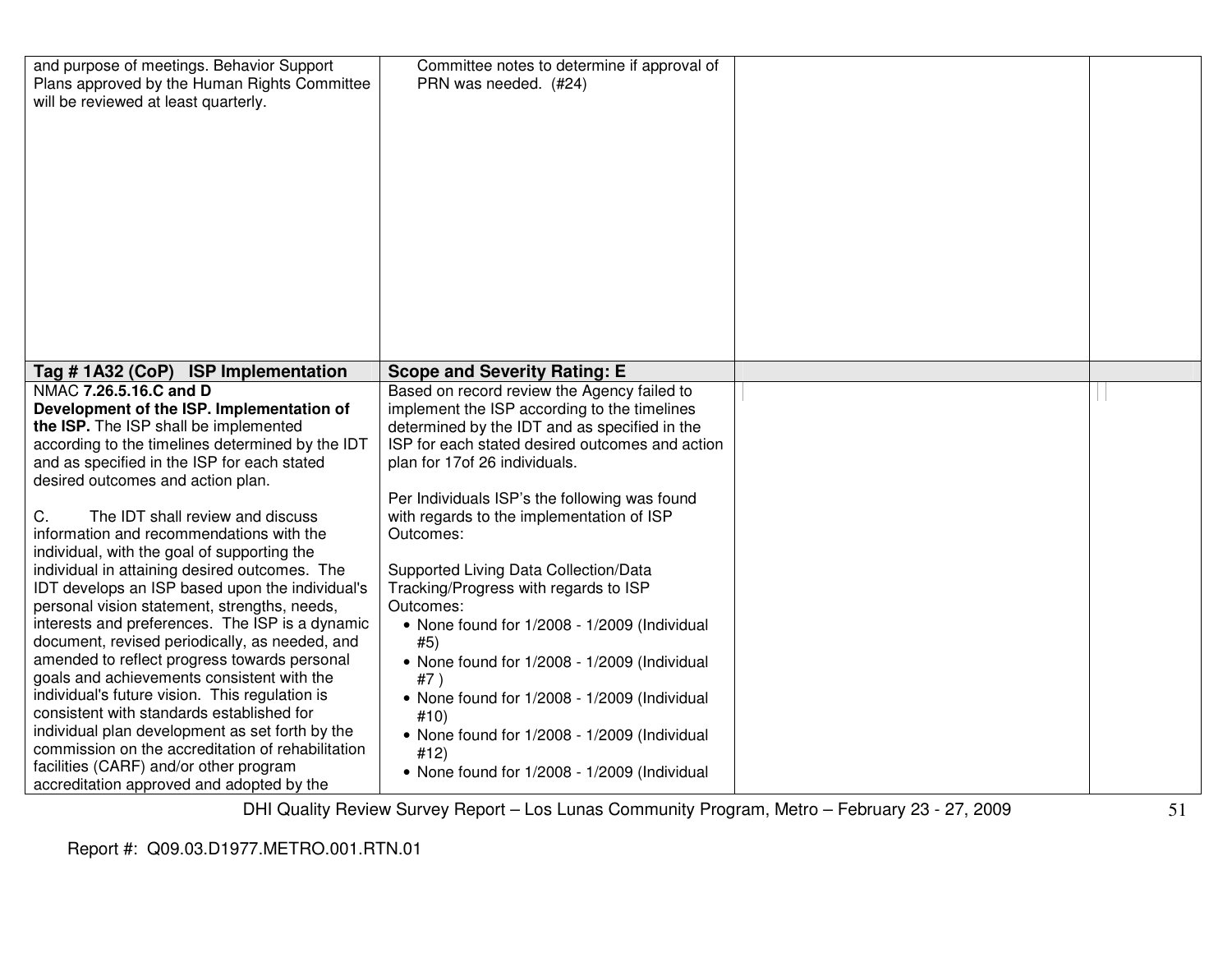| and purpose of meetings. Behavior Support<br>Plans approved by the Human Rights Committee<br>will be reviewed at least quarterly.                                                                                                                                                                                                                                                                                                                                                                                                                                                                                                                                                                                                                                                                  | Committee notes to determine if approval of<br>PRN was needed. (#24)                                                                                                                                                                                                                                                                                                                                                                                                                                                                                                                                     |                        |  |
|----------------------------------------------------------------------------------------------------------------------------------------------------------------------------------------------------------------------------------------------------------------------------------------------------------------------------------------------------------------------------------------------------------------------------------------------------------------------------------------------------------------------------------------------------------------------------------------------------------------------------------------------------------------------------------------------------------------------------------------------------------------------------------------------------|----------------------------------------------------------------------------------------------------------------------------------------------------------------------------------------------------------------------------------------------------------------------------------------------------------------------------------------------------------------------------------------------------------------------------------------------------------------------------------------------------------------------------------------------------------------------------------------------------------|------------------------|--|
| Tag #1A32 (CoP) ISP Implementation                                                                                                                                                                                                                                                                                                                                                                                                                                                                                                                                                                                                                                                                                                                                                                 | <b>Scope and Severity Rating: E</b>                                                                                                                                                                                                                                                                                                                                                                                                                                                                                                                                                                      |                        |  |
| NMAC 7.26.5.16.C and D<br>Development of the ISP. Implementation of<br>the ISP. The ISP shall be implemented<br>according to the timelines determined by the IDT<br>and as specified in the ISP for each stated<br>desired outcomes and action plan.<br>C.<br>The IDT shall review and discuss<br>information and recommendations with the<br>individual, with the goal of supporting the<br>individual in attaining desired outcomes. The<br>IDT develops an ISP based upon the individual's<br>personal vision statement, strengths, needs,<br>interests and preferences. The ISP is a dynamic<br>document, revised periodically, as needed, and<br>amended to reflect progress towards personal<br>goals and achievements consistent with the<br>individual's future vision. This regulation is | Based on record review the Agency failed to<br>implement the ISP according to the timelines<br>determined by the IDT and as specified in the<br>ISP for each stated desired outcomes and action<br>plan for 17of 26 individuals.<br>Per Individuals ISP's the following was found<br>with regards to the implementation of ISP<br>Outcomes:<br>Supported Living Data Collection/Data<br>Tracking/Progress with regards to ISP<br>Outcomes:<br>• None found for 1/2008 - 1/2009 (Individual<br>#5)<br>• None found for 1/2008 - 1/2009 (Individual<br>#7)<br>• None found for 1/2008 - 1/2009 (Individual |                        |  |
| consistent with standards established for<br>individual plan development as set forth by the<br>commission on the accreditation of rehabilitation<br>facilities (CARF) and/or other program<br>accreditation approved and adopted by the<br><b>-</b>                                                                                                                                                                                                                                                                                                                                                                                                                                                                                                                                               | #10)<br>• None found for 1/2008 - 1/2009 (Individual<br>#12)<br>• None found for 1/2008 - 1/2009 (Individual                                                                                                                                                                                                                                                                                                                                                                                                                                                                                             | $\sim$ $\sim$<br>$  -$ |  |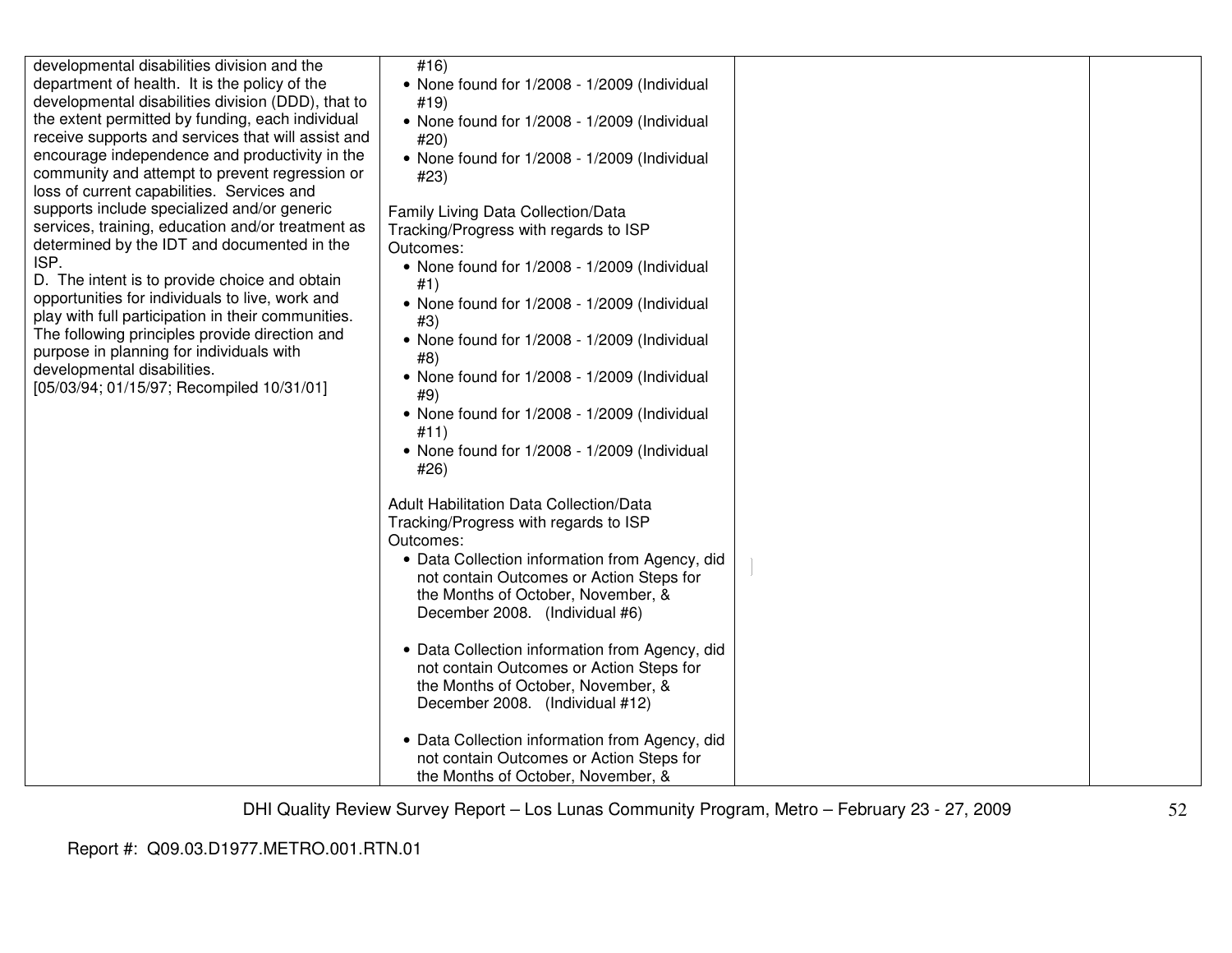| developmental disabilities division and the<br>department of health. It is the policy of the<br>developmental disabilities division (DDD), that to<br>the extent permitted by funding, each individual<br>receive supports and services that will assist and<br>encourage independence and productivity in the<br>community and attempt to prevent regression or<br>loss of current capabilities. Services and<br>supports include specialized and/or generic<br>services, training, education and/or treatment as<br>determined by the IDT and documented in the<br>ISP.<br>D. The intent is to provide choice and obtain<br>opportunities for individuals to live, work and<br>play with full participation in their communities.<br>The following principles provide direction and<br>purpose in planning for individuals with<br>developmental disabilities.<br>[05/03/94; 01/15/97; Recompiled 10/31/01] | #16)<br>• None found for 1/2008 - 1/2009 (Individual<br>#19)<br>• None found for 1/2008 - 1/2009 (Individual<br>#20)<br>• None found for 1/2008 - 1/2009 (Individual<br>#23)<br>Family Living Data Collection/Data<br>Tracking/Progress with regards to ISP<br>Outcomes:<br>• None found for 1/2008 - 1/2009 (Individual<br>#1)<br>• None found for 1/2008 - 1/2009 (Individual<br>#3)<br>• None found for 1/2008 - 1/2009 (Individual<br>#8)<br>• None found for 1/2008 - 1/2009 (Individual<br>#9)<br>• None found for 1/2008 - 1/2009 (Individual<br>#11)<br>• None found for 1/2008 - 1/2009 (Individual<br>#26)<br><b>Adult Habilitation Data Collection/Data</b><br>Tracking/Progress with regards to ISP<br>Outcomes:<br>• Data Collection information from Agency, did<br>not contain Outcomes or Action Steps for<br>the Months of October, November, &<br>December 2008. (Individual #6)<br>• Data Collection information from Agency, did<br>not contain Outcomes or Action Steps for<br>the Months of October, November, &<br>December 2008. (Individual #12)<br>• Data Collection information from Agency, did<br>not contain Outcomes or Action Steps for<br>the Months of October, November, & |  |
|---------------------------------------------------------------------------------------------------------------------------------------------------------------------------------------------------------------------------------------------------------------------------------------------------------------------------------------------------------------------------------------------------------------------------------------------------------------------------------------------------------------------------------------------------------------------------------------------------------------------------------------------------------------------------------------------------------------------------------------------------------------------------------------------------------------------------------------------------------------------------------------------------------------|---------------------------------------------------------------------------------------------------------------------------------------------------------------------------------------------------------------------------------------------------------------------------------------------------------------------------------------------------------------------------------------------------------------------------------------------------------------------------------------------------------------------------------------------------------------------------------------------------------------------------------------------------------------------------------------------------------------------------------------------------------------------------------------------------------------------------------------------------------------------------------------------------------------------------------------------------------------------------------------------------------------------------------------------------------------------------------------------------------------------------------------------------------------------------------------------------------------|--|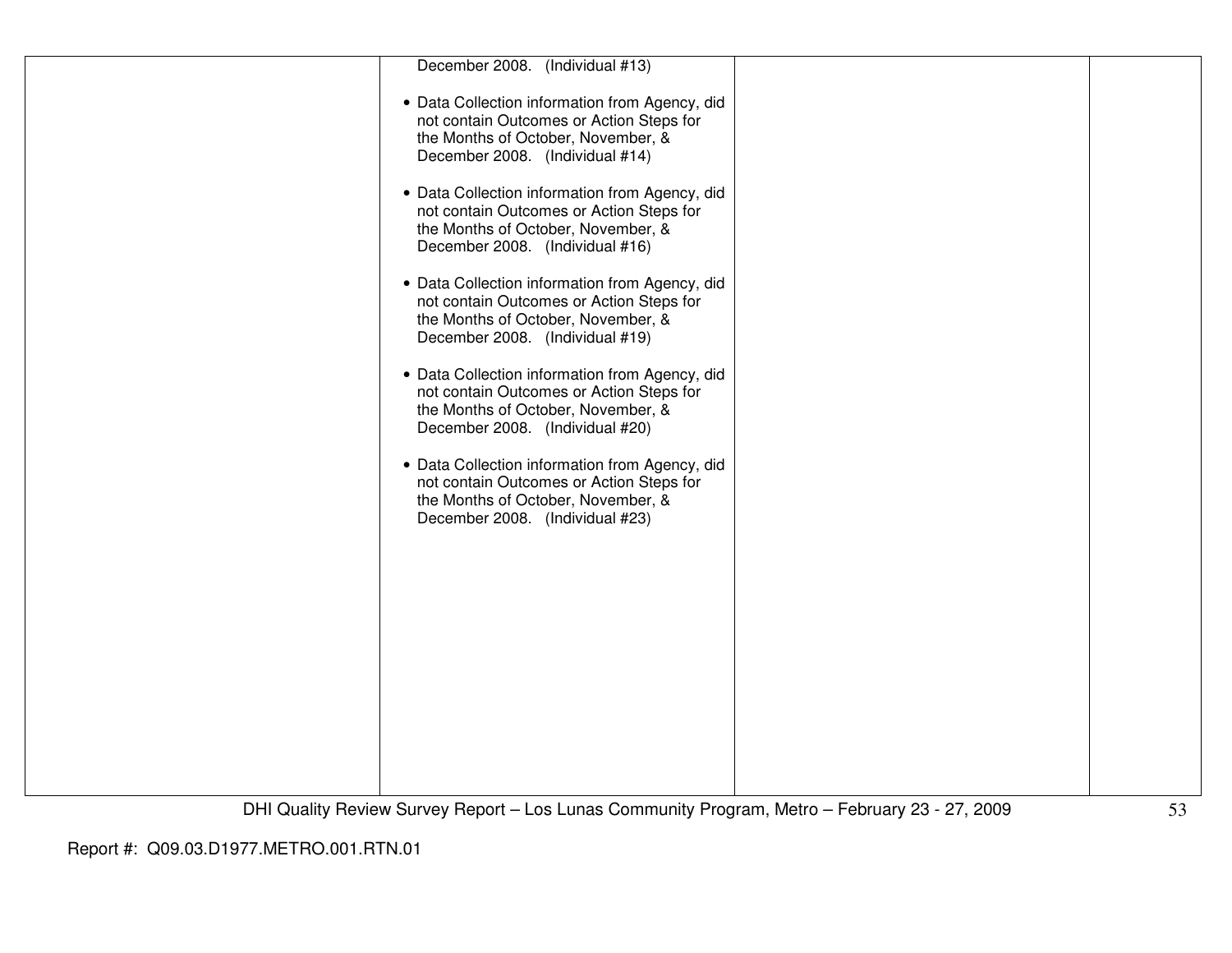| December 2008.<br>(Individual #13)                                                                                                                                  |  |
|---------------------------------------------------------------------------------------------------------------------------------------------------------------------|--|
| • Data Collection information from Agency, did<br>not contain Outcomes or Action Steps for<br>the Months of October, November, &<br>December 2008. (Individual #14) |  |
| • Data Collection information from Agency, did<br>not contain Outcomes or Action Steps for<br>the Months of October, November, &<br>December 2008. (Individual #16) |  |
| • Data Collection information from Agency, did<br>not contain Outcomes or Action Steps for<br>the Months of October, November, &<br>December 2008. (Individual #19) |  |
| • Data Collection information from Agency, did<br>not contain Outcomes or Action Steps for<br>the Months of October, November, &<br>December 2008. (Individual #20) |  |
| • Data Collection information from Agency, did<br>not contain Outcomes or Action Steps for<br>the Months of October, November, &<br>December 2008. (Individual #23) |  |
|                                                                                                                                                                     |  |
|                                                                                                                                                                     |  |
|                                                                                                                                                                     |  |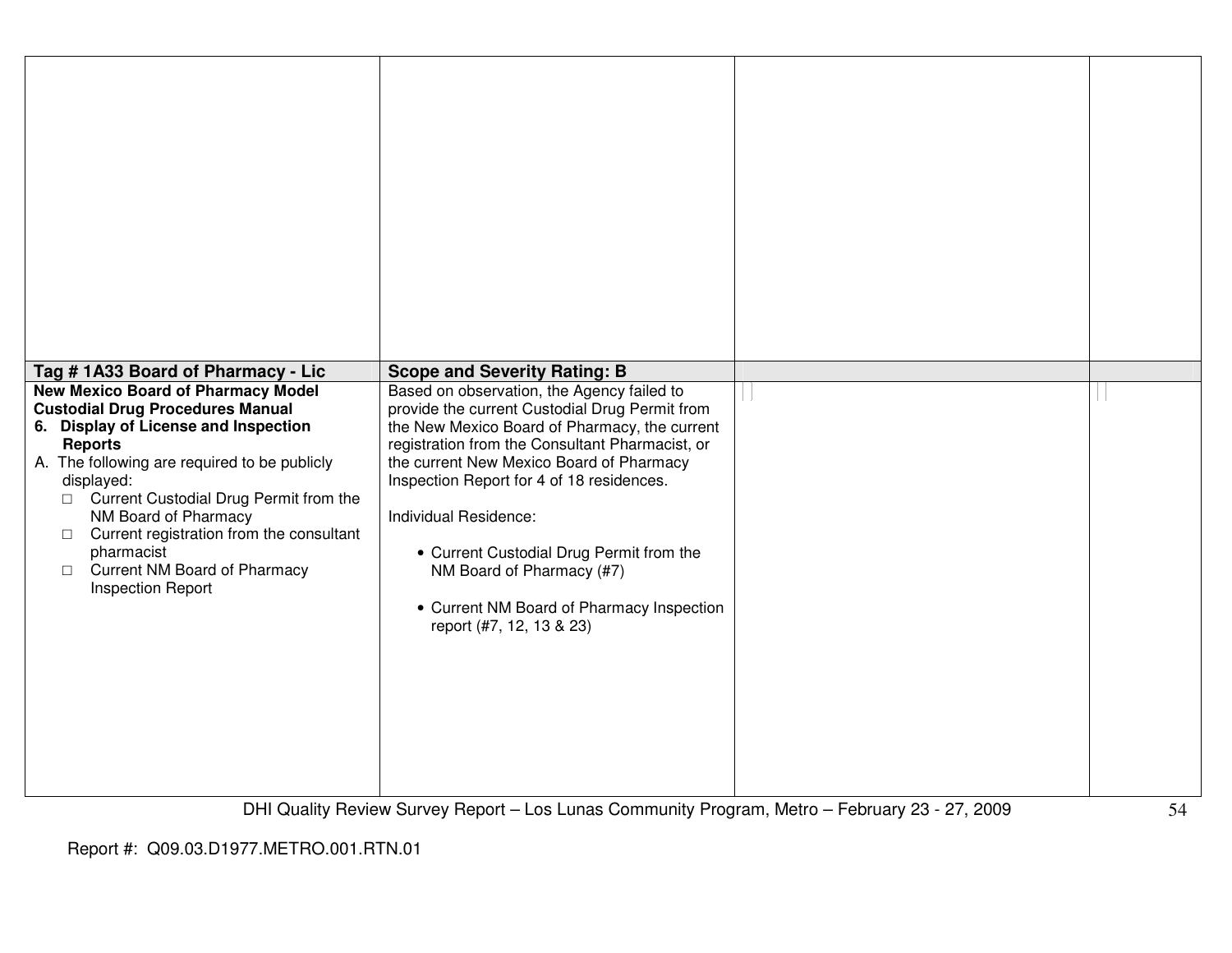| Tag #1A33 Board of Pharmacy - Lic                                                                                                                                                                                                                                                                                                                                                                                                 | <b>Scope and Severity Rating: B</b>                                                                                                                                                                                                                                                                                                                                                                                                                                  |  |
|-----------------------------------------------------------------------------------------------------------------------------------------------------------------------------------------------------------------------------------------------------------------------------------------------------------------------------------------------------------------------------------------------------------------------------------|----------------------------------------------------------------------------------------------------------------------------------------------------------------------------------------------------------------------------------------------------------------------------------------------------------------------------------------------------------------------------------------------------------------------------------------------------------------------|--|
| <b>New Mexico Board of Pharmacy Model</b><br><b>Custodial Drug Procedures Manual</b><br>6. Display of License and Inspection<br><b>Reports</b><br>A. The following are required to be publicly<br>displayed:<br>□ Current Custodial Drug Permit from the<br>NM Board of Pharmacy<br>Current registration from the consultant<br>$\Box$<br>pharmacist<br><b>Current NM Board of Pharmacy</b><br>$\Box$<br><b>Inspection Report</b> | Based on observation, the Agency failed to<br>provide the current Custodial Drug Permit from<br>the New Mexico Board of Pharmacy, the current<br>registration from the Consultant Pharmacist, or<br>the current New Mexico Board of Pharmacy<br>Inspection Report for 4 of 18 residences.<br>Individual Residence:<br>• Current Custodial Drug Permit from the<br>NM Board of Pharmacy (#7)<br>• Current NM Board of Pharmacy Inspection<br>report (#7, 12, 13 & 23) |  |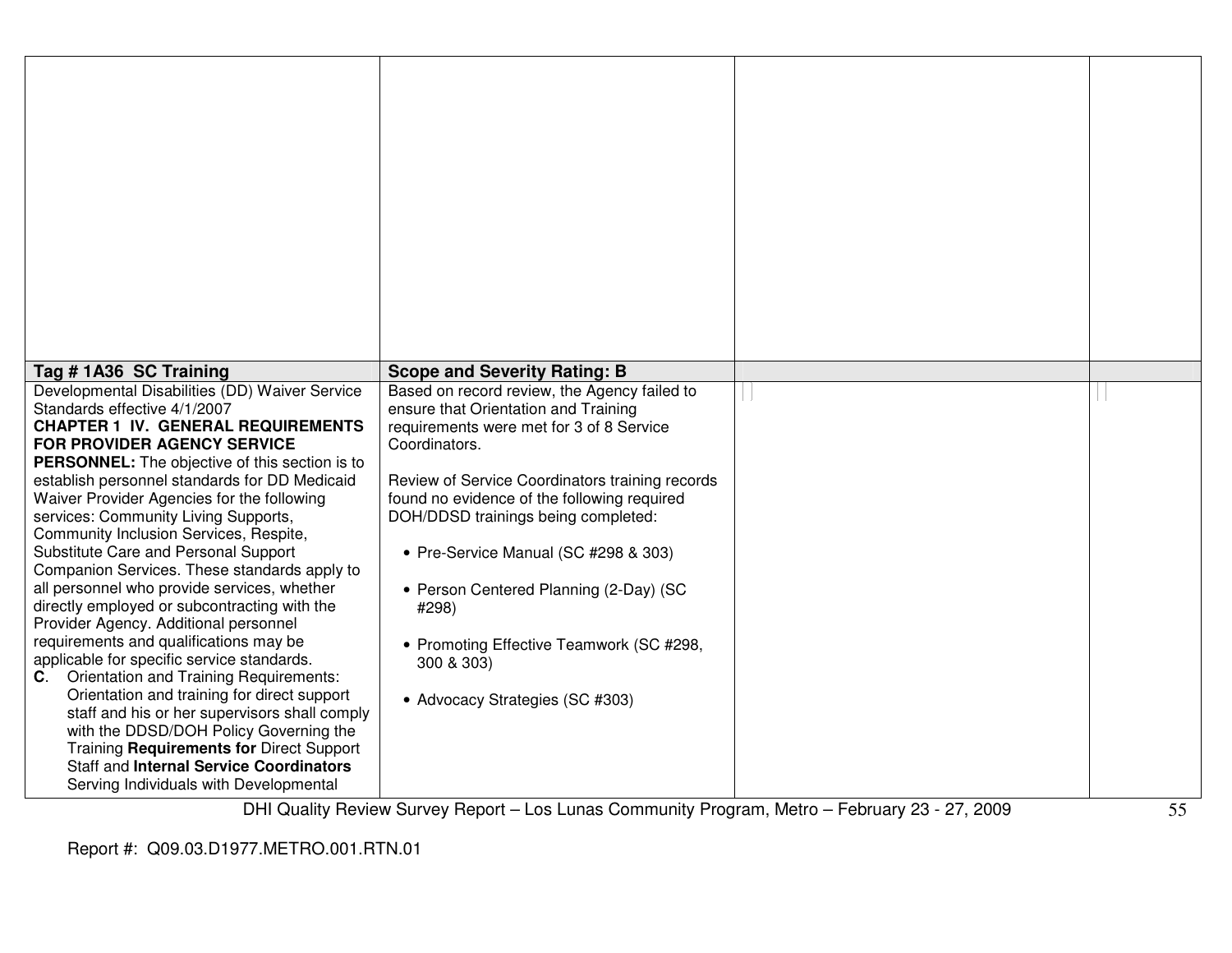| Tag #1A36 SC Training                                                                                                                                                                                                                                                                                                                                                                                                                                                                                                                                                                                                                                                                                                                                                                                                                                                                                                                                                                                                                                                 | <b>Scope and Severity Rating: B</b>                                                                                                                                                                                                                                                                                                                                                                                                                                                |  |
|-----------------------------------------------------------------------------------------------------------------------------------------------------------------------------------------------------------------------------------------------------------------------------------------------------------------------------------------------------------------------------------------------------------------------------------------------------------------------------------------------------------------------------------------------------------------------------------------------------------------------------------------------------------------------------------------------------------------------------------------------------------------------------------------------------------------------------------------------------------------------------------------------------------------------------------------------------------------------------------------------------------------------------------------------------------------------|------------------------------------------------------------------------------------------------------------------------------------------------------------------------------------------------------------------------------------------------------------------------------------------------------------------------------------------------------------------------------------------------------------------------------------------------------------------------------------|--|
| Developmental Disabilities (DD) Waiver Service<br>Standards effective 4/1/2007<br><b>CHAPTER 1 IV. GENERAL REQUIREMENTS</b><br><b>FOR PROVIDER AGENCY SERVICE</b><br>PERSONNEL: The objective of this section is to<br>establish personnel standards for DD Medicaid<br>Waiver Provider Agencies for the following<br>services: Community Living Supports,<br>Community Inclusion Services, Respite,<br>Substitute Care and Personal Support<br>Companion Services. These standards apply to<br>all personnel who provide services, whether<br>directly employed or subcontracting with the<br>Provider Agency. Additional personnel<br>requirements and qualifications may be<br>applicable for specific service standards.<br><b>Orientation and Training Requirements:</b><br>C.<br>Orientation and training for direct support<br>staff and his or her supervisors shall comply<br>with the DDSD/DOH Policy Governing the<br>Training Requirements for Direct Support<br><b>Staff and Internal Service Coordinators</b><br>Serving Individuals with Developmental | Based on record review, the Agency failed to<br>ensure that Orientation and Training<br>requirements were met for 3 of 8 Service<br>Coordinators.<br>Review of Service Coordinators training records<br>found no evidence of the following required<br>DOH/DDSD trainings being completed:<br>• Pre-Service Manual (SC #298 & 303)<br>• Person Centered Planning (2-Day) (SC<br>#298)<br>• Promoting Effective Teamwork (SC #298,<br>300 & 303)<br>• Advocacy Strategies (SC #303) |  |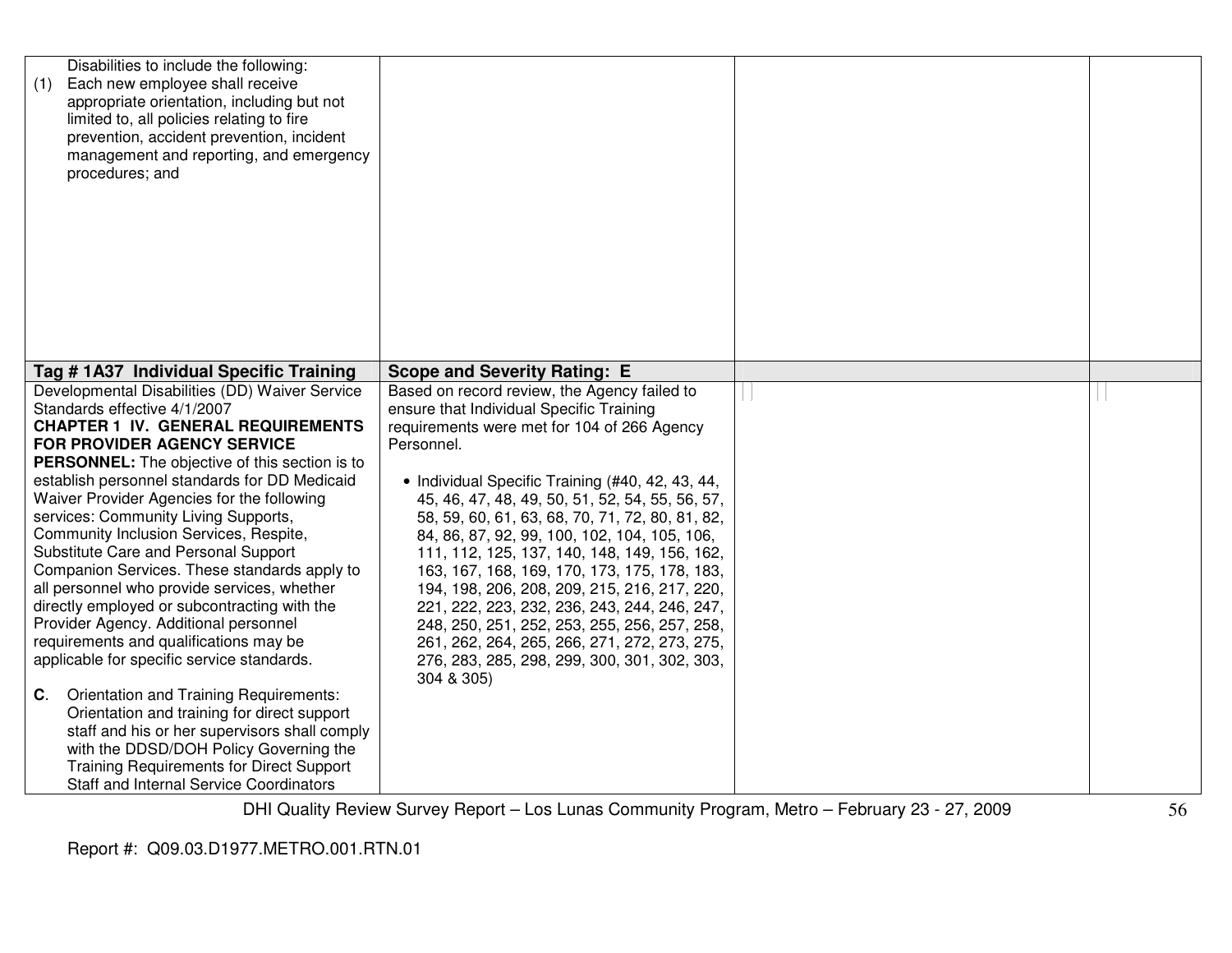| Disabilities to include the following:<br>Each new employee shall receive<br>(1)<br>appropriate orientation, including but not<br>limited to, all policies relating to fire<br>prevention, accident prevention, incident<br>management and reporting, and emergency<br>procedures; and |                                                  |  |
|----------------------------------------------------------------------------------------------------------------------------------------------------------------------------------------------------------------------------------------------------------------------------------------|--------------------------------------------------|--|
|                                                                                                                                                                                                                                                                                        |                                                  |  |
| Tag # 1A37 Individual Specific Training                                                                                                                                                                                                                                                | <b>Scope and Severity Rating: E</b>              |  |
| Developmental Disabilities (DD) Waiver Service                                                                                                                                                                                                                                         | Based on record review, the Agency failed to     |  |
| Standards effective 4/1/2007                                                                                                                                                                                                                                                           | ensure that Individual Specific Training         |  |
| <b>CHAPTER 1 IV. GENERAL REQUIREMENTS</b>                                                                                                                                                                                                                                              | requirements were met for 104 of 266 Agency      |  |
| <b>FOR PROVIDER AGENCY SERVICE</b>                                                                                                                                                                                                                                                     | Personnel.                                       |  |
| PERSONNEL: The objective of this section is to                                                                                                                                                                                                                                         |                                                  |  |
| establish personnel standards for DD Medicaid                                                                                                                                                                                                                                          | • Individual Specific Training (#40, 42, 43, 44, |  |
| Waiver Provider Agencies for the following                                                                                                                                                                                                                                             | 45, 46, 47, 48, 49, 50, 51, 52, 54, 55, 56, 57,  |  |
| services: Community Living Supports,                                                                                                                                                                                                                                                   | 58, 59, 60, 61, 63, 68, 70, 71, 72, 80, 81, 82,  |  |
| Community Inclusion Services, Respite,                                                                                                                                                                                                                                                 | 84, 86, 87, 92, 99, 100, 102, 104, 105, 106,     |  |
| Substitute Care and Personal Support                                                                                                                                                                                                                                                   | 111, 112, 125, 137, 140, 148, 149, 156, 162,     |  |
| Companion Services. These standards apply to                                                                                                                                                                                                                                           | 163, 167, 168, 169, 170, 173, 175, 178, 183,     |  |
| all personnel who provide services, whether                                                                                                                                                                                                                                            | 194, 198, 206, 208, 209, 215, 216, 217, 220,     |  |
| directly employed or subcontracting with the                                                                                                                                                                                                                                           | 221, 222, 223, 232, 236, 243, 244, 246, 247,     |  |
| Provider Agency. Additional personnel                                                                                                                                                                                                                                                  | 248, 250, 251, 252, 253, 255, 256, 257, 258,     |  |
| requirements and qualifications may be                                                                                                                                                                                                                                                 | 261, 262, 264, 265, 266, 271, 272, 273, 275,     |  |
| applicable for specific service standards.                                                                                                                                                                                                                                             | 276, 283, 285, 298, 299, 300, 301, 302, 303,     |  |
|                                                                                                                                                                                                                                                                                        | 304 & 305)                                       |  |
| Orientation and Training Requirements:<br>C.                                                                                                                                                                                                                                           |                                                  |  |
| Orientation and training for direct support                                                                                                                                                                                                                                            |                                                  |  |
| staff and his or her supervisors shall comply                                                                                                                                                                                                                                          |                                                  |  |
| with the DDSD/DOH Policy Governing the                                                                                                                                                                                                                                                 |                                                  |  |
| <b>Training Requirements for Direct Support</b>                                                                                                                                                                                                                                        |                                                  |  |
| <b>Staff and Internal Service Coordinators</b>                                                                                                                                                                                                                                         |                                                  |  |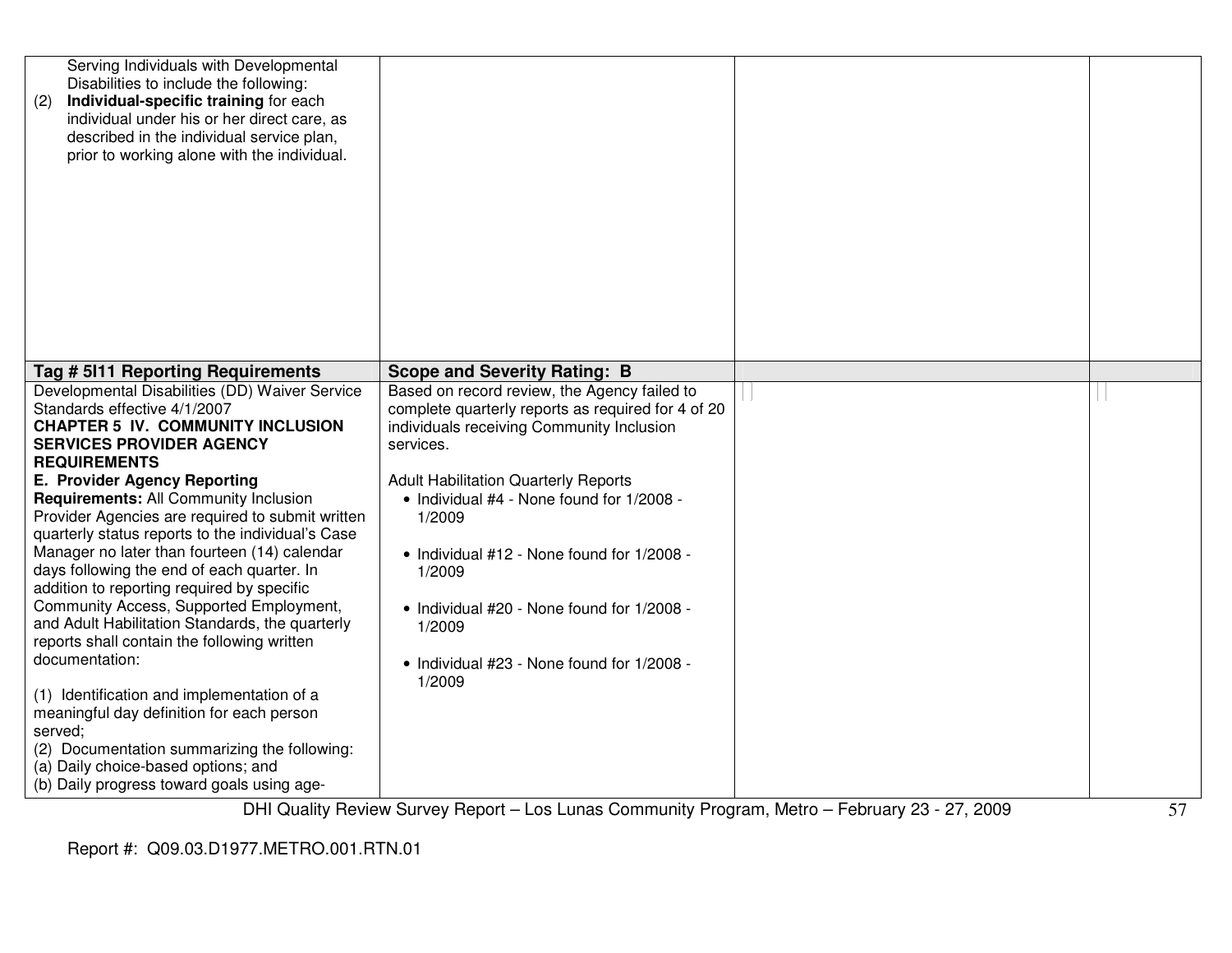| Serving Individuals with Developmental<br>Disabilities to include the following:<br>Individual-specific training for each<br>(2)<br>individual under his or her direct care, as<br>described in the individual service plan,<br>prior to working alone with the individual.                                                                                                                                                                                                                                                                                                                                                                                                                                                                                                             |                                                                                                                                                                                                                                                                                                                                                                                                                                            |  |
|-----------------------------------------------------------------------------------------------------------------------------------------------------------------------------------------------------------------------------------------------------------------------------------------------------------------------------------------------------------------------------------------------------------------------------------------------------------------------------------------------------------------------------------------------------------------------------------------------------------------------------------------------------------------------------------------------------------------------------------------------------------------------------------------|--------------------------------------------------------------------------------------------------------------------------------------------------------------------------------------------------------------------------------------------------------------------------------------------------------------------------------------------------------------------------------------------------------------------------------------------|--|
| Tag # 5111 Reporting Requirements                                                                                                                                                                                                                                                                                                                                                                                                                                                                                                                                                                                                                                                                                                                                                       | <b>Scope and Severity Rating: B</b>                                                                                                                                                                                                                                                                                                                                                                                                        |  |
| Developmental Disabilities (DD) Waiver Service<br>Standards effective 4/1/2007<br><b>CHAPTER 5 IV. COMMUNITY INCLUSION</b><br><b>SERVICES PROVIDER AGENCY</b><br><b>REQUIREMENTS</b><br>E. Provider Agency Reporting<br>Requirements: All Community Inclusion<br>Provider Agencies are required to submit written<br>quarterly status reports to the individual's Case<br>Manager no later than fourteen (14) calendar<br>days following the end of each quarter. In<br>addition to reporting required by specific<br>Community Access, Supported Employment,<br>and Adult Habilitation Standards, the quarterly<br>reports shall contain the following written<br>documentation:<br>(1) Identification and implementation of a<br>meaningful day definition for each person<br>served; | Based on record review, the Agency failed to<br>complete quarterly reports as required for 4 of 20<br>individuals receiving Community Inclusion<br>services.<br><b>Adult Habilitation Quarterly Reports</b><br>• Individual #4 - None found for 1/2008 -<br>1/2009<br>• Individual #12 - None found for 1/2008 -<br>1/2009<br>• Individual #20 - None found for 1/2008 -<br>1/2009<br>• Individual #23 - None found for 1/2008 -<br>1/2009 |  |
| (2) Documentation summarizing the following:<br>(a) Daily choice-based options; and<br>(b) Daily progress toward goals using age-                                                                                                                                                                                                                                                                                                                                                                                                                                                                                                                                                                                                                                                       |                                                                                                                                                                                                                                                                                                                                                                                                                                            |  |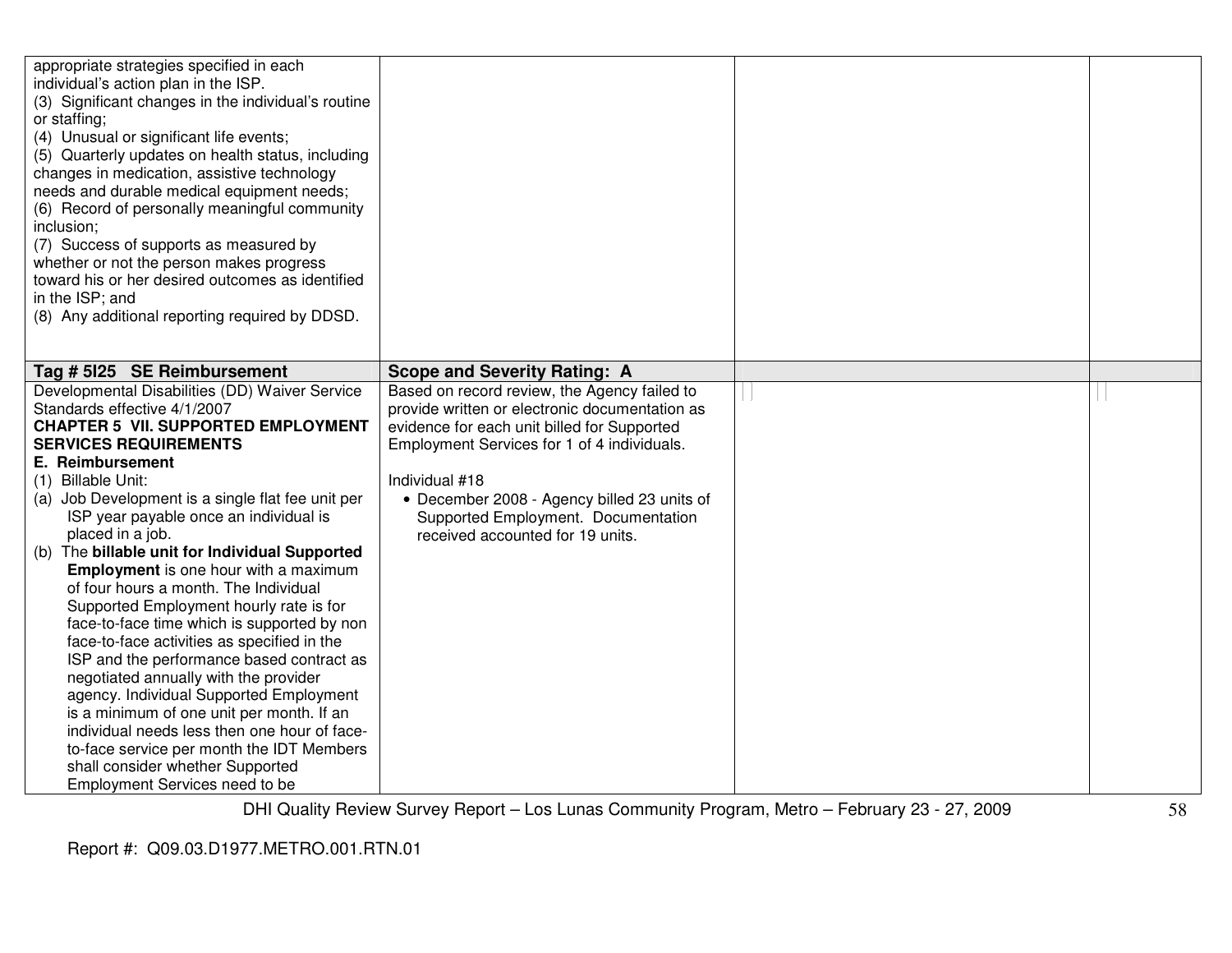| appropriate strategies specified in each<br>individual's action plan in the ISP.<br>(3) Significant changes in the individual's routine<br>or staffing;<br>(4) Unusual or significant life events;<br>(5) Quarterly updates on health status, including<br>changes in medication, assistive technology<br>needs and durable medical equipment needs;<br>(6) Record of personally meaningful community<br>inclusion;<br>(7) Success of supports as measured by<br>whether or not the person makes progress<br>toward his or her desired outcomes as identified<br>in the ISP; and<br>(8) Any additional reporting required by DDSD.                                                                                                                                                                                                                                                                                                                                    |                                                                                                                                                                                                                                                                                                                                          |  |
|-----------------------------------------------------------------------------------------------------------------------------------------------------------------------------------------------------------------------------------------------------------------------------------------------------------------------------------------------------------------------------------------------------------------------------------------------------------------------------------------------------------------------------------------------------------------------------------------------------------------------------------------------------------------------------------------------------------------------------------------------------------------------------------------------------------------------------------------------------------------------------------------------------------------------------------------------------------------------|------------------------------------------------------------------------------------------------------------------------------------------------------------------------------------------------------------------------------------------------------------------------------------------------------------------------------------------|--|
| Tag # 5125 SE Reimbursement                                                                                                                                                                                                                                                                                                                                                                                                                                                                                                                                                                                                                                                                                                                                                                                                                                                                                                                                           | <b>Scope and Severity Rating: A</b>                                                                                                                                                                                                                                                                                                      |  |
| Developmental Disabilities (DD) Waiver Service<br>Standards effective 4/1/2007<br><b>CHAPTER 5 VII. SUPPORTED EMPLOYMENT</b><br><b>SERVICES REQUIREMENTS</b><br><b>E.</b> Reimbursement<br>(1) Billable Unit:<br>(a) Job Development is a single flat fee unit per<br>ISP year payable once an individual is<br>placed in a job.<br>(b) The billable unit for Individual Supported<br><b>Employment</b> is one hour with a maximum<br>of four hours a month. The Individual<br>Supported Employment hourly rate is for<br>face-to-face time which is supported by non<br>face-to-face activities as specified in the<br>ISP and the performance based contract as<br>negotiated annually with the provider<br>agency. Individual Supported Employment<br>is a minimum of one unit per month. If an<br>individual needs less then one hour of face-<br>to-face service per month the IDT Members<br>shall consider whether Supported<br>Employment Services need to be | Based on record review, the Agency failed to<br>provide written or electronic documentation as<br>evidence for each unit billed for Supported<br>Employment Services for 1 of 4 individuals.<br>Individual #18<br>• December 2008 - Agency billed 23 units of<br>Supported Employment. Documentation<br>received accounted for 19 units. |  |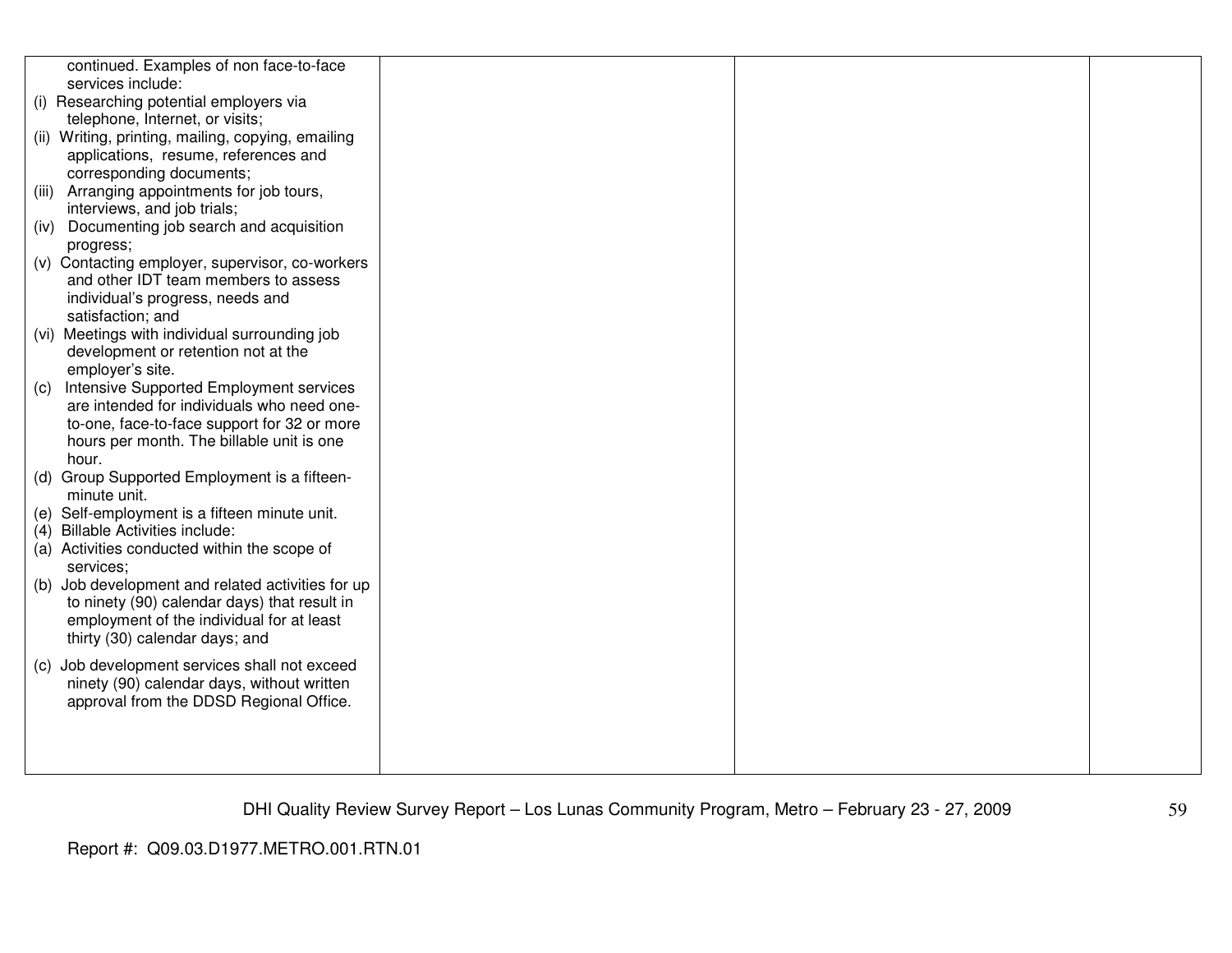|       | continued. Examples of non face-to-face            |  |  |
|-------|----------------------------------------------------|--|--|
|       | services include:                                  |  |  |
|       | (i) Researching potential employers via            |  |  |
|       |                                                    |  |  |
|       | telephone, Internet, or visits;                    |  |  |
|       | (ii) Writing, printing, mailing, copying, emailing |  |  |
|       | applications, resume, references and               |  |  |
|       | corresponding documents;                           |  |  |
| (iii) | Arranging appointments for job tours,              |  |  |
|       | interviews, and job trials;                        |  |  |
|       | (iv) Documenting job search and acquisition        |  |  |
|       | progress;                                          |  |  |
|       | (v) Contacting employer, supervisor, co-workers    |  |  |
|       | and other IDT team members to assess               |  |  |
|       | individual's progress, needs and                   |  |  |
|       | satisfaction; and                                  |  |  |
|       | (vi) Meetings with individual surrounding job      |  |  |
|       | development or retention not at the                |  |  |
|       | employer's site.                                   |  |  |
| (c)   | Intensive Supported Employment services            |  |  |
|       | are intended for individuals who need one-         |  |  |
|       | to-one, face-to-face support for 32 or more        |  |  |
|       | hours per month. The billable unit is one          |  |  |
|       | hour.                                              |  |  |
|       | (d) Group Supported Employment is a fifteen-       |  |  |
|       | minute unit.                                       |  |  |
|       | (e) Self-employment is a fifteen minute unit.      |  |  |
|       | (4) Billable Activities include:                   |  |  |
|       | (a) Activities conducted within the scope of       |  |  |
|       | services;                                          |  |  |
|       | (b) Job development and related activities for up  |  |  |
|       | to ninety (90) calendar days) that result in       |  |  |
|       | employment of the individual for at least          |  |  |
|       | thirty (30) calendar days; and                     |  |  |
|       |                                                    |  |  |
|       | (c) Job development services shall not exceed      |  |  |
|       | ninety (90) calendar days, without written         |  |  |
|       | approval from the DDSD Regional Office.            |  |  |
|       |                                                    |  |  |
|       |                                                    |  |  |
|       |                                                    |  |  |
|       |                                                    |  |  |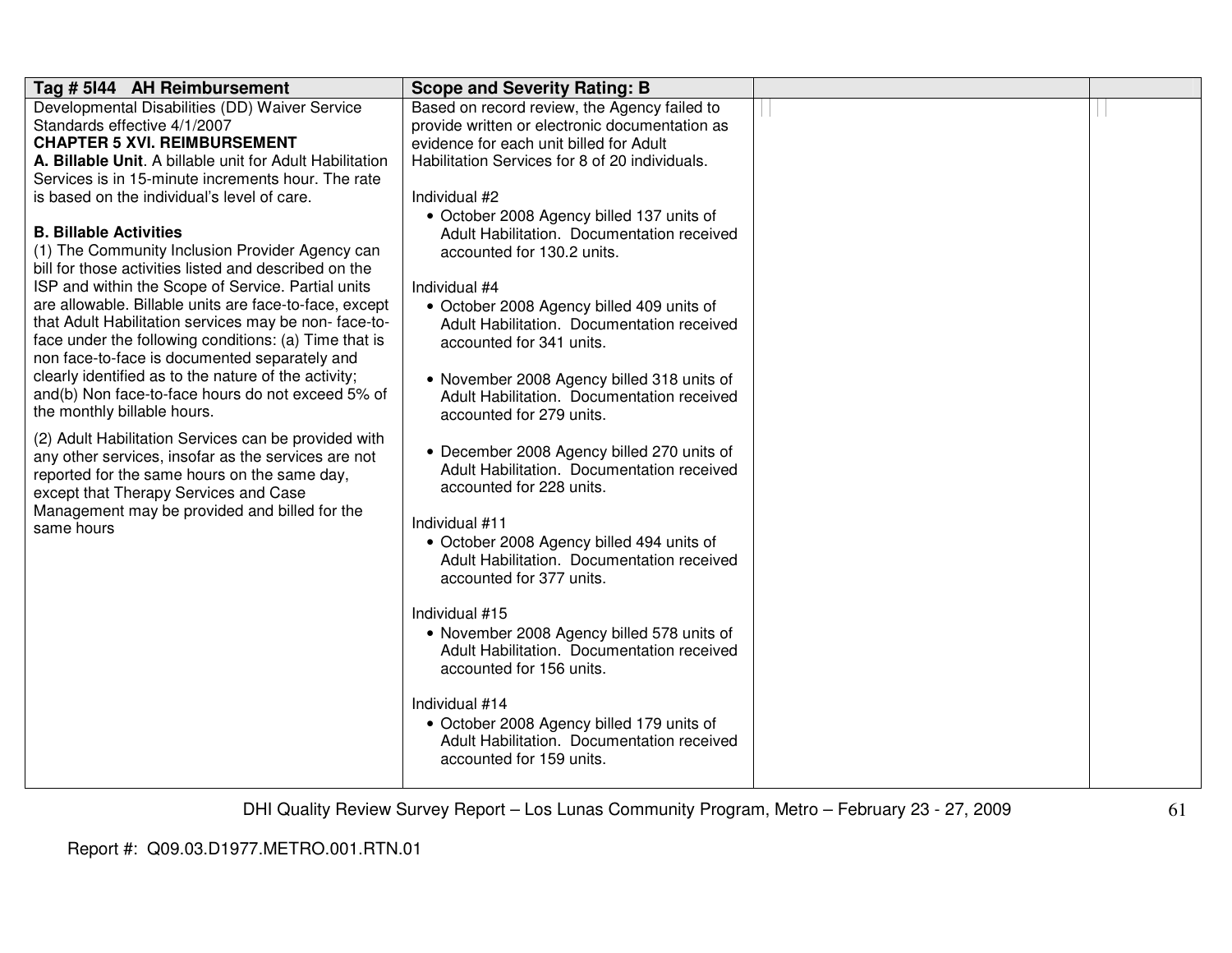| Tag # 5144 AH Reimbursement                                                                                 | <b>Scope and Severity Rating: B</b>                                                     |  |
|-------------------------------------------------------------------------------------------------------------|-----------------------------------------------------------------------------------------|--|
| Developmental Disabilities (DD) Waiver Service                                                              | Based on record review, the Agency failed to                                            |  |
| Standards effective 4/1/2007                                                                                | provide written or electronic documentation as                                          |  |
| <b>CHAPTER 5 XVI. REIMBURSEMENT</b>                                                                         | evidence for each unit billed for Adult                                                 |  |
| A. Billable Unit. A billable unit for Adult Habilitation                                                    | Habilitation Services for 8 of 20 individuals.                                          |  |
| Services is in 15-minute increments hour. The rate                                                          |                                                                                         |  |
| is based on the individual's level of care.                                                                 | Individual #2                                                                           |  |
| <b>B. Billable Activities</b>                                                                               | • October 2008 Agency billed 137 units of                                               |  |
|                                                                                                             | Adult Habilitation. Documentation received                                              |  |
| (1) The Community Inclusion Provider Agency can<br>bill for those activities listed and described on the    | accounted for 130.2 units.                                                              |  |
| ISP and within the Scope of Service. Partial units                                                          | Individual #4                                                                           |  |
| are allowable. Billable units are face-to-face, except                                                      |                                                                                         |  |
| that Adult Habilitation services may be non-face-to-                                                        | • October 2008 Agency billed 409 units of<br>Adult Habilitation. Documentation received |  |
| face under the following conditions: (a) Time that is                                                       | accounted for 341 units.                                                                |  |
| non face-to-face is documented separately and                                                               |                                                                                         |  |
| clearly identified as to the nature of the activity;                                                        | • November 2008 Agency billed 318 units of                                              |  |
| and(b) Non face-to-face hours do not exceed 5% of                                                           | Adult Habilitation. Documentation received                                              |  |
| the monthly billable hours.                                                                                 | accounted for 279 units.                                                                |  |
|                                                                                                             |                                                                                         |  |
| (2) Adult Habilitation Services can be provided with<br>any other services, insofar as the services are not | • December 2008 Agency billed 270 units of                                              |  |
| reported for the same hours on the same day,                                                                | Adult Habilitation. Documentation received                                              |  |
| except that Therapy Services and Case                                                                       | accounted for 228 units.                                                                |  |
| Management may be provided and billed for the                                                               |                                                                                         |  |
| same hours                                                                                                  | Individual #11                                                                          |  |
|                                                                                                             | • October 2008 Agency billed 494 units of                                               |  |
|                                                                                                             | Adult Habilitation. Documentation received                                              |  |
|                                                                                                             | accounted for 377 units.                                                                |  |
|                                                                                                             |                                                                                         |  |
|                                                                                                             | Individual #15                                                                          |  |
|                                                                                                             | • November 2008 Agency billed 578 units of                                              |  |
|                                                                                                             | Adult Habilitation. Documentation received                                              |  |
|                                                                                                             | accounted for 156 units.                                                                |  |
|                                                                                                             | Individual #14                                                                          |  |
|                                                                                                             | • October 2008 Agency billed 179 units of                                               |  |
|                                                                                                             | Adult Habilitation. Documentation received                                              |  |
|                                                                                                             | accounted for 159 units.                                                                |  |
|                                                                                                             |                                                                                         |  |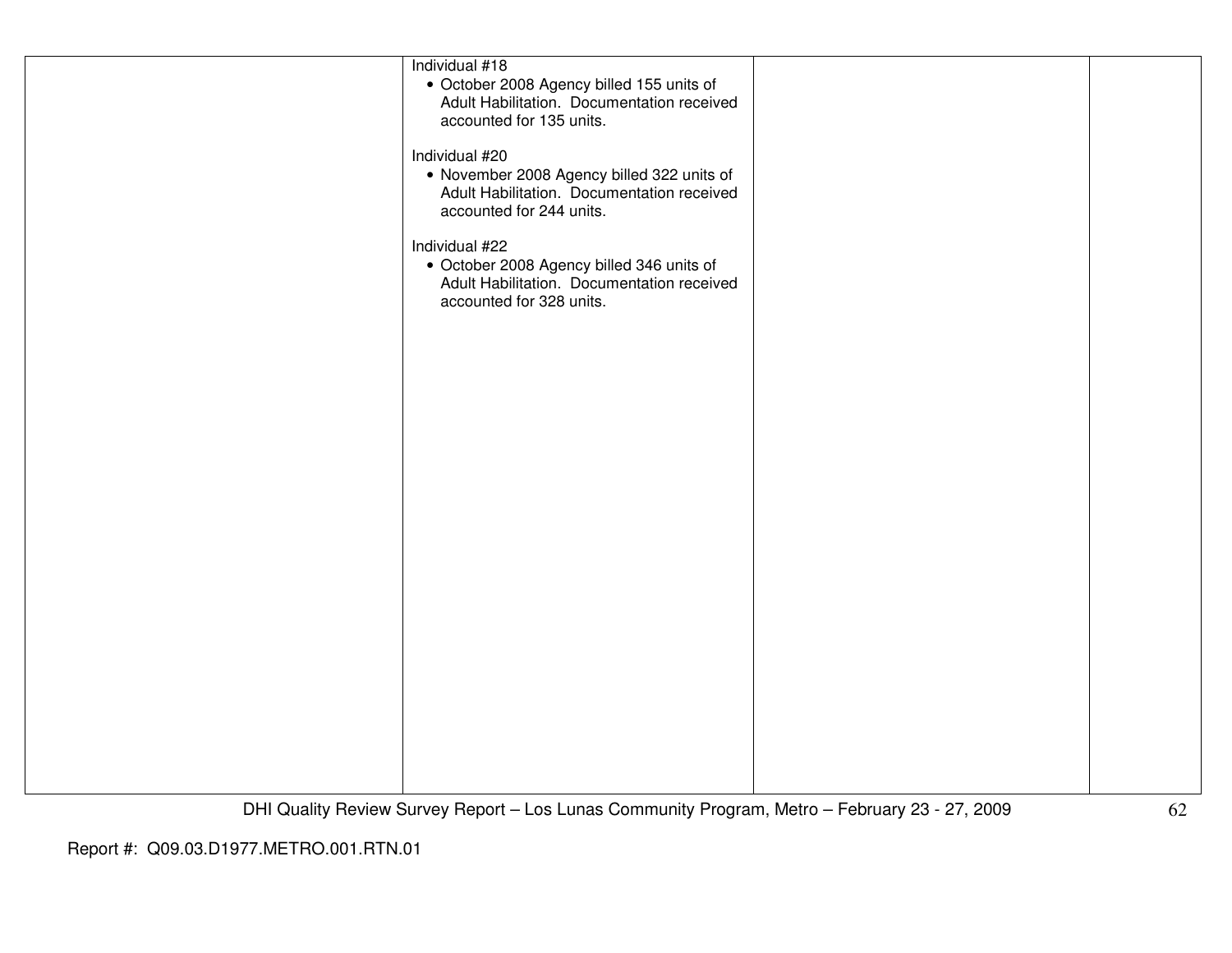| Individual #18                             |  |
|--------------------------------------------|--|
| • October 2008 Agency billed 155 units of  |  |
| Adult Habilitation. Documentation received |  |
| accounted for 135 units.                   |  |
|                                            |  |
|                                            |  |
| Individual #20                             |  |
| • November 2008 Agency billed 322 units of |  |
| Adult Habilitation. Documentation received |  |
| accounted for 244 units.                   |  |
|                                            |  |
|                                            |  |
| Individual #22                             |  |
| • October 2008 Agency billed 346 units of  |  |
| Adult Habilitation. Documentation received |  |
| accounted for 328 units.                   |  |
|                                            |  |
|                                            |  |
|                                            |  |
|                                            |  |
|                                            |  |
|                                            |  |
|                                            |  |
|                                            |  |
|                                            |  |
|                                            |  |
|                                            |  |
|                                            |  |
|                                            |  |
|                                            |  |
|                                            |  |
|                                            |  |
|                                            |  |
|                                            |  |
|                                            |  |
|                                            |  |
|                                            |  |
|                                            |  |
|                                            |  |
|                                            |  |
|                                            |  |
|                                            |  |
|                                            |  |
|                                            |  |
|                                            |  |
|                                            |  |
|                                            |  |
|                                            |  |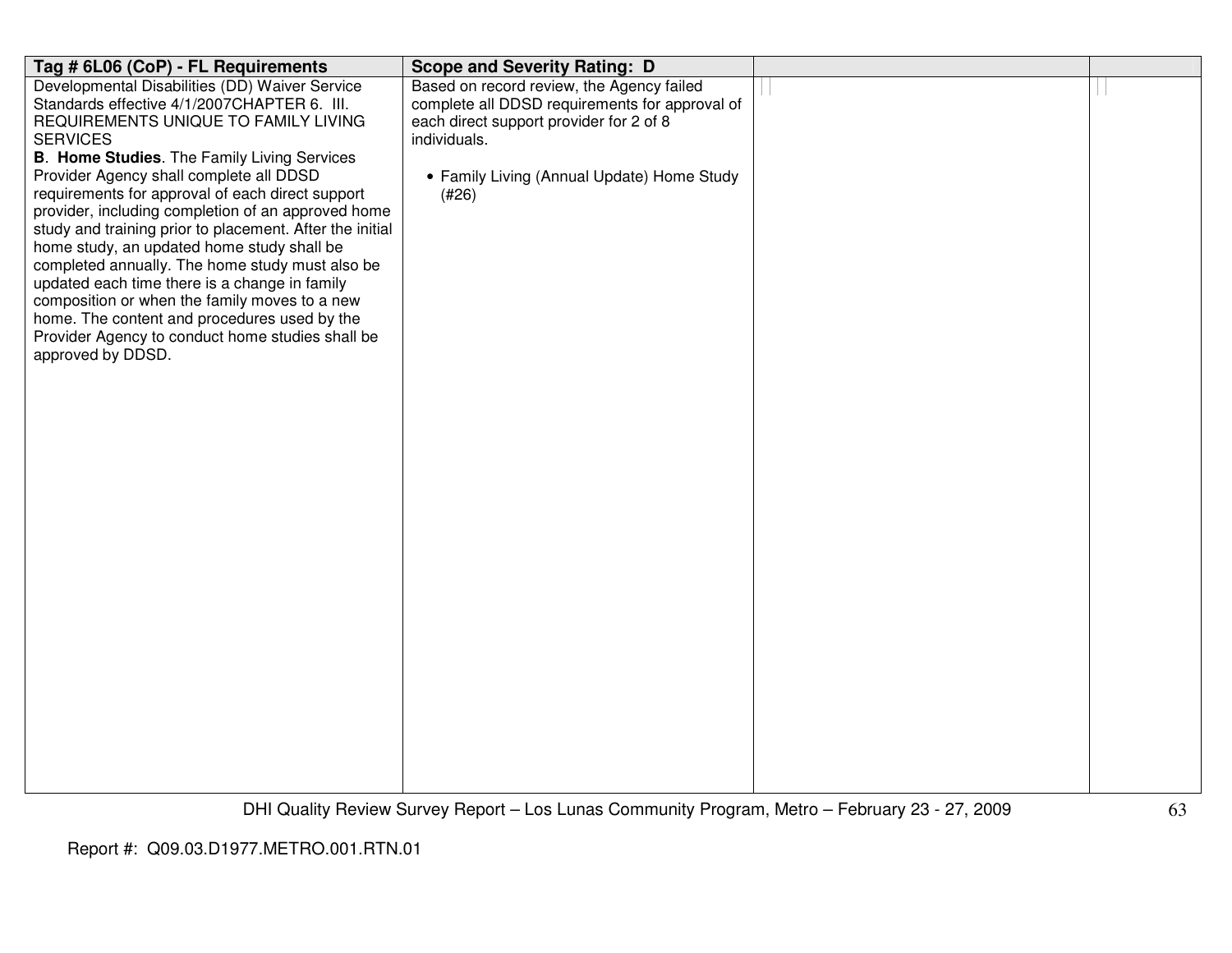| Tag # 6L06 (CoP) - FL Requirements                                                               | <b>Scope and Severity Rating: D</b>            |  |
|--------------------------------------------------------------------------------------------------|------------------------------------------------|--|
| Developmental Disabilities (DD) Waiver Service                                                   | Based on record review, the Agency failed      |  |
| Standards effective 4/1/2007CHAPTER 6. III.                                                      | complete all DDSD requirements for approval of |  |
| REQUIREMENTS UNIQUE TO FAMILY LIVING                                                             | each direct support provider for 2 of 8        |  |
| <b>SERVICES</b><br><b>B. Home Studies.</b> The Family Living Services                            | individuals.                                   |  |
| Provider Agency shall complete all DDSD                                                          | • Family Living (Annual Update) Home Study     |  |
| requirements for approval of each direct support                                                 | (#26)                                          |  |
| provider, including completion of an approved home                                               |                                                |  |
| study and training prior to placement. After the initial                                         |                                                |  |
| home study, an updated home study shall be                                                       |                                                |  |
| completed annually. The home study must also be                                                  |                                                |  |
| updated each time there is a change in family                                                    |                                                |  |
| composition or when the family moves to a new                                                    |                                                |  |
| home. The content and procedures used by the<br>Provider Agency to conduct home studies shall be |                                                |  |
| approved by DDSD.                                                                                |                                                |  |
|                                                                                                  |                                                |  |
|                                                                                                  |                                                |  |
|                                                                                                  |                                                |  |
|                                                                                                  |                                                |  |
|                                                                                                  |                                                |  |
|                                                                                                  |                                                |  |
|                                                                                                  |                                                |  |
|                                                                                                  |                                                |  |
|                                                                                                  |                                                |  |
|                                                                                                  |                                                |  |
|                                                                                                  |                                                |  |
|                                                                                                  |                                                |  |
|                                                                                                  |                                                |  |
|                                                                                                  |                                                |  |
|                                                                                                  |                                                |  |
|                                                                                                  |                                                |  |
|                                                                                                  |                                                |  |
|                                                                                                  |                                                |  |
|                                                                                                  |                                                |  |
|                                                                                                  |                                                |  |
|                                                                                                  |                                                |  |
|                                                                                                  |                                                |  |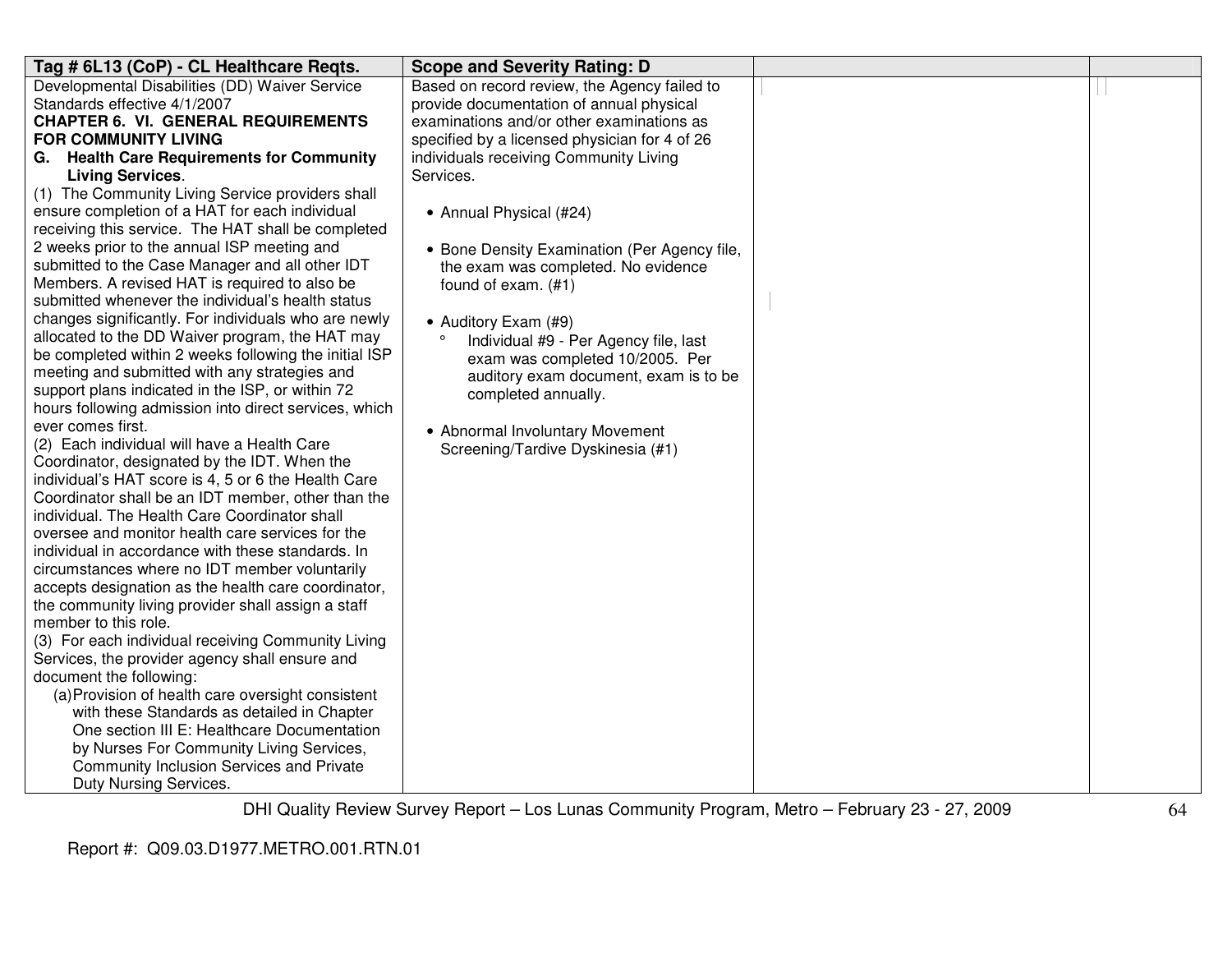| Tag # 6L13 (CoP) - CL Healthcare Regts.                                                              | <b>Scope and Severity Rating: D</b>           |  |
|------------------------------------------------------------------------------------------------------|-----------------------------------------------|--|
| Developmental Disabilities (DD) Waiver Service                                                       | Based on record review, the Agency failed to  |  |
| Standards effective 4/1/2007                                                                         | provide documentation of annual physical      |  |
| <b>CHAPTER 6. VI. GENERAL REQUIREMENTS</b>                                                           | examinations and/or other examinations as     |  |
| <b>FOR COMMUNITY LIVING</b>                                                                          | specified by a licensed physician for 4 of 26 |  |
| G. Health Care Requirements for Community                                                            | individuals receiving Community Living        |  |
| <b>Living Services.</b>                                                                              | Services.                                     |  |
| (1) The Community Living Service providers shall                                                     |                                               |  |
| ensure completion of a HAT for each individual                                                       | • Annual Physical (#24)                       |  |
| receiving this service. The HAT shall be completed                                                   |                                               |  |
| 2 weeks prior to the annual ISP meeting and                                                          | • Bone Density Examination (Per Agency file,  |  |
| submitted to the Case Manager and all other IDT                                                      | the exam was completed. No evidence           |  |
| Members. A revised HAT is required to also be                                                        | found of exam. (#1)                           |  |
| submitted whenever the individual's health status                                                    |                                               |  |
| changes significantly. For individuals who are newly                                                 | • Auditory Exam (#9)                          |  |
| allocated to the DD Waiver program, the HAT may                                                      | Individual #9 - Per Agency file, last         |  |
| be completed within 2 weeks following the initial ISP                                                | exam was completed 10/2005. Per               |  |
| meeting and submitted with any strategies and                                                        | auditory exam document, exam is to be         |  |
| support plans indicated in the ISP, or within 72                                                     | completed annually.                           |  |
| hours following admission into direct services, which                                                |                                               |  |
| ever comes first.                                                                                    | • Abnormal Involuntary Movement               |  |
| (2) Each individual will have a Health Care                                                          | Screening/Tardive Dyskinesia (#1)             |  |
| Coordinator, designated by the IDT. When the                                                         |                                               |  |
| individual's HAT score is 4, 5 or 6 the Health Care                                                  |                                               |  |
| Coordinator shall be an IDT member, other than the                                                   |                                               |  |
| individual. The Health Care Coordinator shall                                                        |                                               |  |
| oversee and monitor health care services for the                                                     |                                               |  |
| individual in accordance with these standards. In                                                    |                                               |  |
| circumstances where no IDT member voluntarily                                                        |                                               |  |
| accepts designation as the health care coordinator,                                                  |                                               |  |
| the community living provider shall assign a staff<br>member to this role.                           |                                               |  |
|                                                                                                      |                                               |  |
| (3) For each individual receiving Community Living<br>Services, the provider agency shall ensure and |                                               |  |
| document the following:                                                                              |                                               |  |
| (a) Provision of health care oversight consistent                                                    |                                               |  |
| with these Standards as detailed in Chapter                                                          |                                               |  |
| One section III E: Healthcare Documentation                                                          |                                               |  |
| by Nurses For Community Living Services,                                                             |                                               |  |
| Community Inclusion Services and Private                                                             |                                               |  |
| Duty Nursing Services.                                                                               |                                               |  |
|                                                                                                      |                                               |  |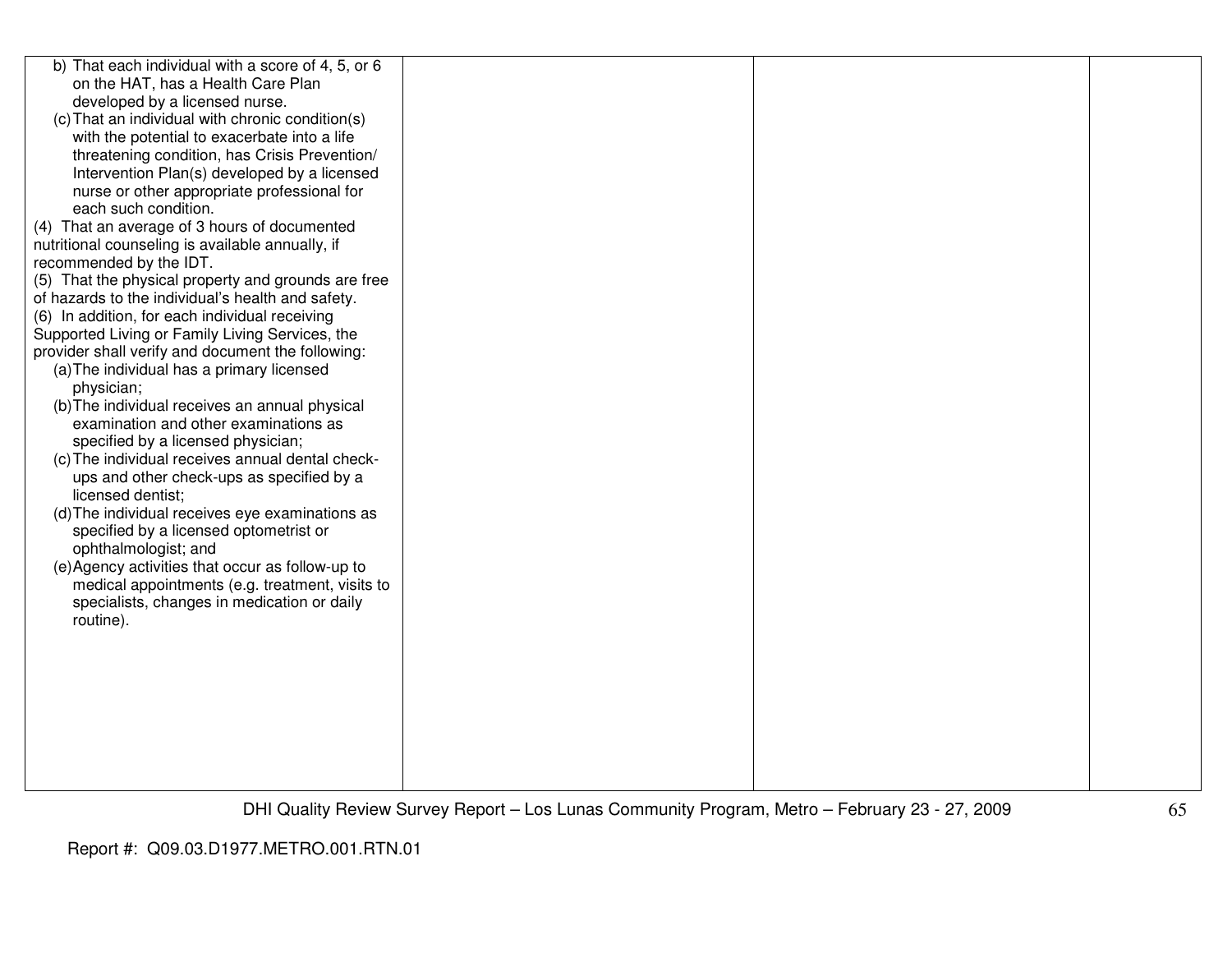| b) That each individual with a score of 4, 5, or 6  |  |  |
|-----------------------------------------------------|--|--|
| on the HAT, has a Health Care Plan                  |  |  |
| developed by a licensed nurse.                      |  |  |
| (c) That an individual with chronic condition(s)    |  |  |
| with the potential to exacerbate into a life        |  |  |
| threatening condition, has Crisis Prevention/       |  |  |
| Intervention Plan(s) developed by a licensed        |  |  |
| nurse or other appropriate professional for         |  |  |
| each such condition.                                |  |  |
| (4) That an average of 3 hours of documented        |  |  |
| nutritional counseling is available annually, if    |  |  |
| recommended by the IDT.                             |  |  |
| (5) That the physical property and grounds are free |  |  |
| of hazards to the individual's health and safety.   |  |  |
| (6) In addition, for each individual receiving      |  |  |
| Supported Living or Family Living Services, the     |  |  |
| provider shall verify and document the following:   |  |  |
| (a) The individual has a primary licensed           |  |  |
| physician;                                          |  |  |
| (b) The individual receives an annual physical      |  |  |
| examination and other examinations as               |  |  |
| specified by a licensed physician;                  |  |  |
| (c) The individual receives annual dental check-    |  |  |
| ups and other check-ups as specified by a           |  |  |
| licensed dentist;                                   |  |  |
| (d) The individual receives eye examinations as     |  |  |
| specified by a licensed optometrist or              |  |  |
| ophthalmologist; and                                |  |  |
| (e) Agency activities that occur as follow-up to    |  |  |
| medical appointments (e.g. treatment, visits to     |  |  |
| specialists, changes in medication or daily         |  |  |
| routine).                                           |  |  |
|                                                     |  |  |
|                                                     |  |  |
|                                                     |  |  |
|                                                     |  |  |
|                                                     |  |  |
|                                                     |  |  |
|                                                     |  |  |
|                                                     |  |  |
|                                                     |  |  |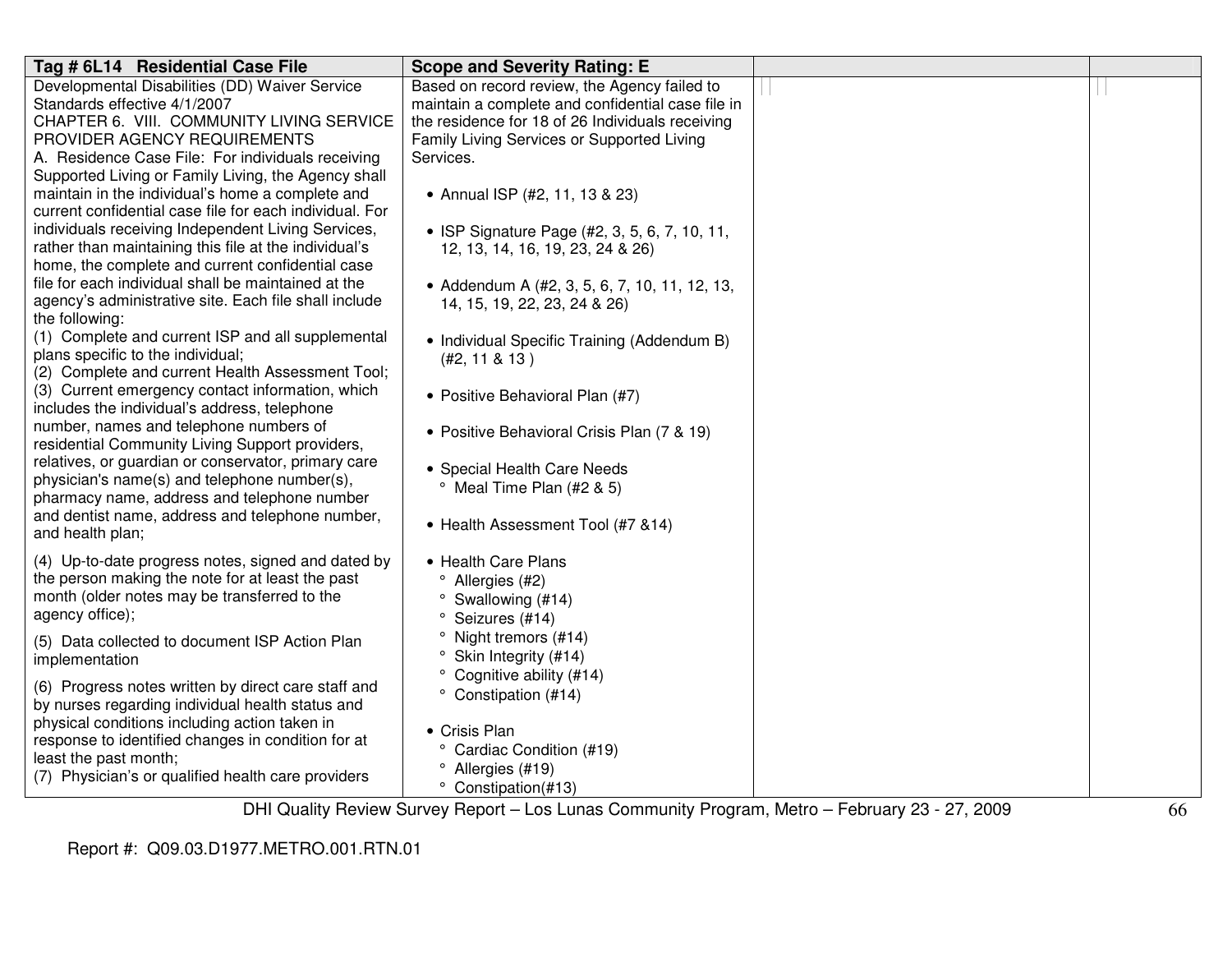| Tag # 6L14 Residential Case File                                                            | <b>Scope and Severity Rating: E</b>               |  |
|---------------------------------------------------------------------------------------------|---------------------------------------------------|--|
| Developmental Disabilities (DD) Waiver Service                                              | Based on record review, the Agency failed to      |  |
| Standards effective 4/1/2007                                                                | maintain a complete and confidential case file in |  |
| CHAPTER 6. VIII. COMMUNITY LIVING SERVICE                                                   | the residence for 18 of 26 Individuals receiving  |  |
| PROVIDER AGENCY REQUIREMENTS                                                                | Family Living Services or Supported Living        |  |
| A. Residence Case File: For individuals receiving                                           | Services.                                         |  |
| Supported Living or Family Living, the Agency shall                                         |                                                   |  |
| maintain in the individual's home a complete and                                            | • Annual ISP (#2, 11, 13 & 23)                    |  |
| current confidential case file for each individual. For                                     |                                                   |  |
| individuals receiving Independent Living Services,                                          | • ISP Signature Page (#2, 3, 5, 6, 7, 10, 11,     |  |
| rather than maintaining this file at the individual's                                       | 12, 13, 14, 16, 19, 23, 24 & 26)                  |  |
| home, the complete and current confidential case                                            |                                                   |  |
| file for each individual shall be maintained at the                                         | • Addendum A (#2, 3, 5, 6, 7, 10, 11, 12, 13,     |  |
| agency's administrative site. Each file shall include                                       | 14, 15, 19, 22, 23, 24 & 26)                      |  |
| the following:                                                                              |                                                   |  |
| (1) Complete and current ISP and all supplemental                                           | • Individual Specific Training (Addendum B)       |  |
| plans specific to the individual;                                                           | (H2, 11 & 8 & 13)                                 |  |
| (2) Complete and current Health Assessment Tool;                                            |                                                   |  |
| (3) Current emergency contact information, which                                            | • Positive Behavioral Plan (#7)                   |  |
| includes the individual's address, telephone                                                |                                                   |  |
| number, names and telephone numbers of                                                      | • Positive Behavioral Crisis Plan (7 & 19)        |  |
| residential Community Living Support providers,                                             |                                                   |  |
| relatives, or guardian or conservator, primary care                                         | • Special Health Care Needs                       |  |
| physician's name(s) and telephone number(s),<br>pharmacy name, address and telephone number | <sup>o</sup> Meal Time Plan (#2 & 5)              |  |
| and dentist name, address and telephone number,                                             |                                                   |  |
| and health plan;                                                                            | • Health Assessment Tool (#7 &14)                 |  |
|                                                                                             |                                                   |  |
| (4) Up-to-date progress notes, signed and dated by                                          | • Health Care Plans                               |  |
| the person making the note for at least the past                                            | <sup>o</sup> Allergies (#2)                       |  |
| month (older notes may be transferred to the                                                | $\degree$ Swallowing (#14)                        |  |
| agency office);                                                                             | <sup>o</sup> Seizures (#14)                       |  |
| (5) Data collected to document ISP Action Plan                                              | Night tremors (#14)<br>$\circ$                    |  |
| implementation                                                                              | ° Skin Integrity (#14)                            |  |
|                                                                                             | ° Cognitive ability (#14)                         |  |
| (6) Progress notes written by direct care staff and                                         | ° Constipation (#14)                              |  |
| by nurses regarding individual health status and                                            |                                                   |  |
| physical conditions including action taken in                                               | • Crisis Plan                                     |  |
| response to identified changes in condition for at                                          | ° Cardiac Condition (#19)                         |  |
| least the past month;                                                                       | <sup>o</sup> Allergies (#19)                      |  |
| (7) Physician's or qualified health care providers                                          | ° Constipation(#13)                               |  |
|                                                                                             |                                                   |  |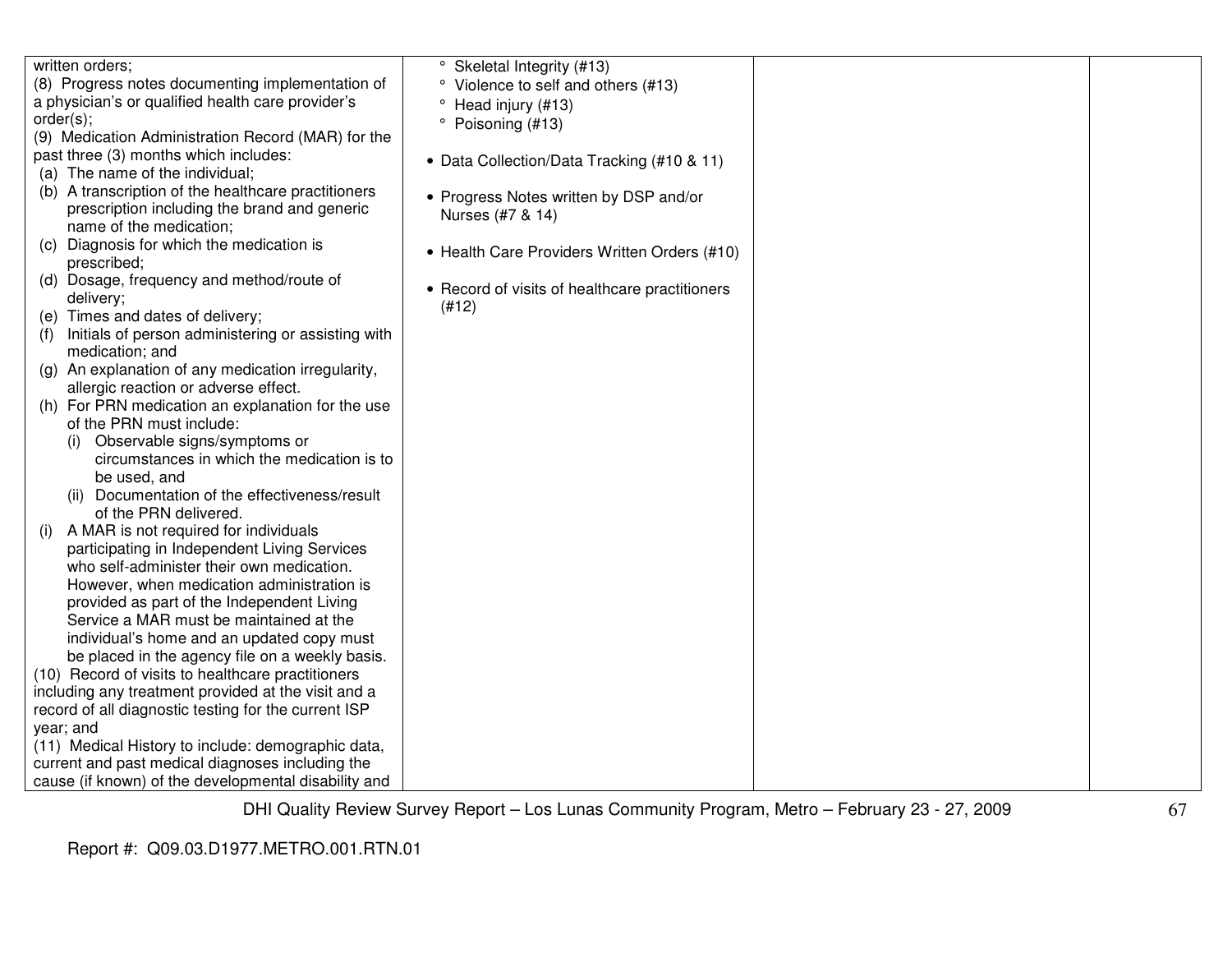| written orders;                                           | ° Skeletal Integrity (#13)                     |  |
|-----------------------------------------------------------|------------------------------------------------|--|
| (8) Progress notes documenting implementation of          | Violence to self and others (#13)              |  |
| a physician's or qualified health care provider's         | Head injury (#13)                              |  |
| order(s);                                                 | ۰<br>Poisoning (#13)                           |  |
| (9) Medication Administration Record (MAR) for the        |                                                |  |
| past three (3) months which includes:                     | • Data Collection/Data Tracking (#10 & 11)     |  |
| (a) The name of the individual;                           |                                                |  |
| (b) A transcription of the healthcare practitioners       | • Progress Notes written by DSP and/or         |  |
| prescription including the brand and generic              | Nurses (#7 & 14)                               |  |
| name of the medication;                                   |                                                |  |
| Diagnosis for which the medication is<br>(C)              | • Health Care Providers Written Orders (#10)   |  |
| prescribed;                                               |                                                |  |
| (d) Dosage, frequency and method/route of                 | • Record of visits of healthcare practitioners |  |
| delivery;                                                 | (#12)                                          |  |
| (e) Times and dates of delivery;                          |                                                |  |
| Initials of person administering or assisting with<br>(f) |                                                |  |
| medication; and                                           |                                                |  |
| (g) An explanation of any medication irregularity,        |                                                |  |
| allergic reaction or adverse effect.                      |                                                |  |
| (h) For PRN medication an explanation for the use         |                                                |  |
| of the PRN must include:                                  |                                                |  |
| Observable signs/symptoms or                              |                                                |  |
| circumstances in which the medication is to               |                                                |  |
| be used, and                                              |                                                |  |
| (ii) Documentation of the effectiveness/result            |                                                |  |
| of the PRN delivered.                                     |                                                |  |
| A MAR is not required for individuals                     |                                                |  |
| participating in Independent Living Services              |                                                |  |
| who self-administer their own medication.                 |                                                |  |
| However, when medication administration is                |                                                |  |
| provided as part of the Independent Living                |                                                |  |
| Service a MAR must be maintained at the                   |                                                |  |
| individual's home and an updated copy must                |                                                |  |
| be placed in the agency file on a weekly basis.           |                                                |  |
| (10) Record of visits to healthcare practitioners         |                                                |  |
| including any treatment provided at the visit and a       |                                                |  |
| record of all diagnostic testing for the current ISP      |                                                |  |
| year; and                                                 |                                                |  |
| (11) Medical History to include: demographic data,        |                                                |  |
| current and past medical diagnoses including the          |                                                |  |
| cause (if known) of the developmental disability and      |                                                |  |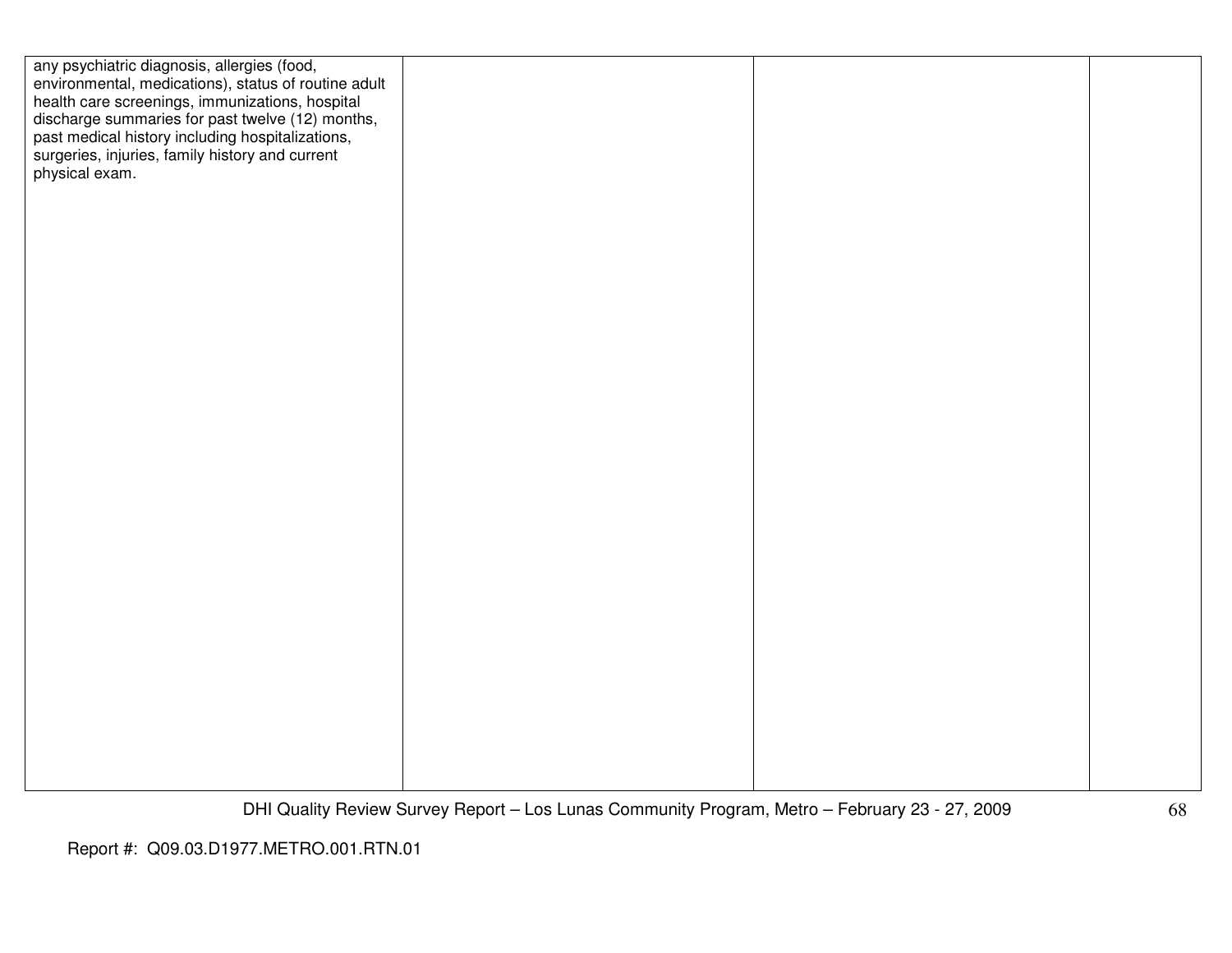| any psychiatric diagnosis, allergies (food,<br>environmental, medications), status of routine adult<br>health care screenings, immunizations, hospital<br>discharge summaries for past twelve (12) months,<br>past medical history including hospitalizations,<br>surgeries, injuries, family history and current<br>physical exam. |  |  |
|-------------------------------------------------------------------------------------------------------------------------------------------------------------------------------------------------------------------------------------------------------------------------------------------------------------------------------------|--|--|
|                                                                                                                                                                                                                                                                                                                                     |  |  |
|                                                                                                                                                                                                                                                                                                                                     |  |  |
|                                                                                                                                                                                                                                                                                                                                     |  |  |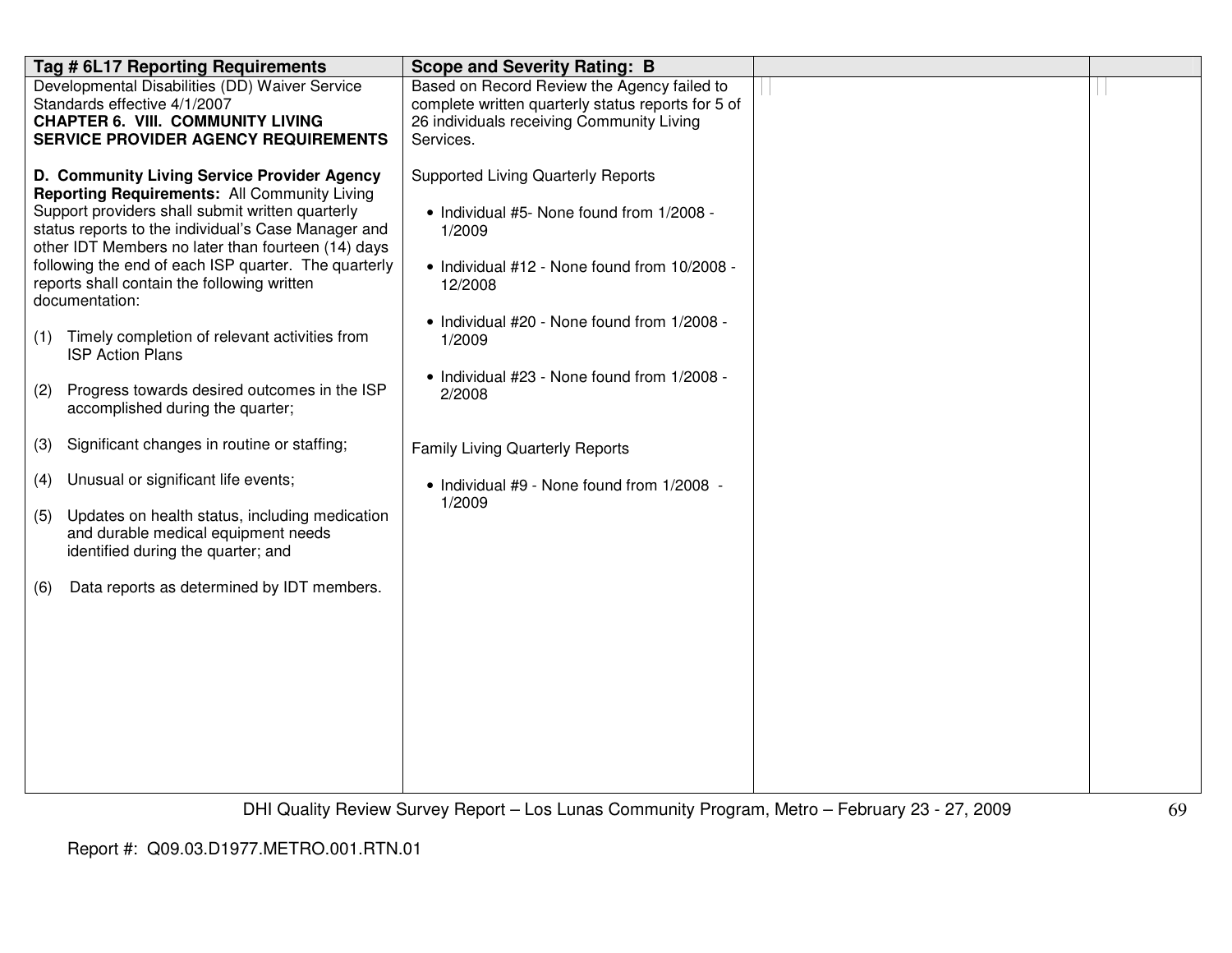|            | Tag # 6L17 Reporting Requirements                                                                                                                                                                                                                                                                                                                                                                                                                                                                                                                                                                           | <b>Scope and Severity Rating: B</b>                                                                                                                                                                                                                                           |  |
|------------|-------------------------------------------------------------------------------------------------------------------------------------------------------------------------------------------------------------------------------------------------------------------------------------------------------------------------------------------------------------------------------------------------------------------------------------------------------------------------------------------------------------------------------------------------------------------------------------------------------------|-------------------------------------------------------------------------------------------------------------------------------------------------------------------------------------------------------------------------------------------------------------------------------|--|
|            | Developmental Disabilities (DD) Waiver Service<br>Standards effective 4/1/2007<br><b>CHAPTER 6. VIII. COMMUNITY LIVING</b><br><b>SERVICE PROVIDER AGENCY REQUIREMENTS</b>                                                                                                                                                                                                                                                                                                                                                                                                                                   | Based on Record Review the Agency failed to<br>complete written quarterly status reports for 5 of<br>26 individuals receiving Community Living<br>Services.                                                                                                                   |  |
| (1)<br>(2) | D. Community Living Service Provider Agency<br><b>Reporting Requirements: All Community Living</b><br>Support providers shall submit written quarterly<br>status reports to the individual's Case Manager and<br>other IDT Members no later than fourteen (14) days<br>following the end of each ISP quarter. The quarterly<br>reports shall contain the following written<br>documentation:<br>Timely completion of relevant activities from<br><b>ISP Action Plans</b><br>Progress towards desired outcomes in the ISP<br>accomplished during the quarter;<br>Significant changes in routine or staffing; | <b>Supported Living Quarterly Reports</b><br>• Individual #5- None found from 1/2008 -<br>1/2009<br>• Individual #12 - None found from 10/2008 -<br>12/2008<br>• Individual #20 - None found from 1/2008 -<br>1/2009<br>• Individual #23 - None found from 1/2008 -<br>2/2008 |  |
| (3)        |                                                                                                                                                                                                                                                                                                                                                                                                                                                                                                                                                                                                             | <b>Family Living Quarterly Reports</b>                                                                                                                                                                                                                                        |  |
| (4)        | Unusual or significant life events;                                                                                                                                                                                                                                                                                                                                                                                                                                                                                                                                                                         | • Individual #9 - None found from 1/2008 -                                                                                                                                                                                                                                    |  |
| (5)        | Updates on health status, including medication<br>and durable medical equipment needs<br>identified during the quarter; and                                                                                                                                                                                                                                                                                                                                                                                                                                                                                 | 1/2009                                                                                                                                                                                                                                                                        |  |
| (6)        | Data reports as determined by IDT members.                                                                                                                                                                                                                                                                                                                                                                                                                                                                                                                                                                  |                                                                                                                                                                                                                                                                               |  |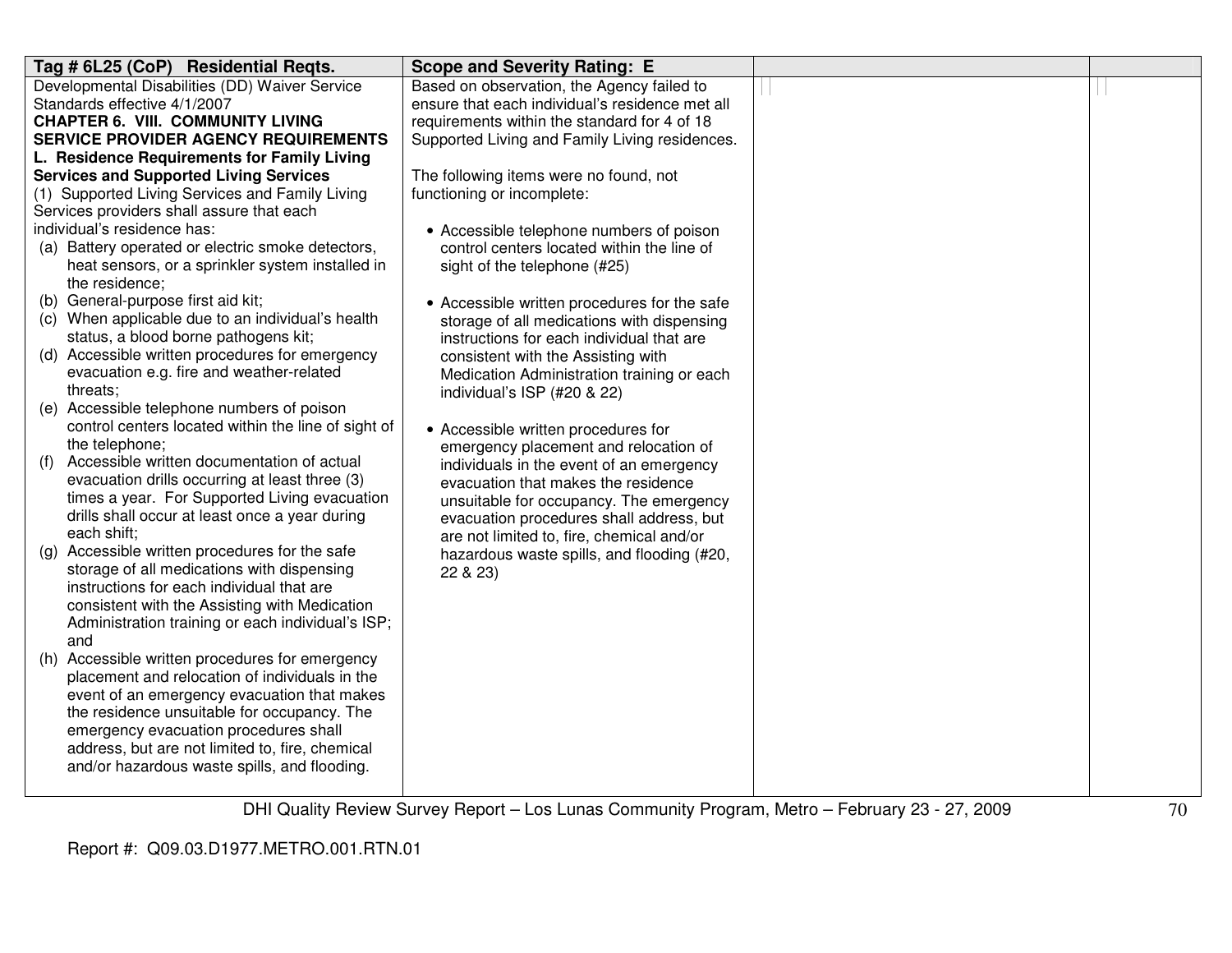| Tag # 6L25 (CoP) Residential Regts.                 | <b>Scope and Severity Rating: E</b>             |  |
|-----------------------------------------------------|-------------------------------------------------|--|
| Developmental Disabilities (DD) Waiver Service      | Based on observation, the Agency failed to      |  |
| Standards effective 4/1/2007                        | ensure that each individual's residence met all |  |
| <b>CHAPTER 6. VIII. COMMUNITY LIVING</b>            | requirements within the standard for 4 of 18    |  |
| <b>SERVICE PROVIDER AGENCY REQUIREMENTS</b>         | Supported Living and Family Living residences.  |  |
| L. Residence Requirements for Family Living         |                                                 |  |
| <b>Services and Supported Living Services</b>       | The following items were no found, not          |  |
| (1) Supported Living Services and Family Living     | functioning or incomplete:                      |  |
| Services providers shall assure that each           |                                                 |  |
| individual's residence has:                         | • Accessible telephone numbers of poison        |  |
| (a) Battery operated or electric smoke detectors,   | control centers located within the line of      |  |
| heat sensors, or a sprinkler system installed in    | sight of the telephone (#25)                    |  |
| the residence;                                      |                                                 |  |
| (b) General-purpose first aid kit;                  | • Accessible written procedures for the safe    |  |
| (c) When applicable due to an individual's health   | storage of all medications with dispensing      |  |
| status, a blood borne pathogens kit;                | instructions for each individual that are       |  |
| (d) Accessible written procedures for emergency     | consistent with the Assisting with              |  |
| evacuation e.g. fire and weather-related            | Medication Administration training or each      |  |
| threats;                                            | individual's ISP (#20 & 22)                     |  |
| (e) Accessible telephone numbers of poison          |                                                 |  |
| control centers located within the line of sight of | • Accessible written procedures for             |  |
| the telephone;                                      | emergency placement and relocation of           |  |
| Accessible written documentation of actual<br>(1)   | individuals in the event of an emergency        |  |
| evacuation drills occurring at least three (3)      | evacuation that makes the residence             |  |
| times a year. For Supported Living evacuation       | unsuitable for occupancy. The emergency         |  |
| drills shall occur at least once a year during      | evacuation procedures shall address, but        |  |
| each shift:                                         | are not limited to, fire, chemical and/or       |  |
| Accessible written procedures for the safe<br>(g)   | hazardous waste spills, and flooding (#20,      |  |
| storage of all medications with dispensing          | 22 & 23)                                        |  |
| instructions for each individual that are           |                                                 |  |
| consistent with the Assisting with Medication       |                                                 |  |
| Administration training or each individual's ISP;   |                                                 |  |
| and                                                 |                                                 |  |
| Accessible written procedures for emergency<br>(h)  |                                                 |  |
| placement and relocation of individuals in the      |                                                 |  |
| event of an emergency evacuation that makes         |                                                 |  |
| the residence unsuitable for occupancy. The         |                                                 |  |
| emergency evacuation procedures shall               |                                                 |  |
| address, but are not limited to, fire, chemical     |                                                 |  |
| and/or hazardous waste spills, and flooding.        |                                                 |  |
|                                                     |                                                 |  |